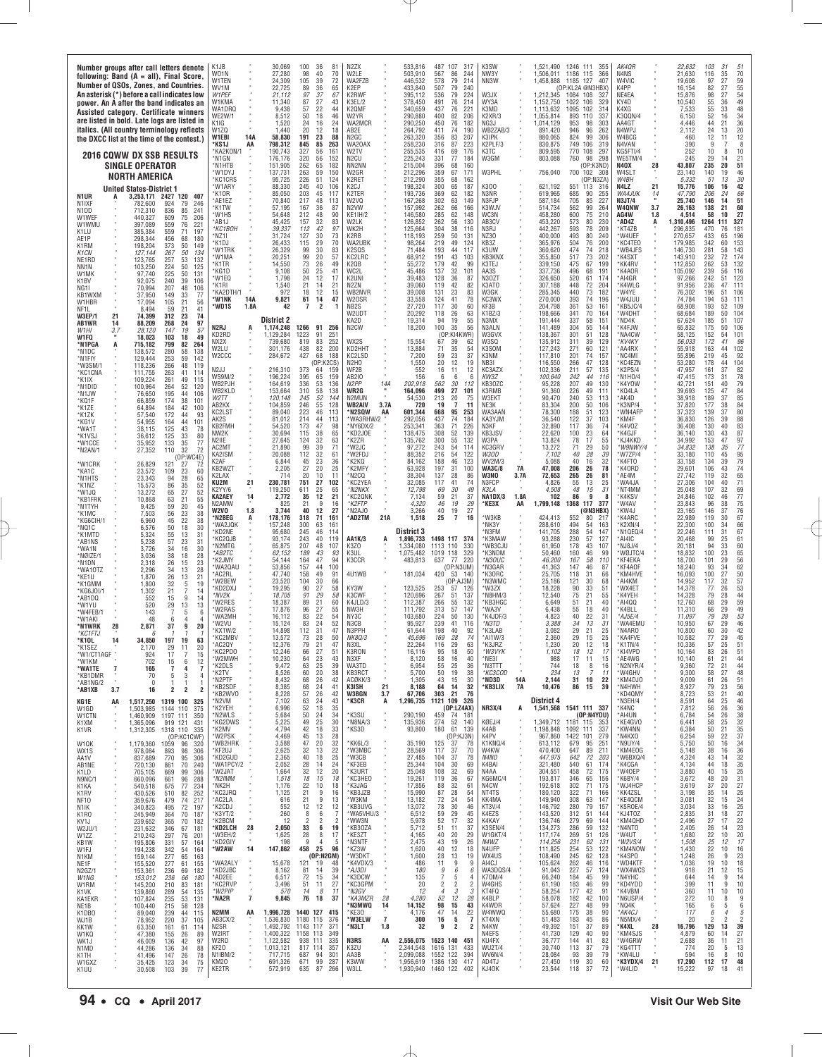| Number groups after call letters denote<br>following: Band $(A = all)$ , Final Score.<br>Number of QSOs, Zones, and Countries.<br>An asterisk (*) before a call indicates low<br>power. An A after the band indicates an<br>Assisted category. Certificate winners<br>are listed in bold. Late logs are listed in<br>italics. (All country terminology reflects                   | K1JB<br>W <sub>01</sub> N<br>W1TEN<br>WV1M<br>W1PEF<br>W1KMA<br>WA1DRQ<br>WE2W/1<br>K1IG<br>W <sub>1</sub> ZQ | 30,069<br>100<br>36<br>27,280<br>98<br>40<br>105<br>39<br>24,309<br>22,725<br>89<br>36<br>37<br>21.112<br>97<br>27<br>11,340<br>87<br>22<br>9,438<br>57<br>50<br>18<br>8,512<br>24<br>1,520<br>16<br>1.440<br>20<br>12 | 81<br>N <sub>2</sub> ZX<br>70<br>W2LE<br>72<br>WA2FZB<br>65<br>K2EP<br>67<br>K2RWF<br>43<br>K3EL/2<br>K2QMF<br>44<br>46<br>W2YR<br>24<br>WA2MCR<br>18<br>AB <sub>2</sub> F | 533,816<br>487<br>107<br>317<br>503,910<br>86<br>244<br>567<br>79<br>446,532<br>578<br>214<br>433,840<br>507<br>79<br>240<br>395,112<br>79<br>224<br>536<br>378,450<br>491<br>76<br>214<br>221<br>340,659<br>437<br>76<br>82<br>290,880<br>400<br>206<br>290,250<br>450<br>76<br>182<br>264,792<br>411<br>74<br>190 | K3SW<br>NW3Y<br>NN3W<br>W3JX<br>WY3A<br>K3MD<br>K2XR/3<br>NG3J<br>WB2ZAB/3              | 1,521,490<br>1246 111<br>355<br>366<br>1.506.011<br>1186 115<br>1,458,888<br>1185<br>127<br>407<br>(OP:KL2A @N3HBX<br>1.212.345<br>1084 108<br>327<br>1,152,750<br>1022 106<br>329<br>1,113,632<br>1095<br>102<br>314<br>893<br>1,055,814<br>110<br>337<br>1,014,129<br>953<br>98<br>303<br>891.420<br>946<br>96<br>262 | AK4QR<br>N4NS<br>W4VIC<br>K4PP<br>NE4EA<br>KY4D<br>K4XG<br>K3QQN/4<br>AA4GT<br>N4WPJ                      | 22,632<br>103<br>31<br>21,630<br>116<br>35<br>70<br>97<br>27<br>59<br>19,608<br>55<br>82<br>27<br>16,154<br>27<br>54<br>15.876<br>98<br>49<br>55<br>10,540<br>36<br>$\frac{55}{52}$<br>33<br>48<br>7,533<br>34<br>16<br>6,150<br>36<br>44<br>4,446<br>21<br>24<br>20<br>13<br>2.112 |
|-----------------------------------------------------------------------------------------------------------------------------------------------------------------------------------------------------------------------------------------------------------------------------------------------------------------------------------------------------------------------------------|---------------------------------------------------------------------------------------------------------------|------------------------------------------------------------------------------------------------------------------------------------------------------------------------------------------------------------------------|----------------------------------------------------------------------------------------------------------------------------------------------------------------------------|---------------------------------------------------------------------------------------------------------------------------------------------------------------------------------------------------------------------------------------------------------------------------------------------------------------------|-----------------------------------------------------------------------------------------|-------------------------------------------------------------------------------------------------------------------------------------------------------------------------------------------------------------------------------------------------------------------------------------------------------------------------|-----------------------------------------------------------------------------------------------------------|-------------------------------------------------------------------------------------------------------------------------------------------------------------------------------------------------------------------------------------------------------------------------------------|
| the DXCC list at the time of the contest.)<br><b>2016 COWW DX SSB RESULTS</b><br><b>SINGLE OPERATOR</b><br><b>NORTH AMERICA</b>                                                                                                                                                                                                                                                   | 14A<br>W1EBI<br>*KS1J<br>AA<br>*KA2KON/1<br>*N1GN<br>*N1HTB<br>*W1DYJ<br>*KC1CRS                              | 191<br>58,830<br>23<br>798,312<br>845<br>85<br>327<br>190,743<br>56<br>176,176<br>320<br>56<br>151.905<br>262<br>65<br>137,731<br>263<br>59<br>226<br>51<br>95,725                                                     | 88<br>N <sub>2</sub> GC<br>263<br>WA20AX<br>W2TV<br>161<br>152<br>N <sub>2</sub> CU<br>NN2NN<br>182<br>150<br>W2GR<br>K2RET<br>124                                         | 263,320<br>356<br>83<br>207<br>223<br>87<br>258,230<br>316<br>69<br>255,535<br>416<br>176<br>77<br>225,243<br>331<br>184<br>215,004<br>396<br>68<br>160<br>212,296<br>359<br>67<br>171<br>212,290<br>355<br>68<br>162                                                                                               | K3IPK<br>K2PLF/3<br>КЗТС<br>W3GM<br>W3PHL                                               | 880,065<br>824<br>99<br>306<br>749<br>106<br>319<br>830,875<br>770<br>809,595<br>108<br>297<br>98<br>298<br>803,088<br>760<br>(OP:K3ND)<br>756,040<br>700<br>102 308<br>(OP:N3ZA                                                                                                                                        | W4BCG<br>N4VAN<br>KG5FTI/4<br>WE5TM/4<br><b>N40X</b><br>28<br>W4SLT<br>W4BH                               | 12<br>460<br>11<br>12<br>390<br>8<br>9<br>252<br>10<br>10<br>8<br>29<br>21<br>245<br>14<br>51<br>43.807<br>235<br>20<br>23,140<br>140<br>19<br>46<br>30<br>5,332<br>51<br>13                                                                                                        |
| <b>United States-District 1</b><br>N1UR<br>3,253,171 2427 120 407<br>924<br>246<br>N <sub>1</sub> IXF<br>782,600<br>79<br>836<br>85<br>241<br>N1DD<br>712,310<br>609<br>W1WEF<br>440,327<br>75<br>206<br>W1WMU<br>397.089<br>559<br>76<br>221<br>K1LU<br>385,384<br>559<br>71<br>197                                                                                              | *W1ARY<br>*K10R<br>*AF1F7<br>*K1TW<br>'W1HS<br>AB1J<br>*КС1ВОН                                                | 245<br>40<br>88,330<br>203<br>85,050<br>45<br>70.840<br>217<br>48<br>57,195<br>167<br>36<br>212<br>48<br>54,648<br>45,425<br>157<br>32<br>112<br>42<br>39,337                                                          | 106<br>K2CJ<br>K2TER<br>117<br>W <sub>2</sub> VQ<br>113<br>87<br>N <sub>2</sub> VW<br>90<br>KE1IH/2<br>83<br>W2LK<br>97<br>WK2H                                            | 65<br>198,324<br>300<br>187<br>193,736<br>369<br>62<br>182<br>167,268<br>302<br>63<br>149<br>157,992<br>262<br>66<br>166<br>62<br>148<br>146,580<br>285<br>56<br>126,852<br>262<br>130<br>125,664<br>304<br>38<br>116                                                                                               | K300<br>N3NR<br>N3FJP<br>K3WJV<br>WC3N<br>AB3CV<br>N3RJ                                 | 621,192<br>551<br>113<br>316<br>619,965<br>685<br>90<br>255<br>227<br>587.184<br>705<br>85<br>514,734<br>562<br>99<br>264<br>600<br>75<br>210<br>458,280<br>573<br>80<br>230<br>453,220<br>209<br>442,267<br>593<br>78                                                                                                  | 21<br>N4LZ<br><b>WA4JUK</b><br>14<br><b>N3JT/4</b><br>3.7<br>W4QNW<br>AG4W<br>1.8<br>*AD4Z<br>A<br>*KT4ZB | 15,776<br>42<br>106<br>16<br>47,790<br>206<br>24<br>66<br>25.740<br>146<br>14<br>51<br>26,163<br>138<br>21<br>60<br>27<br>58<br>10<br>4.514<br>1,310,496<br>327<br>1264<br>111<br>296,835<br>470<br>76<br>181                                                                       |
| 298,344<br>456<br>68<br>180<br>AE1P<br>198,204<br>373<br>50<br>K1RM<br>149<br>50<br>K1CN<br>127,144<br>267<br>134<br>NE <sub>1</sub> RD<br>123,765<br>257<br>53<br>132<br>NN1N<br>103,250<br>224<br>50<br>125<br>225<br>W1MK<br>97,740<br>50<br>131<br>240<br>39<br>K1BV<br>92,075<br>106                                                                                         | *NZ1I<br>*K1DJ<br>'W1TRK<br>*W1MA<br>*K1TR<br>*KG1D<br>*W1EQ                                                  | 31.724<br>127<br>30<br>29<br>26,433<br>115<br>99<br>30<br>26,329<br>20<br>99<br>20,251<br>73<br>26<br>14,550<br>9,108<br>50<br>25<br>24<br>1,798<br>12                                                                 | 73<br>K2RB<br>70<br>WA2UBK<br>83<br>K2SQS<br>57<br>KC2LRC<br>49<br>K2QB<br>WC2L<br>41<br>17<br>K2UNI                                                                       | 118,193<br>259<br>50<br>131<br>98,264<br>219<br>49<br>124<br>71,484<br>193<br>44<br>117<br>191<br>43<br>68,912<br>103<br>179<br>55,272<br>42<br>99<br>45.486<br>137<br>32<br>101<br>39,483<br>128<br>36<br>87                                                                                                       | NZ30<br>KB3Z<br>K3UW<br>KB3KNX<br>K3TEJ<br>AA3S<br>N30ZT                                | 400.000<br>493<br>80<br>240<br>365,976<br>504<br>76<br>200<br>474<br>74<br>218<br>360,620<br>517<br>73<br>202<br>355,850<br>475<br>67<br>339,150<br>199<br>337.736<br>496<br>68<br>191<br>326,650<br>520<br>61<br>174                                                                                                   | *W4UEF<br>*KC4TEO<br>*WB4JFS<br><b>K4SXT</b><br><b>KK4RV</b><br>*K4AOR<br>*AI4GR                          | 270.657<br>433<br>65<br>196<br>179,985<br>342<br>60<br>153<br>146,730<br>143<br>281<br>58<br>143,910<br>232<br>72<br>174<br>262<br>132<br>112,850<br>53<br>105,092<br>239<br>56<br>116<br>97,266<br>242<br>51<br>123                                                                |
| 207<br>NG11<br>70,994<br>48<br>106<br>KB1WXM<br>37,950<br>149<br>33<br>77<br>W1HBR<br>17,094<br>105<br>21<br>56<br>8,494<br>21<br>41<br>59<br>NF11.<br>21<br>74,399<br>312<br>23<br>74<br><b>W3EP/1</b><br>97<br>88,209<br>268<br>AB1WR<br>14<br>24<br>147<br>57<br>W <sub>1</sub> HI<br>3.7<br>28,120<br>19                                                                      | *K1RI<br>'KA2DTH/1<br>14A<br>*W1NK<br>*WD1S<br>1.8A<br>N2RJ<br>A                                              | 21<br>1,540<br>14<br>18<br>12<br>972<br>61<br>9,821<br>14<br>$\overline{2}$<br>42<br>$\overline{7}$<br><b>District 2</b><br>1266 91<br>1,174,248                                                                       | 21<br>N2ZN<br>WB2NVR<br>15<br>47<br>W20SR<br>NB <sub>2</sub> S<br>W2UDT<br>KA2D<br>256<br>N <sub>2</sub> CW                                                                | 42<br>39,060<br>119<br>82<br>23<br>83<br>39,008<br>131<br>78<br>33,558<br>124<br>41<br>27.720<br>117<br>30<br>60<br>20,292<br>118<br>26<br>63<br>94<br>19<br>55<br>19.314<br>100<br>35<br>56<br>18,200                                                                                                              | K3ATO<br>W3GK<br>KC3WX<br>KF3B<br>K1BZ/3<br>N3MX<br>N3ALN                               | 448<br>72<br>204<br>307,188<br>440<br>73<br>182<br>285,345<br>270,000<br>393<br>74<br>196<br>204.798<br>361<br>53<br>161<br>198,666<br>341<br>70<br>164<br>191,444<br>337<br>58<br>151<br>141,489<br>304<br>55<br>144                                                                                                   | *K4WLG<br>*W4YE<br>*W4JUU<br>KB5JC/4<br>*W4DHT<br>*ND4K<br>*K4FJW                                         | 91,956<br>236<br>111<br>47<br>196<br>106<br>76,302<br>51<br>111<br>74,784<br>194<br>53<br>68,908<br>193<br>52<br>109<br>68,684<br>189<br>50<br>104<br>107<br>67,624<br>185<br>51<br>175<br>106<br>65,832<br>50                                                                      |
| W1FQ<br>18,023<br>103<br>18<br>49<br>A<br>715,182<br>799<br>82<br>264<br>*N1PGA<br>280<br>*N1DC<br>138,572<br>58<br>138<br>253<br>59<br>*N1FIY<br>129,444<br>142<br>*W3SM/1<br>118,236<br>266<br>48<br>119<br>*KC1CNA<br>111,755<br>263<br>41<br>114<br>109,224<br>261<br>49<br>115<br>*K1IX                                                                                      | KD2RD<br>NX2X<br>W2LU<br>W <sub>2</sub> CCC<br>N <sub>2</sub> JJ<br><b>WS9M/2</b>                             | 1,129,284<br>1223<br>91<br>819<br>83<br>739.680<br>301,176<br>438<br>82<br>427<br>68<br>284,672<br>(OP:K2CS)<br>373<br>216,310<br>64<br>65<br>196.224<br>395                                                           | 251<br>252<br>WX2S<br>200<br>KD2HHT<br>KC2LSD<br>188<br>N2HO<br>159<br>WF2B<br>AB210<br>159                                                                                | (0F)<br>':KI4KWR)<br>15.554<br>67<br>39<br>-62<br>35<br>13,884<br>71<br>54<br>23<br>7,200<br>59<br>37<br>20<br>12<br>19<br>1,550<br>12<br>16<br>552<br>11<br>156<br>-6<br>-6<br>6                                                                                                                                   | W3GVX<br>W3SQ<br>K3SOM<br>K3NM<br>NB3I<br>KC3AZX<br>KW37                                | 301<br>138,367<br>51<br>128<br>311<br>39<br>129<br>135,912<br>127,243<br>271<br>60<br>121<br>117,810<br>201<br>74<br>157<br>266<br>47<br>128<br>116,550<br>211<br>57<br>135<br>102,336<br>100,640<br>242<br>44<br>116                                                                                                   | *NA4CW<br>*KV4KY<br>*AA4RX<br>*NC4MI<br>*KC4EZN<br>*K2PS/4<br>*N1HO/4                                     | 101<br>58,125<br>152<br>54<br>172<br>96<br>56.033<br>41<br>102<br>55,918<br>163<br>44<br>92<br>219<br>45<br>55,896<br>53,280<br>178<br>104<br>44<br>82<br>47,957<br>161<br>37<br>78<br>47.415<br>173<br>31                                                                          |
| 100,964<br>264<br>*N1DID<br>52<br>120<br>*N1JW<br>76,650<br>195<br>44<br>106<br>*KQ1F<br>174<br>38<br>101<br>66.859<br>*K1ZE<br>64,894<br>184<br>42<br>100<br>57,540<br>172<br>93<br>*K1ZK<br>44<br>44<br>*KG1V<br>54,955<br>164<br>101<br>*WA1T<br>38,115<br>125<br>43<br>78                                                                                                     | WB2PJH<br>WB2KLD<br>W2TT<br>AB2KX<br>KC2LST<br>AK2S<br>KB2FMH<br>NW2K                                         | 336<br>53<br>164,619<br>310<br>58<br>153,664<br>120,148<br>245<br>52<br>246<br>55<br>104,859<br>89.040<br>223<br>46<br>81,012<br>214<br>44<br>173<br>47<br>54,520<br>115<br>38<br>30,694                               | 136<br>N2PP<br>14A<br>WR2G<br>138<br>N2MUN<br>144<br><b>WB2AIV</b><br>128<br>3.7A<br>113<br><b>N2SQW</b><br>AA<br>113<br>WA3RHW/2<br>NY6DX/2<br>98<br>65<br>KD2J0E         | 202,918<br>562<br>30<br>112<br>164,096<br>499<br>27<br>101<br>213<br>20<br>54,530<br>75<br>720<br>19<br>$\overline{7}$<br>11<br>601.344<br>668<br>95<br>253<br>292,056<br>437<br>74<br>184<br>226<br>253,341<br>363<br>71<br>52<br>139<br>138,475<br>308                                                            | KB30ZC<br>K3RMB<br>W3EKT<br>NE3K<br>WA3AAN<br>KA3YJM<br>N3KF<br>KB3JSV                  | 49<br>95,228<br>207<br>130<br>49<br>91,360<br>226<br>111<br>240<br>53<br>90,470<br>113<br>50<br>83,304<br>200<br>106<br>78.300<br>188<br>51<br>123<br>36,540<br>122<br>37<br>103<br>117<br>36<br>32,890<br>-74<br>23<br>22,620<br>100<br>64                                                                             | *K4YOW<br>*KQ4LA<br>AK4D*<br>K3NP/4<br>*WN4AFP<br>*KM4F<br>*K4VOZ<br>'K4GJF                               | 79<br>42,721<br>151<br>40<br>84<br>39,693<br>125<br>47<br>85<br>38,918<br>189<br>37<br>84<br>37,820<br>177<br>38<br>80<br>37.323<br>139<br>37<br>36,830<br>126<br>39<br>88<br>83<br>40<br>36,408<br>130<br>130<br>87<br>36,140<br>43                                                |
| 125<br>33<br>80<br>*K1VS.<br>36.612<br>*W1CCE<br>35,952<br>133<br>35<br>77<br>27,352<br>110<br>32<br>72<br>*N2AN/1<br>(OP:WC4E)<br>*W1CRK<br>26,829<br>121<br>27<br>72<br>*KA1C<br>23,572<br>109<br>23<br>-60<br>*N1HTS<br>23,343<br>94<br>28<br>65<br>86                                                                                                                         | N2IIE<br>AC2MT<br>KA2ISM<br>K2AF<br>KB2WZT<br>K2LAX<br>21<br>KU2M                                             | 124<br>32<br>27,645<br>39<br>21.890<br>99<br>32<br>20,088<br>112<br>$\frac{45}{27}$<br>23<br>6,844<br>2,205<br>20<br>20<br>714<br>10<br>751<br>230.781<br>27                                                           | 63<br>K2ZR<br>71<br>'W2JC<br>61<br>'W2FDJ<br>K2KQ<br>36<br>25<br>K2MFY<br>N <sub>2</sub> CQ<br>11<br>102<br>KC2YEA                                                         | 132<br>135,762<br>300<br>55<br>97.272<br>243<br>54<br>114<br>88,352<br>216<br>54<br>122<br>46<br>84,162<br>188<br>123<br>197<br>31<br>63,928<br>100<br>28<br>38,304<br>137<br>86<br>32.085<br>117<br>41<br>74                                                                                                       | W3PA<br>KC3GRV<br>W3OD<br>WV2M/3<br><b>7A</b><br><b>WA3C/8</b><br>W3NO<br>3.7A<br>N3FCF | 17<br>13,824<br>78<br>55<br>71<br>13,272<br>$\frac{29}{28}$<br>50<br>7,102<br>40<br>39<br>40<br>16<br>32<br>5,088<br>47,008<br>206<br>26<br>78<br>26<br>72,653<br>265<br>81<br>4,826<br>55<br>13<br>25                                                                                                                  | *KJ4KKD<br>*W9NWY/4<br>"W7ZP/4<br>*K4FTO<br>*K40RD<br>*AE4M<br>*WA4JA                                     | 97<br>34,992<br>153<br>47<br>77<br>34.832<br>138<br>35<br>95<br>33,180<br>110<br>45<br>79<br>39<br>33,158<br>134<br>29,601<br>106<br>43<br>74<br>65<br>32<br>27,742<br>119<br>71<br>27.306<br>104<br>40                                                                             |
| 35<br>52<br>*K1NZ<br>15,573<br>27<br>52<br>*W1JQ<br>13,272<br>65<br>21<br>55<br>*KB1FRK<br>10,868<br>63<br>*N1TYH<br>59<br>20<br>45<br>9,425<br>*K1MC<br>7,503<br>56<br>23<br>38<br>45<br>22<br>38<br>*KG6CIH/1<br>6,960<br>50<br>30<br>*NQ1C<br>6,576<br>18<br>55<br>13<br>31<br>*K1MTD<br>5,324                                                                                 | K2YY/6<br><b>KA2AEY</b><br>14<br>N2AMW<br>1.8<br>W2VO<br>*N2BEG<br>A<br>*WA2JQK<br>*KD2NE                     | 119,250<br>611<br>25<br>35<br>12<br>2,772<br>21<br>9<br>825<br>12<br>3,744<br>40<br>178,176<br>318<br>71<br>157,248<br>300<br>63<br>245<br>95,680<br>46                                                                | 65<br>N2NKX<br>21<br>KC2QNK<br>*K2FTP<br>16<br>27<br>N2AJO<br>AD2TM'<br>21A<br>161<br>161<br>114                                                                           | 12,798<br>69<br>30<br>49<br>59<br>21<br>37<br>7,134<br>46<br>19<br>29<br>4,320<br>27<br>40<br>3,266<br>19<br>25<br>1,518<br>$\overline{7}$<br>16<br><b>District 3</b>                                                                                                                                               | $\alpha$<br>K3LA<br>NA1DX/3<br>1.8A<br>*KE3X<br>AA<br>*W3KB<br>MK3Y'<br>N3FM            | 4,508<br>48<br>15<br>.31<br>86<br>102<br>9<br>Я<br>1,799,148<br>1368 117<br>377<br>(@N3HBX)<br>424.413<br>552<br>80<br>217<br>288,610<br>494<br>54<br>163<br>288<br>54<br>147<br>141,705                                                                                                                                | *NT4MM<br>*K4KSV<br>'W4AV<br>*KW4J<br>*K4ARC<br>*K2XN/4<br>*N1QEQ/4                                       | 69<br>25,048<br>107<br>32<br>77<br>102<br>46<br>24,846<br>23,843<br>96<br>38<br>75<br>146<br>37<br>76<br>23,165<br>67<br>22.989<br>119<br>30<br>66<br>22,300<br>100<br>34<br>67<br>22,246<br>111<br>31                                                                              |
| *AB1NS<br>5,238<br>57<br>23<br>31<br>30<br>*WA1N<br>3,726<br>34<br>16<br>28<br>3,036<br>38<br>*NØIZE/1<br>18<br>26<br>15<br>23<br>*N1DN<br>2,318<br>28<br>*WA10TZ<br>2,296<br>34<br>13<br>1.870<br>26<br>13<br>21<br>*KF1U<br>*K1GMM<br>1,800<br>32<br>5<br>19                                                                                                                    | *KC2QJB<br>*N2MTG<br>*АВ2ТС<br>'K2JMY<br>*WA2QAU<br>AC2RL*<br>'W2BEW                                          | 93,174<br>243<br>40<br>65,875<br>207<br>48<br>189<br>43<br>62.152<br>54,144<br>164<br>47<br>157<br>44<br>53,856<br>158<br>49<br>47,740<br>104<br>23,520<br>30                                                          | AA1K/3<br>119<br>A<br>107<br>K3ZO<br>K3UL<br>93<br>94<br>K3CCR<br>100<br>4U1WB<br>91<br>66                                                                                 | 1498 117<br>1,896,733<br>374<br>,334,080<br>1113<br>110<br>330<br>1019 118<br>329<br>1,075,482<br>483,813<br>637<br>77<br>220<br>(OP: N3UM)<br>181,034<br>420<br>53<br>140<br>(OP:AJ3M)                                                                                                                             | <b>K3MAW</b><br>'WB3CJU<br><b>K3NDM</b><br>*N3OUC<br>M3GAR*<br>K30RC<br>M3WMC           | 230<br>57<br>127<br>93,288<br>43<br>61,950<br>178<br>107<br>50.460<br>160<br>46<br>99<br>46,200<br>167<br>58<br>110<br>46<br>41,363<br>147<br>87<br>31<br>25,705<br>118<br>66<br>25,186<br>121<br>30<br>68                                                                                                              | AI4IC*<br>NJ8J/4<br>WØJTC/4<br>*KF4EKA<br>*KF4A0F<br>*KM4HVE<br>*AI4KM                                    | 20,468<br>61<br>99<br>25<br>60<br>20,181<br>94<br>33<br>65<br>18,832<br>100<br>23<br>18,700<br>101<br>29<br>56<br>62<br>34<br>18,240<br>93<br>100<br>27<br>50<br>16,093<br>57<br>14,952<br>117<br>32                                                                                |
| 21<br>*KG6J0I/1<br>1,302<br>7<br>14<br>*AB1DQ<br>9<br>552<br>15<br>14<br>520<br>29<br>13<br>13<br>*W1YU<br>*W4FEB/1<br>143<br>5<br>6<br>*W1AKI<br>48<br>6<br>$\overline{4}$<br>4<br>9<br>20<br>*N1WRK<br>28<br>2,871<br>37<br>*KC1FTJ                                                                                                                                             | ٬KD2DXJ<br>*NV2K<br>'W2RES<br>'W2RAS<br>'WA2MH<br>'W2VU<br>*KX1W/2<br>*KC2MBV                                 | 27<br>19.295<br>90<br>91<br>29<br>18,705<br>89<br>21<br>18,387<br>27<br>96<br>17,876<br>83<br>22<br>16,112<br>83<br>24<br>15.124<br>14,898<br>112<br>-31<br>28<br>73<br>13,572                                         | 58<br>KY3W<br>58<br>K3CWF<br>60<br>K4JLD/3<br>55<br>NW3H<br>54<br>NY3C<br>52<br>N3CB<br>47<br>N3PPH<br>50<br><b>NK8Q/3</b>                                                 | 123.525<br>253<br>57<br>126<br>120,696<br>267<br>51<br>137<br>112,387<br>266<br>55<br>132<br>57<br>111,792<br>313<br>147<br>103,680<br>224<br>50<br>130<br>239<br>41<br>95.927<br>116<br>61,644<br>198<br>40<br>92<br>74<br>169<br>28<br>45.696                                                                     | 'W3ZX<br>N8HM/3<br>*KB3HGC<br>'WA3V<br>'K4JDF/3<br>*N3TD<br>'K3LAB<br>AI1W/3            | 18.228<br>90<br>33<br>$-51$<br>75<br>12,540<br>21<br>55<br>6,649<br>51<br>21<br>40<br>55<br>18<br>6,438<br>40<br>40<br>22<br>4,823<br>31<br>34<br>3,388<br>13<br>.31<br>29<br>3,082<br>21<br>25<br>29<br>15<br>25<br>2,360                                                                                              | *WX4ET<br>*K4YEH<br>AI4QQ*<br>*K4BLL<br>*AJ5E/4<br>*WA4EMU<br>*N4ARO<br>*KA4FVE                           | 53<br>14,378<br>77<br>26<br>44<br>14,328<br>79<br>28<br>59<br>29<br>12,760<br>68<br>66<br>29<br>49<br>11,310<br>53<br>79<br>28<br>11,097<br>46<br>10.950<br>67<br>29<br>42<br>10,800<br>60<br>30<br>45<br>77<br>29<br>10,582                                                        |
| *K10L<br>34,850<br>197<br>19<br>63<br>*K1SEZ<br>2,170<br>29<br>11<br>20<br>17<br>*W1/CT1AGF *<br>924<br>7<br>15<br>$\,6\,$<br>15<br>$\begin{array}{c} 12 \\ 7 \end{array}$<br>*W1KM<br>702<br>*WA1TE<br>$\overline{7}$<br>4<br>7<br>165<br>3<br>*KB1DMR<br>70<br>5<br>$\overline{4}$<br>*AB1NG/2<br>$\Omega$<br>-1<br>-1<br>-1<br>*AB1XB<br>3.7<br>16<br>2<br>$\overline{2}$<br>2 | <b>AUZUY</b><br>*KC2PDO<br>*W2MWH<br>*K2DLS<br>*K2TV<br>*N2PTF<br>*KB2SDF                                     | 12.376<br>79<br>-21<br>12,246<br>66<br>27<br>$\substack{23 \\ 25}$<br>10,230<br>64<br>63<br>9,472<br>$20\,$<br>60<br>8,526<br>8,432<br>68<br>26<br>8,385<br>68<br>24                                                   | 4<br>NSXL<br>51<br>K3RON<br>43<br>N3XF<br>39<br>WA3TD<br>38<br>KB3RCT<br>42<br>ACØKK/3<br>21<br>41<br>K3ISH                                                                | 22.204<br>116<br>-29<br>ხა<br>95<br>16,116<br>18<br>50<br>58<br>16<br>40<br>8,120<br>55<br>25<br>6,954<br>36<br>50<br>19<br>38<br>5,700<br>43<br>15<br>30<br>1,305<br>64<br>32<br>8,188<br>14                                                                                                                       | <b>KJJKZ</b><br>*W3VYK<br>*NE3I<br>*N3TTT<br>*KC3COD<br>*ND3D<br>14A<br>*KB3LIX<br>7A   | 1.23U<br>ZU<br>-12<br>18<br>12<br>18<br>1,102<br>17<br>988<br>17<br>11<br>15<br>744<br>18<br>8<br>16<br>234<br>7<br>13<br>-11<br>2,144<br>31<br>10<br>22<br>10,476<br>86<br>15<br>39                                                                                                                                    | KIIN/4<br>*KI4VPD<br>*AE4WG<br>*N2NYR/4<br>*W4GHV<br>*KM4DJ0<br>*N4HWH                                    | 10.33b<br>57<br>25<br>эı<br>26<br>10,164<br>83<br>51<br>10,140<br>61<br>21<br>44<br>72<br>44<br>9,360<br>21<br>48<br>58<br>9,300<br>27<br>9,009<br>61<br>26<br>51<br>56<br>79<br>8,927<br>23                                                                                        |
| 1,517,250<br>1319 100<br>KG1E<br>AA<br>325<br>W1GD<br>1,503,985<br>1144 110<br>375<br>W1CTN<br>1,460,909<br>1197 111<br>350<br>K1XM<br>1,365,096<br>919 121<br>431<br>1318 110 335<br>1,312,305<br>K1VR<br>(OP:KC1CWF)                                                                                                                                                            | *KB2WV0<br>*N2VM<br>*K2YEH<br>*N2WLS<br>*KG2DWS<br>*K2MV<br>*W2PSK                                            | 8,228<br>57<br>26<br>7,102<br>63<br>24<br>6,996<br>52<br>18<br>5,684<br>50<br>24<br>5,225<br>49<br>25<br>4,794<br>42<br>18<br>4,469<br>45<br>13                                                                        | 42<br><b>W3BGN</b><br>3.7<br>43<br>*К3CR<br>A<br>35<br>34<br>K3SU<br>30<br>N8NA/3*<br>$\alpha$<br>33<br>*KS3D<br>28                                                        | 303<br>76<br>67,706<br>- 21<br>1,296,735<br>1121 109 326<br>(OP: LZ4AX)<br>290,190<br>459<br>74 181<br>274<br>52<br>140<br>135,936<br>180<br>61 139<br>93,800<br>(OP:KJ3N)                                                                                                                                          | <b>NR3X/4</b><br>A<br>KØEJ/4<br>K4AB<br>K4PV                                            | District 4<br>1541 111 337<br>1,541,568<br>(OP:N4YDU)<br>1,349,712<br>1181 115<br>353<br>1,198,848<br>1092 111<br>337<br>967,860<br>1422 101<br>279                                                                                                                                                                     | *KD4QMY<br>*N3EH/4<br>*K4NC<br>*AI4UN<br>*KE4GVO<br>*KW4NN<br>*N4KXO                                      | 53<br>40<br>8,723<br>21<br>64<br>8,591<br>25<br>46<br>36<br>56<br>26<br>7,812<br>38<br>54<br>26<br>6,784<br>32<br>58<br>25<br>6,441<br>50<br>$\frac{35}{37}$<br>6,384<br>21<br>59<br>22<br>6,254                                                                                    |
| 1,179,360<br>W1QK<br>1059<br>96 320<br>WX <sub>1</sub> S<br>978,084<br>893<br>98<br>306<br>837,689<br>770<br>95<br>306<br>AA1V<br>861<br>70<br>240<br>AB1NE<br>720,130<br>669<br>99<br>306<br>K1LD<br>705,105<br>×<br>96<br>N9NC/1<br>660,096<br>661<br>288<br>K1KA<br>540,518<br>675<br>77<br>234<br>K <sub>1</sub> RV<br>430,526<br>510<br>82<br>252                            | *WB2HRK<br>*KF2UJ<br>*KD2GUD<br>*WA1PCY/2<br>*W2JAT<br>*N2IMM<br>*NK2H<br>*KC2JRQ                             | 3,588<br>47<br>20<br>2,625<br>32<br>13<br>2,365<br>40<br>18<br>2,052<br>28<br>14<br>1,664<br>32<br>12<br>18<br>1,518<br>15<br>22<br>10<br>1,176<br>21<br>1,125<br>9                                                    | 32<br>KK6L/3<br>22<br>W3MBC<br>25<br>*W3CB<br>24<br>*KF3EB<br>20<br>*K3URT<br>18<br>*KC3HEO<br>18<br>K3JAG<br>*KB3JZB<br>16                                                | 35,190<br>125<br>37<br>78<br>28,569<br>117<br>37<br>70<br>78<br>27,485<br>104<br>37<br>104<br>30<br>25,344<br>69<br>25,048<br>108<br>32<br>69<br>36<br>67<br>19,261<br>119<br>17,856<br>88<br>32<br>61<br>87<br>28<br>54<br>15,990                                                                                  | K1KNQ/4<br>W4KW<br>N4NO<br>K4BAI<br>N4AA<br>KG6MC/4<br>N4CW<br>NT4TS                    | 613,112<br>95<br>251<br>679<br>470,400<br>647<br>89<br>211<br>72<br>447,975<br>642<br>203<br>321,480<br>540<br>61<br>174<br>304,551<br>458<br>72<br>175<br>156<br>193,817<br>346<br>65<br>192,618<br>302<br>71<br>175<br>166<br>180,120<br>322<br>71                                                                    | *N9UY/4<br>*KM4E0G<br>*W6BXQ/4<br>*K4CGA<br>*W40EP<br>*K6BY/4<br>*WJ4HCP<br>*KK4ZSL                       | $\begin{array}{c} 34 \\ 36 \end{array}$<br>50<br>5,750<br>16<br>38<br>16<br>5,148<br>$\frac{32}{35}$<br>43<br>4,324<br>14<br>44<br>4,134<br>18<br>40<br>3,880<br>15<br>$\frac{31}{27}$<br>48<br>3,672<br>20<br>37<br>20<br>3,619<br>25<br>35<br>3,198<br>14                         |
| NF <sub>10</sub><br>479<br>74<br>217<br>359,676<br>340,823<br>495<br>72<br>197<br>N1IK<br>364<br>K <sub>1</sub> R <sub>0</sub><br>245,949<br>70<br>187<br>KV1J<br>239,652<br>365<br>70<br>182<br>W2JU/1<br>346<br>67<br>181<br>231,632<br>297<br>W1ZZ<br>210,243<br>76<br>201<br>×<br>KB1W<br>331<br>57<br>195,806<br>164                                                         | *AC2LA<br>*K2CDJ<br>*K3YT/2<br>*K2BCM<br>28<br>*KD2LCH<br>*W3EH/2<br>$\alpha$<br>*KD2GIY                      | 21<br>9<br>616<br>12<br>552<br>12<br>260<br>8<br>6<br>12<br>$\overline{2}$<br>$\overline{2}$<br>2,050<br>33<br>6<br>1,625<br>28<br>8<br>198<br>9<br>$\overline{4}$                                                     | 13<br>*W3KM<br>12<br>*KB3UVG<br>WA5VHU/3<br>-7<br>$\overline{2}$<br>'WW3N<br>19<br>*KB3OZA<br>17<br>KE3ZT<br>-5<br>*N3NTF                                                  | 72<br>13,182<br>24<br>54<br>30<br>46<br>13,072<br>78<br>29<br>59<br>45<br>6,512<br>52<br>5,978<br>17<br>32<br>51<br>37<br>5,712<br>11<br>4,165<br>40<br>20<br>29<br>26<br>2,475<br>43<br>19                                                                                                                         | KK4MA<br>KT3V/4<br>K4EZS<br>K4KAY<br>K3SEN/4<br>W1GKT/4<br>N4WZ                         | 149,940<br>308<br>63<br>147<br>146,792<br>280<br>79<br>157<br>143,520<br>312<br>51<br>144<br>136,746<br>279<br>69<br>144<br>134,273<br>286<br>59<br>132<br>117,174<br>269<br>51<br>126<br>114,256<br>231<br>62<br>131                                                                                                   | *KE4QCM<br>*K5R0E/4<br>*KJ4TOZ<br>*KM4QHD<br>*N4NTO<br>*W4UT<br>*W2VS/4                                   | $\frac{24}{25}$<br>32<br>3,081<br>15<br>3,034<br>33<br>16<br>$\frac{27}{22}$<br>23<br>2,835<br>31<br>18<br>2,496<br>27<br>17<br>26<br>2,405<br>14<br>22<br>20<br>1,680<br>10<br>25<br>17<br>1,508<br>12                                                                             |
| W1FJ<br>194,238<br>342<br>54<br>164<br>277<br>N1KM<br>159,144<br>65<br>163<br>NE1F<br>155,520<br>277<br>61<br>155<br>236<br>69<br>182<br>N2GZ/1<br>153,361<br>W1NG<br>153,012<br>236<br>66<br>180<br>W1RM<br>145,200<br>210<br>83<br>181<br>K1VK<br>139,860<br>289<br>54<br>135                                                                                                   | 14<br>*W2AW<br>*WA2ALY<br>*KD2JBC<br>*AD2EE<br>*KC2RVP<br>*W2PIP                                              | 147,862<br>458<br>25<br>(OP: N2GM)<br>121<br>15,678<br>19<br>81<br>8,162<br>14<br>15<br>6,517<br>72<br>3,496<br>51 11<br>14<br>8<br>570                                                                                | 96<br>*KZ3W<br>'W3DKT<br>48<br>'K4VDX/3<br>39<br>*AJ3DI<br>34<br>*K3DCW<br>27<br>KC3GPM<br>11<br>*N3GV                                                                     | 40<br>18<br>1,620<br>12<br>28<br>13<br>19<br>1,600<br>486<br>11<br>9<br>9<br>9<br>$\ddot{6}$<br>6<br>180<br>135<br>7<br>5<br>$\overline{4}$<br>$\overline{2}$<br>$\overline{c}$<br>20<br>2<br>3<br>3<br>12<br>$\overline{4}$                                                                                        | N4UFP<br>WX4US<br>AI4CJ<br>WA3DQS/4<br>K70M/4<br>W4GHS<br>KT4FQ                         | 122<br>111,825<br>254<br>53<br>108,490<br>245<br>62<br>128<br>105,624<br>262<br>46<br>116<br>91,043<br>227<br>57<br>124<br>66,240<br>184<br>45<br>99<br>46<br>61,190<br>183<br>99<br>58,254<br>177<br>42<br>91                                                                                                          | *KM4NOW<br>*K4SPO<br>*WD4KTF<br>*WX4WCS<br>*N4YHC<br>*KD4YDD<br>*K4VBM                                    | $22\,$<br>16<br>1,430<br>10<br>26<br>9<br>23<br>1,248<br>19<br>10<br>18<br>1,036<br>918<br>21<br>12<br>15<br>644<br>14<br>9<br>14<br>10<br>399<br>9<br>11<br>11<br>10<br>360<br>10                                                                                                  |
| KA1EKR<br>107,824<br>235<br>53<br>131<br>215<br>58<br>128<br>100,440<br>NE1B<br>K1DBO<br>89,040<br>239<br>44<br>115<br>WJ1B<br>78,952<br>220<br>37<br>105<br>KK1W<br>63,350<br>161<br>61<br>114<br>W1KQ<br>47,380<br>155<br>89<br>26<br>WK1J<br>136<br>42<br>97<br>46,009<br>N1MD<br>136<br>34<br>88<br>44,286                                                                    | $\overline{7}$<br>*NA2R<br>N2MM<br>AA<br>AB3CX/2<br>N2SR<br>W2IRT<br>W2RD<br>KF20                             | 9,845<br>76<br>18<br>1,996,728<br>1440 127<br>1180 115<br>,536,830<br>1,492,792<br>1143 117<br>1,400,322<br>1158 113<br>1,122,582<br>938 111<br>1,013,121<br>817 114                                                   | 28<br>37<br>*KA3MZR<br>N3MWQ<br>14<br>415<br>KE30<br>$\overline{7}$<br>*W3ELW<br>376<br>371<br>'N3LT<br>1.8<br>349<br>335<br>N3RS<br>AA<br>357<br>K3ZU                     | 52<br>12<br>28<br>4,280<br>98<br>15<br>43<br>14,152<br>$\frac{22}{7}$<br>4,176<br>47<br>14<br>16<br>300<br>5<br>$\overline{c}$<br>2<br>32<br>9<br>2,556,075<br>1623 140 451<br>2,344,548<br>1616 131 433                                                                                                            | K4BLP<br>K4WDR<br>W4WWQ<br>KT4XN<br>N4KW<br>N4EFS<br>KU4FX<br><b>WU2T/4</b>             | 42<br>100<br>58,078<br>182<br>227<br>48<br>99<br>57,624<br>55,680<br>175<br>38<br>90<br>45<br>51,483<br>183<br>86<br>49,392<br>151<br>37<br>89<br>40<br>41,730<br>129<br>90<br>36,777<br>144<br>41<br>82<br>37<br>30,740<br>113<br>79                                                                                   | *N6USP/4<br>*NQ4K<br>*AK4CJ<br>*N5MX/4<br>*K4XL<br>28<br>*KM4SJS<br>*W4GRW<br>*KG4TTT                     | 272<br>10<br>8<br>9<br>5<br>6<br>165<br>6<br>117<br>6<br>$\overline{4}$<br>5<br>$\overline{c}$<br>20<br>$\overline{\phantom{a}}$<br>$\overline{2}$<br>129<br>13<br>39<br>16,796<br>27<br>4,879<br>60<br>14<br>21<br>36<br>2,688<br>11<br>13<br>774<br>20<br>5                       |
| K1TH<br>41,496<br>147<br>26<br>78<br>75<br>W1GXZ<br>35,425<br>123<br>34<br>K1UU<br>30,508<br>103<br>39<br>77                                                                                                                                                                                                                                                                      | N1IBM/2<br><b>KM20</b><br>KE2TR                                                                               | 717,715<br>687<br>94<br>671<br>99<br>691,326<br>572,919<br>635 87 266                                                                                                                                                  | 301<br>AA3B<br>287<br>K3WW<br>W3LL                                                                                                                                         | 2,099,088<br>1552 122 394<br>1,956,619 1386 130 417<br>1,930,940 1460 122 402                                                                                                                                                                                                                                       | <b>WV6N/4</b><br>AD4TJ<br>KJ40K                                                         | 39<br>79<br>28,084<br>93<br>27,450<br>119<br>30<br>60<br>- 37<br>23,544<br>118<br>72                                                                                                                                                                                                                                    | *KW4LU<br>*K3YDX/4<br>21<br>*W4LID                                                                        | 10<br>594<br>16<br>8<br>17,290<br>112<br>17<br>48<br>15,222<br>97<br>18<br>41                                                                                                                                                                                                       |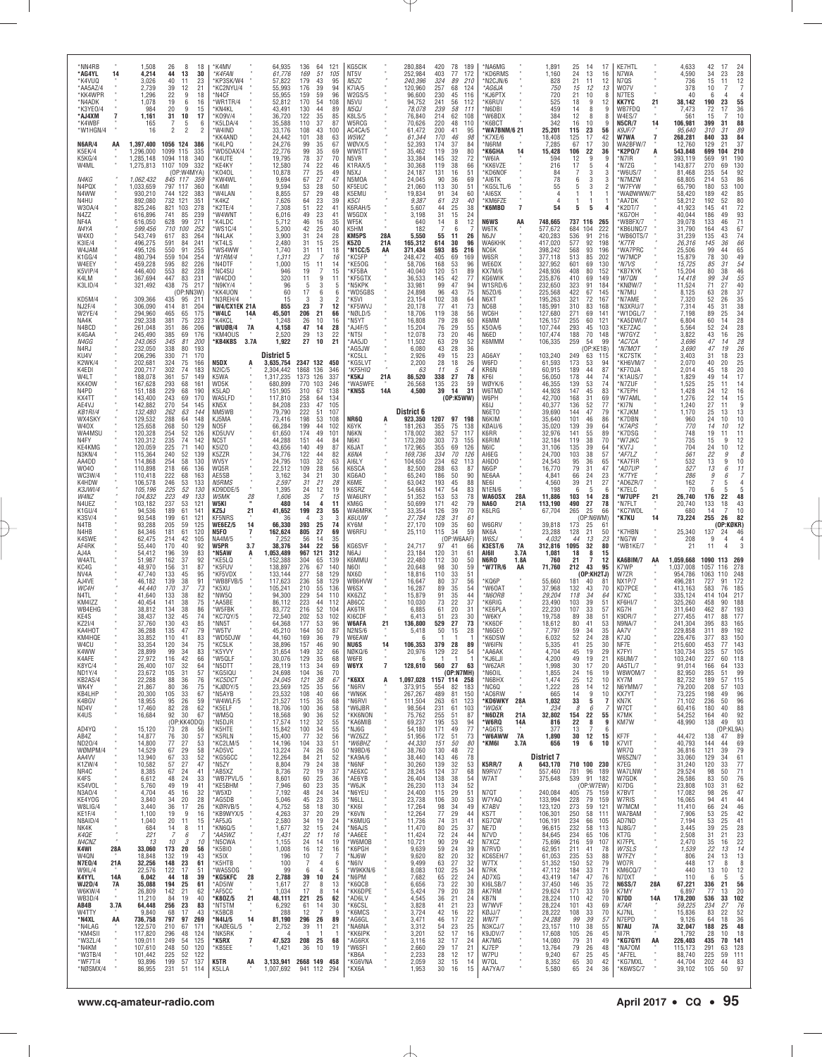| *NN4RB<br>*AG4YL<br>*K4VUQ<br>*AA5AZ/4<br>*KK4WPR<br>*N4ADK<br>*K3YE0/4<br>*AJ4XM | 14                      | 1,508<br>4,214<br>3,026<br>2,739<br>1,296<br>1,078<br>984<br>1,161                   | 26<br>8<br>18<br>44<br>13<br>30<br>40<br>11<br>23<br>39<br>21<br>12<br>22<br>9<br>18<br>6<br>19<br>16<br>20<br>9<br>15<br>31<br>10<br>17                     | *K4MV<br>*K4FAN<br>*KP3SK/W4<br>KC2NYU/4<br>*N4CF<br>*WR1TR/4<br>*KN4KL<br>*K09V/4                  | 64,935<br>61,776<br>57,822<br>55,993<br>55,955<br>52,812<br>43.491<br>36,720        | 136<br>64<br>121<br>169<br>51<br>105<br>179<br>43<br>95<br>94<br>176<br>39<br>159<br>59<br>96<br>170<br>54<br>108<br>130<br>44<br>89<br>122<br>35<br>85        | KG5CIK<br>NT5V<br>N5ZC<br>K7IA/5<br><b>W2GS/5</b><br>N5VU<br>N5QJ<br><b>K8LS/5</b> |                   | 280,884<br>252,984<br>240,396<br>120,960<br>96,600<br>94,752<br>78,078<br>76,840   | 420<br>403<br>324<br>257<br>230<br>241<br>239<br>214 | 78<br>189<br>77<br>172<br>89<br>210<br>68<br>124<br>45<br>116<br>56<br>112<br>.58<br>111<br>62<br>108     | *NA6MG<br>KD6RMS<br>N2CJN/6*<br>*AG6JA<br>*KJ6PTX<br>*K6RUV<br>*N6DBI<br>*W6BDX |                                | 1,891<br>1,160<br>828<br>750<br>720<br>525<br>459<br>384                             | 25<br>24<br>21<br>15<br>21<br>18<br>14<br>12         | 14<br>17<br>13<br>16<br>11<br>12<br>10<br>$9\,$<br>8<br>8                                                       | <b>KE7HTL</b><br>N7WA<br>12<br>N7QS<br>W07V<br>13<br>N7TES<br><b>KK7YC</b><br>12<br>WB7FDQ<br>9<br>W4ES/7       | 21                         | 4,633<br>4,590<br>736<br>378<br>40<br>38,142<br>7,473<br>561                     | 42<br>17<br>24<br>$\begin{array}{c} 28 \\ 12 \\ 7 \end{array}$<br>34<br>23<br>15<br>11<br>10<br>6<br>23<br>55<br>190<br>36<br>72<br>17<br>10<br>15                                         |
|-----------------------------------------------------------------------------------|-------------------------|--------------------------------------------------------------------------------------|--------------------------------------------------------------------------------------------------------------------------------------------------------------|-----------------------------------------------------------------------------------------------------|-------------------------------------------------------------------------------------|----------------------------------------------------------------------------------------------------------------------------------------------------------------|------------------------------------------------------------------------------------|-------------------|------------------------------------------------------------------------------------|------------------------------------------------------|-----------------------------------------------------------------------------------------------------------|---------------------------------------------------------------------------------|--------------------------------|--------------------------------------------------------------------------------------|------------------------------------------------------|-----------------------------------------------------------------------------------------------------------------|-----------------------------------------------------------------------------------------------------------------|----------------------------|----------------------------------------------------------------------------------|--------------------------------------------------------------------------------------------------------------------------------------------------------------------------------------------|
| *K4WBF<br>*W1HGN/4<br><b>N6AR/4</b><br>K5EK/4<br>K5KG/4<br>W4ML                   | AA                      | 165<br>16<br>1.397.400<br>1,296,000<br>1,285,148<br>1,275,813                        | 7<br>5<br>6<br>2<br>$\overline{c}$<br>1056 124<br>-386<br>1099 115<br>335<br>1094 118<br>340<br>1107<br>109<br>332                                           | *K5LDA/4<br>*W4IND<br>*KK4AND<br>K4LPQ*<br>*WD5DAX/4<br>*K4UTE<br>*KE4KY                            | 35,588<br>33,176<br>24,442<br>24,276<br>22,776<br>19,795<br>12,580                  | 110<br>37<br>87<br>108<br>43<br>100<br>101<br>38<br>63<br>99<br>35<br>67<br>99<br>35<br>69<br>78<br>37<br>70<br>74<br>22<br>46                                 | W5RCG<br>AC4CA/5<br>W5WZ<br>WØVX/5<br>WW5TT<br>N5VR<br>K1RAX/5                     |                   | 70,626<br>61,472<br>61,344<br>52,393<br>35,462<br>33,384<br>30,368                 | 220<br>200<br>170<br>174<br>119<br>145<br>119        | 48<br>110<br>41<br>95<br>98<br>46<br>37<br>84<br>39<br>80<br>32<br>72<br>38<br>66                         | *K6BCT<br>*WA7BNM/6 21<br>*K7XE/6<br>*N6RM<br>*K6GHA<br>'W6IA<br>*KK6VZE        | 14                             | 342<br>25,201<br>18,408<br>7,285<br>15,428<br>594<br>216                             | 16<br>115<br>125<br>67<br>106<br>12<br>17            | 10<br>23<br>17<br>17<br>22<br>36<br>$\boldsymbol{9}$<br>5                                                       | <b>N5CR/7</b><br>q<br>56<br>K9JF/7<br>W7WA<br>42<br>WA2BFW/7<br>30<br>*K2PO/7<br>9<br>*N7IR<br>N7ZG             | 14<br>$\overline{7}$<br>A  | 106,981<br>95,640<br>268,281<br>12,760<br>543,848<br>393,119<br>143,877          | 88<br>399<br>31<br>89<br>310<br>31<br>84<br>33<br>840<br>129<br>37<br>21<br>210<br>699<br>104<br>190<br>569<br>91<br>270<br>130<br>69                                                      |
| N4KG<br>N4PQX<br>N4WW<br>N4HU<br>W30A/4<br>N4ZZ                                   |                         | 1,062,432<br>1,033,659<br>930,210<br>892,080<br>825,246<br>616,896                   | (OP:W4MYA)<br>845 117<br>359<br>797 117<br>360<br>744 122<br>383<br>732<br>121<br>351<br>821<br>103<br>278<br>741<br>85<br>239                               | *K040L<br>*KW4WL<br>*K4MI<br>*W4LAN<br>*K4KZ<br>K2TE/4<br>*W4WNT                                    | 10,878<br>9,694<br>9,594<br>8,855<br>7,626<br>7,308<br>6,016                        | $77 \,$<br>25<br>49<br>67<br>27<br>47<br>53<br>28<br>50<br>57<br>29<br>48<br>64<br>$\frac{23}{22}$<br>39<br>51<br>41<br>49<br>23<br>41                         | N5XJ<br>N5MOA<br>KF5EUC<br>K5EMU<br>K5CI<br>K6RAH/5<br>W5GDX                       |                   | 24,187<br>24,045<br>21,060<br>19,834<br>9.387<br>5,607<br>3,198                    | 131<br>90<br>113<br>91<br>61<br>44<br>31             | $\overline{5}1$<br>16<br>36<br>69<br>30<br>51<br>34<br>60<br>23<br>40<br>25<br>38<br>15<br>24             | *KD6NOF<br>*AI6TK<br>*KG5LTL/6<br>*AI6SX<br>*KM6FZE<br>*K6MBD                   | $\overline{7}$                 | 84<br>78<br>55<br>54                                                                 | 6<br>5<br>1<br>5                                     | $\overline{3}$<br>3<br>3<br>1<br>5                                                                              | *W6US/7<br>3<br>*N7MZW<br>3<br>*W7FYW<br>*WAØWWW/7"<br>*AA7DK<br>*K2DT/7<br>KG70H                               |                            | 81,468<br>68,805<br>65,790<br>58,420<br>58,212<br>41,923<br>40.044               | 92<br>54<br>235<br>86<br>214<br>53<br>100<br>180<br>53<br>189<br>85<br>42<br>192<br>52<br>80<br>72<br>145<br>41<br>93<br>71<br>186<br>49                                                   |
| NF4A<br>N4YA<br>W4X0<br>K3IE/4<br>W4JAM<br>K1GG/4<br>W4EEY                        |                         | 616,050<br>599,456<br>543,749<br>496,275<br>495,126<br>480,794<br>459,228            | 628<br>99<br>271<br>710<br>100<br>252<br>264<br>617<br>83<br>591<br>84<br>241<br>550<br>91<br>255<br>559<br>104<br>254<br>595<br>226<br>82                   | *K4LDC<br>'WS1C/4<br>*N4LAK<br>*KT4LS<br>*WS4WW<br>*N1RM/4<br>*N4DTF                                | 5,712<br>5,200<br>3,900<br>2,480<br>1,740<br>1,311<br>1,000                         | 16<br>46<br>35<br>42<br>25<br>40<br>31<br>24<br>28<br>31<br>15<br>25<br>31<br>11<br>18<br>23<br>7<br>16<br>15<br>11<br>14                                      | WF5K<br>K5HM<br>KM5PS<br>K5ZO<br>*N1CC/5<br>*KC5FP<br>*KE50G                       | 28A<br>21 A<br>AA | 640<br>182<br>5,550<br>165,312<br>371,434<br>248,472<br>58,706                     | 14<br>-7<br>55<br>614<br>593<br>405<br>168           | 12<br>8<br>6<br>-7<br>26<br>11<br>30<br>96<br>85<br>216<br>69<br>169<br>53<br>96                          | <b>N6WS</b><br>W6TK<br>N6JV<br>WA6KHK<br>NC6K<br>W6SR<br>WE6DX                  | AA                             | 748,665<br>577,672<br>420,283<br>417,020<br>398,242<br>377,118<br>327,952            | 684<br>536<br>577<br>568<br>513<br>601               | 737 116 265<br>104<br>222<br>91<br>216<br>92<br>198<br>93<br>196<br>85<br>202<br>69<br>130                      | *W8BFX/7<br>*KB6UNC/7<br>'WB60TS/7<br>*K7TR<br>*WA7PRC<br>*W7MCP<br>*N7VS                                       |                            | 39,078<br>31,790<br>31,239<br>26,316<br>25,506<br>15,879<br>15,725               | 133<br>46<br>67<br>164<br>43<br>135<br>74<br>66<br>43<br>145<br>36<br>65<br>49<br>99<br>44<br>78<br>30<br>54<br>31<br>85                                                                   |
| K5VIP/4<br>K4LM<br>K3LID/4<br>KD5M/4<br><b>NJ2F/4</b><br>W2YE/4<br>NA4K           |                         | 446,400<br>367,694<br>321,492<br>309,366<br>306,090<br>294,960<br>292,338            | 553<br>228<br>82<br>231<br>447<br>83<br>438<br>75<br>217<br>(OP:NN3W)<br>435<br>95<br>211<br>414<br>81<br>204<br>465<br>65<br>175<br>381<br>75<br>223        | *NC4SU<br>M4CD0*<br>N9KY/4<br>*KK4UON<br>N3REH/4<br>'W4/CX1EK 21A<br>*W4LC<br>14A<br>*K4KCL         | 946<br>320<br>96<br>60<br>15<br>855<br>45,501<br>1.248                              | 7<br>15<br>19<br>9<br>11<br>11<br>-5<br>3<br>-5<br>17<br>6<br>6<br>3<br>-3<br>$\mathcal{P}$<br>23<br>$\overline{7}$<br>12<br>21<br>206<br>66<br>26<br>10<br>16 | *KF5BA<br>*KF5GTX<br>*N5KPK<br>*WD5GBS<br>*K5VI<br>*KF5WVJ<br>*NØLD/5<br>*N5YT     |                   | 40,040<br>36,533<br>33.981<br>24,898<br>23,154<br>20,178<br>18,706<br>16,808       | 120<br>145<br>99<br>96<br>102<br>77<br>119<br>79     | 51<br>89<br>42<br>77<br>47<br>94<br>$\overline{75}$<br>43<br>38<br>64<br>41<br>73<br>56<br>38<br>28<br>60 | <b>KX7M/6</b><br>KG6WIK<br>W1SRD/6<br>N5Z0/6<br>N6XT<br>NC6B<br>WC6H<br>K6MM    |                                | 248,936<br>235,876<br>232,650<br>225,568<br>195,263<br>185,991<br>127,680<br>126,157 | 408<br>410<br>323<br>422<br>321<br>310<br>271<br>255 | 80<br>152<br>69<br>149<br>91<br>184<br>67<br>145<br>$\frac{1}{2}$<br>167<br>83<br>168<br>69<br>141<br>60<br>121 | <b>KB7KYK</b><br>*W7QN<br>KNØW/7<br>*N7MU<br>*N7AME<br>N3XRU/7<br>*W1DGL/7<br>*KA5DWI/7                         |                            | 15,204<br>14,418<br>11,524<br>8,125<br>7,320<br>7,314<br>7,198<br>6,804          | $\frac{46}{55}$<br>80<br>38<br>99<br>34<br>$\frac{40}{37}$<br>71<br>27<br>28<br>63<br>52<br>26<br>35<br>38<br>38<br>34<br>45<br>31<br>89<br>25<br>60<br>14                                 |
| N4BCD<br>K4GAA<br>N4GG<br>N4RJ<br>KU4V<br>K2WK/4<br>K4EDI                         |                         | 261,048<br>245,490<br>243,065<br>232,050<br>206,296<br>202,681<br>200,717            | 351<br>86<br>206<br>385<br>176<br>69<br>345<br>200<br>81<br>338<br>80<br>193<br>330<br>71<br>170<br>324<br>75<br>166<br>302<br>183<br>74                     | *WUØB/4<br>7A<br>*KM4OUS<br>*KB4KBS<br>3.7A<br>N5DX<br>N2IC/5                                       | 4,158<br>2,520<br>1,922<br>District 5<br>3,635,754<br>2,304,442                     | 47<br>14<br>28<br>22<br>29<br>13<br>27<br>10<br>21<br>2347 132 450<br>1868 136<br>346                                                                          | *AJ4F/5<br>*NT5I<br>*AA5JD<br>*AG5JW<br>KC5LL'<br>*KG5LVT<br>*KF5HIQ               |                   | 15,204<br>12,078<br>11,502<br>6,080<br>2,926<br>2,200<br>63                        | 76<br>73<br>63<br>43<br>49<br>28<br>11               | 29<br>55<br>20<br>46<br>29<br>52<br>28<br>36<br>23<br>15<br>18<br>26<br>5<br>$\boldsymbol{\varDelta}$     | K50A/6<br>N6ED<br>K6MMM<br>AG6AY<br>W6FD<br>KR6N                                |                                | 107,744<br>107,474<br>106,335<br>103,240<br>61,593<br>60,915                         | 293<br>188<br>259<br>249<br>173<br>189               | 45<br>103<br>70<br>148<br>54<br>99<br>(OP:KE1B)<br>63<br>115<br>53<br>94<br>44<br>87                            | *KE7ZAC<br>*W7GYZ<br>*AC7CA<br>*N7MOT<br><b>KC7STK</b><br>'KH6VM/7<br>*KF7OJA                                   |                            | 5,564<br>3,822<br>3,696<br>3,690<br>3,403<br>2,070<br>2,014                      | $\frac{28}{28}$<br>52<br>24<br>$\frac{26}{28}$<br>$\frac{28}{26}$<br>43<br>16<br>47<br>14<br>47<br>19<br>31<br>18<br>$\begin{array}{c} 23 \\ 25 \end{array}$<br>40<br>20<br>20<br>45<br>18 |
| W4LT<br>KK40W<br>N4PD<br>KX4TT<br>AE4VJ<br>KB1RI/4<br>WX4SKY                      |                         | 188,078<br>167,628<br>151,188<br>143,400<br>142,882<br>132,480<br>129,532            | 361<br>57<br>149<br>293<br>68<br>161<br>229<br>68<br>190<br>243<br>69<br>170<br>270<br>54<br>145<br>262<br>63<br>144<br>288<br>64<br>148                     | K5WA<br>WD5K<br>K5LAD<br>WA5LFD<br>KN <sub>5</sub> X<br>NM5WB<br>KJ5MA                              | 1,317,235<br>680,899<br>151.905<br>117,810<br>84,208<br>79,790<br>73,416            | 126<br>337<br>1373<br>103<br>770<br>246<br>310<br>67<br>138<br>258<br>64<br>134<br>233<br>105<br>47<br>222<br>51<br>107<br>198<br>53<br>108                    | *K5KJ<br>*WA5WFE<br>*KN5S<br>NR6Q                                                  | 21A<br>14A        | 86,520<br>26,568<br>4,500<br>District 6<br>923,350                                 | 338<br>135<br>39<br>1207                             | 27<br>78<br>23<br>59<br>14<br>31<br>(0P:K5WW)<br>97<br>198                                                | KF6I<br>WØYK/6<br>W6TMD<br>W6PH<br>K6I.I<br>N6ETO<br>N6KIM                      |                                | 56,050<br>46,355<br>44,928<br>42,700<br>40,377<br>39,690<br>35,640                   | 178<br>139<br>147<br>168<br>136<br>144<br>101        | 44<br>53<br>74<br>45<br>83<br>31<br>52<br>77<br>47<br>46                                                        | 74<br>*K1AUS/7<br>*N7ZUF<br>*K7EPH<br>69<br>*W7AML<br>*KI7N<br>79<br>*K7JKM<br>86<br>*K7DBN                     |                            | 1,829<br>1,525<br>1,428<br>1,276<br>1,240<br>1,170<br>960                        | 49<br>17<br>14<br>14<br>25<br>11<br>16<br>24<br>12<br>22<br>15<br>14<br>9<br>27<br>11<br>25<br>$\frac{13}{10}$<br>13<br>24<br>10                                                           |
| W40X<br>WA4MSU<br>N4FY<br>KE4KMG<br>N3KN/4<br>AA4DD<br>W040<br>WC3W/4             |                         | 125,658<br>120,328<br>120,312<br>120,059<br>115,364<br>114,868<br>110,898<br>110,418 | 268<br>50<br>129<br>254<br>52<br>126<br>235<br>74<br>142<br>225<br>71<br>140<br>240<br>52<br>139<br>254<br>58<br>130<br>218<br>66<br>136<br>222<br>68<br>163 | NO5F<br>KD5UVV<br>NC5T<br>K5IZ0<br>K5ZZR<br>WV5Y<br>WQ5R<br>AE5SB                                   | 66,284<br>61,650<br>44,288<br>43,656<br>34,776<br>24,795<br>22,512<br>3,162         | 199<br>44<br>102<br>174<br>49<br>101<br>151<br>44<br>84<br>140<br>49<br>87<br>122<br>44<br>82<br>103<br>32<br>63<br>109<br>28<br>56<br>34<br>21<br>30          | K6YK<br>N6KN<br>N6KI<br>K6JAT<br>K6NA<br>AI6LY<br>K6SCA<br>KG6A0                   |                   | 181.263<br>178,002<br>173,280<br>172,965<br>169,736<br>104,650<br>82,500<br>65,240 | 355<br>382<br>303<br>355<br>334<br>234<br>288<br>186 | 75<br>138<br>57<br>117<br>73<br>155<br>69<br>126<br>70<br>126<br>62<br>113<br>63<br>87<br>50<br>90        | KØAU/6<br>K6RR<br>K6RIM<br>N6IC<br>AI6EG<br>AI6DO<br>N6GP<br>NE6AA              |                                | 35,020<br>32,976<br>32,184<br>31,106<br>24,700<br>24,543<br>16,770<br>4,841          | 139<br>141<br>119<br>135<br>103<br>95<br>79<br>66    | 39<br>64<br>55<br>38<br>39<br>38<br>57<br>$\frac{36}{31}$<br>65<br>47<br>24<br>23                               | *K7APS<br>89<br>*K7DSG<br>*W7JKC<br>70<br>64<br>'KV7J<br>*AF7LZ<br>*KA7FIR<br>*AD7UP<br>*K7TYE                  |                            | 770<br>748<br>735<br>704<br>561<br>532<br>527<br>286                             | 10<br>12<br>14<br>11<br>19<br>11<br>$\begin{array}{c} 12 \\ 12 \\ 8 \end{array}$<br>9<br>15<br>24<br>10<br>22<br>9<br>13<br>9<br>10<br>6<br>13<br>11<br>9<br>6                             |
| K4HDW<br>K3JWI/4<br>W4NZ<br>N4UEZ<br>K1GU/4<br><b>K3SV/4</b><br>N4TB              |                         | 106,578<br>105,196<br>104,832<br>103,182<br>94,536<br>93,548<br>93,288               | 246<br>53<br>133<br>225<br>52<br>130<br>223<br>49<br>133<br>237<br>53<br>121<br>189<br>61<br>141<br>199<br>61<br>121<br>205<br>59<br>125                     | <b>N5RMS</b><br>KD9DDE/5<br>W5MK<br>$\frac{28}{1}$<br>W5KI<br>KZ5J<br>21<br>KF5NRS<br>14<br>WE6EZ/5 | 2,597<br>1,395<br>1,606<br>480<br>41,652<br>36<br>66,330                            | 31<br>21<br>28<br>12<br>24<br>19<br>35<br>7<br>15<br>14<br>4<br>11<br>199<br>23<br>55<br>3<br>3<br>25<br>393<br>74                                             | K6ME<br>K6SRZ<br>WA6URY<br>KM6G<br>WA6MRK<br><b>K6UUW</b><br>KY6M                  |                   | 63,042<br>54,663<br>51,352<br>50,699<br>33,354<br>27,784<br>27,170                 | 193<br>147<br>153<br>171<br>126<br>128<br>109        | 45<br>88<br>54<br>83<br>53<br>78<br>42<br>79<br>70<br>39<br>31<br>61<br>35<br>60                          | NE61<br>N1EN/6<br>WA60SX<br><b>NA60</b><br>K6LRG<br>W6GRV                       | 28A<br>21A                     | 4,560<br>198<br>11,886<br>113,190<br>67,704<br>39,818                                | 39<br>-6<br>103<br>490<br>265<br>173                 | 21<br>5<br>28<br>14<br>27<br>78<br>25<br>66<br>(OP:N6WM)<br>25<br>61                                            | 27<br>*AD6ZR/7<br>*K7ELC<br>-6<br>*W7UPF<br>*N7FLT<br>*KC7WDL<br>*K7KU                                          | 21<br>14                   | 162<br>70<br>26,740<br>20,740<br>680<br>73,224                                   | 5<br>6<br>5<br>176<br>22<br>48<br>43<br>133<br>18<br>10<br>14<br>7<br>255<br>26<br>82<br>(OP:KØKR)                                                                                         |
| N4HB<br>K4SWE<br>AF4RK<br>AJ4A<br>W4ATL<br>KC4G<br>NV4A<br>AJ4VE                  |                         | 84.346<br>62,475<br>55,440<br>54,412<br>51,987<br>48,970<br>47,740<br>46,182         | 181<br>61<br>120<br>214<br>42<br>105<br>92<br>170<br>40<br>196<br>39<br>83<br>37<br>162<br>92<br>156<br>31<br>87<br>133<br>45<br>95<br>139<br>38<br>91       | N5FO<br>7<br><b>NA4M/5</b><br>W5PR<br>3.7<br>*N5AW<br>A<br>*KE5LQ<br>*K5FUV<br>*KF5VDX<br>*WB8FVB/5 | 162,624<br>7,252<br>38,376<br>1,053,489<br>152,388<br>138,897<br>133,144<br>117,623 | 805<br>27<br>69<br>56<br>14<br>35<br>344<br>22<br>56<br>967<br>121<br>312<br>304<br>65<br>139<br>276<br>67<br>140<br>277<br>58<br>129<br>236<br>58<br>129      | W6RFU<br>KG6SVF<br>N6AJ<br>K6MMU<br><b>N6O1</b><br>NX6D<br>WB6HVW                  |                   | 25,110<br>24,717<br>23,184<br>22,480<br>20,648<br>18,816<br>16,647                 | 115<br>97<br>120<br>112<br>98<br>110<br>80           | 34<br>59<br>(OP:W6AAF)<br>41<br>66<br>31<br>61<br>30<br>50<br>30<br>59<br>51<br>33<br>56<br>37            | NK6A<br>W6SJ<br>K3EST/6<br>AI6II<br>N6RO<br>*W7TR/6<br>*KQ6P                    | 7A<br>3.7A<br>1.8A<br>AA       | 23,288<br>4,032<br>312,816<br>1,081<br>760<br>71,760<br>55,660                       | 128<br>44<br>1095<br>18<br>21<br>212<br>181          | 21<br>50<br>13<br>32<br>8<br>7<br>12<br>43<br>95<br>(OP:KH2TJ)<br>40<br>81                                      | *K7HBN<br>23<br>*NG7W<br>80<br>*WB1KE/7<br>15<br>KA6BIM/7<br>K7WP<br>W7ZR<br>NX1P/7                             | AA                         | 25,340<br>208<br>21<br>1,059,668<br>1,037,008<br>954,786<br>496,281              | 137<br>46<br>24<br>9<br>4<br>4<br>11<br>1090 113<br>269<br>1057<br>278<br>116<br>1063<br>110<br>248<br>172<br>727<br>91                                                                    |
| WC4H<br>N4TL<br>KM4IZZ<br>WB4EHG<br>KE4S<br>KZ21/4<br>KA4HOT                      |                         | 44,440<br>41,640<br>40,454<br>38,812<br>38,437<br>37,760<br>36,288                   | 170<br>37<br>73<br>133<br>38<br>82<br>141<br>75<br>38<br>134<br>38<br>86<br>132<br>45<br>74<br>130<br>85<br>43<br>135<br>47<br>79                            | *K5XU<br>*NW5Q<br>*AA5BE<br>*W5FBK<br>*KC7QY/5<br>*NN5T<br>*W5TV                                    | 105,241<br>94,300<br>86,112<br>83,772<br>72,540<br>64,368<br>45.210                 | 210<br>55<br>136<br>54<br>229<br>110<br>223<br>44<br>112<br>216<br>52<br>104<br>202<br>53<br>102<br>53<br>177<br>96<br>50<br>164<br>87                         | W6SX<br>KK6ZIZ<br>AB6CC<br>AK6TR<br>KI6CDF<br>W6AFA<br>N2NS/6                      | 21                | 16,287<br>15,879<br>10,030<br>6,885<br>6,413<br>136,800<br>5,418                   | 89<br>91<br>73<br>61<br>51<br>529<br>50              | 35<br>54<br>35<br>44<br>22<br>37<br>20<br>31<br>23<br>30<br>27<br>73<br>28<br>15                          | 'W60AT<br>*N6ORB<br>*K6RIG<br>*KE6PLA<br>*W6KY<br>*KK6DF<br>*N6GEO              |                                | 37,968<br>29,204<br>23,490<br>22,230<br>19,758<br>18,612<br>7,797                    | 132<br>118<br>103<br>107<br>89<br>80<br>59           | 43<br>70<br>34<br>64<br>39<br>51<br>33<br>57<br>38<br>51<br>41<br>53<br>34<br>35                                | KD7PCE<br>K7XC<br>KF6HI/7<br>KG7H<br>K9DR/7<br>N9NA/7<br>AA7V                                                   |                            | 413,163<br>335,124<br>325,260<br>311,640<br>277,455<br>241,304<br>229,858        | 583<br>76<br>185<br>217<br>414<br>104<br>188<br>458<br>90<br>462<br>87<br>193<br>417<br>177<br>88<br>395<br>83<br>165<br>192<br>311<br>89                                                  |
| KM4HQE<br>W4CU<br>K4WW<br>K4AFE<br>K8YC/4<br>ND1Y/4<br>KB2AS/4<br>WK4Y            |                         | 33,852<br>33.354<br>28,899<br>27,972<br>26,400<br>23,672<br>22,288<br>21,867         | 110<br>83<br>41<br>120<br>-34<br>75<br>99<br>83<br>34<br>116<br>42<br>66<br>32<br>107<br>64<br>105<br>31<br>57<br>88<br>36<br>76<br>75<br>80<br>36           | *WD5DJW<br>KC5LK<br>*K5YVY<br>*W5QLF<br>*N5DTT<br>*KG5IQU<br>*KC5DCT<br>*KJØDY/5                    | 44,160<br>38.896<br>31,654<br>30,076<br>28,119<br>24,698<br>24,045<br>23,569        | 169<br>79<br>36<br>157<br>46<br>90<br>66<br>149<br>32<br>129<br>35<br>68<br>34<br>113<br>69<br>104<br>36<br>70<br>121<br>38<br>67<br>125<br>35<br>56           | <b>W6FAW</b><br>NU6S<br>NØKQ/6<br>W6FB<br>W6YX<br>*К6ХХ<br>*N6RV                   | 7<br>A            | -6<br>106.353<br>20,976<br>128,610<br>1,097,028<br>373,915                         | 379<br>129<br>560<br>1157 114 258<br>554             | 28<br>89<br>54<br>22<br>-1<br>-1<br>27<br>63<br>(OP:N7MH)<br>82<br>183                                    | *K6DSW<br>W6IFN<br>*AA6AK<br>*KJ6LJI<br>*W6ZAR<br>*N6OIL<br>*N6BHX<br>*NC6Q     |                                | 6,032<br>5.335<br>4,704<br>4,200<br>1,998<br>1,855<br>1,474<br>1,222                 | 52<br>41<br>45<br>49<br>30<br>24<br>25<br>28         | 24<br>28<br>25<br>30<br>19<br>19<br>21<br>17<br>20<br>16<br>12<br>14                                            | K7.IO<br>NF7E<br>29<br>K7FYI<br>K6UM/7<br>AA5TL/7<br>W8W0M/7<br>19<br>10<br>KY7M<br>N6YMM/7<br>12               |                            | 226,476<br>215,600<br>130,734<br>103,240<br>91,014<br>82,950<br>82,732<br>79,200 | 377<br>150<br>83<br>453<br>143<br>325<br>105<br>57<br>227<br>60<br>118<br>133<br>64<br>166<br>99<br>285<br>51<br>115<br>189<br>57<br>103<br>208<br>57                                      |
| KB4LHP<br>K4BGV<br>ND4V<br>K4US<br>AD4YQ<br>AB4Z                                  | $\epsilon$<br>$\alpha$  | 20,300<br>18,955<br>17,460<br>16,684<br>15,120<br>14,877                             | 105<br>33<br>67<br>95<br>26<br>59<br>82<br>28<br>62<br>92<br>30<br>67<br>(OP:KK4ODQ)<br>73<br>28<br>56<br>76<br>30<br>57                                     | *N5AYB<br>*W4WLF/5<br>*K5ELF<br>*WM5Q<br>*N5DJR<br>*K5HTE<br>*K5RLN                                 | 23,532<br>21,527<br>18,706<br>18,568<br>17,574<br>15,842<br>15,400                  | 108<br>40<br>66<br>115<br>35<br>68<br>100<br>36<br>58<br>90<br>36<br>52<br>112<br>32<br>55<br>$\frac{100}{77}$<br>34<br>55<br>32<br>56                         | *WN6K<br>*N6RVI<br>*W6JBR<br>*KK6NON<br>*KA6MIB<br>*NJ6G<br>*WZ6ZZ                 |                   | 267,267<br>111,504<br>98,564<br>75,762<br>69,237<br>54,180<br>51,956               | 489<br>263<br>231<br>255<br>195<br>171<br>172        | 81<br>150<br>61<br>123<br>61<br>103<br>51<br>87<br>53<br>94<br>77<br>49<br>73<br>51                       | *AC6RW<br>*KD6WKY<br>*WQ6X<br>*N6DZR<br>*W6RQ<br>*AG6TS<br>*W6AWW               | 28A<br>21A<br>14A<br><b>7A</b> | 665<br>1,032<br>234<br>32,802<br>816<br>377<br>1,890                                 | 14<br>33<br>8<br>154<br>22<br>13<br>30               | 9<br>5<br>6<br>22<br>8<br>12                                                                                    | 10<br>KX7YT<br>-7<br>KN7K<br>W7CT<br>55<br>K7MK<br>KM7W<br>9<br>6<br>15<br>KF7F                                 | $\alpha$                   | 73,225<br>71,102<br>60,416<br>54,252<br>48,990<br>44,472                         | 198<br>96<br>49<br>96<br>236<br>50<br>88<br>180<br>40<br>92<br>164<br>40<br>93<br>138<br>49<br>(OP:KL9A)<br>47 89<br>138                                                                   |
| ND20/4<br>WØMPM/4<br>AA4VV<br>K1ZW/4<br>NR4C<br>K4FS<br>KS4VOL<br>N3A0/4          |                         | 14,800<br>14,529<br>13,940<br>10,582<br>8,385<br>6,612<br>5,760<br>4,704             | 77<br>27<br>53<br>67<br>29<br>58<br>67<br>52<br>33<br>57<br>27<br>47<br>67<br>24<br>41<br>48<br>24<br>33<br>49<br>19<br>41<br>45<br>32<br>16                 | *KC2LM/5<br>*AD5VC<br>*KG5GCC<br>*N5ZY<br>*AB5XZ<br>*WB7PVL/5<br>*KE5BHM<br>*W5XD                   | 14,196<br>13,224<br>12,264<br>8,804<br>8,736<br>8,601<br>7,946<br>7,192             | 104<br>33<br>51<br>74<br>26<br>50<br>84<br>21<br>52<br>79<br>24<br>38<br>72<br>19<br>37<br>60<br>25<br>36<br>23<br>60<br>35<br>48<br>24<br>34                  | *W6BHZ<br>*N9BD/6<br>*KA9A/6<br>*N6NF<br>*AE6XC<br>*AE6YB<br>*W6JK<br>*N6YEU       |                   | 44,330<br>38,760<br>38,440<br>30,260<br>28,245<br>26,404<br>26,230<br>24,400       | 151<br>130<br>143<br>139<br>124<br>138<br>113<br>115 | 50<br>80<br>48<br>72<br>78<br>46<br>32<br>53<br>37<br>68<br>$\frac{54}{52}$<br>38<br>34<br>29<br>51       | *KM6I<br><b>K5RR/7</b><br><b>N9RV/7</b><br>W7AT<br>N7QT                         | 3.7A<br>Ą                      | 656<br>District 7<br>643,170<br>557,460<br>375,648<br>240,084                        | 19<br>781 96<br>405                                  | 6<br>710 100 230<br>189<br>539 91 182<br>(OP:W7EW)<br>75 159                                                    | 10<br>K7VIT<br>WR7Q<br>W6SZN/7<br>K7EG<br>WA7LNW<br>W7GDK<br>KI7DG<br>K7BVT                                     |                            | 40,793<br>36,816<br>33,060<br>31,240<br>29,524<br>26,586<br>23,808<br>17,082     | 69<br>79<br>144<br>44<br>121<br>39<br>61<br>34<br>129<br>$\frac{77}{71}$<br>120<br>33<br>50<br>98<br>$\frac{76}{62}$<br>83<br>50<br>103<br>31<br>47<br>98<br>26                            |
| KE4YOG<br>W8LIG/4<br>KE1F/4<br>N8AID/4<br>NK4K<br>K4QE<br>N4CNZ<br>K4WI           |                         | 3,840<br>3,440<br>1,100<br>1,040<br>684<br>221<br>-13                                | 34<br>20<br>28<br>26<br>36<br>17<br>19<br>9<br>16<br>20<br>11<br>15<br>14<br>8<br>11<br>7<br>6<br>10<br>10<br>3<br>173<br>20<br>56                           | *AG5DB<br>*KØRVB/5<br>*KB9WYX/5<br>*AF5JG<br>*KN6Q/5<br>*AA5WZ<br>*N5CWA<br>*K5BIO                  | 5,046<br>4,752<br>4,263<br>2,580<br>1,677<br>1,431<br>1,155<br>1,008                | 45<br>23<br>35<br>18<br>58<br>30<br>37<br>20<br>29<br>34<br>19<br>24<br>32<br>15<br>24<br>22<br>11<br>16<br>24<br>14<br>19                                     | *N6LL<br>*KK6I<br>*K6VN<br>*K6MUG<br>*N6AJS<br>*AA6EE<br>*W6MOB<br>*K6PGH          |                   | 23,738<br>17,264<br>12,264<br>11,736<br>11,470<br>11,424<br>10,721                 | 106<br>98<br>77<br>74<br>80<br>72<br>90<br>59        | 30<br>53<br>34<br>49<br>29<br>44<br>31<br>41<br>25<br>37<br>24<br>44<br>42<br>29<br>24<br>39              | W7YAQ<br>K7ABV<br>KS7T<br>KG7CW<br>NE7D<br>N7VD<br>N7XCZ<br>N7RVD               |                                | 133,994<br>123,120<br>106,301<br>106,191<br>96,615<br>84,645<br>75,696<br>62,951     | 228<br>273<br>250<br>234<br>232<br>234<br>216<br>211 | 79<br>159<br>59<br>121<br>58<br>111<br>66<br>105<br>58<br>113<br>65<br>106<br>59<br>107<br>41<br>78             | W7RIS<br>W7MCM<br>WA7BAM<br>AD7ND<br><b>NJ8G/7</b><br>KT7G<br>KI7FPL                                            |                            | 16,065<br>11,410<br>7,906<br>7,194<br>3,445<br>2,508<br>2,470                    | 94<br>41<br>44<br>46<br>24<br>66<br>$^{42}_{41}$<br>53<br>25<br>$\overline{25}$<br>53<br>25<br>28<br>23<br>22<br>39<br>31<br>21<br>35<br>16<br>22<br>13                                    |
| W4QN<br>N7E0/4<br>W9IL/4<br>K4YYL<br><b>WJ2D/4</b><br>W6KW/4<br>WB3D/4            | 28A<br>21A<br>14A<br>7A | 33,060<br>18,848<br>32,256<br>22,576<br>6,042<br>35,088<br>26,809<br>11,210          | 132<br>19<br>43<br>148<br>23<br>61<br>122<br>17<br>51<br>44<br>18<br>39<br>194<br>25<br>61<br>142<br>21<br>62<br>84<br>40<br>19                              | *K5IX<br>*K5HTB<br>*WA5SOG<br>*KG5KFC<br>28<br>*AD5IW<br>*AF5CC<br>*K80Z/5<br>21                    | 196<br>100<br>99<br>2,788<br>1,617<br>1,034<br>48,111                               | 12<br>16<br>16<br>10<br>7<br>7<br>7<br>6<br>4<br>6<br>4<br>5<br>10<br>39<br>24<br>27<br>8<br>13<br>17<br>8<br>14<br>62<br>221<br>25                            | *NJ6W<br>*N6IV<br>*W9KKN/6<br>*N6PM<br>*K6QCB<br>*KK6DPE<br>*AD6LV                 |                   | 9,639<br>9,620<br>9,499<br>8,083<br>7,682<br>6,656<br>5,424<br>4,545               | 82<br>63<br>102<br>65<br>73<br>79<br>36              | 32<br>20<br>32<br>27<br>25<br>34<br>22<br>24<br>22<br>30<br>20<br>28<br>21<br>24                          | KC6SEH/7<br>W7TX<br>N7RK<br>AD7XG<br>KI6LSB/7<br>AK7RM<br>KB7N                  |                                | 61,053<br>51,352<br>47,112<br>43,419<br>37,450<br>29,624<br>28,224                   | 235<br>150<br>184<br>147<br>146<br>171<br>110        | 53<br>52<br>33<br>71<br>47<br>35<br>33<br>42                                                                    | W7SLS<br>88<br>W7FZY<br>79<br>W07R<br>KM6CQ/7<br>76<br>N7DXT<br>72<br><b>N6SS/7</b><br>59<br>K7MY<br>70<br>N7DD | 28A<br>14A                 | 1,539<br>806<br>448<br>440<br>110<br>67,221<br>6,897<br>178,200                  | $\frac{14}{13}$<br>24<br>13<br>8<br>17<br>8<br>13<br>10<br>$\begin{array}{c} 12 \\ 5 \end{array}$<br>- 6<br>-5<br>336<br>21<br>56<br>20<br>77<br>13<br>102<br>33<br>536                    |
| AB4B<br>W4TTY<br>*N4XL<br>*N4LAG<br>*KM4SII<br>*W3ZL/4<br>*N4KM                   | 3.7A<br>AA              | 64,448<br>9,840<br>736,758<br>122,570<br>117,820<br>109,011<br>107,610               | 256<br>23<br>83<br>43<br>68<br>17<br>797<br>97<br>269<br>210<br>67<br>171<br>296<br>48<br>124<br>249<br>125<br>54<br>248<br>50<br>120                        | *NT5TM<br>*K5BCB<br>$\frac{14}{1}$<br>*N4IJ/5<br>*KAØEGL/5<br>*NK5RK<br>$\bf 7$<br>*K5RX<br>*KB5EE  | 6,292<br>288<br>81,190<br>2,752<br>47,523<br>1,421                                  | 61<br>14<br>30<br>-7<br>-9<br>12<br>296<br>26<br>89<br>39<br>11<br>21<br>208<br>25<br>68<br>19<br>36<br>10                                                     | *K6CSL<br>*K6MCS<br>*AG6GL<br>*NA6NA<br>*KK6IPK<br>*AG6RX<br>*W6SFI                |                   | 3,828<br>3,724<br>3,471<br>3,312<br>3,201<br>3,116<br>2,660                        | 41<br>42<br>46<br>54<br>52<br>32<br>29               | 21<br>$\frac{23}{22}$<br>16<br>17<br>22<br>25<br>23<br>16<br>17<br>17<br>24<br>21<br>17                   | W7WVF<br>KØJJ/7<br>WN7T<br>N3KCJ/7<br>K9JDV/7<br>AK7MG<br>KJ7EP                 |                                | 28,224<br>28,222<br>24,288<br>23,157<br>17,608<br>14,080<br>13,764                   | 101<br>108<br>99<br>110<br>105<br>79<br>79           | 43<br>69<br>33<br>39<br>57<br>38<br>26<br>31<br>49<br>26                                                        | K7AR<br>70<br>KJ7NL<br>N7EPD<br>55<br>N7AU<br>45<br>NI7R<br>*KG7GYI<br>48<br>*NA7OM                             | ×.<br>$\alpha$<br>7A<br>AA | 59,225<br>15,836<br>9,126<br>32,047<br>1,792<br>226,403<br>115,173               | 234<br>27<br>$\frac{76}{52}$<br>83<br>22<br>$\frac{36}{48}$<br>64<br>18<br>188<br>25<br>18<br>28<br>10<br>435<br>70<br>141<br>128<br>291<br>63                                             |
| *W3TB/4<br>*WF7T/4<br>*NØSMX/4                                                    |                         | 101,442<br>93,896<br>86,955                                                          | 225<br>52<br>122<br>137<br>199<br>57<br>231 51 114                                                                                                           | K5TR<br>AA<br>K5LLA                                                                                 | 3,133,941<br>1,007,692                                                              | 2668 149 458<br>941 112 294                                                                                                                                    | *KB6A<br>*KG6VNA<br>*KX6A                                                          |                   | 2,233<br>2,059<br>1,953                                                            | 28<br>32<br>30 16                                    | 12<br>17<br>15<br>14<br>15                                                                                | W7PU<br>W7QL<br>AA7YA/7                                                         |                                | 9,240<br>8,352<br>5,580                                                              | 67<br>65<br>65                                       | 25<br>30<br>24                                                                                                  | 45<br>*AF7EL<br>42<br>*KG7MXL<br>*K6WSC/7<br>36                                                                 |                            | 88,740<br>44,704<br>39,102                                                       | 225<br>59 111<br>83<br>202<br>44<br>97<br>105<br>50                                                                                                                                        |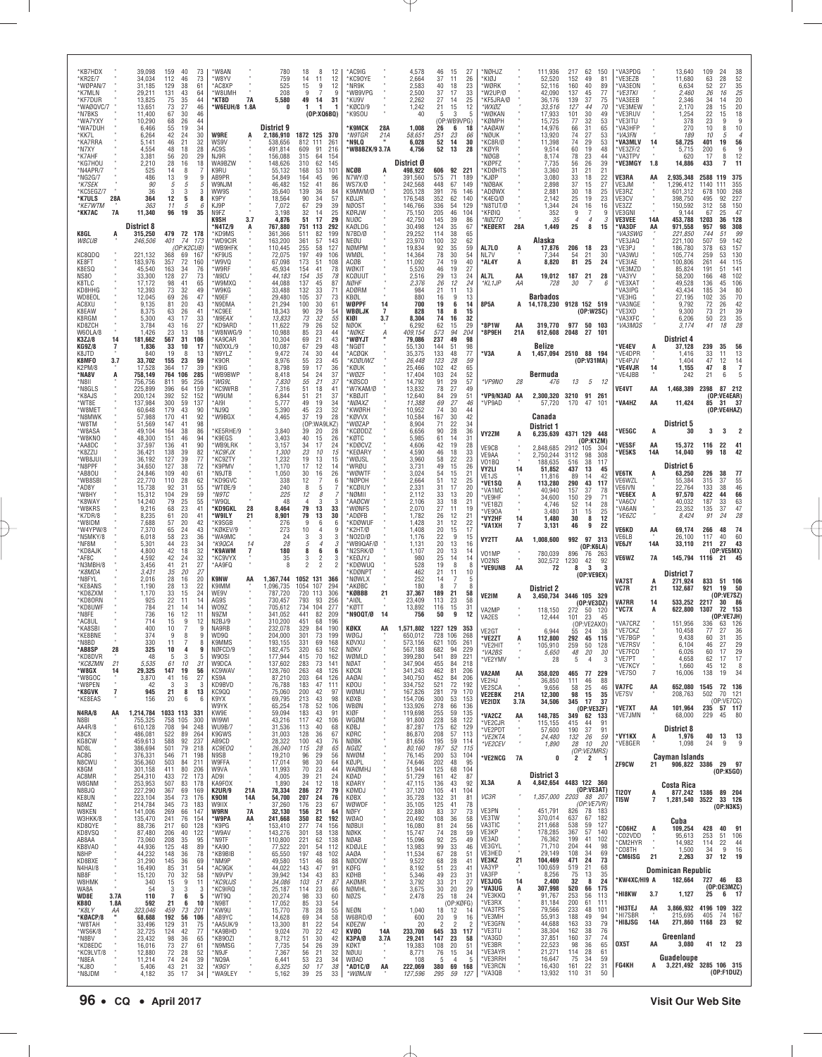| *KB7HDX<br>*KR2E/7<br>*WØPAN/7<br>*K7MLN<br>*KF7DUR<br>*WAØQVC/7 |                | 39,098<br>34,034<br>31,185<br>29,211<br>13,825<br>13,651       | 159<br>112<br>129<br>131<br>75<br>73 | 40<br>46<br>38<br>43<br>35<br>27 | 73<br>73<br>61<br>64<br>44<br>46  | 'W8AN<br>'W8YV<br>*AC8XP<br>'W8UMH<br>'KT8D<br>*W6EUH/8 1.8A | <b>7A</b>  | 780<br>759<br>525<br>208<br>5,580<br>0              | 18<br>8<br>14<br>11<br>15<br>9<br>9<br>7<br>49<br>14<br>1                     | 12<br>12<br>12<br>9<br>31       | AC9IG<br>KC90YE<br>'NR9K<br>*WB9VPG<br>*KU9V<br>*KØCD/9       |                | 4,578<br>2,664<br>2,583<br>2,500<br>2,262<br>1,242  | 46<br>37<br>40<br>37<br>27<br>21 | 15<br>11<br>18<br>17<br>14<br>15  | 27<br>26<br>23<br>33<br>25<br>12  | *NØHJZ<br>*KIØJ<br>*WØRK<br>'W2UP/Ø<br>KF5JRA/Ø<br>*WXØZ |                            | 111,936<br>52,520<br>52,116<br>42,090<br>36,176<br>33,516 | 217<br>152<br>160<br>137<br>139<br>127 | 62<br>49<br>40<br>45<br>37<br>44           | 150<br>81<br>89<br>77<br>75<br>70 | VA3PDG<br>VE3EZB<br>VA3EON<br>*VE3TKI<br>VA3EEB<br>VE3MEW |                            | 13,640<br>11,680<br>6,634<br>2,460<br>2.346<br>2,170       | 109<br>63<br>52<br>26<br>34<br>28  | 24<br>28<br>27<br>16<br>14<br>15         | 38<br>52<br>35<br>$\frac{25}{20}$<br>20<br>20                             |
|------------------------------------------------------------------|----------------|----------------------------------------------------------------|--------------------------------------|----------------------------------|-----------------------------------|--------------------------------------------------------------|------------|-----------------------------------------------------|-------------------------------------------------------------------------------|---------------------------------|---------------------------------------------------------------|----------------|-----------------------------------------------------|----------------------------------|-----------------------------------|-----------------------------------|----------------------------------------------------------|----------------------------|-----------------------------------------------------------|----------------------------------------|--------------------------------------------|-----------------------------------|-----------------------------------------------------------|----------------------------|------------------------------------------------------------|------------------------------------|------------------------------------------|---------------------------------------------------------------------------|
| *N7BKS<br>*WA7YXY<br>*WA7DUH<br>*KK7I<br>*KA7RRA                 |                | 11,400<br>10,290<br>6,466<br>6,264<br>5,141                    | 67<br>68<br>55<br>42<br>46           | 30<br>26<br>19<br>24<br>21       | 46<br>44<br>34<br>30<br>32        | <b>W9RE</b><br>WS9V                                          |            | District 9<br>2,186,910<br>538,656                  | (OP:XQ6BQ)<br>1872 125 370<br>812<br>111<br>609<br>91                         | 261                             | *K9SOU<br><b>K9MCK</b><br>*N9TGR<br>*N9LQ                     | 28A<br>21A     | 40<br>1,008<br>58,651<br>6,028                      | -5<br>26<br>251<br>52            | 3<br>(OP:WB9VPG)<br>6<br>23<br>14 | -5<br>18<br>66<br>30<br>28        | *WØKAN<br>*KØMPH<br>`AAØAW<br>'NØUK<br>*KC8R/Ø           |                            | 17,933<br>15,725<br>14,976<br>13,920<br>11,398            | 101<br>77<br>66<br>74<br>74            | 30<br>32<br>31<br>27<br>29                 | 49<br>53<br>65<br>53<br>53        | VE3RUV<br>'VE3ITU<br>VA3HFP<br>*VA3FN<br><b>'VA3MLV</b>   | 14                         | 1,254<br>378<br>270<br>189<br>58,725                       | 22<br>23<br>10<br>10<br>401<br>200 | 15<br>9<br>8<br>5<br>19                  | $\begin{array}{c} 18 \\ 9 \end{array}$<br>10<br>$\overline{4}$<br>56<br>9 |
| *N7XY<br>*K7AHF<br>*KG7HOU<br>*N4APR/7<br>*NG2G/7                |                | 4,554<br>3,381<br>2,210<br>525<br>486                          | 48<br>56<br>28<br>14<br>13           | 18<br>20<br>16<br>8<br>9         | 28<br>29<br>18<br>9               | AC9S<br>NJ9R<br>WA9BZW<br>K9RU<br>AB9PR                      |            | 491,814<br>156,088<br>148,626<br>55,132<br>54,849   | 315<br>64<br>310<br>62<br>168<br>53<br>164<br>45                              | 216<br>154<br>145<br>101<br>96  | 'WB8BZK/9 3.7A<br><b>NCØB</b><br>N7WY/Ø                       | A              | 4,756<br>District Ø<br>498,922<br>391,560           | 52<br>606<br>575                 | 13<br>92<br>71                    | 221<br>189                        | *KØYR<br>'NØGB<br>KØPFZ<br><b>KDØHTS</b><br>*KJØP        |                            | 9,514<br>8,174<br>7,735<br>3,360<br>3,080                 | 60<br>78<br>56<br>31<br>33             | 19<br>23<br>26<br>21<br>18                 | 48<br>44<br>39<br>21<br>22        | VE3ZF/2<br>'VA3TPV<br>'VE3MGY<br>VE3RA                    | 1.8<br>AA                  | 5,715<br>620<br>14,886<br>2,935,348                        | 17<br>433<br>2588                  | 6<br>8<br>7<br>119                       | 12<br>11<br>375                                                           |
| *K7SEK<br>*KC5EGZ/7<br>*K7ULS<br>*KF7WTM<br>*KK7AC               | 28A<br>7A      | 90<br>36<br>364<br>363<br>11,340                               | 5<br>3<br>12<br>11<br>96             | 5<br>3<br>5<br>5<br>19           | 5<br>3<br>8<br>6<br>35            | W9NJM<br>WW9S<br>K9PY<br>KJ9P<br>N9FZ                        |            | 46,482<br>35,640<br>18,564<br>7,072<br>3,198        | 152<br>41<br>139<br>36<br>90<br>34<br>67<br>29<br>32<br>14                    | 86<br>84<br>57<br>39<br>25      | WS7X/Ø<br>K9MWM/Ø<br>KØJJR<br><b>NØOST</b><br>KØRJW           |                | 242,568<br>205,128<br>176,548<br>146,766<br>75,150  | 448<br>391<br>352<br>336<br>205  | 67<br>76<br>62<br>54<br>46        | 149<br>146<br>140<br>129<br>104   | *NØBAK<br>*ADØWX<br>*K4EQ/Ø<br>N8TUT/Ø<br>*KFØIQ         |                            | 2,898<br>2,881<br>2,142<br>1,344<br>352                   | 37<br>30<br>25<br>24<br>9              | 15<br>18<br>19<br>16                       | 27<br>25<br>23<br>16<br>ë         | VE3JM<br>VE3RZ<br>VE3CV<br>VE3ZZ<br>VE3GNI                |                            | 1,296,412<br>601,312<br>398,750<br>150,592<br>9,144        | 1140<br>678<br>495<br>312<br>67    | 111<br>100<br>92<br>58<br>25             | 355<br>268<br>227<br>150<br>47                                            |
| K8GL<br>W8CUB                                                    | A              | <b>District 8</b><br>315,250<br>246,506                        | 401                                  | 479 72 178<br>74<br>(OP:K2CUB)   | 173                               | K9SH<br>'N4TZ/9<br>*KD9MS<br>'WD9CIR<br>'WB9HFK              | 3.7        | 4,876<br>767,880<br>361,366<br>163.200<br>110,445   | 17<br>51<br>751<br>113<br>511<br>82<br>361<br>57<br>255<br>58                 | 29<br>292<br>199<br>143<br>127  | NUØC<br>KAØLDG<br>N7BD/Ø<br>NEØU<br>NØMPM                     |                | 42,750<br>30,498<br>29,252<br>23,970<br>19,834      | 145<br>124<br>114<br>100<br>92   | 39<br>35<br>38<br>32<br>35        | 86<br>67<br>65<br>62<br>59        | *NØZTO<br>*KEØERT<br>AL7LO                               | 28A<br>A                   | 35<br>1,449<br>Alaska<br>17,876                           | $\boldsymbol{\varDelta}$<br>25<br>206  | 4<br>8<br>18                               | 3<br>15<br>23                     | <b>VE3VEE</b><br>'VA3DF<br>*VA3SWG<br>VE3JAQ<br>'VE3PJ    | 14A<br>AA                  | 453,788<br>971,558<br>221,850<br>221,100<br>186,780        | 1203<br>957<br>744<br>507<br>378   | 36<br>98<br>51<br>59<br>63               | 128<br>308<br>99<br>142<br>157                                            |
| KC8QDQ<br>KE8FT<br>K8ESQ<br><b>NS80</b>                          |                | 221,132<br>183,976<br>45,540<br>33,300                         | 368<br>357<br>163<br>128             | 69<br>72<br>34<br>27             | 167<br>160<br>76<br>73            | *KF9US<br>'W9VQ<br>'W9RF<br>*N9DJ                            |            | 72,075<br>67,098<br>45,934<br>44,183                | 197<br>49<br>173<br>51<br>154<br>41<br>154<br>35                              | 106<br>108<br>78<br>78          | WMØL<br>ACØB<br>WØKIT<br><b>KCØUUT</b>                        |                | 14,364<br>11,092<br>5,520<br>2,516                  | 78<br>74<br>46<br>29             | 30<br>19<br>19<br>13              | 54<br>40<br>27<br>24              | NL7V<br>*AL4Y<br>AL7L                                    | A<br>AA                    | 7,344<br>8,820<br>19,012                                  | 54<br>81<br>187 21                     | 21<br>25                                   | 30<br>24<br>28                    | VA3WU<br>VE3IAE<br>VE3MZD<br>VA3YV                        |                            | 105,774<br>100,806<br>85,824<br>58,200                     | 259<br>261<br>191<br>166           | 53<br>44<br>51<br>48                     | 130<br>115<br>141<br>102                                                  |
| K8TLC<br>KD8HHG<br>WD8EOL<br>AC8XU<br>K8EAW                      |                | 17,172<br>12,393<br>12,045<br>9,135<br>8.375                   | 98<br>73<br>69<br>81<br>63           | 41<br>32<br>26<br>20<br>26       | 65<br>49<br>47<br>43<br>41        | 'W9MXQ<br>'W9KG<br>M9EF*<br>*N9DMA<br>'KC9EE                 |            | 44,088<br>33,488<br>29,480<br>21,294<br>18,343      | 45<br>137<br>132<br>33<br>105<br>37<br>100<br>30<br>90                        | 87<br>71<br>73<br>61<br>54      | <i>NØHF</i><br>ADØRM<br>KBØL<br>WØPPF<br>WBØLJK               | 14<br>7        | 2.376<br>984<br>880<br>700<br>828                   | 26<br>21<br>16<br>19<br>18       | 12<br>11<br>9<br>6<br>8           | 24<br>13<br>13<br>14<br>15        | *KL 1JP<br>8P5A                                          | ΑА                         | 728<br><b>Barbados</b><br>14,178,230 9128 152 519         | 30                                     | 7<br>(0P:W2SC)                             | 6                                 | VE3XAT<br>VA3IPG<br>VE3HG<br>VA3NGE<br>VE3XD              |                            | 49,528<br>43,434<br>27,195<br>9,792<br>9.300               | 136<br>185<br>102<br>72<br>73      | 45<br>34<br>35<br>26<br>$\frac{21}{23}$  | 106<br>80<br>70<br>42<br>$\begin{array}{c} 39 \\ 35 \end{array}$          |
| K8RGM<br>KD8ZCH<br>W60LA/8<br>K3ZJ/8<br><b>KG9Z/8</b>            | 14<br>7        | 5,300<br>3,784<br>1,426<br>181,662<br>1,836                    | 43<br>43<br>23<br>567<br>33          | 17<br>16<br>13<br>31<br>10       | 33<br>27<br>18<br>106<br>17       | *N9EAX<br>*KD9ARD<br>*W8NWG/9<br>*KA9CAR<br>NØXXL/9          |            | 13,833<br>11,622<br>10,988<br>10,304<br>10,087      | $\frac{29}{32}$<br>73<br>79<br>26<br>85<br>23<br>69<br>21<br>67<br>29         | 55<br>52<br>44<br>43<br>48      | KIØI<br>NØOK<br>*NØKE<br><b>WØYJT</b><br>*NGØT                | 3.7<br>A       | 8,304<br>6,292<br>409,154<br>79,086<br>55,130       | 74<br>62<br>573<br>237<br>144    | 16<br>15<br>94<br>49<br>51        | 32<br>29<br>204<br>98<br>98       | *8P1W<br>*8P9EH                                          | ΑA<br>21A                  | 319,770<br>612,608<br>Belize                              | 2048                                   | 977 50 103<br>27 101                       |                                   | VA3XFC<br>*VA3MQS<br><b>VE4EV</b>                         | A                          | 6,206<br>3,174<br>District 4<br>37,128                     | 50<br>41<br>239                    | 18<br>35                                 | 28<br>56                                                                  |
| K8JTD<br>K8MF0<br>K2PM/8<br>*NA8V                                | 3.7            | 840<br>33,702<br>17,528<br>758,149                             | 19<br>155<br>364<br>764 106          | 8<br>23<br>17                    | 13<br>59<br>39<br>285             | N9YLZ'<br>*K90R<br>*K9IG<br>'WB9BWP                          |            | 9,472<br>8,976<br>8,798<br>8,418                    | 30<br>74<br>23<br>55<br>59<br>17<br>54<br>24                                  | 44<br>45<br>36<br>37            | ACØQK<br>*KDØUWZ<br>'KØUK<br>'WØZF                            |                | 35,375<br>26,448<br>25,466<br>17,404                | 133<br>123<br>102<br>103         | 48<br>28<br>42<br>24              | 77<br>59<br>65<br>52              | *V3A                                                     | A                          | 1,457,094 2510 88 194<br>Bermuda                          |                                        | (OP:V31MA)                                 |                                   | 'VE4DPR<br>'VE4PJV<br>'VE4VJR<br>VE4JBB                   | 14                         | 1.416<br>1,404<br>1,155<br>242                             | 33<br>47<br>47<br>21               | 11<br>12<br>8<br>6                       | 13<br>$\begin{array}{c} 14 \\ 7 \end{array}$                              |
| *N8II<br>*N8GLS<br>*K8AJS<br>*WT8E<br>*W8MET                     |                | 756,756<br>225,899<br>200,124<br>137,984<br>60,648             | 811<br>396<br>392<br>300<br>179      | 95<br>64<br>52<br>59<br>43       | 256<br>159<br>152<br>137<br>90    | *WG9I<br>*KC9WRB<br>'W9UM<br>*AI9I<br>MJ9Q*                  |            | 7,830<br>7,316<br>6,844<br>5,777<br>5,390           | 55<br>21<br>51<br>18<br>21<br>51<br>19<br>49<br>45<br>23                      | 37<br>41<br>37<br>34<br>32      | KØSCO <sup>®</sup><br>'W7KAM/Ø<br>*KBØJIT<br>*NØAXZ<br>*KWØRH |                | 14,792<br>13,832<br>12,640<br>11,388<br>10,952      | 91<br>78<br>84<br>69<br>74       | 29<br>27<br>29<br>27<br>30        | 57<br>49<br>51<br>46<br>44        | VP9NO<br>'VP9/N3AD AA<br>*VP9AD                          | 28                         | 476<br>2,300,320<br>57.720                                | 13<br>3210 91 261<br>170               | 5 12<br>47                                 | 101                               | VE4VT<br>'VA4HZ                                           | AA<br>AA                   | 1,468,389<br>11,424                                        | 2398<br>85                         | 87<br>(OP:VE4EAR)<br>31<br>(OP:VE4HAZ)   | 212<br>- 37                                                               |
| *N8MWK<br>*W8TM<br>*W8ASA<br>*W8KNO<br>*AA8DC                    |                | 57,988<br>51,569<br>49,104<br>48,300<br>37,597                 | 170<br>147<br>164<br>151<br>136      | 41<br>41<br>38<br>46<br>41       | 92<br>98<br>86<br>94<br>90        | *W9BGX<br>KE5RHE/9<br>*K9EGS<br>'WB9LRK                      |            | 4,465<br>3,840<br>3,403<br>3,157                    | 37<br>19<br>(OP:WA9L<br>20<br>39<br>40<br>15<br>34<br>17                      | 28<br>.KZ)<br>28<br>26<br>24    | *KØVVX<br>'WØZAP<br>*KCØDDZ<br>KØTC<br>'KDØCVZ                |                | 10,584<br>8,904<br>6,656<br>5,985<br>4,606          | 167<br>71<br>90<br>61<br>42      | 30<br>22<br>28<br>14<br>19        | 42<br>34<br>36<br>31<br>28        | VY2ZM                                                    | A                          | Canada<br>District 1<br>6,235,639                         | 4371 129 448                           | (OP:K1ZM)                                  |                                   | <b>VE5GC</b><br>'VE5SF                                    | А<br>AA                    | District 5<br>30<br>15,372                                 | 3<br>116                           | 3<br>22                                  | 41                                                                        |
| *K8ZZU<br>*WB8JUI<br>*N8PPF<br>*AB80U                            |                | 36,421<br>36,192<br>34,650<br>24,846                           | 138<br>127<br>127<br>109             | 39<br>39<br>38<br>40             | $\frac{82}{77}$<br>72<br>61       | *KC9FJX<br>*KC9ZTY<br><b>K9PMV</b><br>N9JTB*                 |            | 1,300<br>1,232<br>1,170<br>1,050                    | 23<br>10<br>19<br>13<br>17<br>12<br>30<br>16                                  | 15<br>15<br>14<br>26            | <b>KEØARY</b><br>'WØJSL<br>*WRØU<br>'WØWTF                    |                | 4.590<br>3,960<br>3,731<br>3,024                    | 46<br>58<br>49<br>54             | 18<br>22<br>15<br>15              | 33<br>23<br>26<br>21              | VE9CB<br>VE9AA<br>V01BQ<br>VY2LI<br>VE1JS                | 14                         | 2,848,685<br>2,750,244<br>188,635<br>51,852<br>11,816     | 2912 105<br>3112<br>516<br>437<br>89   | 98<br>38<br>13<br>14                       | -304<br>308<br>117<br>45<br>42    | <b>VE5KS</b><br>VE6TK                                     | 14A<br>A                   | 14,040<br>District 6<br>63,250                             | 99<br>226                          | 18<br>38                                 | 42<br>77                                                                  |
| *WB8SBI<br>*AD8Y<br>*W8HY<br>*K8WAY<br>*W8KRS                    |                | 22,770<br>15,738<br>15,312<br>14,240<br>9,216                  | 110<br>92<br>104<br>79<br>68         | 28<br>31<br>29<br>25<br>23       | 62<br>55<br>59<br>55<br>41        | *KD9GVC<br>'WTØE/9<br>*N9TC<br>'W9QL<br>*KD9GKL              | 28         | 338<br>240<br>225<br>48<br>8,464                    | 12<br>7<br>8<br>5<br>12<br>8<br>4<br>З<br>79<br>13                            | 6<br>з<br>33                    | *NØPOH<br>'KCØIUY<br>'NØMII<br>*AAØCW<br>WØNFS                |                | 2,664<br>2,331<br>2,112<br>2.106<br>2,070           | 51<br>31<br>33<br>33<br>27       | 12<br>17<br>13<br>18<br>11        | 25<br>20<br>20<br>21<br>19        | *VE1SQ<br>*VA1MC<br>*VE9HF<br>*VE1BZI<br>*VE90A          | A                          | 113.280<br>40,940<br>34,600<br>4.746<br>3,480             | 290<br>157<br>150<br>52<br>31          | 43<br>37<br>29<br>14<br>15                 | 117<br>78<br>71<br>28<br>25       | VE6WZL<br><b>VE6IVN</b><br>'VE6EX<br>VA6CV<br>VA6AN       | A                          | 55,384<br>22.764<br>97,570<br>40,032<br>23,352             | 315<br>133<br>422<br>187<br>135    | 37<br>38<br>44<br>33<br>37               | 55<br>46<br>66<br>63<br>47                                                |
| *K7DR/8<br>*W8IDM<br>*W4YPW/8<br>*N5MKY/8<br>*NF8M               |                | 8,235<br>7,688<br>7,370<br>6,018<br>5,301                      | 61<br>57<br>65<br>58<br>44           | 20<br>20<br>24<br>23<br>23       | 41<br>42<br>43<br>36<br>34        | *W9ILY<br><b>K9SGB</b><br>*KØKEV/9<br>*WA9MC<br>*K9QCA       | 21<br>14   | 8,901<br>276<br>273<br>24<br>28                     | 79<br>13<br>9<br>6<br>10<br>4<br>3<br>3<br>5<br>$\overline{4}$                | 30<br>6<br>9<br>3<br>3          | *ADØFB<br><b>KDØWUF</b><br>K2HT/Ø<br>*N02D/Ø<br>'WB9QAF/Ø     |                | 1,782<br>1,428<br>1,408<br>1,176<br>1,131           | 26<br>31<br>20<br>22<br>20       | 12<br>12<br>15<br>-9<br>13        | 21<br>$\frac{22}{17}$<br>15<br>16 | *VY2HF<br>'VA1XH<br>VY2TT                                | 14<br>$\overline{7}$<br>AA | 1.480<br>3,131<br>1,008,600                               | 30<br>46                               | 8<br>9<br>992 97 313                       | 12<br>22                          | *VE6ZC<br>VE6KD<br>VE6LB<br><b>VE6JY</b>                  | AA<br>14A                  | 8,424<br>69,174<br>26,100<br>33,110                        | 91<br>266<br>117<br>211            | 24<br>48<br>40<br>27                     | 28<br>74<br>60<br>43                                                      |
| *KD8AJK<br>*AF8C<br>*N3MBH/8<br>*K8MDA<br>*N8FYL                 |                | 4,800<br>4.592<br>3,456<br>3,431<br>2,016                      | 42<br>42<br>41<br>35<br>28           | 18<br>24<br>21<br>20<br>16       | 32<br>$\frac{32}{27}$<br>27<br>20 | *K9AWM<br><b>KC9VYX</b><br>*AA9FQ<br><b>K9NW</b>             | 7<br>AA    | 180<br>35<br>8<br>1,367,744                         | 8<br>6<br>3<br>$\mathfrak{p}$<br>$\overline{2}$<br>$\overline{2}$<br>1052 131 | 6<br>3<br>366                   | *N2SRK/Ø<br>*KEØJYJ<br>*KDØWUQ<br>'KDØNPT<br>NØWLX            |                | 1,107<br>980<br>528<br>462<br>252                   | 20<br>25<br>19<br>21<br>14       | 13<br>14<br>8<br>11<br>7          | 14<br>14<br>8<br>10<br>5          | V01MP<br>V02NS<br>'VE9UNB                                | AA                         | 780,039<br>302,572<br>72                                  | 896<br>1230<br>8                       | (OP:K6LA)<br>76<br>42<br>3<br>(OP:VEGEX)   | 263<br>92<br>3                    | VE6WZ                                                     | 7A                         | 145,794 1116 21<br><b>District 7</b>                       |                                    | (OP:VE5MX)                               | 45                                                                        |
| *KE8ANS<br>*KD8ZXM<br>*KD8ORN<br>*KD8UWF                         |                | 1,190<br>1,170<br>925<br>784                                   | 28<br>33<br>22<br>21                 | 13<br>15<br>11<br>14             | 22<br>24<br>14<br>14              | K9IMM<br>WE9V<br>AG9S<br>W09Z                                |            | 1,096,735<br>787.720<br>730,457<br>705,612          | 1054 107<br>720 113<br>793<br>93<br>734<br>104                                | 294<br>306<br>256<br>277        | AKØBC <sup>.</sup><br><b>KØBBB</b><br>*AIØL<br>*KØTT          | 21             | 180<br>37,367<br>23,409<br>13,892                   | 8<br>189<br>113<br>116           | 21<br>23<br>15                    | 8<br>58<br>58<br>31               | VE2IM<br>VA2MF                                           | A                          | District 2<br>3,450,734<br>118.150                        | 3446 105 329                           | (0P:VE3DZ)<br>272 50 120                   |                                   | VA7ST<br>VC7R<br>VA7RR<br>'VC7X                           | А<br>21<br>14<br>A         | 271,924<br>132,687<br>533,252<br>622,800                   | 833<br>921<br>2217<br>1307         | 51 106<br>19<br>(OP:VE7SZ)<br>-72        | 50<br>86<br>153                                                           |
| *N8FE<br>*AC8UI<br>*KA8SBI<br>*KE8BNE<br>*N8BD                   |                | 736<br>714<br>400<br>374<br>330                                | 16<br>15<br>10<br>9<br>11            | 12<br>9<br>7<br>8                | 11<br>12<br>9<br>9<br>8           | N9ZM<br>N <sub>2</sub> BJ/9<br>NA9RB<br>WD9Q<br>K9MMS        |            | 341,052<br>310,200<br>232,078<br>204,000<br>193,155 | 441<br>82<br>451<br>68<br>329<br>84<br>301<br>73<br>331<br>69                 | 209<br>196<br>190<br>199<br>168 | N90QT/Ø<br>KØKX<br>WØGJ<br>KØVXU                              | -14<br>AA      | 756<br>1,571,802<br>650,012<br>573,156              | 50<br>1227 129<br>728<br>621 105 | 9<br>106                          | 12<br>-353<br>268<br>261          | VA2ES<br>VF2G1<br>*VE2ZT<br>*VF2HIT                      | A                          | 12,444<br>6.944<br>112,800<br>105 910                     | 101<br>55<br>292<br>259                | 23<br>(OP:VE2AXO)<br>24<br>45<br>$50 - 50$ | 45<br>38<br>115<br>128            | VA7CRZ<br>VE7CKZ<br>'VE7BGP<br>'VE7RSV                    |                            | 151,956<br>10,458<br>9,438<br>6,104                        | 336<br>77<br>60<br>46              | (OP:VE7JH)<br>63<br>27<br>31<br>27       | 126<br>36<br>35<br>29                                                     |
| *AB8SP<br>*KD8DVR<br>*KC87MN<br>*W8GX<br>*W8GOC                  | 28<br>21<br>14 | 325<br>48<br>5.535<br>29,325<br>3,870                          | 10<br>5<br>61<br>147<br>41           | 3<br>10<br>19<br>16              | 9<br>5<br>31<br>56<br>27          | NØFCD/9<br>W90SI<br>W9DCA<br>KC9WAV<br>KS9A                  |            | 182,475<br>177,944<br>137,602<br>128,760<br>87,210  | 320<br>63<br>415<br>70<br>283<br>73<br>263<br>48<br>203<br>64                 | 162<br>162<br>141<br>126<br>126 | NØKV<br>WØMLD<br><b>NØAT</b><br>KØCN<br>AAØAI                 |                | 567,188<br>399,280<br>347,904<br>341,243<br>340,750 | 682<br>541<br>455<br>462<br>452  | 94<br>89<br>84<br>81<br>84        | 229<br>221<br>218<br>206<br>206   | *VA2BS<br>*VE2YMV<br>VA2AM                               | AA                         | 5,650<br>28<br>358,020                                    | 48<br>5<br>465                         | 20<br>$\overline{4}$<br>77                 | 30<br>3<br>229                    | 'VE7FCO<br>'VE7PT<br>VE7KCY<br>*VE7SO                     | $\alpha$<br>$\overline{7}$ | 6,026<br>4,658<br>1,660<br>16,006                          | 60<br>62<br>45<br>138              | 17<br>17<br>12<br>19                     | 29<br>17<br>8<br>34                                                       |
| *W8PEN<br>*K8GVK<br>*KE8EAS                                      | $\overline{1}$ | 42<br>945<br>156                                               | 3<br>21<br>20                        | 3<br>8<br>6                      | 3<br>13<br>6                      | KD9BVD<br>KC900<br>K9YX<br>W9YK                              |            | 76,788<br>75,060<br>69,795<br>65,254                | 183<br>47<br>200<br>42<br>213<br>43<br>178<br>52                              | 111<br>97<br>98<br>106          | <b>KØOU</b><br>WØMU<br>KØXB<br>WBØN                           |                | 334,752<br>167,826<br>154,706<br>133,926            | 521<br>281<br>300<br>278         | 72<br>79<br>53<br>66              | 192<br>170<br>153<br>136          | VE2HJ<br>VE2SCA<br><b>VE2EBK</b><br>VE2IDX               | 21A<br>3.7A                | 36,850<br>9,656<br>12,300<br>34,506                       | 111<br>58<br>98<br>345                 | 46<br>25<br>15<br>17<br>(OP:VE3ZF)         | 88<br>46<br>35<br>37              | VA7FC<br>VE7SV<br>*VE7XT                                  | AA<br>AA                   | 652,080<br>208,763<br>101,964                              | 1545<br>502<br>235                 | 72 136<br>70 121<br>(OP:VE7CC)<br>57 117 |                                                                           |
| <b>N4RA/8</b><br>N8BI<br>AA4R/8<br>K8CX<br>KG8CW                 | AA             | 1,214,784 1033 113<br>755,325<br>610,128<br>486,081<br>459,613 | 758 105<br>708<br>522<br>588         | 94<br>89<br>92                   | 331<br>300<br>248<br>264<br>237   | KW9E<br>WI9WI<br><b>WU9B/7</b><br>K9GWS<br>AB9CD             |            | 59,094<br>43,216<br>31,536<br>31,003<br>28,322      | 183<br>43<br>117<br>42<br>113<br>40<br>128<br>36<br>100<br>43                 | -91<br>106<br>68<br>67<br>76    | KIØF<br>WGØM<br>KØBJ<br>KØRC<br>NØBK                          | ×              | 119,698<br>91,800<br>87,287<br>86,870<br>81,656     | 255<br>228<br>175<br>208<br>195  | 59<br>58<br>62<br>57<br>59        | 135<br>122<br>129<br>113<br>114   | *VA2CZ<br>*VE2CJR<br>*VE2PDT<br>*VE2KTA                  | AA                         | 148,785<br>115,155<br>57,600<br>24,480<br>1,890           | 415<br>190<br>132<br>28                | 349 62 133<br>44<br>37<br>26<br>10         | 91<br>91<br>59<br>20              | *VE7JMN<br>'VY1KX<br>*VE8GER                              | A                          | 68,000<br>District 8<br>1,976<br>1,098                     | 229<br>40<br>24                    | 45<br>13<br>9                            | - 80<br>13<br>9                                                           |
| ND8L<br>AC8G<br>N8CWU<br>K8GM<br>AC8MR                           |                | 386,694<br>376,331<br>356,360<br>301,158<br>254,310            | 501<br>546<br>503<br>411<br>433      | 79<br>71<br>84<br>80<br>72       | 218<br>198<br>211<br>206<br>173   | KC9E00<br>N9SB<br>W9FFA<br>W9VA<br>AD9I                      |            | 26,040<br>19,210<br>17,014<br>11,993<br>4,005       | 115<br>28<br>96<br>29<br>98<br>30<br>70<br>$^{23}_{21}$<br>39                 | 65<br>56<br>64<br>44<br>24      | <b>NGØZ</b><br>NWØM<br>KØJPL<br>WAØMHJ<br>KØAD                |                | 80,160<br>76,145<br>74,646<br>51,944<br>51,729      | 197<br>200<br>202<br>125<br>161  | 52<br>53<br>48<br>68<br>42        | 115<br>104<br>95<br>104<br>87     | *VE2CEV<br>*VE2NCG                                       | 7A                         | 0<br>District 3                                           | 2                                      | (OP:VE2MRS)<br>$\overline{2}$              |                                   | ZF9CW                                                     | 21                         | Cayman Islands<br>906,822 3386                             |                                    | 29 97<br>(OP:K5GO)                       |                                                                           |
| W8GNM<br>N8BJQ<br>KE8UN<br>N8MZ                                  |                | 253,953<br>227,290<br>223,104<br>214,784                       | 507<br>367<br>354<br>345             | 83<br>69<br>73<br>73             | 178<br>169<br>176<br>183          | KA9FOX<br><b>K2UR/9</b><br>K90M<br>W9IIX                     | 21A<br>14A | 1,890<br>78,334<br>54,700<br>37,260                 | 24<br>12<br>286<br>27<br>207<br>24<br>176<br>23                               | 18<br>79<br>76<br>67            | KØARY<br>KØMDJ<br>KØBX<br>WØWDF                               |                | 47,115<br>37,120<br>35,728<br>35,105                | 136<br>105<br>132<br>125         | 43<br>41<br>31<br>41              | 92<br>104<br>81<br>78             | XL3A<br>VC3R                                             | A                          | 4,842,654<br>1,357,000                                    | 4483 122 360<br>2203 88 207            | (OP:VE3AT)<br>(OP:VE7VR)                   |                                   | <b>TI20Y</b><br>TI5W                                      | A<br>7                     | Costa Rica<br>877,242 1386 89 204<br>1,281,540 3522 33 126 |                                    | (OP:N3KS)                                |                                                                           |
| W8KEN<br>W3HKK/8<br>KD8QYE<br>KD8VSQ<br>AB8AA                    |                | 141,006<br>135,470<br>88,736<br>87,480<br>73,060               | 269<br>241<br>217<br>206<br>208      | 66<br>76<br>60<br>40<br>35       | 147<br>154<br>128<br>122<br>95    | <b>W9RN</b><br>*W9PA<br>*K9PG<br>*W9AV<br>*N9TF              | 7A<br>AA   | 32,130<br>241,668<br>153,410<br>143,276<br>110,800  | 21<br>156<br>350<br>82<br>277<br>74<br>301<br>58<br>221<br>62                 | 64<br>192<br>156<br>138<br>138  | NØFY<br><b>WØAO</b><br><b>NØBUI</b><br>NØKK<br><b>NØAB</b>    |                | 22,880<br>20,492<br>16,080<br>15,747<br>15,096      | 83<br>108<br>81<br>74<br>92      | 37<br>36<br>24<br>28<br>25        | 73<br>58<br>56<br>59<br>49        | VE3PN<br>VE3TW<br>VA3TIC<br>VE3KP<br>VE3AD               |                            | 451,791<br>370,014<br>211,668<br>178,285<br>76,362        | 826<br>637<br>538<br>367<br>199        | 78<br>67<br>59<br>57<br>41                 | 183<br>182<br>127<br>140<br>102   | <b>CO6HZ</b><br>*CO2VDD<br><b>CM2HYR</b>                  | Ą                          | Cuba<br>109,254<br>95,613<br>14,982                        | 428<br>253<br>114                  | 40<br>51<br>22                           | 91<br>106<br>44                                                           |
| KB8VA0<br>N8HP<br>KD8BXE<br>N4HAI/8<br>NB8F                      |                | 44,936<br>44,232<br>31,290<br>16,490<br>15,120                 | 125<br>148<br>145<br>85<br>70        | 48<br>36<br>36<br>31<br>32       | 89<br>78<br>69<br>54<br>58        | 'KA90<br>*KB9BIB<br>*NM9P<br>*AC9GK<br>*N9VPV                |            | 77,522<br>65,550<br>49,580<br>44,022<br>39,942      | 201<br>54<br>197<br>48<br>151<br>46<br>143<br>47<br>134<br>43                 | 112<br>102<br>88<br>91<br>83    | KDØJLE<br>AAØA<br>NØDOW<br>KØFG<br>KØHB                       |                | 13,983<br>11,534<br>9,522<br>8,192<br>5,346         | 99<br>67<br>68<br>51<br>49       | 33<br>28<br>28<br>23<br>23        | 46<br>51<br>41<br>41<br>31        | VE3GYL<br>VE3HED<br>VE3KZ<br>VA3YP<br>VA3FP              | 21                         | 71,710<br>29,149<br>104,469<br>100,659<br>8,256           | 204<br>108<br>471<br>519<br>75         | 44<br>34<br>24<br>21<br>13                 | 98<br>69<br>73<br>68<br>35        | °CO8TH<br>*CM6ISG                                         | 21                         | 1,500<br>2,263<br>Dominican Republic                       | 34<br>37                           | 9<br>12                                  | 16<br>19                                                                  |
| W8HMK<br>WA8A<br>WD8E<br>KB80                                    | 3.7A<br>1.8A   | 340<br>-54<br>110<br>592                                       | 15<br>3<br>$\overline{7}$<br>21      | 9<br>3<br>6<br>6                 | 11<br>3<br>5<br>10                | *KC9UJS<br>*KC9IRQ<br>*WT90<br>*N9BT                         |            | 34,086<br>25,187<br>20,274<br>17,052                | 103<br>51<br>114<br>23<br>98<br>33<br>85<br>33                                | 87<br>66<br>60<br>54            | AKØMR<br>NØMHL<br>NØZS                                        |                | 3,792<br>3,675<br>2,478                             | 33<br>30<br>25                   | 21<br>20<br>18<br>(OP:KØFG)       | 27<br>29<br>24                    | VE3JOG<br>*VA3UG<br>*VE3KKQ<br>*VE3RX                    | 14<br>A                    | 2,400<br>307,998<br>91,767<br>81,184                      | 32<br>520<br>253<br>200                | 8<br>66<br>56<br>61                        | 24<br>175<br>113<br>111           | *KW4XC/HI9 A<br>'HI8KW<br>'HI3TEJ                         | 3.7<br>AA                  | 182,664<br>1,127<br>3,866,932                              | 25<br>4196 109 322                 | 727 46 83<br>(OP:0E3MZC)                 | 6 17                                                                      |
| *K8LY<br>*KØACP/8<br>*W8TAH<br>*WS6K/8<br>*N8BV                  | АA             | 323.046<br>68,688<br>33,496<br>32,725<br>23,432                | 459<br>192<br>129<br>124<br>98       | 73<br>56<br>-31<br>42<br>36      | 201<br>106<br>75<br>77<br>65      | *KW9U<br>*AB9YC<br>*AA5UK/9<br>'KA9BHD<br>*KB9OZI            |            | 15,770<br>14,628<br>13,300<br>9,024<br>8,712        | 78<br>28<br>69<br>34<br>22<br>81<br>22<br>70<br>51<br>30                      | 55<br>58<br>54<br>42<br>42      | NEØN<br>W6BRD/Ø<br>KØEZW<br>KVØQ<br>K3PA/Ø                    | 14A<br>3.7A    | 1,040<br>600<br>20<br>233,700<br>29,241             | 18<br>20<br>2<br>645<br>147      | 12<br>9<br>2<br>33<br>23          | -14<br>16<br>2<br>117<br>58       | *VA3TPS<br>*VE3MH<br>*VE3GFN<br>*VE3TU<br>*VA3GD         |                            | 79,566<br>55,913<br>44,688<br>38,304<br>37,851            | 233<br>188<br>163<br>162<br>160        | 48<br>49<br>33<br>38<br>37                 | 101<br>94<br>79<br>76<br>74       | 'HI7SBR<br>'HI8JSG                                        | 14A                        | 215,695<br>271,860 1168<br>Greenland                       | 405                                | 74<br>23                                 | 167<br>92                                                                 |
| *KD8EDC<br>*KC9LVT/8<br>*N8EA<br>*KJ80<br>*N8JDM                 |                | 16,016<br>12,880<br>11,214<br>5,406<br>4,182                   | 73<br>72<br>74<br>43<br>35           | 27<br>28<br>24<br>21<br>-17      | 61<br>52<br>39<br>32<br>34        | N9MSG*<br>*N9JF<br>*NQ9A<br>*K9GY<br>*WA9LEY                 |            | 7,735<br>7,367<br>6,441<br>6.325<br>5,162           | 54<br>$^{26}_{21}$<br>56<br>23<br>53<br>50<br>17<br>39<br>25                  | 39<br>32<br>34<br>38<br>33      | KØKT<br>NØUU<br>WØAD<br>*AD1C/Ø<br>*WØMJN                     | $\alpha$<br>AA | 19,383<br>8,771<br>108<br>222,069<br>127,596        | 108<br>76<br>-5<br>380<br>295    | 20<br>15<br>4<br>69<br>59         | 51<br>34<br>-5<br>168<br>127      | *VE3BR<br>*VE3AYR<br>*VE3RRH<br>*VE3RCN<br>*VA3QB        |                            | 22,523<br>21,271<br>16,647<br>16,430<br>13,932            | 98<br>114<br>75<br>161<br>110          | 36<br>28<br>34<br>22<br>31                 | 65<br>61<br>59<br>31<br>50        | OX5T<br>FG4KH                                             | AA                         | 3,080<br>Guadeloupe<br>A 3,221,492 3285 106 315            |                                    | 41 12 23<br>(0P:F1DUZ)                   |                                                                           |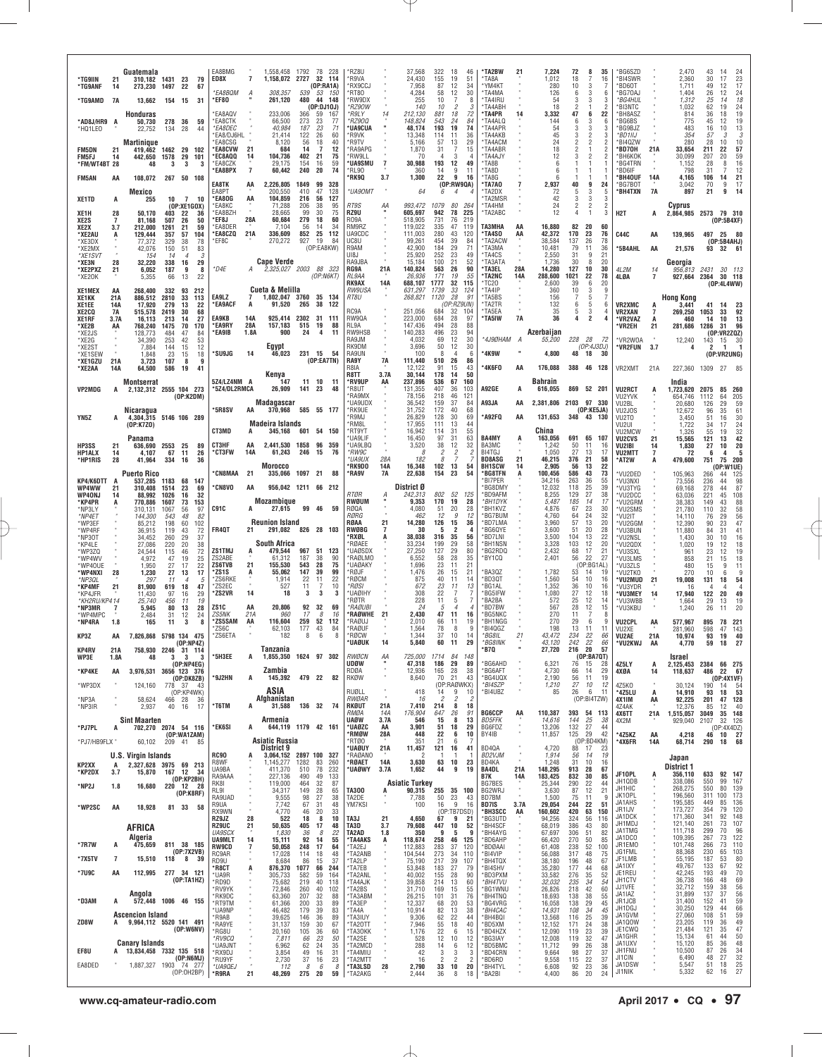|                                   |                             | Guatemala                    |                                                                | EA8BMG                                             |                             | 1,558,458 1792 78 228                           |                                   | *RZ8U                                   |                       | 37,568                          | 322<br>18                                             | 46                               | 'TA2BW                                   | 21         | 7,224                       | 72                           | 8                                              | 35              | BG6SZD                             |              | 2,470                         | 43                                                                     |
|-----------------------------------|-----------------------------|------------------------------|----------------------------------------------------------------|----------------------------------------------------|-----------------------------|-------------------------------------------------|-----------------------------------|-----------------------------------------|-----------------------|---------------------------------|-------------------------------------------------------|----------------------------------|------------------------------------------|------------|-----------------------------|------------------------------|------------------------------------------------|-----------------|------------------------------------|--------------|-------------------------------|------------------------------------------------------------------------|
| 'TG9IIN<br>*TG9ANF                | 21<br>14                    | 273,230 1497                 | 310.182 1431 23<br>79<br>22<br>67                              | ED8X<br><i><b>*EA8BQM</b></i>                      | $\overline{7}$<br>A         | 1,158,072 2727<br>539<br>308.357                | 32 114<br>(0P:RA1A)<br>53<br>150  | *R9VA<br><b>RX9CCJ</b><br>RT80          |                       | 24,430<br>7,958<br>4,284        | 155<br>19<br>12<br>87<br>58<br>12                     | 51<br>34<br>30                   | 'TA8A<br>*YM4KT<br>*TA4MA                |            | 1,012<br>280<br>126         | 18<br>10<br>6                | 3<br>3                                         | 16<br>6         | *BI4SWR<br>*BD60T<br>*BG70AJ       |              | 2,360<br>1.711<br>1,404       | 30<br>17<br>49<br>12<br>26<br>12                                       |
| *TG9AMD                           | - 7A                        | 13,662                       | 154 15<br>31                                                   | 'EF80                                              | 261,120                     | 480                                             | 44<br>148<br>(OP:DJ10J)           | *RW9DX<br>*RZ90W                        |                       | 255<br>140                      | 10<br>$\overline{c}$<br>10                            | 8<br>3                           | *TA4IRU<br>'TA4ABH                       |            | 54<br>18                    | 3<br>2                       | 3<br>1                                         | 3<br>2          | *BG4HUL<br>*BI3NTC                 |              | 1,312<br>1,032                | 25<br>14<br>62<br>19                                                   |
| *AD8J/HR9 A                       |                             | Honduras<br>50,730           | 278<br>36<br>59                                                | <b>EA8AQV</b><br><b>EA8CTK</b>                     |                             | 233,006<br>366<br>66,500<br>273                 | 59<br>167<br>23<br>77             | *R9LY<br>*RZ900                         |                       | 212,130<br>148,824              | 881<br>18<br>543<br>24                                | 72<br>84                         | *TA4PR<br>*TA4ALQ                        | 14         | 3,332<br>144                | 47<br>6                      | 6<br>3                                         | 22<br>6         | *BH8ASZ<br>*BG6BS                  |              | 814<br>775                    | 36<br>18<br>45<br>12                                                   |
| *HQ1LEO                           |                             | 22,752<br><b>Martinique</b>  | 134<br>-28<br>44                                               | <i><b>EA8DEC</b></i><br>EA8/DJ6HL<br><b>EA8CSG</b> |                             | 40,984<br>187<br>122<br>21,414<br>8,120<br>56   | 23<br>71<br>26<br>60<br>18<br>40  | <b>'UA9CUA</b><br>*R9VK<br>®R9TV        |                       | 48,174<br>13,348<br>5,166       | 193<br>19<br>114<br>11<br>57<br>13                    | 74<br>36<br>29                   | *TA4APR<br>*TA4AKB<br>'TA4ACM            |            | 54<br>45<br>24              | 3<br>3<br>$\mathfrak{p}$     | 3<br>$\overline{\mathbf{c}}$<br>$\overline{2}$ | 3<br>3          | *BG9BJZ<br>*BD1IIJ<br>*BI4QZW      |              | 483<br>354<br>280             | 16<br>10<br>57<br>3<br>28<br>10                                        |
| <b>FM5DN</b><br>FM5FJ             | 21<br>14                    | 419.462<br>442,650           | 1462<br>29<br>102<br>1578<br>29<br>101                         | <b>'EA8CVW</b><br><b>EC8AQQ</b>                    | 21<br>104,736<br>14         | 684<br>14<br>402                                | -7<br>12<br>21<br>75              | *RA9APG<br><b>RW9LL</b>                 |                       | 1,870<br>70                     | 31<br>-7<br>3<br>4                                    | 15<br>4                          | *TA4ABR<br>*TA4A.IY                      |            | 18<br>12                    | 2<br>3                       | 2                                              |                 | *BD70H<br>*ВН6КОК                  | 21A          | 33,654<br>30,099              | 211<br>22<br>207<br>20                                                 |
| *FM/WT4BT 28<br><b>FM5AN</b>      | AA                          | 48<br>108,072                | 3<br>3<br>3<br>267 50 108                                      | EA8CZK<br>'EA8BPX                                  | $\overline{7}$              | 29,175<br>154<br>240<br>60,442                  | 16<br>59<br>74<br>20              | *UA9SMU<br>*RL90<br>'RK9Q               | $\overline{7}$<br>3.7 | 30,988<br>360<br>1,300          | 193<br>12<br>9<br>14<br>22<br>9                       | 49<br>11<br>16                   | *TA8B<br>*TA8D<br>*TA8G                  |            | 6<br>6<br>6                 |                              | -1                                             |                 | *BG4TRN<br>*BD6IF<br>*BH4OUF       | 14A          | 1,152<br>798<br>4,165         | 28<br>8<br>31<br>106<br>14                                             |
|                                   |                             | Mexico                       |                                                                | EA8TK<br>FA8PT                                     | AA<br>2,226,805<br>200,550  | 1849<br>410                                     | 99<br>328<br>47<br>128            | *UA90MT                                 |                       | 64                              | $\overline{4}$<br>6                                   | (0P:RW9QA)                       | *TA7A0<br>'TA2DX                         |            | 2,937<br>72                 | 40<br>5                      | 9<br>3                                         | 24<br>h         | *BG7BOT<br>*BH4TXN                 | 7A           | 3,042<br>897                  | 70<br>9<br>21<br>9                                                     |
| XE1TD                             | A                           | 255                          | $\overline{7}$<br>10<br>10<br>(OP:XE1GOX)                      | 'EA8OG<br>EA8KC                                    | AA                          | 104,859<br>216<br>71.288<br>206                 | 56<br>127<br>95<br>38             | RT9S                                    | ΑА                    | 993,472                         | 1079<br>80                                            | 264                              | 'TA2MSR<br>*TA4HM                        |            | 42<br>24                    | 3<br>$\overline{\mathbf{2}}$ | 3<br>$\overline{\mathbf{c}}$                   | 3<br>2          |                                    |              | Cyprus                        |                                                                        |
| XE1H<br>XE2S<br>XE2X              | 28<br>$\overline{7}$<br>3.7 | 50,170<br>81.168<br>212,000  | 403<br>22<br>36<br>507<br>26<br>50<br>1261<br>21<br>59         | EA8BZH<br>'EF8J<br>EA8DER*                         | 28A                         | 28,665<br>99<br>60,684<br>279<br>7,104<br>-56   | 75<br>30<br>18<br>60<br>14<br>-34 | RZ9U<br>R09A<br>RM9RZ                   |                       | 605,697<br>518,905<br>119,022   | 78<br>942<br>731<br>76<br>335<br>47                   | 225<br>219<br>119                | 'TA2ABC<br><b>TA3MHA</b>                 | AA         | 12<br>16,880                | 4<br>82                      | $\mathbf{1}$<br>-20                            | 60              | H <sub>2</sub> T                   | A            | 2,864,985 2573 79 310         | (OP:5B4XF)                                                             |
| *XE2AU<br>*XE3DX                  | A                           | 129,444<br>77,372            | 357<br>57<br>104<br>329<br>38<br>78                            | <b>EA8CZQ</b><br>'EF8C                             | 21A<br>336,609<br>270,272   | 852<br>927                                      | 25<br>112<br>19<br>84             | UA9CDC<br>UC8U                          |                       | 111,003<br>99,261               | 280<br>43<br>39<br>454                                | 120<br>84                        | 'TA4SO<br>*TA2ACW                        | AA         | 42,372<br>38,584            | 170<br>137                   | 23<br>26                                       | 76<br>78        | <b>C44C</b>                        | AA           | 139,965                       | 497 25 80<br>(0P:5B4AHJ)                                               |
| *XE2MX<br>*XE1SVT                 |                             | 42,076<br>154                | 51<br>83<br>150<br>14<br>3<br>$\overline{4}$                   |                                                    | <b>Cape Verde</b>           |                                                 | (OP:EA8KW)                        | R9AM<br>UI8J<br>RA9JBA                  |                       | 42,900<br>25,920                | 184<br>29<br>252<br>23<br>100<br>21                   | 71<br>49<br>52                   | 'TA3MA<br>*TA4CS<br>*TA3ATA              |            | 10,481<br>2,550             | 79<br>31<br>30               | 11<br>9<br>8                                   | 36<br>21        | *5B4AHL                            | AA           | 21,576                        | 93<br>32 61                                                            |
| *XE3N<br>*XE2PXZ<br>*XE2OK        | 28<br>21                    | 32,220<br>6,052<br>5,355     | 29<br>338<br>16<br>187<br>9<br>8<br>22<br>66<br>13             | *D4E                                               | A                           | 2,325,027 2003                                  | 88 323<br>(OP:NGKT)               | RG9A<br>RL9AA                           | 21A                   | 15,184<br>140,824<br>26,936     | 563<br>26<br>171<br>19                                | 90<br>55                         | *TA3EL<br>*TA2NC                         | 28A<br>14A | 1,736<br>14,280<br>288,600  | 127<br>1021                  | 10<br>22                                       | 20<br>30<br>78  | 4L2M<br>4LØA                       | 14<br>7      | Georgia<br>956,813<br>927,664 | 2431 30 113<br>2364 30 118                                             |
| <b>XE1MEX</b>                     | AA                          | 268,400                      | 332<br>93<br>212                                               |                                                    | Cueta & Melilla             |                                                 |                                   | RK9AX<br><i>RW9USA</i>                  | 14A                   | 688,107<br>631,297              | 32<br>1777<br>1739<br>33                              | 115<br>124                       | 'TC20<br>*TA4IP                          |            | 2,600<br>360                | 39<br>10                     | 6<br>3                                         | 20<br>9         |                                    |              |                               | (0P:4L4WW)                                                             |
| XE1KK<br>XE1EE                    | 21A<br>14A                  | 886,512<br>17,920            | 2810<br>33<br>113<br>279<br>13<br>22                           | EA9LZ<br>'EA9ACF                                   | 7<br>А                      | 1,802,047 3760 35 134<br>91,520<br>265          | 38 122                            | RT8U<br>RC9A                            |                       | 268,821<br>251,056              | 1120<br>28<br>684                                     | 91<br>(OP:RZ9UN)                 | *TA5BS<br>*TA2TR<br>*TA5EA               |            | 156<br>132                  | 7<br>6<br>5                  | 5<br>5                                         | 6               | <b>VR2XMC</b>                      | A            | <b>Hong Kong</b><br>3.441     | 41<br>-14                                                              |
| XE2CO<br>XE1RF<br>*XE2B           | 7A<br>3.7A<br>AA            | 515,578<br>16,113<br>768,240 | 2419<br>30<br>68<br>27<br>213<br>-14<br>1475<br>70<br>170      | <b>EA9KB</b><br>'EA9RY                             | 14A<br>28A<br>157,183       | 925,414 2302 31 111<br>515                      | 19<br>88                          | RW9QA<br>RL9A                           |                       | 223,000<br>147,436              | 32<br>684<br>28<br>494<br>28                          | 104<br>97<br>88                  | *TA5IW                                   | <b>7A</b>  | 35<br>36                    | 4                            | 3<br>2                                         |                 | <b>VR2XAN</b><br>*VR2VAZ<br>*VR2EH | 7<br>A<br>21 | 269,250<br>460<br>281,686     | 1053<br>33<br>14<br>10<br>1286<br>31                                   |
| *XE2JS<br>*XE2G                   |                             | 128.773<br>34,390            | 484<br>47<br>84<br>253<br>42<br>53                             | 'EA9IB                                             | 1.8A                        | 900<br>24                                       | 4<br>11                           | RW9HSB<br>RA9JM                         |                       | 140,283<br>4,032                | 496<br>23<br>12<br>69                                 | 94<br>30                         | *4J9ØHAM                                 |            | Azerbaijan<br>55,200        | 228 28                       |                                                | 72              | *VR2W0A                            |              | 12,240                        | (OP:VR2ZQZ)<br>143<br>15                                               |
| *XE2ST<br>*XE1SEW                 |                             | 7,884<br>1,848               | 12<br>144<br>15<br>23<br>18<br>15                              | 'SU9JG                                             | Egypt<br>14                 | 231 15<br>46,023                                | - 54<br>(OP:EA7TN)                | RK9DM<br>RA9UN<br>RA9Y                  | 7A                    | 3,696<br>100<br>111,440         | 12<br>50<br>8<br>$\overline{4}$<br>510<br>26          | 30<br>6<br>86                    | *4K9W                                    |            | 4,800                       | 48                           | (OP:4J3DJ)<br>18                               | 30              | *VR2FUN                            | 3.7          |                               | $\overline{2}$<br>-1<br>(OP:VR2UNG)                                    |
| *XE1GZU<br>*XE2AA                 | 21A<br>14A                  | 3.723<br>64,500              | 107<br>9<br>8<br>586<br>19<br>41                               |                                                    | Kenya                       |                                                 |                                   | R8IA<br>R8TT                            | 3.7A                  | 12.122<br>30,144                | 91<br>15<br>178<br>14                                 | 43<br>50                         | *4K6F0                                   | AA         | 176,088                     |                              | 388 46 128                                     |                 | VR2XMT                             | 21A          | 227,360                       | 1309 27 85                                                             |
| VP2MDG                            | A                           | Montserrat                   | 2,132,312 2555 104 273                                         | 5Z4/LZ4NM A<br>*5Z4/DL2RMCA                        |                             | 11<br>147<br>26,909<br>141                      | 10<br>-11<br>23<br>48             | *RV9UP<br>*R8UT                         | AA                    | 237,896<br>131,355              | 536<br>67<br>407<br>36                                | 160<br>103                       | <b>A92GE</b>                             | A          | <b>Bahrain</b><br>616,055   | 869                          | 52 201                                         |                 | <b>VU2RCT</b>                      |              | India<br>1,723,620            | 2075<br>85                                                             |
|                                   |                             | Nicaragua                    | (OP:K2DM)                                                      | <b>'5R8SV</b>                                      | Madagascar<br>370.968<br>AA |                                                 | 585 55 177                        | *RA9MX<br>'UA9UDX<br>*RK9UE             |                       | 78,156<br>36,542<br>31,752      | 218<br>46<br>159<br>37<br>172<br>40                   | 121<br>84<br>68                  | A93JA                                    | AA         | 2,381,806 2103 97 330       |                              | (OP:KE5JA)                                     |                 | VU2YVK<br>VU2BL<br>VU2JOS          |              | 654,746<br>20,680<br>12,672   | 1112<br>64<br>126<br>29<br>96<br>35                                    |
| YN5Z                              | A                           | (OP:K7ZO)                    | 4,304,315 5146 106 289                                         |                                                    | Madeira Islands             |                                                 |                                   | *R9MJ<br>*RM8L                          |                       | 26,829<br>17,955                | 128<br>30<br>111<br>13                                | 69<br>44                         | *A92FQ                                   | AA         | 131,653                     |                              | 348 43 130                                     |                 | VU2TO<br>VU2UI                     |              | 3,450<br>1.722                | 51<br>16<br>34<br>17                                                   |
|                                   |                             | Panama                       |                                                                | CT3MD<br>CT3HF                                     | 345,168<br>AA               |                                                 | 601 54 150                        | *RT9YT<br><b>UA9LIF</b>                 |                       | 16,942<br>16,450                | 114<br>31<br>31<br>97                                 | 55<br>63                         | <b>BA4MY</b>                             | A          | China<br>163,056            | 691 65                       | 11                                             | 107             | VU2MCW<br><b>VU2CVS</b>            | 21           | 1,326<br>15,565               | 55<br>19<br>121<br>13                                                  |
| HP3SS<br><b>HP1ALX</b><br>*HP1RIS | 21<br>14<br>28              | 636,690<br>4,107<br>41,964   | 2553 25<br>-89<br>67<br>11<br>26<br>334<br>16<br>36            | <b>'CT3FW</b>                                      | 14A                         | 2,441,530 1858<br>61,243<br>246                 | 96 359<br>15<br>-76               | *UA9LBQ<br>*RW9C<br>*UA9UX              | 28A                   | 3,520<br>8<br>182               | 38<br>12<br>$\overline{c}$<br>2<br>8                  | 32<br>2                          | BA3MC<br>BI4TGJ<br><b>BD8ASG</b>         | 21         | 1,242<br>1,050<br>46,215    | 50<br>27<br>376              | 13<br>21                                       | 16<br>-17<br>58 | VU2IBI<br><b>VU2MTT</b><br>*AT2W   | 14<br>7      | 1,830<br>72<br>479,600        | 27<br>10<br>4<br>6<br>751<br>75                                        |
|                                   |                             | <b>Puerto Rico</b>           |                                                                | <b>CN8MAA</b>                                      | <b>Morocco</b><br>21        | 335,066 1097 21                                 | 88                                | *RK9DO<br>*RA9V                         | 14A<br><b>7A</b>      | 16,348<br>22,638                | 102<br>13<br>23<br>154                                | 54<br>54                         | <b>BH1SCW</b><br>*BG8TFN                 | 14         | 2,905<br>100,456            | 56<br>586                    | 13<br>43                                       | 22<br>73        | *VU2DED                            |              | 105,963                       | (0P:W1UE)<br>266<br>44                                                 |
| KP4/K6DTT<br>WP4WW                | 21                          | 537,285<br>310,408           | 1183<br>68<br>147<br>1514<br>23<br>69                          | <b>CN8VO</b>                                       | AA                          | 956,042 1211 66 212                             |                                   | RTØR                                    | А                     | District Ø<br>242,313           | 802<br>52                                             | 125                              | *BI7PER<br>'BG8DM\<br>*BD9AFM            |            | 34,216<br>12,032<br>8,255   | 263<br>118<br>129            | 36<br>25<br>27                                 | 55<br>39<br>38  | *VU3NXI<br>*VU3TYG                 |              | 73,556<br>69,168              | 236<br>44<br>278<br>44                                                 |
| <b>WP40NJ</b><br>*KP4PR<br>*NP3LY | 14<br>A                     | 88,992<br>770,886<br>310.131 | 32<br>1026<br>16<br>1607<br>73<br>153<br>1067<br>56<br>97      | C91C                                               | Mozambique                  | 27,615                                          | 99 46<br>59                       | RWØUM<br>RØQA                           |                       | 9,353<br>4,080                  | 170<br>19<br>20<br>51                                 | 28<br>28                         | *BH1DYK<br>*BH1KVZ                       |            | 5,487<br>4,876              | 185<br>67                    | 14<br>23                                       | 17<br>30        | *VU2DCC<br>*VU2GRM<br>*VU2SMS      |              | 63,036<br>38,383<br>21,780    | 45<br>221<br>149<br>43<br>110<br>32                                    |
| *NP4ET<br>*WP3EF                  |                             | 144,300<br>85,212            | 82<br>543<br>48<br>102<br>198<br>60                            |                                                    | <b>Reunion Island</b>       |                                                 |                                   | RØRG<br>RØAA                            | 21                    | 462<br>14,280                   | 12<br>9<br>126<br>15                                  | 12<br>36                         | *BG7BUM<br>*BD7LMA                       |            | 4,760<br>3,960              | 64<br>57                     | 24<br>13                                       | 32<br>20        | *VU2IT<br>*VU2GGM                  |              | 14.110<br>12,390              | 76<br>29<br>23<br>90                                                   |
| *WP4RF<br>*NP30T                  |                             | 36,915<br>34.452             | 72<br>119<br>43<br>260<br>29<br>37                             | <b>FR40T</b>                                       | 21<br>South Africa          | 291,082                                         | 826 28 103                        | RWØBG<br>'RXØL<br><b>RØAFF</b>          | 7                     | 30<br>38,038<br>33,234          | 2<br>5<br>316<br>35<br>199<br>29                      | 4<br>56<br>58                    | 'BG6QYE<br>*BD7LNI<br>*BH1NSN            |            | 3,600<br>3,500<br>3,328     | 51<br>104<br>103             | 20<br>13<br>12                                 | 28<br>22<br>20  | *VU3BUN<br>*VU2NSL                 |              | 11,880<br>1,430               | 84<br>31<br>30<br>10                                                   |
| *KP4LE<br>*WP3ZQ<br>*WP4WV        |                             | 27,086<br>24,544<br>4,972    | 220<br>20<br>38<br>$72\,$<br>115<br>46<br>47<br>25<br>19       | <b>ZS1TMJ</b><br>ZS2ABE                            |                             | 479,544<br>967<br>61,312<br>187                 | 51<br>123<br>90<br>38             | *UAØSDX<br>'RAØLMO                      |                       | 27,250<br>6,552                 | 127<br>29<br>28<br>58                                 | 80<br>35                         | *BG2RDQ<br>*BY1CQ                        |            | 2,432<br>2,401              | 68<br>56                     | 17<br>22                                       | 21<br>27        | *VU2QDX<br>*VU3SXL<br>*VU3LMS      |              | 1,020<br>961<br>858           | 12<br>19<br>23<br>12<br>21<br>15                                       |
| *WP40UE<br>*WP4NXI                | 28                          | 1,950<br>1,230               | 22<br>27<br>17<br>27<br>13<br>17                               | ZS6TVB<br>ʻZS1S                                    | 21<br>A                     | 543<br>155,530<br>55,062<br>147                 | 28<br>75<br>39<br>99              | *UAØAKY<br>*RØJF                        |                       | 1,696<br>1,476                  | 23<br>11<br>26<br>15                                  | 21<br>21                         | 'BA3QZ                                   |            | 1,782                       | 53                           | (OP:BG1AL)<br>14                               | 19              | *VU3ZLS<br>*VU2TKO                 |              | 480<br>270                    | 9<br>15<br>10<br>6                                                     |
| *NP3QL<br>*KP4MF<br>*KP4JFR       | 21                          | 297<br>81,900<br>11,430      | 11<br>5<br>$\overline{4}$<br>619<br>18<br>47<br>29<br>97<br>16 | ZS6RKE<br>'7S2FC<br>'ZS2VR                         | 14                          | 1,914<br>22<br>527<br>11<br>3<br>18             | 22<br>11<br>7<br>10<br>3<br>3     | <b>RØCM</b><br>*RØSI<br>*UAØIHY         |                       | 875<br>672<br>308               | 40<br>11<br>23<br>11<br>22                            | 14<br>13<br>7                    | *BD3QT<br>*BG1AL<br>*BG5IFW              |            | 1,560<br>1,352<br>1,080     | 54<br>36<br>27               | 10<br>10<br>12                                 | 16<br>16<br>18  | *VU2MUD<br>*VU3YDR<br>*VU3MEY      | 21<br>14     | 19,008<br>16<br>17,940        | 131<br>18<br>4<br>122<br>20                                            |
| *KH2RU/KP414<br>*NP3MR            | 7                           | 25,740<br>5,945              | 19<br>456<br>-11<br>80<br>13<br>28                             | ZS1C                                               | AA                          | 20,806<br>92                                    | 32<br>69                          | 'RØTR<br>*RAØUBI                        |                       | 228<br>24                       | 5<br>11<br>5<br>$\overline{A}$                        | $\overline{7}$<br>$\overline{4}$ | *BA2BA<br>*BD7BW                         |            | 572<br>567                  | 25<br>28                     | 12<br>12                                       | 14<br>15        | *VU3WBB<br>*VU3KBU                 |              | 1,664<br>1,240                | 29<br>13<br>26<br>11                                                   |
| *WP4MPC<br>*NP4RA                 | 1.8                         | 2,484<br>165                 | 31<br>12<br>24<br>11<br>3<br>8                                 | <b>ZS5NK</b><br>ZS5SAM                             | 21A<br>AA<br>116,604        | 960<br>17<br>259                                | 8<br>16<br>52<br>112<br>-84       | <b>RAGWHE</b><br>*RAØUJ<br><b>RAØUF</b> | - 21                  | 2.430<br>2,010                  | 47<br>11<br>66<br>11<br>78<br>8                       | 16<br>19<br>-9                   | *BG5NKC<br>*BH1NGG<br>*BI4QGZ            |            | 270<br>270<br>198           | 11<br>29<br>13               | $\overline{7}$<br>6<br>-11                     | 8<br>11         | <b>VU2CPL</b>                      | AA           | 577.967                       | 78<br>895                                                              |
| KP3Z                              | AA                          |                              | 7,826,868 5798 134 475<br>(DP:NP4Z)                            | 'ZS6C<br>ZS6ETA                                    |                             | 177<br>62,103<br>182<br>8                       | 43<br>6<br>8                      | *RØCW<br>*UAØUK                         | 14                    | 1,564<br>1,344<br>5,840         | 37<br>10<br>60<br>11                                  | 14<br>29                         | *BG8IL<br>*BG8INK                        | 21         | 43,472<br>43,120            | 234<br>242                   | 22<br>22                                       | 66<br>66        | VU2XE<br>VU2AE<br>*VU2KWJ          | 21A<br>AA    | 281,960<br>10,974<br>4,770    | 598<br>47<br>93<br>19<br>59<br>18                                      |
| KP4RV<br>WP3E                     | 21A<br>1.8A                 | 758,930<br>48                | 2246<br>31 114<br>- 3<br>3<br>-3                               | '5H3EE                                             | Tanzanıa<br>A               | 1,855,350 1624 97 302                           |                                   | RWØCN                                   | ΑA                    | 725,000                         | 1714<br>84                                            | -148                             | 'B7Q                                     |            | 27,720                      | 216                          | 20<br>(OP:BAYQT)                               | 57              |                                    |              | <b>Israel</b>                 |                                                                        |
| *KP4KE                            | AA                          |                              | (OP:NP4EG)<br>3,976,531 3656 123 376<br>(OP:DK8ZB)             | '9J2HN                                             | Zambia<br>145,392           | 479 22                                          | 82                                | udøw<br>RDØA<br>RKØW                    |                       | 47,318<br>12,936<br>8,640       | 186<br>29<br>165<br>28<br>21<br>70                    | 89<br>38<br>43                   | *BG6AHD<br>*BG6AFT<br>*BG4UQX            |            | 6,321<br>4,730<br>2,190     | 76<br>66<br>56               | 15<br>14<br>11                                 | 28<br>29<br>19  | 4Z5LY<br>4XØA                      | A<br>14      | 2,125,453 2384<br>118,637     | 66 275<br>486<br>22<br>(OP:4X1VF)                                      |
| *WP3DX                            |                             | 124,160                      | 778<br>- 37<br>43<br>(OP:KP4WK)                                |                                                    | ASIA                        |                                                 |                                   | RUØLL                                   |                       | 418                             | (OP:RAØWKX)<br>$\frac{9}{2}$<br>14                    | 10                               | *BI4SZP<br>*BI4UBZ                       |            | 1,210<br>85                 | 27<br>26                     | 10<br>6                                        | 12<br>11        | 4Z5K0<br>*4Z5LU                    | A            | 30,124<br>14,910              | 190<br>14<br>93<br>18                                                  |
| *NP3A<br>*NP3IR                   |                             | 58,624<br>2,937              | 466<br>28<br>36<br>40<br>17<br>16                              | 'T6TM                                              | Afghanistan<br>A            | 31,588                                          | 136 32 74                         | RWØAR<br>RKØUT                          | 21A                   | 16<br>7,410                     | $\overline{c}$<br>214<br>8                            | -2<br>18                         |                                          |            |                             |                              | (OP:BI4TZW)                                    |                 | <b>4X1IM</b><br>4Z4AK              | AA           | 92,225<br>12,376              | 201<br>47<br>85<br>12                                                  |
| *PJ7PL                            | A                           | <b>Sint Maarten</b>          | 702,270 2074 54 116                                            | 'EK6SI                                             | Armenia<br>A                | 644,119 1179 42 161                             |                                   | RMØA<br>UAØW<br>*UAØZC                  | 14A<br>3.7A<br>AA     | 176,904<br>546<br>3,901         | 647<br>26<br>8<br>15<br>51                            | 91<br>13<br>29                   | <b>BG6CCP</b><br><b>BD5FFK</b><br>BG6FDZ | AA         | 110,387<br>14,616<br>13,206 | 393<br>144<br>132            | 54 113<br>25<br>27                             | 38<br>44        | 4X6TT<br>4X2M                      | 21A          | 1,515,057<br>929,040          | 3049<br>35<br>2107<br>32 126<br>(OP:4X4DZ)                             |
| *PJ7/HB9FLX                       |                             | 60,102                       | (OP:WA1ZAM)<br>209<br>-41<br>-85                               |                                                    | Asiatic Russia              |                                                 |                                   | 'RMØW<br>RTØ0                           | 28A                   | 448<br>351                      | 18<br>6<br>22<br>21<br>6                              | 10                               | BY41B                                    |            | 11,857                      | 125                          | 29<br>(OP:BD4KM)                               | 42              | *4Z5KZ<br>*4X6FR                   | AA<br>14A    | 4,218<br>68,714               | $\begin{array}{ccc} 10 & 27 \\ 18 & 68 \end{array}$<br>46<br>290<br>18 |
|                                   |                             | <b>U.S. Virgin Islands</b>   |                                                                | <b>RC90</b><br>R8WF                                | District 9<br>1,145,277     | 3,064,152 2897 100 327<br>1282                  | 83<br>260                         | *UAØUY<br>*RAØANO<br>*RØAET             | 21A<br>14A            | 11,457<br>2<br>3,630            | 121<br>16<br>-1<br>63<br>10                           | 41<br>-1<br>23                   | BD40A<br>BD2VJM<br>BD4KA                 |            | 4,720<br>1,914<br>1,248     | 88<br>56<br>31               | 17<br>14<br>10                                 | 23<br>19<br>16  |                                    |              | Japan                         |                                                                        |
| KP2XX<br>*KP2DX                   | A<br>3.7                    | 15,870                       | 2,327,628 3975 69 213<br>12<br>167<br>-34<br>(OP:KP2BH)        | UA9BA<br>RA9AAA                                    | 411,370<br>227,136          | 510<br>490                                      | 78<br>232<br>49<br>133            | *UAØWY                                  | 3.7A                  | 1,652                           | 9<br>44                                               | 19                               | <b>BA4DL</b><br>B7K                      | 21A<br>14A | 148,295<br>183,425          | 913<br>832                   | 28<br>30                                       | 67<br>85        | JF10PL                             | A            | <b>District 1</b><br>356,110  | 633<br>92 147                                                          |
| *NP2J                             | 1.8                         | 16,680                       | 220<br>12 28<br>(OP:K8RF)                                      | RK81<br>RL9I                                       | 119,000                     | 464<br>34,317<br>149                            | 32<br>87<br>28<br>65              | <b>TA300</b>                            | A                     | <b>Asiatic Turkey</b><br>90,315 | 255                                                   | 35 100                           | BG7BES<br>BG2WRJ                         |            | 25,344<br>3,630             | 290<br>87                    | 22<br>12                                       | 44<br>21        | JH1QDB<br>JH1HIC<br>JK10PL         |              | 338,086<br>268,275<br>196,560 | 550<br>99 167<br>550<br>80<br>311<br>100                               |
| *WP2SC                            | AA                          | 18,928                       | 81 33<br>58                                                    | RA9UAD<br>R9UA<br>RX9WN                            |                             | 9,555<br>98<br>67<br>7,742<br>46<br>4,770       | 27<br>38<br>31<br>48<br>20<br>33  | TA2DE<br>YM7KSI                         | ٠                     | 7,788<br>100                    | 50<br>$\frac{23}{9}$<br>16<br>(OP:TB7DSD)             | 43<br>16                         | BD7BM<br>BD7IS<br>*BH3SCC                | 3.7A<br>AA | 1,500<br>29,054<br>160,602  | 75<br>244<br>420             | 11<br>22<br>63                                 | -9<br>51<br>150 | JA1AHS<br>JR1IJV                   |              | 195,585<br>173,727            | 449<br>85<br>354<br>79                                                 |
|                                   |                             | AFRICA                       |                                                                | RZ9JZ<br><b>RZ9UC</b>                              | 28<br>21                    | 522<br>18<br>50,635<br>405                      | 8<br>10<br>17<br>48               | TA3J<br>TA3D                            | 21<br>3.7             | 4,650<br>79,608                 | 67<br>9<br>447<br>10                                  | 21<br>52                         | *BG3UTD<br>*BH4SCF                       |            | 94,256<br>68,019            | 324<br>386                   | 56<br>43                                       | 116<br>80       | JA1DCK<br>JH1MDJ                   |              | 171,360<br>121,140            | 341<br>92<br>261<br>73                                                 |
| *7R7W                             | A                           | Algeria<br>475,659           | 811 38 185                                                     | <b>UA9SCX</b><br><b>UA9MLT</b>                     | 14                          | 1,830<br>36<br>92<br>15,111                     | 8<br>22<br>14<br>55               | TA2AD<br>*TA4AKS                        | 1.8<br>A              | 350<br>118,674                  | 9<br>5<br>258<br>46                                   | 9<br>125                         | *BH4AYG<br>*BD6AHP                       |            | 67,697<br>66,420            | 306<br>270                   | 51<br>50                                       | 82<br>85        | JA1TMG<br>JA1DCO<br>JR1EMO         |              | 111,718<br>109,395<br>101,748 | 299<br>70<br>267<br>73<br>266<br>73                                    |
| *7X5TV                            | $\overline{7}$              | 15,510                       | (OP:7X2VB)<br>118<br>8<br>-39                                  | <b>RW9CD</b><br>RC9AR<br>RD9U                      | $\overline{7}$              | 248<br>50,058<br>17,028<br>114<br>86<br>8,684   | 17<br>64<br>18<br>48<br>15<br>37  | *TA2EJ<br>*TA2ANB<br>*TA2LP             |                       | 112,883<br>104,544<br>75,190    | 283<br>37<br>273<br>34<br>217<br>39                   | 120<br>110<br>107                | *BDØAAI<br>*BI4VIP<br>*BH4TQX            |            | 61,408<br>56,088<br>38,180  | 238<br>317<br>196            | 52<br>48<br>48                                 | 100<br>75<br>67 | JG1FML<br>JF1LMB                   |              | 88,368<br>55,195              | 230<br>65<br>187<br>53                                                 |
| *7U9C                             | ΑA                          | 112,995                      | 277 34 121                                                     | 'R8CT<br>*UA9R                                     | A                           | 876,370<br>1077<br>305,733<br>582               | 66<br>244<br>59<br>164            | *TA7EB<br>*TA2ANL                       |                       | 53,848<br>40,002                | 183<br>27<br>155<br>28                                | 79<br>90                         | *BI4SHV<br>*BD3PXM                       |            | 35,280<br>33,582            | 177<br>276                   | 44<br>35                                       | 68<br>52        | JA1IXY<br>JE1REU                   |              | 49,767<br>42,245              | 133<br>67<br>193<br>49                                                 |
|                                   |                             | Anaola                       | (OP:TA1HZ)                                                     | *RD9D<br>*RV9YK                                    |                             | 219<br>75,682<br>260<br>72,846                  | 40<br>118<br>40<br>102            | <b><i>*TA4AJK</i></b><br>*TA2BS         |                       | 39,858<br>31,710                | 214<br>13<br>15<br>169                                | 60<br>55                         | *BH4TVU<br>*BG1WNU                       |            | 32,032<br>26,826            | 235<br>218                   | 34<br>42                                       | 54<br>60        | JH1CTV<br>JJ1VFE<br>JA1IAZ         |              | 36,738<br>32,712<br>31,899    | 166<br>48<br>38<br>159<br>137<br>37                                    |
| *D3AM                             | A                           |                              | 572,448 1006 46 155                                            | <b>RK9DC</b><br>*RT9TM<br>™UA9NP                   |                             | 63,360<br>207<br>61,366<br>200<br>46,482<br>179 | 32<br>88<br>33<br>89<br>39<br>83  | *TA3ABM<br>*TA3EP<br>*TA4A              |                       | 26,215<br>12,337<br>10,914      | 101<br>31<br>20<br>68<br>82<br>13                     | 76<br>$\frac{53}{38}$            | *BH4TNQ<br>*BG4VRG<br>*BH4CAC            |            | 18,693<br>16,058<br>14,931  | 138<br>138<br>108            | 38<br>29<br>34                                 | 55<br>45<br>45  | JR1JCB<br>JH1DGJ                   |              | 31,400<br>30,250              | 152<br>41<br>129<br>44                                                 |
| ZD8W                              | A                           | <b>Ascencion Island</b>      | 9,964,112 5520 141 491                                         | 'R9AB<br>*RA9YE                                    |                             | 146<br>39,625<br>31,137<br>159                  | 36<br>89<br>30<br>67              | *TA3IUY<br>*TA2OTT                      |                       | 9,306<br>7,946                  | 62<br>22<br>18<br>55                                  | 44<br>40                         | *BH4BQI<br>*BD5XM                        |            | 13,568<br>12,152            | 116<br>171                   | 25<br>24                                       | 39<br>38        | JA1GVM<br>JA100W                   |              | 27,060<br>23,205              | 108<br>51<br>119<br>36                                                 |
|                                   |                             | <b>Canary Islands</b>        | (OP:W6NV)                                                      | *RG8U<br>*RV9CQ                                    |                             | 20,160<br>105<br>7,811<br>66                    | 36<br>60<br>50<br>23              | *TA30KK<br>*TA2SE                       |                       | 1,176<br>528                    | 22<br>6<br>12<br>10                                   | 15<br>12                         | *BD4HZX<br>*BG3IAY                       |            | 12,090<br>12,008            | 119<br>119                   | 23<br>32                                       | 39<br>47        | JE1CWQ<br>JA1GHR<br>JA1UXV         |              | 21,484<br>15,134<br>15,120    | 121<br>35<br>61<br>44<br>85<br>36                                      |
| EF8U                              |                             |                              | A 13,834,458 7332 135 518<br>(OP:NGMJ)                         | 'UA9JNT<br>*RX9DJ<br>*RU9YF                        |                             | 62<br>6,962<br>3,854<br>49<br>37<br>2,730       | 24<br>35<br>16<br>31<br>23<br>16  | *TA2MCD<br>*TA4MIU<br>*TA2MTT           |                       | 288<br>42<br>16                 | 6<br>14<br>3<br>3<br>$\overline{2}$<br>$\overline{2}$ | 12<br>3<br>$\overline{c}$        | *BD5BMC<br>*BD4CRN<br>*BD6RD             |            | 11,712<br>9,664<br>9,558    | 99<br>98<br>115              | 26<br>27<br>22                                 | 38<br>37<br>37  | JH1FNU<br>JI1CIN                   |              | 10,500<br>6,490               | 87<br>26<br>27<br>48                                                   |
| EA8DED                            |                             |                              | 1,887,327 1903 74 277<br>(OP:OH2BP)                            | *UA9QEJ<br>*R9RA                                   | 21                          | 112<br>8<br>48,269<br>275 20                    | 8<br>6<br>59                      | *TA3LSD<br>*TA2AKG                      | 28                    | 2,790<br>2,444                  | 33<br>10<br>36<br>8                                   | 20<br>18                         | *BH4TYL<br>*BA2BI                        |            | 6,608<br>4,400              | 92<br>86                     | 23<br>20                                       | 36<br>24        | JA1DSW<br>JI1NIK                   |              | 5,547<br>5,332                | 51<br>18<br>62<br>16                                                   |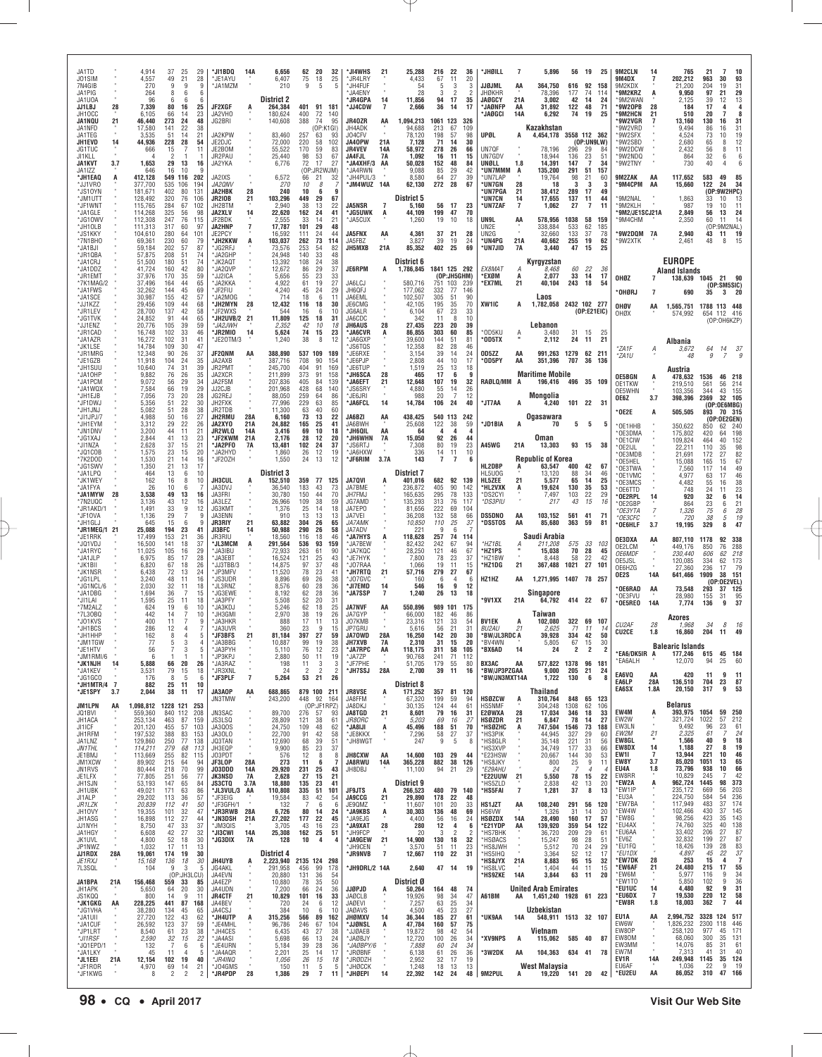| JA1TD<br>J01SIM<br>7N4GIB<br>JA1PIG             |           | 4.914<br>4,557<br>270<br>264             | 37<br>49<br>9<br>8            | 25<br>21<br>9<br>6          | 29<br>28<br>9<br>ĥ       | *JI1BDQ<br>*JE1AYU<br>'JA1MZM                       | 14A                           | 6.656<br>6,407<br>210                       | 75<br>-9                | 62 20<br>32<br>25<br>18<br>5<br>5                           | *JI4WHS<br><b>JR4LRY</b><br>*JH4FUF<br>'JA4ENY        | 21                         | 25.288<br>4,433<br>54<br>28                   | 67<br>5<br>3               | 216 22<br>11<br>3<br>$\mathcal{P}$  | 36<br>20<br>3<br>2         | *JHØILL<br>JJØJML<br>JHØKHR                    | 7<br>ΑA                    | 5.896<br>364,750<br>78,396                                         | 616<br>177                | 92<br>74                         | 56 19 25<br>158<br>114 | 9M2CLN<br>9M4DX<br>9M2KDX<br>'9M2KRZ            | 14<br>A                     | 765<br>202.212<br>21.200<br>9.950            | 21<br>963<br>204<br>97            | -7<br>30<br>19<br>21                          | 10<br>93<br>31<br>29                                |
|-------------------------------------------------|-----------|------------------------------------------|-------------------------------|-----------------------------|--------------------------|-----------------------------------------------------|-------------------------------|---------------------------------------------|-------------------------|-------------------------------------------------------------|-------------------------------------------------------|----------------------------|-----------------------------------------------|----------------------------|-------------------------------------|----------------------------|------------------------------------------------|----------------------------|--------------------------------------------------------------------|---------------------------|----------------------------------|------------------------|-------------------------------------------------|-----------------------------|----------------------------------------------|-----------------------------------|-----------------------------------------------|-----------------------------------------------------|
| JA1UOA<br>JJ1LBJ<br>JH10CC<br><b>JA1NQU</b>     | 28<br>21  | 96<br>7.339<br>6.105<br>46,440           | 80<br>66<br>273               | 16<br>14<br>24              | 25<br>23<br>48           | JF2XGF<br>JA2VH0<br>JG2BRI                          | A                             | District 2<br>264.384<br>180,624<br>140,608 | 400<br>388              | 401 91 181<br>72<br>140<br>74<br>95                         | *JR4GPA<br><b>'JJ4CDW</b><br>JR40ZR                   | 14<br>$\overline{7}$<br>AA | 11,856<br>2.666<br>1,094,213                  | 94<br>36<br>1061 123       | 17<br>14                            | 35<br>17<br>326            | JAØGCY<br>*JAØNFP<br>'JAØGCI                   | 21A<br>AA<br>14A           | 3,002<br>31.892<br>6,292                                           | 42<br>122 48<br>74        | 14<br>19                         | 24<br>71<br>25         | '9M2WAN<br>'9W20PB<br><b>'9M2HCN</b><br>'9W2VGR | 28<br>21                    | 2.125<br>184<br>510<br>13,160                | 39<br>17<br>20<br>130             | 12<br>7<br>16                                 | 13<br>4<br>8<br>31                                  |
| JA1NFD<br>JA1TEG<br>JH1EVD                      | 14        | 17.580<br>3.535<br>44.936                | 141<br>51<br>228              | 22<br>14<br>28              | 38<br>21<br>54           | JA2KPW<br>JE2DJC                                    |                               | 83,460<br>72,000                            | 257<br>220              | (OP:K1GI)<br>93<br>63<br>58<br>102                          | JH4ADK<br>J04CFV<br>JA40PW                            | 21A                        | 94.688<br>78,120<br>7.128                     | 213<br>198<br>71           | 67<br>57<br>-14                     | 109<br>98<br>30            | UPØL                                           |                            | Kazakhstan<br>4,454,178                                            | 3558 112 362              | (OP:UNGLW)                       |                        | 9W2VRD<br>'9W2SFX<br>9W2SBD                     |                             | 9.494<br>4,524<br>2.680                      | 86<br>73<br>65                    | 16<br>10<br>8                                 | 31<br>19<br>12                                      |
| JG1TUC<br>JI1KLL<br><b>JA1KVT</b><br>JA1IZZ     | 3.7       | 666<br>1.653<br>646                      | 15<br>2<br>29<br>16           | 13<br>10                    | 11<br>16<br>9            | JE2BOM<br>JR2PAU<br>JA2YKA                          |                               | 55,522<br>25,440<br>6,776                   | 170<br>98<br>72         | 59<br>83<br>53<br>67<br>17<br>27<br>(OP:JR2WJM)             | <b>JR4VEV</b><br>JA4FJL<br><b>JA4XHF/3</b><br>'JA4RWN | 14A<br>7A<br>AA            | 58,972<br>1.092<br>50.028<br>9,088            | 278<br>16<br>152<br>85     | 26<br>11<br>48<br>29                | 66<br>15<br>84<br>42       | UN7QF<br>UN7GDV<br>UNØLL<br>*UN7MMM            | 1.8<br>A                   | 78,196<br>18,944<br>14.391<br>135,200                              | 296<br>136<br>147<br>291  | 29<br>23<br>$\overline{7}$<br>51 | -84<br>51<br>34<br>157 | 9W2DCW<br>'9W2NDQ<br>'9W2TNY                    |                             | 2,432<br>864<br>730                          | 56<br>32<br>40                    | 8<br>6<br>4                                   | 11<br>6<br>6                                        |
| <b>*JH1EA0</b><br>*JJ1VR0<br>'JS1OYN            | A         | 412,128<br>377,700<br>181.671            | 549 116<br>535<br>402         | 106<br>80                   | 202<br>194<br>131        | JA2IXS<br>JA2QNV<br>JA2HBK                          | 28                            | 6,572<br>270<br>240                         | 66<br>10<br>10          | 21<br>32<br>8<br>6<br>9                                     | JH4PUL/3<br>'JM4WUZ 14A                               |                            | 8,580<br>62,130                               | 64<br>272                  | 27<br>28                            | 39<br>67                   | *UN7LAP<br>*UN7GN<br>*UN7PGA                   | 28<br>21                   | 19,764<br>18<br>38,412                                             | 98<br>3<br>289            | 21<br>3<br>17                    | -60<br>-3<br>49        | 9M2ZAK<br>'9M4CPM                               | AA<br>AA                    | 117,652<br>15,660                            | 583<br>122<br>(OP                 | 49<br>24<br>:9W2HPC)                          | 85<br>34                                            |
| *JM1UTT<br>*JF1WNT<br>*.IA1GI F<br>*JG10WV      |           | 128.492<br>115,765<br>114,268<br>112,308 | 320<br>284<br>325<br>247      | 76<br>67<br>56<br>76        | 106<br>102<br>98<br>115  | <b>JR210B</b><br>JH2BTM<br><b>JA2XLV</b><br>JF2BDK  | 21<br>14                      | 103,296<br>2,940<br>22,620<br>2,555         | 449<br>38<br>162<br>33  | 29<br>67<br>13<br>22<br>24<br>41<br>14<br>21                | <b>JA5NSR</b><br><b>JG5UWK</b><br>JA5CUX              | 7<br>A                     | <b>District 5</b><br>5,160<br>44.109<br>1,260 | 199<br>19                  | 56 17<br>47<br>10                   | 23<br>70<br>18             | <b>UN7CN</b><br>*UN7ZAF<br>UN9L                | 14<br>$\overline{7}$<br>AA | 17,655<br>1,062<br>578,956                                         | 137<br>27<br>1038         | 11<br>7<br>58                    | 44<br>11<br>159        | 9M2NAL<br>*9M2KLH<br>9M2/JE1SCJ21A<br>9M4CHM    |                             | 1,863<br>987<br>2.849<br>2,350               | 33<br>19<br>56<br>60              | 10<br>10<br>13<br>11                          | 13<br>11<br>24<br>14                                |
| *JH1OLB<br>*JS1KKY<br>*7N1BHO                   |           | 111,313<br>104.610<br>69,361             | 317<br>280<br>230             | 60<br>64<br>60              | -97<br>101<br>79         | <b>JA2HNP</b><br>JE2PCY<br>*JH2KKW                  | $\overline{7}$<br>A           | 17,787<br>16.592<br>103,037                 | 101<br>111<br>262       | 29<br>48<br>24<br>44<br>73<br>114                           | <b>JA5FNX</b><br>JA5FBZ                               | AA                         | 4.361<br>3,827                                | 37<br>39                   | - 21<br>19                          | 28<br>24                   | UN2E<br>UN <sub>2</sub> G<br>*UN4PG            | 21A                        | 338,884<br>32.660<br>40,662                                        | 533<br>133<br>255         | 62<br>37<br>19                   | 185<br>78<br>62        | 9W2DQM 7A<br>9W2XTK                             |                             | 2.940<br>2,461                               | 43<br>48                          | (OP:9M2NAL)<br>19<br>11<br>8                  | 15                                                  |
| *.JA1BJI<br><b>JR1QBA</b><br>*JA1CRJ<br>*JA1DDZ |           | 59.184<br>57,875<br>51.500<br>41.724     | 202<br>208<br>180<br>160      | 57<br>51<br>51<br>42        | 87<br>74<br>74<br>80     | 'JG2RFJ<br>*JA2GHP<br>*JK2AQT<br>*JA2QVP            |                               | 73,576<br>24,948<br>13,392<br>12,672        | 253<br>140<br>108<br>86 | 54<br>82<br>33<br>48<br>24<br>38<br>29<br>37                | <b>JH5MXB</b><br>JE6RPM                               | 21A<br>A                   | 85,352<br>District 6<br>1,786,845             | 402<br>1841 125 292        | - 25                                | 69                         | *UN7JID<br>EX8MAT                              | <b>7A</b><br>А             | 3.440<br>Kyrgyzstan<br>8,468                                       | 47<br>60                  | 15<br>22                         | 25<br>-36              |                                                 |                             | <b>EUROPE</b><br><b>Aland Islands</b>        |                                   |                                               |                                                     |
| *JR1EMT<br>*7K1MAG/2<br>'JA1FWS                 |           | 37,976<br>37.496<br>32,262               | 170<br>164<br>144             | 35<br>44<br>45              | 59<br>65<br>69           | *JJ2ICA<br>*JA2KKA<br>'JF2FIU                       |                               | 5,656<br>4.922<br>4,240                     | 55<br>61<br>45          | 23<br>33<br>19<br>27<br>24<br>29                            | JA6LCJ<br>JH6QFJ                                      |                            | 580,716<br>177,062                            | 332                        | (OP:JH5GHM)<br>751 103<br>77        | - 239<br>146               | *EXØM<br>*EX7ML                                | A<br>21                    | 2,077<br>40,104                                                    | 33<br>243                 | 14<br>18                         | 17<br>54               | OHØZ<br>'OHØRJ                                  | $\overline{7}$              | 138,639<br>690                               | 35                                | 1045 21 90<br>(OP:SM5SIC)<br>3<br>- 20        |                                                     |
| *JA1SCE<br>*JJ1KZZ<br>*JR1LEV<br>*JG1TVK        |           | 30.987<br>29.456<br>28,700<br>24,852     | 155<br>109<br>137<br>91       | 42<br>44<br>42<br>44        | 57<br>68<br>58<br>65     | 'JA2MOG<br>*JH2MYN<br>*JF2WXS<br>*JH2UVB/2 21       | 28                            | 714<br>12,432<br>544<br>11,809              | 18<br>116<br>16<br>125  | 6<br>11<br>18<br>30<br>10<br>-6<br>18<br>31                 | JA6EML<br>JE6CMG<br>JG6ALR<br>JA6CDC                  |                            | 102,507<br>42,105<br>6.104<br>342             | 305<br>195<br>67<br>11     | 51<br>35<br>23<br>8                 | 90<br>70<br>33<br>10       | XW1IC                                          | A                          | Laos<br>1,782,058 2432 102 277                                     |                           | (0P:E21EIC)                      |                        | OHØV<br>OHØX                                    | AA                          | 1,565,751<br>574,992                         |                                   | 1788 113 448<br>654 112 416                   |                                                     |
| "JJ1ENZ<br>*JR1CAD<br>*JA1AZR                   |           | 20,776<br>16,748<br>16,272               | 105<br>102<br>102             | 39<br>33<br>31              | 59<br>46<br>41           | <b>SJA2JWH</b><br>*JR2MIO<br>*JE20TM/3              | 14                            | 2,352<br>5,624<br>1,240                     | 42<br>74<br>38          | 10<br>18<br>15<br>23<br>8<br>12                             | <b>JH6AUS</b><br>'JA6CVR<br>JA6GXP                    | 28<br>A                    | 27,435<br>86.855<br>39.600                    | 223<br>303<br>144          | 20<br>60<br>51                      | 39<br>85<br>81             | *OD5KU<br><b>OD5TX</b>                         | Α                          | Lebanon<br>3,480<br>2,112                                          | 24                        | 31 15<br>11                      | 25<br>21               |                                                 |                             | Albania                                      |                                   | (OP:OH6KZP)                                   |                                                     |
| *JK1LSE<br>*JR1MRG<br>™JE1GZB<br>*JH1SUU        |           | 14,784<br>12,348<br>11,918<br>10,640     | 109<br>90<br>104<br>74        | 30<br>26<br>24<br>31        | 47<br>37<br>35<br>39     | JF20NM<br>JA2AXB<br>JR2PMT                          | AA                            | 388.890<br>387,716<br>245.700               | 708<br>404              | 537 109 189<br>90<br>154<br>91<br>169                       | 'JS6TQS<br>'.JF6RXF<br>JE6PJP<br>'JE6TUP              |                            | 12,358<br>3,154<br>2,808<br>1.519             | 82<br>39<br>44<br>25       | 28<br>14<br>10<br>13                | 46<br>24<br>17<br>18       | OD5ZZ<br>*OD5PY                                | AA<br>AA                   | 991,263<br>351,396                                                 | 1279 62 211<br>707        | 36                               | 136                    | *ZA1F<br>*ZA1U                                  | А                           | 3,672<br>48<br>Austria                       | 64<br>9                           | 14<br>7                                       | -37                                                 |
| *JA10HP<br>*JA1PCM<br>*JA1WQX                   |           | 9,882<br>9,072<br>7,584                  | 76<br>56<br>66                | 26<br>29<br>19              | 35<br>34<br>29           | JA2XCR<br>JA2FSM<br>JJ2CJB                          |                               | 211.899<br>207,836<br>201.968               | 373<br>405<br>428       | 91<br>158<br>84<br>139<br>68<br>140                         | <b>'JH6SCA</b><br>'JA6EFT<br>'JS6SRY                  | 28<br>21                   | 465<br>12,648<br>4.880                        | 17<br>107<br>55            | - 6<br>19<br>14                     | q<br>32<br>26              | RAØLQ/MM                                       | A                          | <b>Maritime Mobile</b><br>196,416                                  | 496 35 109                |                                  |                        | <b>OE5BGN</b><br>OE1TKW<br>OE5WHN               | A                           | 478.632<br>219,510<br>103,356                | 1536<br>561<br>344                | 46 218<br>56<br>155<br>43                     | 214                                                 |
| 'JH1EJB<br>*JF1DWJ<br>*JH1JNJ<br>*JI1JPJ/7      |           | 7,056<br>5,356<br>5.082<br>4,988         | 73<br>51<br>51<br>50          | 20<br>22<br>28<br>16        | 28<br>30<br>38<br>27     | JG2REJ<br>JH2FXK<br>JR2TDB<br><b>JH2RMU</b>         | 28A                           | 88,050<br>77.996<br>11.300<br>6,160         | 259<br>229<br>63<br>73  | 64<br>86<br>63<br>85<br>40<br>60<br>13<br>22                | JE6JRI<br>*JA6FCL<br>JA6BZI                           | 14<br>AA                   | 988<br>14,784<br>438,425                      | 20<br>106                  | 24<br>540 113                       | 12<br>40<br>242            | *JT7AA                                         | A                          | Mongolia<br>4,240<br>Ogasawara                                     | 101 22 31                 |                                  |                        | OE6Z<br>OE2E                                    | 3.7<br>А                    | 398,396<br>505,505                           | 2369<br>893                       | 32 105<br>(OP:OE6MBG)<br>70 315               |                                                     |
| *JH1EYM<br>'JN1DNV<br>*JG1XAJ                   |           | 3,312<br>3,200<br>2,844                  | 29<br>44<br>41                | 22<br>11<br>13              | 26<br>21<br>23           | JA2XY0<br><b>JR2WLQ</b><br>*JF2KWM                  | 21A<br>14 <sub>l</sub><br>21A | 24.882<br>3,416<br>2.176                    | 165<br>69<br>28         | 25<br>41<br>10<br>18<br>12<br>20                            | JA6BWH<br>'JH6QIL<br>'JH6WHN                          | AA<br><b>7A</b>            | 25,608<br>64<br>15,050                        | 122<br>4<br>92             | 38<br>4<br>26                       | 59<br>$\overline{4}$<br>44 | *JD1BIA                                        | A                          | 70<br>Oman                                                         | 5                         | 5                                | 5                      | OE1HHB<br>OE3DMA<br>OE1CIW                      |                             | 350,622<br>175,802<br>109,824                | 850<br>420<br>464                 | (OP:OE2GEN)<br>62<br>240<br>64<br>40          | 198<br>152                                          |
| *JI1NZA<br>*JQ1COB<br>*7K2DOD<br><b>JG1SWV</b>  |           | 2.628<br>1,575<br>1,530<br>1,350         | 37<br>23<br>21<br>21          | 15<br>15<br>14<br>13        | 21<br>20<br>16<br>17     | *JA2PF0<br>*JA2HYD<br>JF20ZH                        | 7A                            | 13.481<br>1,860<br>1,550                    | 102<br>26<br>24         | 24<br>37<br>12<br>19<br>13<br>12                            | 'JS6RTJ<br>"JA6HXW<br>'JF6RIM                         | 3.7A                       | 7,308<br>336<br>143                           | 80<br>14<br>$\overline{7}$ | 19<br>11<br>$\overline{7}$          | 23<br>10<br><b>6</b>       | A45WG<br>HL2DBP                                | 21A<br>A                   | 13,303<br><b>Republic of Korea</b><br>63,547                       | 400                       | 93 15<br>42                      | - 38<br>67             | OE2IJL<br>OE3MDB<br>OE5HEL                      |                             | 22,211<br>21,691<br>15,088                   | 110<br>172<br>165                 | 35<br>27<br>15<br>14                          | 98<br>82<br>67                                      |
| *JA1LPQ<br>*JK1WEY<br>*JA1FYA                   |           | 464<br>162<br>26                         | 13<br>16<br>10                | -6<br>8<br>6                | 10<br>10                 | <b>JH3CUL</b><br>JA3DVJ                             | A                             | District 3<br>152,510<br>36,540             | 359<br>183              | 77 125<br>43<br>73                                          | <b>JA7QVI</b><br>JA7BME                               | A                          | <b>District 7</b><br>401.016<br>236,872       | 682<br>405                 | 92 139<br>90                        | 142                        | HL5UOG<br>HL5ZEE<br>*HL2VXK                    | 21<br>A                    | 13,120<br>5,577<br>19,624                                          | 88<br>65<br>130           | -34<br>14<br>35                  | 46<br>25<br>53         | *OE3TWA<br>*OE1VMC<br>OE3MCS<br>OE6TTD*         |                             | 7,560<br>4.977<br>4.482<br>748               | 117<br>63<br>55<br>24             | 17<br>16<br>11                                | 49<br>46<br>$\begin{array}{c} 38 \\ 23 \end{array}$ |
| *JA1MYW<br>*7N2UQC<br>*JR1AKD/1<br>*JF10VA      | 28        | 3.538<br>3,136<br>1.491<br>1,136         | 49<br>43<br>-33<br>29         | 13<br>12<br>9               | 16<br>16<br>12<br>q      | JA3FRI<br>JA3LEZ<br>JG3KM1<br>JA3ENN                |                               | 30,780<br>26,966<br>1,376<br>910            | 150<br>109<br>25<br>13  | 44<br>70<br>38<br>59<br>-14<br>18<br>13<br>13               | JH7FMJ<br>JG7AMD<br>JA7EPO<br>JA7VEI                  |                            | 165,635<br>135,293<br>81.656<br>36.208        | 295<br>313<br>222<br>132   | 78<br>76<br>69<br>58                | 133<br>117<br>104<br>66    | *DS2CYI<br>*DS3PIU<br><b>DS5DNO</b>            | AA                         | 7,497<br>217<br>103.152                                            | 103<br>43<br>561          | 22<br>15<br>41                   | 29<br>16<br>71         | '0E2RPL<br>*OE2GBP<br>*OE3YTA<br>*OE3CFC        | 14<br>7                     | 920<br>864<br>1,326<br>720                   | 32<br>23<br>$\overline{75}$<br>38 | 6<br>6<br>6<br>5                              | 14<br>$^{21}_{\it 28}$                              |
| *JH1GLJ<br>*JR1MEG/1 21<br>*JE1RRK              |           | 645<br>25.088<br>17,499                  | 15<br>194<br>153              | 6<br>23<br>21               | 9<br>41<br>36            | JR3RIY<br>JI3BFC<br>JR3RIU                          | 21<br>14                      | 63,882<br>50.988<br>18,560                  | 304<br>290<br>116       | 26<br>65<br>26<br>58<br>18<br>46                            | JA7AMK<br>JA7ADV<br><b>JA7HYS</b>                     | A                          | 10,850<br>221<br>118,628                      | 110<br>9<br>257            | 25<br>6<br>74                       | 37<br>114                  | *DS5TOS                                        | AA                         | 85,680<br>Saudi Arabia                                             | 363                       | 59                               | 81                     | *OE6HLF<br>OE3DXA                               | 3.7<br>AA                   | 19,195<br>807,110                            | 329<br>1178                       | 8<br>338<br>92                                | $\begin{array}{c} 19 \\ 47 \end{array}$             |
| *JQ1VDJ<br>*JA1RYC<br>*JA1JLP<br>*JK1BII        |           | 16.500<br>11.025<br>6,975<br>6.820       | 141<br>105<br>85<br>67        | 18<br>16<br>17<br>18        | 37<br>29<br>28<br>26     | *JL3MCM<br>*JA3IBU<br>*JA3EBT<br>*JJ3TBB/3          | A                             | 291,564<br>72.933<br>16,524<br>14,875       | 536<br>263<br>121<br>97 | 93<br>159<br>61<br>90<br>25<br>43<br>37<br>48               | 'JA7BEW<br>'JA7KQC<br>*JE7HYK<br>'JO7RAA              |                            | 82.432<br>28,250<br>7,800<br>1.066            | 242<br>121<br>78<br>19     | 67<br>46<br>23<br>11                | 94<br>67<br>37<br>15       | *HZ1BL<br>*HZ1PS<br>*HZ1BW<br>*HZ1DG           | 21                         | 211,208<br>15,038<br>8,448<br>367,488                              | 575<br>70<br>58<br>1021   | 33<br>28<br>22<br>27             | 103<br>45<br>42<br>101 | OE2LCM<br><b>OE6MDF</b><br>OE5JSL               |                             | 449,176<br>230,440<br>120.085                | 850<br>606<br>334                 | 76<br>62<br>62<br>173                         | 288<br>218                                          |
| *JK1NSR<br>*JG1LPL<br>*JG1NCL/6                 |           | 6,438<br>3,240<br>2.030                  | 72<br>48<br>32                | 13<br>11<br>11              | 24<br>16<br>18           | JP3MFV<br>*JS3UDR<br>JL3RNZ                         |                               | 11,520<br>8,896<br>8.576                    | 78<br>69<br>60          | 23<br>41<br>26<br>38<br>28<br>-36                           | <b>JH7RTQ</b><br>'JO7GVC<br><b>JI7EMD</b>             | 21<br>14                   | 57,716<br>160<br>546                          | 279<br>6<br>16             | 27<br>4<br>-9                       | 67<br>-6<br>12             | HZ1HZ                                          | AA                         | 1.271.995 1407 78 257                                              |                           |                                  |                        | OE6HZG<br>OE2S<br><b>OE6RAD</b>                 | 14A<br>AA                   | 27,360<br>641,466<br>73,548                  | 236<br>1909<br>293                | 17<br>38 151<br>(0P:0E2VEL)<br>37<br>125      | 79                                                  |
| *JA1DBG<br>*.JI1I AI<br>7M2ALZ<br>*7L30BQ       |           | 1,694<br>1,595<br>624<br>442             | 36<br>25<br>19<br>14          | -7<br>11<br>6<br>7          | 15<br>18<br>10<br>10     | 'JG3EWE<br>*JA3PFY<br>'JA3KDJ<br>*JH3GMI            |                               | 8,192<br>5,508<br>5,246<br>2,970            | 62<br>52<br>62<br>38    | 28<br>36<br>20<br>31<br>18<br>25<br>19<br>26                | *JA7SSP<br><b>JA7NVF</b><br>JA7GYP                    | 7<br>AA                    | 1,240<br>550,896<br>66,000                    | 26<br>989<br>182           | 13<br>101<br>46                     | 18<br>175<br>86            | '9V1XX                                         | 21A                        | Singapore<br>64,792<br>Taiwan                                      | 414 22 67                 |                                  |                        | OE3FVU<br>*OE5REO                               | 14A                         | 28,980<br>7,774                              | 155<br>136                        | 31<br>9                                       | 95<br>37                                            |
| *J01KVS<br>*JH1BCS<br>*JH1HHP                   |           | 400<br>286<br>162                        | 11<br>12<br>8                 | 7<br>4<br>$\overline{4}$    | q<br>5                   | *JA3HKR<br>*JA3UVR<br>*JF3BFS                       | 21                            | 888<br>360<br>81.184                        | 17<br>23<br>397         | 11<br>13<br>9<br>15<br>27<br>59                             | J07KMB<br>JP7GRU<br>JA70WD                            | 28A                        | 23.316<br>5,616<br>16,250                     | 121<br>56<br>142           | 33<br>21<br>20                      | 54<br>31<br>30             | <b>BV1EK</b><br><b>BU2AU</b><br>*BW/JL3RDC A   | A<br>21                    | 102.080<br>2,625<br>39.928                                         | 322 69 107<br>71<br>334   | 11<br>42                         | -14<br>50              | CU <sub>2</sub> AF<br><b>CU2CE</b>              | 28<br>1.8                   | Azores<br>1,968<br>16,860                    | 34<br>204                         | 8<br>49<br>-11                                | 16                                                  |
| *JM1TGW<br>*JE1HTV<br>*JM1RMI/6<br>*JK1NJH      | 14        | 77<br>56<br>6<br>5,888                   | 5<br>66                       | 3<br>3<br>20                | 4<br>5<br>1<br>26        | *JA3BBG<br>'JA3PYH<br>*JP3KPJ<br>*JA3RAZ            |                               | 10,887<br>5,110<br>2,880<br>198             | 99<br>76<br>50<br>11    | 19<br>38<br>23<br>12<br>19<br>11<br>3<br>3                  | <b>JH7XVB</b><br>*JA7RPC<br>*JA7ZP<br>*JF7PHE         | <b>7A</b><br>AA            | 2,310<br>118,175<br>90,768<br>51,705          | 31<br>311<br>241<br>179    | 15<br>58<br>71<br>55                | 20<br>105<br>112<br>80     | *BV4WN<br>*BX6AD<br>BX3AC                      | 14<br>AA                   | 5,805<br>24<br>577,822                                             | 67<br>2<br>1378           | 15<br>2<br>96                    | 30<br>2<br>181         | *EA6/DK5IR A<br>'EA6ALH                         |                             | <b>Balearic Islands</b><br>177,246<br>12,070 | 615<br>94                         | 45 184<br>25                                  | 60                                                  |
| *JA1KEV<br>*JG1GCO<br>*JH1MTR/4 7               |           | 3,531<br>176<br>882                      | 79<br>8<br>25                 | 15<br>5<br>11               | 18<br>6<br>10            | *JR3XNL<br>*JF3PLF                                  | $\overline{7}$                | 24<br>5,264                                 | $\overline{2}$<br>53    | $\overline{2}$<br>$\overline{2}$<br>26<br>21                | *JH7SSJ                                               | 28A                        | 2,700<br>District 8                           | 39                         | 11                                  | 16                         | *BW/JP3PZGAA<br>*BW/JN3MXT14A                  |                            | 9,000<br>1,722                                                     | 205 21<br>130             | 6                                | 24<br>8                | EA6VQ<br>EA6LP<br>EA6SX                         | AA<br>28A<br>1.8A           | 420<br>136,510<br>20,150                     | 11<br>704<br>317                  | 9<br>23<br>9                                  | 11<br>87<br>53                                      |
| *JE1SPY<br><b>JM1LPN</b><br>JQ1BVI              | 3.7<br>AA | 2,044<br>1,098,812<br>559,360            | 38<br>1228 121 253<br>840 112 | 11                          | 17<br>208                | JA3A0P<br>JN3TMW<br><b>JN3SAC</b>                   | AA                            | 688,865<br>243,200<br>89,700                |                         | 879 100 211<br>448 92<br>164<br>(OP:JF1RPZ)<br>276 57<br>93 | <b>JR8VSE</b><br>JA8FFM<br>JA8DKJ<br><b>JA8TGD</b>    | A<br>$21 \n$               | 171,252<br>67,320<br>30,135<br>8,601          | 357<br>199<br>124<br>79    | 81 120<br>59<br>44<br>16            | 94<br>61<br>31             | <b>HSØZCW</b><br><b>HS5NMF</b><br>E2ØWXA       | Ą<br>28                    | Thailand<br>310,764<br>304,248<br>17,034                           | 848 65 123<br>1308<br>346 | 62<br>18                         | 106<br>33              | EW4M                                            | A                           | Belarus<br>393,975                           | 1054                              | 59<br>250                                     |                                                     |
| JH1ACA<br>JI1ICF<br>JH1RFM<br>JA1LNZ            |           | 253,134<br>201,120<br>197,532            | 463<br>455<br>388             | 87<br>57<br>83              | 159<br>103<br>153<br>138 | JS3LSQ<br>JA3QOS<br>JA30LO                          |                               | 28,809<br>24,750<br>22,700<br>12,690        | 121<br>109<br>91<br>68  | 38<br>61<br>48<br>62<br>42<br>58<br>39<br>51                | <i>JR8ORC</i><br>*JA8IJI<br>*JE8KKX                   | A                          | 5,203<br>45,496<br>7,296                      | 69<br>188<br>58<br>9       | 16<br>51<br>27                      | 27<br>70<br>37<br>8        | <b>HSØZDR</b><br>*HSØZHC<br>*HS3PIK            | 21<br>A                    | 6,847<br>747,504<br>44,945                                         | 78<br>1546<br>327         | 14<br>73<br>29<br>31             | 27<br>188<br>-60       | EW2W<br>EW3LN<br>EW2M<br>EW8GL                  | $\alpha$<br>$\frac{21}{1}$  | 321,724<br>9,492<br>2,325<br>1,566           | 1022<br>96<br>61<br>40            | 57<br>23<br>9                                 | 212<br>61<br>24<br>18                               |
| JN1THL<br>JE1BMJ<br>JM1XCW                      |           | 129,860<br>114,211<br>113,669<br>89,902  | 250<br>279<br>255<br>215      | 77<br>68<br>82<br>64        | 113<br>115<br>94         | JQ3TAN<br>JH3EQP<br>J03PDT<br>JF3LOP                | 28A                           | 9,900<br>576<br>273                         | 85<br>12<br>11          | 23<br>37<br>8<br>8<br>- 6<br>-7                             | *JH8WGT<br><b>JH8CXW</b><br>JA8RWU                    | AA<br>14A                  | 247<br>14,600<br>365,228                      | 103<br>882                 | 5<br>29<br>38                       | -44<br>126                 | *HS8GLR<br>'HS3XVP<br>*E23HSW<br>*HS8JKY       |                            | 35,148<br>34,749<br>20,667<br>800                                  | 221<br>177<br>144<br>25   | 33<br>30<br>9                    | 56<br>66<br>53<br>11   | EW8DX<br>EW11<br>EW8Y                           | 14<br>$\overline{7}$<br>3.7 | 1,188<br>13.944<br>85,020                    | 27<br>221<br>1051                 | 8<br>10<br>13                                 | 19<br>46<br>65                                      |
| JN1RVS<br>JE1LFX<br>JH1SJN                      |           | 80,444<br>77,805<br>53,193               | 218<br>251<br>147             | 70<br>56<br>65              | 99<br>77<br>84           | JO3DDD<br>JK3NSD<br><b>JS3CTQ</b>                   | 14A<br>7A<br>3.7A             | 29,920<br>2,628<br>18,880                   | 231<br>27<br>135        | 25<br>43<br>21<br>15<br>23<br>41                            | JH8DBJ                                                |                            | 11,100<br>District 9                          | 94                         | 21                                  | 29                         | *E29AHU<br><b>E22UUW</b><br>'HS5ZLD            | 21<br>$\overline{7}$       | 24<br>5,550<br>2,838                                               | 78<br>42                  | $\overline{4}$<br>15<br>13       | 4<br>22<br>20          | EU4A<br>EW8RR<br>*EW2A<br>*EW1IP                | 1.8<br>Ą                    | 73,796<br>10,829<br>962,724<br>235,172       | 938<br>245<br>1445<br>669         | 10<br>7<br>98<br>56                           | 66<br>42<br>373<br>203                              |
| JH1UBK<br>JI1ALP<br>JR1LZK<br>JH10VY            |           | 49,021<br>29,202<br>20,839<br>19,355     | 171<br>113<br>112<br>101      | 63<br>36<br>41<br>32        | 86<br>57<br>50<br>47     | *JL3VUL/3 AA<br>*JF3EIG<br>*JF3GFH/1<br>*JR3RWB 28A |                               | 110,808<br>19,584<br>132<br>6,726           | 335<br>83<br>80         | 51<br>101<br>42<br>54<br>6<br>6<br>14<br>24                 | <b>JF9JTS</b><br><b>JA9CCG</b><br>JE90MZ<br>*JA9KBS   | A<br>21<br>A               | 266,523<br>29,890<br>11.607<br>30,303         | 178<br>101<br>136          | 480 79 140<br>22<br>20<br>48        | 48<br>33<br>69             | *HS5FAI<br>HS1JZT<br>HS6VW                     | AA                         | 1,281<br>108,240<br>1,326                                          | 37<br>291<br>31           | 8<br>56<br>14                    | 13<br>120<br>20        | ®EU3A<br>*EW7BA<br><b>EW4W</b>                  |                             | 224,750<br>117,949<br>102,466                | 584<br>483<br>430                 | 54<br>174<br>37<br>37                         | 236<br>145                                          |
| JH1ASG<br>JJ1NYH<br>JA1HGY                      |           | 16,898<br>8,750<br>6,608                 | 112<br>47<br>42               | 27<br>33<br>27              | 44<br>37<br>32           | *JN3DSH<br>*JM3QIS<br>*JI3CWI                       | 21A<br>14A                    | 27,202<br>3,705<br>25,308                   | 177<br>43<br>162 25     | 22<br>45<br>23<br>16<br>51                                  | *JA9EJG<br>*JA9XAT<br><b>'JH9FCP</b>                  | 28                         | 4,400<br>280<br>20                            | 56<br>12<br>3              | 16<br>4<br>$\overline{\phantom{a}}$ | 24<br>6<br>2               | <b>HSØZDX</b><br>*E21YDP<br>*HS7BHK            | 14A<br>AA                  | 28,490<br>139,920<br>36,720                                        | 160<br>359<br>209         | 17<br>54<br>29                   | 57<br>122<br>61        | *EW8G<br>EU4AX<br>*EU6AA<br>*EV6Z               |                             | 98,256<br>74,760<br>33,402<br>32,832         | 423<br>325<br>206<br>199          | 35<br>40<br>27<br>27                          | 143<br>138<br>87<br>87                              |
| JK1UVL<br>JP1NWZ<br>JJ1RDX<br>JE1RXJ            | 28A       | 4,800<br>1,032<br>19,061<br>15,168       | 52<br>17<br>174<br>136        | 18<br>11<br>19<br>18        | 30<br>13<br>30<br>30     | *JG3DIX<br>JH4UYB                                   | 7A<br>A                       | 128<br>District 4<br>2,223,940              | 10                      | 4<br>4<br>2135 124 298                                      | *JA9GEW<br>*.JH9CFN<br>'JR9NVB                        | 21<br>$\overline{7}$       | 14,900<br>3,570<br>12,667                     | 130<br>51                  | 18<br>11<br>110 22                  | 32<br>23<br>31             | *HSØACS<br>*HS8JWH<br>*HS5IHQ<br><b>HS8JYX</b> | 21A                        | 15,247<br>5,512<br>3,364<br>8,883                                  | 98<br>70<br>52<br>95      | 28<br>24<br>12<br>15             | 51<br>29<br>17<br>32   | *EU1FQ<br>*EU1DX<br>*EW7DK                      | 28                          | 18,426<br>4,897<br>253                       | 139<br>45<br>15                   | 28<br>22<br>$\overline{4}$                    | 83<br>37<br>$\overline{7}$                          |
| 7L3SQL<br>JA1BPA                                | 21A       | 104<br>156,468                           | -9<br>559 33                  | $\mathbf{3}$<br>(OP:JH3LCU) | -5<br>85                 | JG4AKL<br>JA4EVN<br>JA4EZP                          |                               | 291,958<br>20,880<br>10,880                 | 456<br>131<br>78        | -99<br>178<br>36<br>54<br>50<br>35                          | *JH9DRL/2 14A                                         |                            | 2,640<br>District Ø                           |                            | 47 14 19                            |                            | *HS8LVC<br>*HS9ZKE                             | 14A                        | 1,404<br>3,844                                                     | 44<br>63                  | 11<br>11                         | 15<br>20               | *EW6AF<br>*EW6M<br>EW1TO<br>*EU1UC              | 21<br>14                    | 24,480<br>5,977<br>5,850<br>4,480            | 215<br>116<br>102<br>92           | 17<br>9<br>9<br>9                             | 55<br>34<br>36<br>31                                |
| JH1APK<br>JS1KQQ<br>*JK1GKG<br>*JG1VHA          | AA        | 5,650<br>800<br>228,225<br>38,280        | 64<br>-14<br>441<br>134       | 20<br>-9<br>87<br>45        | 30<br>11<br>168<br>65    | JA4UDN<br>JR4CTF<br>JA4BEV<br>JA4CSJ                | 21                            | 7,200<br>10,829<br>720<br>384               | 66<br>101<br>24<br>10   | 24<br>36<br>33<br>16<br>6<br>12<br>6<br>10                  | <b>JJØPJD</b><br>JAØCLB<br><b>JAØEVI</b><br>JAØAVS    | Ą                          | 50,264<br>19,926<br>7,257<br>4,500            | 164<br>98<br>63<br>45      | 48<br>34<br>25<br>23                | 74<br>47<br>34<br>27       | A61BM                                          | AA                         | <b>United Arab Emirates</b><br>1,451,240 1928 61 223<br>Uzbekistan |                           |                                  |                        | *EU6DX<br>*EW8R                                 | $\overline{7}$<br>1.8       | 19,530<br>18,003                             | 220<br>362                        | 12<br>7                                       | 58<br>44                                            |
| *JA1UII<br>*JA1CUF<br>*JP1LRT<br>*JI1RSF        |           | 27,720<br>26,592<br>8,540<br>2,590       | 122<br>123<br>61              | 43<br>37<br>23<br>15        | 62<br>59<br>38<br>22     | *JH4UTP<br>*JE4MHL<br>*JH4CES<br>*JA4ASI            | A                             | 315,256<br>96,786<br>6,435<br>5,698         | 566<br>246<br>43<br>66  | 89<br>162<br>67<br>104<br>27<br>38<br>13<br>24              | JHØMXV<br>*JJØNSL<br>*JJØAEB<br>*JAØBJY               | 14<br>A                    | 36,344<br>47,784<br>19,872                    | 185<br>160<br>98<br>100    | 27<br>57<br>42<br>26                | 61<br>75<br>54<br>34       | *UK9AA<br>*XV9NPS                              | 14A                        | 548,911 1513 32 107<br>Vietnam                                     | 585 40                    |                                  |                        | EU1A<br>EW6W<br>EW80P<br>EW80M                  | AA                          | 2,994,752<br>1,826,232<br>258,120<br>68,060  | 2300 118<br>977<br>300            | 3328 124 517<br>446<br>171<br>45<br>35<br>131 |                                                     |
| *JQ1EPD/1<br>*JA1LKY<br>*JL1EEI                 | 21A       | 132<br>45<br>12,154                      | 32<br>11<br>102               | 6<br>$\overline{4}$<br>19   | 6<br>-5<br>40            | *JE4URN<br>*JA4AQR<br>*JR4INQ                       |                               | 5,184<br>2,201<br>1.056                     | 39<br>25<br>26          | 28<br>36<br>17<br>14<br>15<br>18                            | *JAØBPY/6<br>*JRØBNF<br>*JRØDZH                       |                            | 12,720<br>7,888<br>6,138<br>2,952             | 60<br>61<br>32             | 24<br>26<br>17                      | 34<br>36<br>19             | *3W2DK                                         | A<br>AA                    | 115,062<br>104,363                                                 | 634 41                    |                                  | 87<br>78               | EW3MM<br>EW7M<br>EV1R                           | 14A                         | 14,076<br>7.313<br>249,948                   | 85<br>41<br>1145                  | 31<br>31<br>124<br>35                         | 61<br>40                                            |
| *JF1ROR<br>*JF1KWG                              |           | 4,970<br>8                               | 69<br>$\overline{c}$          | 14<br>$\overline{c}$        | 21<br>$\overline{c}$     | *J04GMS<br>*JR4PDP                                  | 28                            | 150<br>1,386                                | 11<br>29                | 5<br>-5<br>$\overline{7}$<br>11                             | *JHØCCK<br>*JHØEPI                                    | 14                         | 1,248<br>22,392                               | 18<br>142 24               | 13                                  | 13<br>48                   | 9M2PUL                                         | A                          | West Malaysia<br>19,220 141 20                                     |                           |                                  | 42                     | <b>FUGAF</b><br>*EU2EU                          | AA                          | 1,036<br>86,052                              | 22                                | -9<br>310 47 166                              | 19                                                  |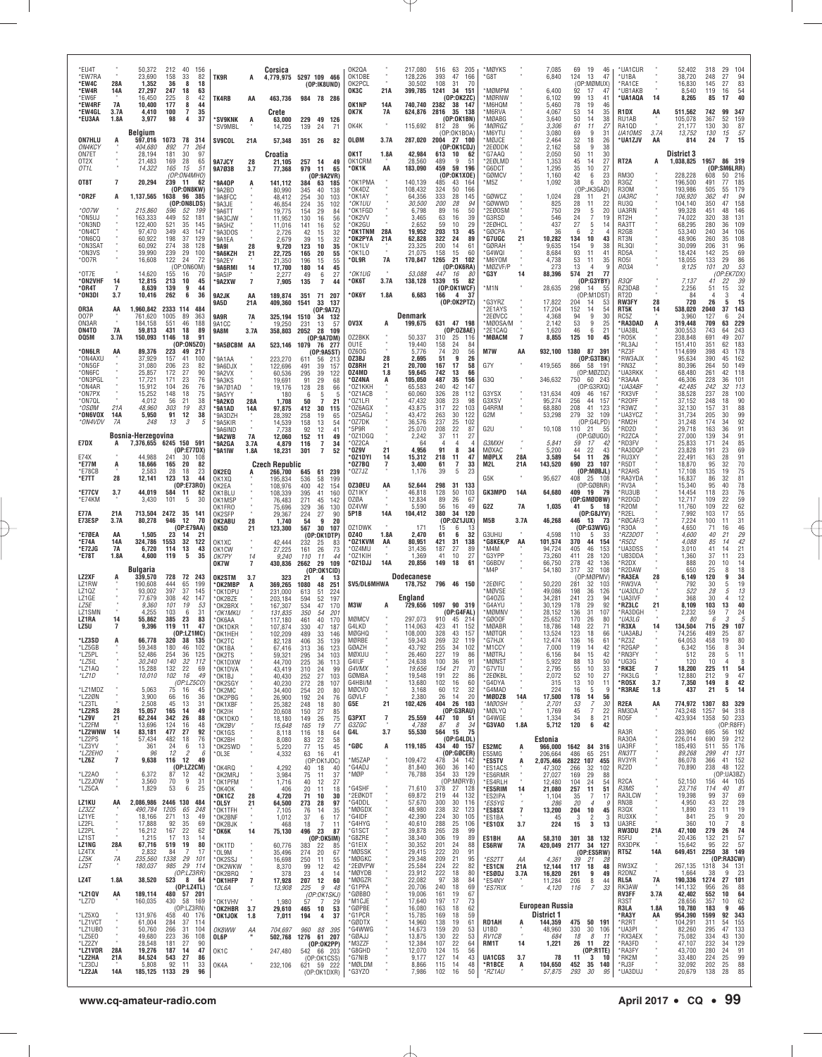| *EU4T<br>*EW7RA<br>*EW4C<br>*EW4R<br>*FW6F<br>*EW4RF<br>*EW4GL<br>*EU3AA | 28A<br>14A<br>7A<br>3.7A<br>1.8A | 50,372<br>23,690<br>1,352<br>27,297<br>16.450<br>10,400<br>4,410<br>3,977 | 212<br>40<br>156<br>158<br>33<br>82<br>36<br>8<br>18<br>247<br>18<br>63<br>42<br>225<br>8<br>177<br>8<br>44<br>35<br>100<br>7<br>98<br>4<br>37 | TK9R<br>TK4RB<br><b>*SV9KNK</b><br>'SV9MBL   | A<br>AA<br>A         | Corsica<br>463,736<br>Crete<br>63,000<br>14,725 | 4,779,975 5297 109 466<br>(OP:IK8UND)<br>984 78 286<br>229 49 126<br>139<br>24<br>-71 | OK2QA<br>OK1DBE<br>OK2PCL<br>окзс<br>OK1NP<br>OK7K<br>OK4K | 21A<br>14A<br>7A | 217,080<br>128,226<br>30,502<br>399,785<br>624,876<br>115,692 | 516<br>63<br>205<br>393<br>47<br>166<br>108<br>70<br>31<br>1241<br>-34<br>151<br>(OP:OK2ZC)<br>740,740 2382 38 147<br>2816 35 138<br>(OP:OK1BN)<br>812<br>28<br>96 | *MØYKS<br>*G8T<br>MØMPM<br><b>MØRNW</b><br>M6HQM'<br>*M6RVA<br>MØABG*<br>*MØRGZ |                    | 7,085<br>6,840<br>6,400<br>6.102<br>5,460<br>4,067<br>3,640<br>3,306 | 69<br>124<br>92<br>99<br>78<br>53<br>50<br>61 | 19<br>46<br>13<br>47<br>(OP:MØMUX)<br>17<br>47<br>13<br>41<br>19<br>46<br>35<br>14<br>38<br>14<br>11<br>27 | *UA1CUR<br>*U1BA<br>*RA1CE<br>*UB1AKB<br>*UA1AQA<br>R <sub>1</sub> DX<br>RU1AB<br>RA1QD | 14<br>AA              | 52,402<br>38,720<br>16,830<br>8,540<br>8,265<br>511,562<br>105,078<br>21,177 | 318<br>29<br>104<br>248<br>94<br>83<br>27<br>145<br>27<br>54<br>119<br>16<br>40<br>85<br>17<br>99<br>347<br>742<br>367<br>52<br>159<br>130<br>30<br>87 |
|--------------------------------------------------------------------------|----------------------------------|---------------------------------------------------------------------------|------------------------------------------------------------------------------------------------------------------------------------------------|----------------------------------------------|----------------------|-------------------------------------------------|---------------------------------------------------------------------------------------|------------------------------------------------------------|------------------|---------------------------------------------------------------|--------------------------------------------------------------------------------------------------------------------------------------------------------------------|---------------------------------------------------------------------------------|--------------------|----------------------------------------------------------------------|-----------------------------------------------|------------------------------------------------------------------------------------------------------------|-----------------------------------------------------------------------------------------|-----------------------|------------------------------------------------------------------------------|--------------------------------------------------------------------------------------------------------------------------------------------------------|
| <b>ON7HLU</b><br><b>ON4KCY</b><br>ON7ET<br>OT <sub>2</sub> X             |                                  | Belgium<br>597,016<br>404,680<br>28,194<br>21,483                         | 1073<br>78<br>314<br>892<br>71<br>264<br>181<br>30<br>97<br>169<br>28<br>65                                                                    | <b>SV9COL</b><br>9A7JCY                      | 21A<br>28            | 57,348<br>Croatia<br>21.105                     | 351 26<br>82<br>257 14<br>49                                                          | OLØM<br>OK1T<br>OK1CRM                                     | 3.7A<br>1.8A     | 287,020<br>42,984<br>28,560                                   | (OP:OK1BOA)<br>2004 27 100<br>(OP:OK1CDJ)<br>613 10<br>62<br>489<br>9<br>51                                                                                        | M6YTU*<br>*MØJCE<br>*2EØDDK<br>'G7AAQ<br>*2EØLMD                                |                    | 3,080<br>2,464<br>2,162<br>2,050<br>1,353                            | 69<br>32<br>58<br>50<br>45                    | 9<br>31<br>18<br>26<br>9<br>38<br>11<br>30<br>27<br>14                                                     | <b>UA10MS</b><br>*UA1ZJV<br>RT <sub>2</sub> A                                           | 3.7A<br>AA<br>А       | 13,752<br>814<br><b>District 3</b><br>1,038,825                              | $\frac{57}{15}$<br>130<br>15<br>24<br>7<br>1957 86 319                                                                                                 |
| OT <sub>1</sub> L<br>OT8T                                                | $\overline{7}$                   | 14,322<br>20,294                                                          | 165<br>15<br>51<br>(OP:0N4MHO)<br>239 11<br>62                                                                                                 | 9A7Ø3B<br><b>'9A40P</b>                      | 3.7<br>A             | 77,368<br>141,112                               | 979<br>11<br>65<br>(0P:9A2VR)<br>384<br>63<br>185                                     | * OK1K<br>*OK1PMA                                          | AA               | 183,090<br>140,139                                            | 459<br>59<br>196<br>(0P:OK1X0E)<br>485<br>164<br>43                                                                                                                | G6DCT*<br>`GØMCV<br>M5Z                                                         |                    | 1.295<br>1,160<br>1,092                                              | 35<br>42<br>38                                | 10<br>27<br>6<br>23<br>6<br>20                                                                             | <b>RM30</b><br>R3GZ                                                                     |                       | 228,228<br>196,500                                                           | (OP:SM6LRR)<br>608<br>50<br>216<br>185<br>491<br>77                                                                                                    |
| $*$ OR2F                                                                 | A                                | 1,137,565                                                                 | (0P:ON8KW)<br>1638<br>96<br>385<br>(OP:ON8LDS)                                                                                                 | *9A2BD<br>*9A8FCC<br>*9A3JE                  |                      | 80,990<br>48.412<br>46,854                      | 40<br>345<br>138<br>254<br>30<br>103<br>35<br>224<br>102                              | *OK4DZ<br>*OK1AY<br>*OK1UU                                 |                  | 108,432<br>64,356<br>30,500                                   | 50<br>166<br>324<br>28<br>145<br>333<br>200<br>28<br>94                                                                                                            | `GØWCZ<br>'GØWWD                                                                |                    | 1,024<br>825                                                         | 28<br>28                                      | (OP:JK3GAD)<br>11<br>21<br>11<br>22                                                                        | R30M<br><i><b>UA3RC</b></i><br><b>RU30</b>                                              |                       | 193,986<br>106,920<br>104.140                                                | 505<br>179<br>55<br>94<br>362<br>41<br>158<br>350<br>47                                                                                                |
| *007W<br>*ON5UJ<br>*ON3ND                                                |                                  | 215,860<br>163,333<br>122,400                                             | 596<br>52<br>199<br>449<br>52<br>181<br>521<br>35<br>145                                                                                       | '9A6TT<br>'9A3CJW<br>*9A5HZ                  |                      | 19,775<br>11,952<br>11,016                      | 154<br>29<br>84<br>130<br>16<br>56<br>52<br>141<br>16                                 | *OK1FGD<br>*OK2VV<br>*OK2GU                                |                  | 6,798<br>3,465<br>2,652                                       | 50<br>89<br>16<br>39<br>63<br>16<br>59<br>10<br>29                                                                                                                 | *2EØOSM<br>*G3RSD<br>*2EØHCL                                                    |                    | 750<br>546<br>437                                                    | 29<br>24<br>27                                | 5<br>20<br>$\overline{7}$<br>19<br>5<br>14                                                                 | UA3RN<br>RT <sub>2</sub> H<br>RA3TT                                                     |                       | 99,328<br>74,022<br>68,295                                                   | 146<br>451<br>48<br>131<br>320<br>38<br>280<br>36<br>109                                                                                               |
| *ON4CT<br>*ON6CQ<br>*ON3SAT<br>*ON3VS                                    |                                  | 97,470<br>60.922<br>60,092<br>39,990                                      | 43<br>147<br>349<br>198<br>37<br>129<br>274<br>38<br>128<br>29                                                                                 | '9A3DOS<br>*9A1EA<br>'9A91                   | 28                   | 2,726<br>2,679<br>9,720                         | 42<br>15<br>32<br>32<br>39<br>15<br>123<br>10<br>35                                   | *OK1TNM<br>*OK2PYA<br>*OK1LV<br>*0K1L0                     | 28A<br>21A       | 19,952<br>62,828<br>23,325                                    | 203<br>45<br>13<br>322<br>24<br>89<br>200<br>14<br>61<br>60                                                                                                        | *GØCPA<br><b>'G7UGC</b><br>'GØRAH<br>*G4WQI                                     | 21                 | 36<br>10.282<br>9,635                                                | 6<br>134<br>154                               | $\overline{2}$<br>10<br>43<br>9<br>38                                                                      | R <sub>2</sub> GB<br>RT3N<br>RL30I                                                      |                       | 53,340<br>48.906<br>30,099                                                   | 240<br>106<br>34<br>108<br>260<br>35<br>96<br>206<br>31<br>69                                                                                          |
| *007R<br>$*$ OT7E                                                        |                                  | 16,608<br>14.620                                                          | 239<br>100<br>122<br>24<br>72<br>(OP:ON6OM)<br>155<br>70<br>16                                                                                 | *9A6KZH<br>*9A2EY<br><b>SA6RMI</b><br>*9A5IP | 21<br>14             | 22,725<br>21,350<br>17,700<br>2,277             | 20<br>165<br>55<br>55<br>196<br>15<br>180<br>14<br>45<br>27<br>49<br>6                | *OL9R<br>*OK1UG                                            | 7A               | 21,075<br>170,847<br>53,088                                   | 15<br>158<br>1265<br>21<br>102<br>(OP:OK6RA)<br>447<br>16<br>-80                                                                                                   | M6YOM *<br>*MØZVF/P<br>'G3Y                                                     | 14                 | 8,684<br>4,738<br>273<br>88,396                                      | 93<br>53<br>13<br>574                         | 11<br>41<br>35<br>11<br>4<br>-9<br>21<br>-77                                                               | RD5A<br>R051<br>RO3A                                                                    |                       | 18,424<br>18,055<br>9,125                                                    | 142<br>25<br>133<br>29<br>86<br>53<br>20<br>101<br>(OP:EK7DX)                                                                                          |
| *ON2VHF<br>*0R4T<br>*ON3DI                                               | 14<br>$\overline{7}$<br>3.7      | 12,815<br>8,639<br>10,416                                                 | 213<br>10<br>45<br>139<br>9<br>44<br>36<br>262<br>6                                                                                            | *9A2XW<br>9A2JK                              | $\overline{7}$<br>AA | 7,905<br>189,874                                | $\overline{7}$<br>135<br>44<br>351 71 207                                             | *ОК6Т<br>*ОК6Ү                                             | 3.7A<br>1.8A     | 138,128<br>6,683                                              | 1339<br>15<br>82<br>(0P:OK1WCF)<br>166<br>4 37                                                                                                                     | *M1N                                                                            |                    | 28,635                                                               | 298                                           | (OP:G3YBY)<br>- 14<br>55<br>(OP: M1DST)                                                                    | R3QF<br>RZ3DAB<br>RT2D                                                                  |                       | 7,137<br>2,256<br>84                                                         | 39<br>41<br>22<br>32<br>51<br>15<br>3<br>$\overline{4}$                                                                                                |
| OR3A<br>007P                                                             | AA                               | 1,960,842 2333 114<br>761,620                                             | 484<br>1005<br>89<br>363                                                                                                                       | 9A5D<br><b>9A9R</b>                          | 21A<br><b>7A</b>     | 409,360<br>325,194 1510                         | 1541<br>33<br>137<br>(OP:9A7Z)<br>-34<br>-132                                         |                                                            |                  | Denmark                                                       | (OP:OK2PTZ)                                                                                                                                                        | G3YRZ*<br>2E1AYS<br>*2EØVCC                                                     |                    | 17,822<br>17,204<br>4,368                                            | 204<br>152<br>94                              | 14<br>53<br>14<br>54<br>9<br>30                                                                            | <b>RW3FY</b><br>RT5K<br>RC5Z                                                            | 28<br>14              | 720<br>538,020<br>3,960                                                      | 26<br>15<br>5<br>$\frac{143}{24}$<br>2040<br>37<br>127<br>6                                                                                            |
| ON3AR<br>ON4TO<br>005M                                                   | 7A<br>3.7A                       | 184,158<br>59,813<br>150,093                                              | 46<br>188<br>551<br>431<br>18<br>89<br>1146<br>18<br>91                                                                                        | 9A1CC<br>9A8M                                | 3.7A                 | 19,250                                          | 13<br>231<br>57<br>358,803 2052 28<br>109<br>(OP:9A7DM)                               | OV3X<br>0Z2BKK                                             | A                | 199,675<br>50,337                                             | 631 47 198<br>(0P:0Z8AE)<br>310<br>25<br>116                                                                                                                       | *MØOSA/M<br>*2E1CAQ<br>*MØACM                                                   | $\overline{7}$     | 2,142<br>1,620<br>8,855                                              | 53<br>46<br>125                               | 9<br>25<br>6<br>21<br>10<br>45                                                                             | *RA3DAD<br>*UA3BL<br>*R05K                                                              | A                     | 319,448<br>300,553<br>238,848                                                | 229<br>709<br>63<br>743<br>243<br>64<br>691<br>49<br>207                                                                                               |
| *ON6LR<br>*ON4AXU<br>*ON5GF                                              | AA                               | 89,376<br>37,929<br>31,080                                                | (OP:0N5Z0)<br>223<br>49<br>217<br>157<br>41<br>100<br>206<br>82<br>23                                                                          | *9A5ØCBM AA<br>*9A1AA<br>*9A6DJX             |                      | 523,146<br>223,270                              | 1079<br>76 277<br>(0P:9A5ST)<br>611<br>56<br>213<br>39<br>491                         | OU1E<br>0Z60G<br>OZ3BJ<br>OZ8RH                            | 28<br>21         | 19,440<br>5,776<br>2,695<br>20,700                            | 158<br>24<br>84<br>56<br>74<br>20<br>9<br>26<br>51<br>167<br>17<br>58                                                                                              | M7W<br>G7Y                                                                      | AA                 | 932,100<br>419,565                                                   | 1380 87 391                                   | (OP:G3TBK)<br>866 58 191                                                                                   | *RL3AJ<br>*RZ3F<br>*RW3AJX<br>*RN3Z                                                     |                       | 151,410<br>114,699<br>95,634<br>80,396                                       | 351<br>62<br>183<br>398<br>178<br>43<br>390<br>162<br>45<br>264<br>50<br>149                                                                           |
| *ON6FC<br>*ON3PGL<br>*ON4AR                                              |                                  | 25,857<br>17.721<br>15,912                                                | 172<br>27<br>90<br>171<br>23<br>76<br>104<br>26<br>76                                                                                          | *9A2VX<br>*9A3KS<br>9A701AD                  |                      | 122,696<br>60,536<br>19,691<br>19,176           | 157<br>295<br>39<br>122<br>29<br>91<br>68<br>128<br>28<br>66                          | 0Z4MD<br>OZ4NA<br>*OZ1KKH                                  | 1.8<br>A         | 59,645<br>105,050<br>65,583                                   | 742<br>13<br>66<br>487<br>35<br>156<br>240<br>42<br>147                                                                                                            | G3Q                                                                             |                    | 346,632                                                              |                                               | (OP:MØZDZ)<br>750 60 243<br>(OP:G3RXQ)                                                                     | *UA3RKK<br>*R3AAA<br>*UA3ABF                                                            |                       | 68,480<br>46,306<br>42,485                                                   | 261<br>118<br>42<br>228<br>36<br>101<br>113<br>242<br>32                                                                                               |
| *ON7PX<br>*ON7QL<br>*OSØM                                                | 21A                              | 15,252<br>4,012<br>48,960                                                 | 148<br>75<br>18<br>21<br>38<br>56<br>83<br>303<br>19                                                                                           | *9A5YY<br>°9A2KO<br>*9A1AD                   | 28A<br><b>14A</b>    | 180<br>1,708<br>97,875                          | - 6<br>5<br>5<br>50<br>21<br>-7<br>412<br>30<br>115                                   | *OZ1ACB<br>*OZ1LFI<br>*OZ6AGX                              |                  | 60,060<br>47,432<br>43,875                                    | 326<br>28<br>112<br>308<br>23<br>98<br>22<br>103<br>317                                                                                                            | G3YSX<br>G3XSV<br>G4RRM                                                         |                    | 131,634<br>95,274<br>68,880                                          | 409<br>256<br>208                             | 46<br>- 167<br>44<br>157<br>41<br>123                                                                      | *RX3VF<br>*R20FF<br>*R3WZ                                                               |                       | 38,528<br>37,152<br>32,130                                                   | 237<br>28<br>100<br>248<br>18<br>90<br>88<br>157<br>31                                                                                                 |
| *ON6VOX<br>*ON4VDV                                                       | 14A<br>7A                        | 5,950<br>248                                                              | 91<br>12<br>38<br>13<br>3<br>5                                                                                                                 | *9A3DZH<br>*9A5KIR<br>'9A6IND                |                      | 28,392<br>14,539<br>7,738                       | 258<br>19<br>65<br>158<br>13<br>54<br>92<br>12<br>41                                  | *OZ5AGJ<br>*OZ7DK<br>*5P9R                                 |                  | 43.472<br>36,576<br>25,070                                    | 263<br>30<br>122<br>237<br>25<br>102<br>208<br>22<br>87                                                                                                            | G2M<br>G2U                                                                      |                    | 53,298<br>10,108                                                     | 279<br>110 21                                 | 32<br>109<br>(OP:G4LPD)<br>55                                                                              | *UA3YCZ<br>*RM2H<br>*RD2D                                                               |                       | 31.734<br>31,248<br>29,718                                                   | 99<br>92<br>205<br>30<br>174<br>34<br>91<br>163<br>36                                                                                                  |
| E7DX                                                                     | A                                | Bosnia-Herzegovina                                                        | 7,376,655 6245 150 591<br>(OP:E77DX)                                                                                                           | *9A2WB<br><b>'9A2GA</b><br>*9A1IW            | 7A<br>3.7A<br>1.8A   | 12,060<br>4,879<br>18,231                       | 152<br>49<br>11<br>116<br>$\overline{1}$<br>34<br>$\overline{7}$<br>301<br>52         | *OZ1DGQ<br>*OZ2CA<br>*0Z9V                                 | 21               | 2,242<br>64<br>4,956                                          | 37<br>27<br>11<br>$\overline{4}$<br>4<br>$\overline{4}$<br>91<br>8<br>34                                                                                           | G3MXH<br>MØXAC                                                                  | $\bullet$          | 5,841<br>5,200                                                       | 59<br>44                                      | (OP:GØUGO)<br>17<br>42<br>22<br>43                                                                         | *R2ZCA<br>*RD3FV<br>*RA3DQP                                                             |                       | 27,000<br>25,833<br>23,828                                                   | 139<br>34<br>91<br>85<br>171<br>24<br>69<br>191<br>23                                                                                                  |
| E74X<br>*E77M<br>*E78CB                                                  | A                                | 44,988<br>18,666<br>2,583                                                 | 241<br>108<br>30<br>165<br>20<br>82<br>23<br>28<br>18<br>44                                                                                    | OK2EQ                                        |                      | <b>Czech Republic</b><br>266,700                | 645 61<br>239                                                                         | *OZ1DYI<br>* 0 Z 7 B Q<br>*OZ7JZ                           | 14<br>7          | 15,312<br>3,400<br>1,176                                      | 218<br>11<br>47<br>33<br>7<br>61<br>5<br>23<br>39                                                                                                                  | MØPLX<br>M2L                                                                    | 28A<br>21A         | 3,589<br>143,520                                                     | 54                                            | 11<br>26<br>690 23 107<br>(OP:MBBJL)                                                                       | *RU3XY<br>*R5DT<br>*R2AHS                                                               |                       | 22,491<br>18,870<br>17,108                                                   | 91<br>163<br>28<br>70<br>75<br>81<br>78<br>76<br>95<br>$32\,$<br>135<br>19                                                                             |
| *E7TT<br>*E77CV<br>*E74KM                                                | 28<br>3.7                        | 12,141<br>44,019<br>3,430                                                 | 123<br>13<br>(0P:E73RO)<br>584<br>-11<br>62<br>101<br>5<br>30                                                                                  | OK1XQ<br>OK2EA<br>OK1BLU<br>OK1MSP           |                      | 195.834<br>108,976<br>108,339<br>76,483         | 536<br>58<br>199<br>42<br>154<br>400<br>41<br>395<br>160<br>271<br>45<br>142          | 0Z3ØEU<br>0Z1IKY<br>0ZØA                                   | AA               | 52,644<br>46,818<br>12,834                                    | 298<br>31<br>133<br>128<br>50<br>103<br>26<br>67<br>89                                                                                                             | G5K<br><b>GK3MPD</b>                                                            | 14A                | 95,627<br>64,680                                                     | 408                                           | 25 108<br>(OP:GØBNR)<br>409 19 79<br>(OP:GMØDBW)                                                           | *RA3YDA<br>*RV3A<br>*RU3UB<br>*R2DGD                                                    |                       | 16,837<br>15,340<br>14,454<br>12,717                                         | 32<br>86<br>95<br>40<br>23<br>118<br>22<br>109                                                                                                         |
| <b>E77A</b><br>E73ESP                                                    | 21A<br>3.7A                      | 713,504<br>80,278                                                         | 2472 35 141<br>946<br>12<br>-70                                                                                                                | OK1FR0<br>OK2SFP<br>OK2ABU                   | 28                   | 75,696<br>29.367<br>1,740                       | 329<br>36<br>130<br>224<br>27<br>90<br>54<br>9<br>20                                  | 0Z4VW<br>5P1B                                              | 14A              | 5,590<br>104,412                                              | 56<br>49<br>16<br>380<br>34<br>120<br>(OP:0Z1JUX)                                                                                                                  | G2Z<br>M5B                                                                      | 7A<br>3.7A         | 1,035<br>46,268                                                      | 446 13                                        | 41 5 18<br>(OP:GSJYV)<br>- 73                                                                              | *R20M<br>*R2EL<br>*RØCAF/3                                                              |                       | 11,760<br>7,992<br>7.224                                                     | 59<br>62<br>55<br>31<br>31<br>46<br>109<br>22<br>17<br>103<br>100<br>11                                                                                |
| *E7ØEA<br>*E74A                                                          | AA<br>14A                        | 1,505<br>324,786                                                          | (OP:E79AA)<br>23<br>14<br>21<br>1553<br>32<br>122                                                                                              | OK5D<br>OK1XC                                | 21                   | 123,300<br>42,444                               | 567<br>30<br>107<br>(OP:OK1DTP)<br>232<br>25<br>83                                    | 0Z1DWK<br>0Z40<br>°0Z1KVM                                  | 1.8A<br>AA       | 171<br>2,470<br>80,951                                        | 15<br>6<br>13<br>61<br>6<br>32<br>421<br>31<br>138                                                                                                                 | G3UHU<br>°G8KEK/P                                                               | AA                 | 4,598<br>101,574                                                     | 110<br>370                                    | (0P:G3WVG)<br>-5<br>-33<br>44<br>154                                                                       | *R30A<br>*RZ3DOT<br>*R5DZ                                                               |                       | 4,650<br>4,600<br>4,088                                                      | 71<br>16<br>29<br>40<br>21<br>85<br>14                                                                                                                 |
| *E72JG<br>*E78T                                                          | 7A<br>1.8A                       | 6,720<br>4,600<br><b>Bulgaria</b>                                         | 114<br>13<br>43<br>5<br>119<br>35                                                                                                              | OK1CW<br>OK7PY<br>OK7W                       | 14<br>$\overline{7}$ | 27,225<br>9,240<br>430,836                      | 161<br>26<br>73<br>110<br>11<br>44<br>29<br>2662<br>109                               | *OZ4MU<br>*0Z1KIH<br>*OZ1DJJ                               | 14A              | 31,436<br>1,369<br>20,856                                     | 187<br>27<br>89<br>41<br>10<br>27<br>149<br>18<br>61                                                                                                               | *M4M<br>*G3YPP<br>*G6BDV<br>*M4P                                                |                    | 94,724<br>73,260<br>66,750<br>54,180                                 | 405<br>411<br>278<br>317                      | 46<br>153<br>28<br>120<br>42<br>136<br>32<br>108                                                           | *UA3DSS<br>*UB3DDA<br>*R2DX<br>*R2DAW                                                   |                       | 3,010<br>1,360<br>888<br>650                                                 | $42$<br>$21$<br>$23$<br>$14$<br>14<br>41<br>37<br>11<br>20<br>10<br>18<br>25<br>8                                                                      |
| LZ2XF<br>LZ1RW<br>LZ10Z                                                  | A                                | 339,570<br>190,608<br>93.002                                              | 728<br>72<br>243<br>444<br>65<br>199<br>397<br>37<br>145                                                                                       | OK2STM<br>*OK2MBP<br>*OK1DPU                 | 3.7<br>A             | 323<br>369,265<br>231,000                       | (OP:OK1CID)<br>21<br>-4<br>13<br>1080<br>48<br>251<br>613<br>51<br>224                | SV5/DL6MHWA                                                |                  | <b>Dodecanese</b>                                             | 178,752 796 46 150                                                                                                                                                 | *2EØIFC<br><b>MØVSE</b>                                                         |                    | 50,220<br>49,086                                                     | 281<br>198                                    | (OP:MØPMV)<br>32<br>103<br>36<br>126                                                                       | *RA3EA<br>*RW3VA<br>*UA3DLD                                                             | 28                    | 6,149<br>792<br>522                                                          | 120<br>9<br>34<br>19<br>30<br>5<br>28                                                                                                                  |
| LZ1GE<br>LZ5E<br>LZ1SMN                                                  |                                  | 77,679<br>9,360<br>4,255                                                  | 308<br>42<br>147<br>101<br>19<br>53<br>103<br>31<br>6                                                                                          | OK2BZE<br>*OK2BRX<br>*OK1MKU                 |                      | 203,184<br>167,307<br>131,835                   | 594<br>52<br>197<br>47<br>534<br>170<br>350<br>54<br>201                              | M3W                                                        | A                | England<br>729,656                                            | 1097 90 319<br>(OP:G4FAL)                                                                                                                                          | G40ZG*<br>*G4AYU<br>'MØMNV                                                      |                    | 34,281<br>30,129<br>28,152                                           | 241<br>178<br>136                             | 23<br>94<br>92<br>29<br>31<br>107                                                                          | *UA3IVF<br>*RZ3LC<br>*RA3DGH                                                            | 21                    | 368<br>8,109<br>2,232                                                        | $^{13}_{12}$<br>30<br>4<br>40<br>103<br>13<br>24<br>59                                                                                                 |
| LZ1RA<br>LZ5U                                                            | 14                               | 55,862<br>9,396                                                           | 385<br>23<br>83<br>119<br>11<br>47<br>(OP: LZ1MC)                                                                                              | *OK6AA<br>*OK1DKR<br>*OK1HEH                 |                      | 117,180<br>107,874<br>102,209                   | 461<br>40<br>170<br>330<br>47<br>187<br>489<br>33<br>146                              | MØMCV<br>G4LKD<br>MØGHQ                                    |                  | 297,073<br>114,063<br>108,000                                 | 910<br>45<br>214<br>423<br>41<br>152<br>328<br>43<br>157                                                                                                           | *GØ00F<br>*MØABR<br>*MØTQR                                                      |                    | 25,652<br>18.786<br>13,524                                           | 170<br>148<br>123                             | 26<br>80<br>22<br>71<br>18<br>66                                                                           | *UA3LG<br>*R3XA<br>*UA3ABJ                                                              | 14                    | 80<br>134,504<br>74,256                                                      | 6<br>$\beta$<br>.5<br>715<br>29<br>107<br>489<br>25<br>87                                                                                              |
| *LZ3SD<br>*LZ5GB<br>*LZ5PL                                               |                                  | 66,778<br>59,348<br>52,486                                                | 320 38 135<br>180<br>46<br>102<br>254<br>36<br>125                                                                                             | $*$ OK2TC<br>*OK1BA<br>*OK2TS                |                      | 82.128<br>67,416<br>59,321                      | 406<br>35<br>139<br>313<br>36<br>123<br>295<br>34<br>103                              | MØRBE<br>GØAZH<br>MØXUU                                    |                  | 59,343<br>43,792<br>26,460                                    | 269<br>32 119<br>255<br>34<br>102<br>227<br>19<br>86                                                                                                               | *G7HJX<br>M1CCY*<br>*MØTRJ                                                      |                    | 12,474<br>7,000<br>6,156                                             | 136<br>119<br>84                              | 16<br>61<br>14<br>42<br>15<br>42                                                                           | *RZ3Z<br>*R2GAP<br>*RN3FY                                                               |                       | 64,053<br>6,342<br>512                                                       | 80<br>458<br>19<br>156<br>8<br>34<br>28<br>5<br>11                                                                                                     |
| *LZ5IL<br>*LZ1AQ<br>*LZ1D                                                |                                  | 30,240<br>15,288<br>10,010                                                | 140<br>32<br>112<br>132<br>22<br>69<br>102<br>16<br>49<br>(OP: LZ5CO)                                                                          | *OK1DXW<br>*OK1DVA<br>*OK1BJ                 |                      | 44,700<br>43,419<br>40,430                      | 225<br>36<br>113<br>310<br>24<br>99<br>252<br>27<br>103                               | G4IUF<br>G4VMX<br>GØMBA<br>G4HBI/M                         |                  | 24,638<br>19,656<br>19,548                                    | 100<br>36<br>91<br>154<br>21<br>70<br>191<br>22<br>86<br>102<br>16<br>60                                                                                           | *MØNST<br>*G7VTU<br>*2EØKBL                                                     |                    | 5,922<br>2,795<br>2,072                                              | 88<br>55<br>52<br>13                          | 13<br>50<br>10<br>33<br>10<br>27                                                                           | *UG3G<br>*RK3E<br>*RK3LG<br>*R05X                                                       | $\overline{7}$<br>3.7 | 120<br>18,200<br>12,880<br>7,350                                             | 10<br>-8<br>54<br>225<br>11<br>47<br>212<br>9<br>149<br>8<br>42                                                                                        |
| *LZ1MDZ<br>*LZ2ØN<br>*LZ3TL                                              |                                  | 5,063<br>3,900<br>2,508                                                   | 75<br>16<br>45<br>66<br>16<br>36<br>45<br>13<br>31                                                                                             | *OK2SGY<br>*OK2MC<br>*OK2PBG<br>*OK1XBF      |                      | 40,230<br>34,400<br>26,900<br>25,382            | 272<br>28<br>107<br>254<br>20<br>80<br>192<br>24<br>76<br>18<br>248<br>80             | MØCVO<br>GØVLF<br>G5E                                      | 21               | 13,680<br>3,168<br>2,380<br>102,426                           | 12<br>32<br>60<br>26<br>14<br>20<br>404 26 103                                                                                                                     | 'G4DYA<br>*G4MAD<br>*MØDZB<br>*MØOSH                                            | 14A                | 315<br>224<br>17,500<br>2,701                                        | 16<br>178<br>53                               | 10<br>11<br>5<br>-9<br>14<br>56<br>7<br>30                                                                 | *R3RAE<br>R <sub>2EA</sub>                                                              | 1.8<br>AA             | 437<br>774,972                                                               | 14<br>21<br>5<br>83 329<br>1307                                                                                                                        |
| *LZ2RS<br>*LZ9V<br>*LZ2FM                                                | 28<br>21                         | 15,057<br>62,244<br>13,696                                                | 165<br>14<br>49<br>342<br>26<br>88<br>124<br>16<br>48                                                                                          | *OK2IH<br>°OK1DKO<br>*OK2BV                  |                      | 20,608<br>18,180<br>15,648                      | 150<br>27<br>85<br>75<br>149<br>26<br>165<br>19<br>77                                 | G3PXT<br>G3ZGC                                             | $\overline{7}$   | 25,559<br>4,788                                               | (0P:G3RAU)<br>$447$ 10<br>51<br>87<br>8<br>34                                                                                                                      | *MØLYQ<br>*G4WGE<br>*G3VAO                                                      | 1.8A               | 1,769<br>1,334<br>5,712                                              | 45<br>34<br>120                               | 7<br>22<br>8<br>21<br>6<br>42                                                                              | RM3DA<br>R05F                                                                           |                       | 743,248<br>423,934                                                           | 1257<br>318<br>94<br>1358<br>50<br>233<br>(OP:R8FF)                                                                                                    |
| *LZ2WNW<br>*LZ2PS<br>*LZ3YV                                              | 14                               | 83,181<br>57,434<br>361                                                   | 477<br>27<br>92<br>482<br>18<br>76<br>13<br>24<br>6                                                                                            | *OK1GS<br>*OK2BH<br>*OK2SWD                  |                      | 8,118<br>8,080<br>5,220                         | 116<br>18<br>64<br>83<br>22<br>58<br>77<br>15<br>45                                   | G4L<br>*GØC                                                | 3.7<br>A         | 55,530<br>119,185                                             | 564 15<br>75<br>(OP:G4LDL)<br>434 40 157                                                                                                                           | ES2MC                                                                           | A                  | Estonia<br>966,000 1642 84 316                                       |                                               |                                                                                                            | RA3R<br>RA30A<br>UA3RF                                                                  |                       | 283,960<br>226,014<br>185,493                                                | 695<br>56 192<br>59 212<br>690<br>511<br>55 176                                                                                                        |
| *LZ2EH0<br>*LZ6Z                                                         |                                  | 96                                                                        | 12<br>6<br>2<br>116 12<br>49                                                                                                                   | *OL3E                                        |                      | 4,332                                           | 16<br>41<br>63                                                                        |                                                            |                  | 109,472                                                       | (OP:GØCER)<br>478<br>34<br>142                                                                                                                                     | ES5MG                                                                           | A                  | 206,664<br>2,075,466                                                 | 486<br>2822 107                               | 65<br>251<br>455                                                                                           | <b>RN3TT</b><br>RV3YR                                                                   |                       | 89,268<br>86,078                                                             | 299<br>41<br>131                                                                                                                                       |
| *LZ2A0<br>*LZ2J0W<br>*LZ5CA                                              | $\overline{7}$                   | 9,638                                                                     | (0P:LZ2CM)                                                                                                                                     | *OK4RQ                                       |                      | 4,292                                           | (OP:OK1JOC)<br>40<br>18<br>40                                                         | *M5ZAP<br>*G4ADJ                                           |                  | 81,840                                                        | 360<br>36<br>140                                                                                                                                                   | *ES5TV<br>*ES1ACS                                                               |                    | 47,302                                                               | 266                                           | 32<br>102                                                                                                  | RZ2D                                                                                    |                       | 70,890                                                                       | 41 152<br>366<br>48 122<br>238                                                                                                                         |
| LZ1KU<br>LZ3ZZ<br>LZ1YE                                                  |                                  | 6,372<br>3,560<br>1,829                                                   | 87<br>12<br>42<br>9<br>70<br>31<br>53<br>6<br>25                                                                                               | *OK2MRJ<br>*OK1PFM<br>*0K40K                 |                      | 3,984<br>1,716<br>406                           | 75<br>37<br>11<br>40<br>12<br>27<br>20<br>11<br>18                                    | *MØP<br>*G4SHF                                             |                  | 76,788<br>71,610                                              | 354<br>33 129<br>(OP:MØRYB)<br>378 27 128                                                                                                                          | *ES6RMR<br>*ES4RLH<br>*ES5RIM                                                   | 14                 | 27,027<br>12,480<br>21,080                                           | 169<br>104<br>257                             | 29<br>88<br>24<br>54<br>11<br>51                                                                           | R <sub>2</sub> CA<br>R <sub>3</sub> M <sub>S</sub>                                      |                       | 52,150<br>23,716                                                             | (OP:UA3BZ)<br>44 105<br>156<br>114<br>40<br>81                                                                                                         |
| LZ2FL<br>LZ2PL<br>LZ1ST                                                  | AA                               | 2,086,986 2446 130<br>490,784                                             | 484<br>1205<br>65<br>248                                                                                                                       | °OK1CZ<br>*OL5Y<br>*OK1TFH                   | 28<br>21             | 4,720<br>64,500<br>7,105                        | 71<br>10<br>30<br>273<br>28<br>97<br>76<br>14<br>35                                   | *2EØKDT<br>*G4DDL<br>*MØGDX                                |                  | 69,872<br>57,670<br>48,980                                    | 219<br>44<br>132<br>300<br>30<br>116<br>238<br>32<br>123                                                                                                           | *ES2IPA<br>*ES5YG<br>*ES8SX                                                     | $\overline{7}$     | 1,104<br>286<br>13,200                                               | 35<br>20<br>204                               | 7<br>17<br>$\overline{4}$<br>9<br>10<br>45                                                                 | RA3LCW<br>RN3B<br>R3QX                                                                  |                       | 19,398<br>4,950<br>1,890                                                     | 69<br>99<br>37<br>28<br>43<br>22<br>19<br>23<br>11                                                                                                     |
| LZ1NG                                                                    |                                  | 18,166<br>17,888<br>16,212                                                | 271<br>13<br>49<br>92<br>35<br>69<br>22<br>62<br>167                                                                                           | *OK2BNF<br>*OK2BJK<br>*ОК6К                  | 14                   | 1,012<br>468<br>75,130                          | 37<br>6<br>17<br>18<br>7<br>11<br>496 23<br>87                                        | *G4IDF<br>*G4HYG<br>*G1SCT                                 |                  | 42,390<br>40,610<br>39,878                                    | 224<br>105<br>30<br>288<br>25<br>106<br>265<br>28<br>99                                                                                                            | *ES1BA<br>*ES10X                                                                | 3.7                | 45<br>224                                                            | 3<br>15                                       | 2<br>3<br>$\mathbf 3$<br>13                                                                                | RU3XK<br>UA3RE<br>RW3DU                                                                 | 21A                   | 841<br>360<br>47,100                                                         | 20<br>9<br>25<br>10<br>8<br>279<br>26<br>74                                                                                                            |
| LZ4TX<br>LZ5K                                                            | 28A<br>7A                        | 1.215<br>67,716<br>2,832<br>235,560                                       | 17<br>13<br>14<br>519<br>19<br>80<br>84<br>17<br>-7<br>1338<br>29<br>101                                                                       | *OK1TD<br>OL9M*                              |                      | 60,776<br>35,496                                | (OP:OK5IM)<br>383<br>22<br>85<br>274<br>20<br>67                                      | *G8ZRE<br>*G1EIX<br>*MØSSK<br>*MØGKC                       |                  | 38,340<br>30,352<br>29,415<br>29,348                          | 19<br>306<br>89<br>201<br>24<br>88<br>222<br>20<br>91<br>209<br>21<br>95                                                                                           | ES1BH<br><b>ES6RW</b>                                                           | AA<br>7A           | 58,310<br>420,049                                                    | 301<br>2177                                   | 38<br>132<br>34 127<br>(OP:ES5RW)                                                                          | R5FU<br>RX3DPK<br>RT5Z                                                                  | $\alpha$<br>14A       | 20,436<br>15,642<br>649,451                                                  | 132<br>$\frac{57}{57}$<br>21<br>95<br>22<br>38 149<br>2250<br>(OP:RA3CW)                                                                               |
| LZ5T<br>LZ4T                                                             | 1.8A                             | 180,037<br>38,520                                                         | 29<br>985<br>114<br>(OP: LZ3RR)<br>523<br>8 64                                                                                                 | *OK2SSJ<br>*OK2WKW<br>*OK2BRQ                | $\overline{7}$       | 16,698<br>8,370<br>378                          | 250<br>11<br>55<br>99<br>12<br>42<br>23<br>4<br>14<br>60                              | *2EØVPW<br>*MØYDB<br>*MØGZR                                |                  | 25,584<br>23,912<br>22,082                                    | 224<br>22<br>82<br>18<br>222<br>80<br>97<br>38<br>84                                                                                                               | *ES2TT<br>*ES1CN<br>*ESØDJ<br>*ES4NY                                            | АA<br>21A<br>3.7A  | 4,361<br>12,144<br>16,820                                            | 39<br>117<br>261<br>206                       | 21<br>28<br>18<br>48<br>9<br>49<br>44                                                                      | RW3XZ<br>R2DNZ<br>RL5A                                                                  | $\alpha$<br>7A        | 267,135<br>1,664<br>190,336                                                  | 34 131<br>1318<br>23<br>38<br>9<br>27 101<br>1274                                                                                                      |
| *LZ1QV<br>*LZ7D                                                          | AA                               | 189,114<br>160,035                                                        | (DP: LZATL)<br>480 57 201<br>430<br>58<br>169                                                                                                  | *OK1HFP<br>*OL6A<br>*OK1VHV                  |                      | 17,928<br>13,908<br>1,980                       | 207 12<br>9<br>225<br>48<br>(OP:OK1SKJ)<br>57<br>29<br>-7                             | *G1PPA<br>*GØBBO<br>*M1CJE                                 |                  | 20,706<br>19,006<br>17,640                                    | 69<br>240<br>18<br>161<br>19<br>67<br>197<br>17<br>73                                                                                                              | *ES7RIX                                                                         | $\boldsymbol{\pi}$ | 11,284<br>4,120                                                      | 116                                           | 8<br>7<br>33                                                                                               | RK3AW<br><b>RV3FF</b><br>R3ST                                                           | 3.7A                  | 141,132<br>42,402<br>28,656                                                  | 88<br>956<br>26<br>552<br>10<br>64<br>62<br>357<br>10                                                                                                  |
| *LZ5XQ<br>*LZ1VCT                                                        |                                  | 131,976<br>61,004                                                         | (OP: LZ3RN)<br>458<br>40 176<br>284<br>37<br>114                                                                                               | *OK2HBR<br>*OK1JOK                           | 3.7<br>1.8           | 29,610<br>7,011                                 | 10<br>53<br>465<br>194<br>4<br>37                                                     | *GØPBE<br>*G1PCR<br>*GØDTX                                 |                  | 16,080<br>15,785<br>14,960                                    | 163<br>18<br>62<br>169<br>18<br>59<br>138<br>61<br>19                                                                                                              | <b>RD1AH</b>                                                                    |                    | European Russia<br><b>District 1</b><br>144,359                      |                                               | 475 50 191                                                                                                 | R3LA<br>*RA3Y<br>*R2RT                                                                  | 1.8A<br>AA            | 10,780<br>954,390<br>104,291                                                 | 46<br>183<br>9<br>343<br>1599<br>92<br>155<br>311<br>54                                                                                                |
| *LZ1UB0<br>*LZ5E0<br>*LZ2ZY<br>*LZ1VDR                                   | 28A                              | 50,760<br>49,680<br>28,548<br>19,276                                      | 266<br>31<br>104<br>223<br>36<br>108<br>181<br>27<br>90<br>187<br>14<br>47                                                                     | OK8WW<br>OL6P<br>OK1C                        | ΑA                   | 704,697<br>502,768<br>247,480                   | 960 88 395<br>1276 61 207<br>(0P:OK2PP)<br>542 66 203                                 | *G4WWG<br>*GØAJJ<br>*M377F<br>*G8GHD                       |                  | 14,673<br>13,875<br>12,384<br>12,070                          | 159<br>20<br>53<br>22<br>53<br>130<br>107<br>22<br>64<br>124<br>15<br>56                                                                                           | U1BD<br>RV1CB<br>RM1T                                                           | 14                 | 48,960<br>684<br>1,221                                               | 330<br>18<br>26                               | 30 106<br>8<br>11<br>11<br>22<br>(OP:R1TE)                                                                 | *UA3PI<br>*RX3AEX<br>*RA3FD<br>*RA3FY                                                   |                       | 82,260<br>75,082<br>47,107<br>43,700                                         | 133<br>295<br>47<br>130<br>334<br>43<br>232<br>129<br>34<br>91<br>280<br>24                                                                            |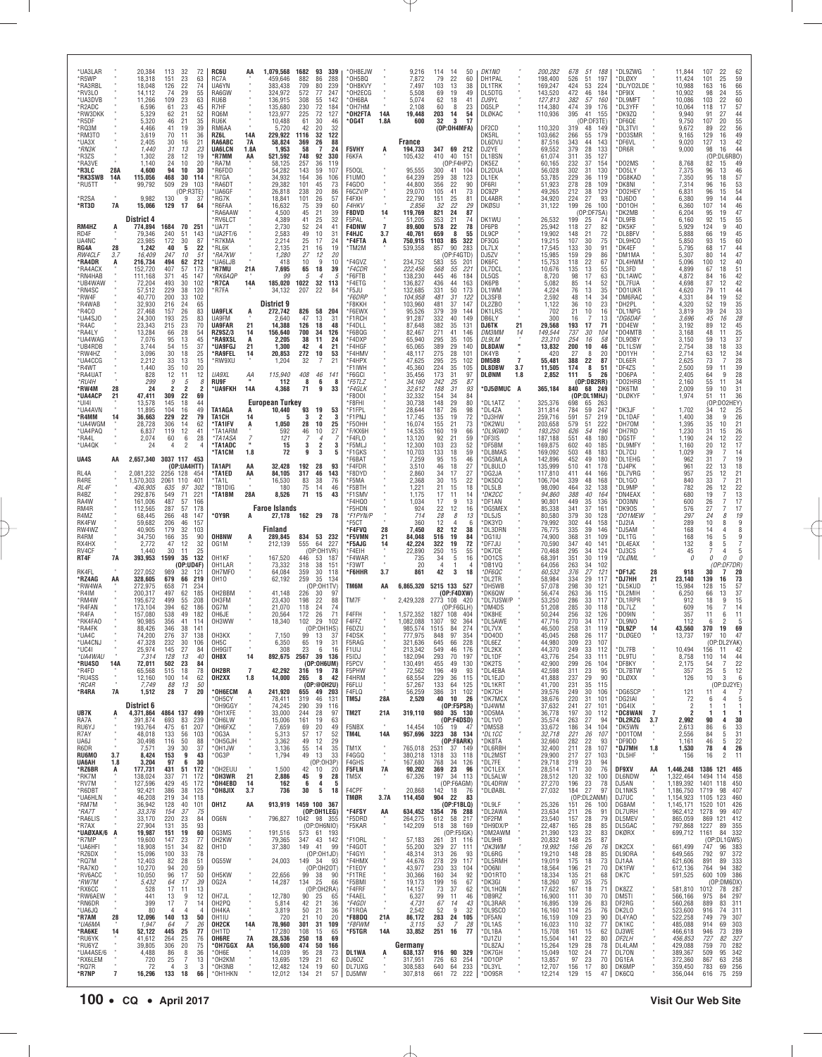| *UA3LAR<br>*R5WP              |            | 20,384<br>18,318        | 113<br>32<br>72<br>23<br>63<br>151                                  | <b>RC6U</b><br>RC7A        | AA                       | 1,079,568<br>459,646           | 1682<br>93<br>339<br>882<br>86<br>288                | *OH8EJW<br>OH5BQ*                 |                | 9,216<br>7,872                | 114<br>- 14<br>50<br>79<br>22<br>60                | DK1NO<br>DH1PAL               | 200,282<br>198,400         | 678<br>51<br>188<br>526<br>51<br>197                 | *DL9ZWG<br>*DLØXY             |                | 11,844<br>11,424              | 107<br>22<br>62<br>59<br>25<br>101                                                |
|-------------------------------|------------|-------------------------|---------------------------------------------------------------------|----------------------------|--------------------------|--------------------------------|------------------------------------------------------|-----------------------------------|----------------|-------------------------------|----------------------------------------------------|-------------------------------|----------------------------|------------------------------------------------------|-------------------------------|----------------|-------------------------------|-----------------------------------------------------------------------------------|
| *RA3RBL                       |            | 18,048                  | 126<br>22<br>74<br>29                                               | UA6YN                      |                          | 383,438                        | 709<br>80<br>239<br>572                              | *OH8KVY                           |                | 7,497                         | 103<br>13<br>38<br>69                              | <b>DL1TRK</b>                 | 169,247                    | 424<br>53<br>224<br>472                              | *DL/Y02LDE                    |                | 10,988<br>10,902              | 66<br>16<br>163<br>55<br>98                                                       |
| *RV3LO<br>*UA3DVB             |            | 14,112<br>11,266        | 55<br>74<br>109<br>23<br>63                                         | RA6GW<br>RU6B              |                          | 324,972<br>136,915             | 77<br>247<br>308<br>55<br>142                        | *OH2ECG<br>*OH6BA                 |                | 5,508<br>5,074                | 19<br>49<br>18<br>62<br>41                         | DL5DTG<br>DJ9YL               | 143,520<br>127,813         | 46<br>184<br>382<br>57<br>160                        | *DF9IX<br>*DL9MFT             |                | 10,086                        | 24<br>60<br>57<br>103<br>22                                                       |
| *R2ADC<br>*RW3DKK             |            | 6,596<br>5,329          | 61<br>23<br>45<br>62<br>21<br>52                                    | R7HF<br>RQ6M               |                          | 135,680<br>123,977             | 230<br>72<br>184<br>225<br>72<br>127                 | *OH7HM<br>*OH2FTA                 | 14A            | 2,108<br>19,448               | 60<br>8<br>23<br>203<br>54<br>14                   | DG5LP<br>DLØKAC               | 114,380<br>110,936         | 474<br>39<br>176<br>395<br>41<br>155                 | *DL3YFF<br>*DK9ZQ             |                | 10,064<br>9,940               | 118<br>17<br>91<br>27                                                             |
| *R5DF<br>*RQ3M                |            | 5,320<br>4,466          | 21<br>35<br>46<br>41<br>19<br>39                                    | RU6K<br>RM6AA              |                          | 10,488<br>5,720                | 30<br>61<br>46<br>32<br>42<br>20                     | °0G4T                             | 1.8A           | 600                           | 32<br>3<br>17<br>(OP:OH4MFA)                       | DF2CD                         | 110,320                    | (OP:DF3TE)<br>319<br>48<br>149                       | DF6QE*<br>*DL3TVI             |                | 9,750<br>9,672                | $\frac{44}{55}$<br>107<br>20<br>56<br>89<br>22                                    |
| *RM3TO                        |            | 3,619                   | 70<br>11<br>36                                                      | RZ6L                       | <b>14A</b>               | 229.922                        | 122<br>1116<br>32                                    |                                   |                |                               |                                                    | DK5RL                         | 103,662                    | 266<br>55<br>179                                     | *DO3SMR                       |                | 9,165                         | $\frac{49}{42}$<br>129<br>16                                                      |
| *UA3X<br>*RN3K                |            | 2,405<br>1,440          | 30<br>16<br>21<br>31<br>13<br>23                                    | RA6ABC<br><b>UA6LCN</b>    | 7A<br>1.8A               | 58,824<br>1,953                | 369<br>26<br>88<br>58<br>$\overline{7}$<br>24        | F5VHY                             | A              | France<br>194,733             | 347 69 212                                         | DL6DVU<br>DJ2YE               | 87,516<br>69,552           | 343<br>44<br>143<br>28<br>379<br>133                 | *DF6VL<br>*DR6R               |                | 9,020<br>9,000                | 127<br>13<br>44<br>98<br>16                                                       |
| *R3ZS<br>*RA3VE               |            | 1,302<br>1,140          | 28<br>12<br>19<br>24<br>10<br>20                                    | 'R7MM<br>*RA7M             | AA                       | 521,592<br>58,125              | 748<br>92<br>330<br>257<br>36<br>119                 | F6KFA                             |                | 105,432                       | 410<br>40<br>151<br>(OP:F4HPZ)                     | DL1BSN<br>DK5EZ               | 61,074<br>60,165           | 311<br>35<br>127<br>37<br>232<br>154                 | *DO2MS                        |                | 8,768                         | (OP<br>:DL6RB0)<br>82<br>15<br>49                                                 |
| *R3LC<br>*RK3SWB              | 28A<br>14A | 4,600<br>115,056        | 94<br>10<br>30<br>468<br>30<br>114                                  | *R6FDD<br>*R7GA            |                          | 54.282<br>34,932               | 143<br>59<br>107<br>164<br>36<br>106                 | <b>F500L</b><br>F1UMO             |                | 95.555<br>64,239              | 300<br>41<br>104<br>259<br>38<br>123               | DL2DUA<br>DL1EK               | 56,028<br>53,785           | 302<br>31<br>130<br>229<br>36<br>119                 | *DO5LY<br>*DG8KAD             |                | 7,375<br>7,350                | $\frac{46}{57}$<br>96<br>13<br>95<br>18                                           |
| *RU5TT                        |            | 99,792                  | 509<br>29<br>103<br>(OP:R3TE)                                       | <b>RA6DT</b><br>'UA6GF     |                          | 29,382<br>26,818               | 101<br>73<br>45<br>238<br>20<br>86                   | F4GDO<br>F6CZV/P                  |                | 44,800<br>29,070              | 356<br>22<br>90<br>105<br>41<br>73                 | DF6RI<br>DC9ZP                | 51,923<br>49,265           | 278<br>28<br>109<br>38<br>129<br>212                 | *DK8NI<br>*DO2HEY             |                | 7,314<br>6,831                | 53<br>96<br>16<br>54<br>96<br>15                                                  |
| *R2SA                         |            | 9,982                   | 130<br>9<br>37                                                      | *RG7K                      |                          | 18,841                         | 101<br>26<br>57                                      | F4FXH                             |                | 22,790                        | 25<br>151<br>81                                    | DL4ABR                        | 34,920                     | 27<br>224<br>93                                      | DJ6DO                         |                | 6,380                         | $\overline{44}$<br>99<br>14                                                       |
| *RT3D                         | 7A         | 15,066                  | 17<br>129<br>64                                                     | 'R6FAA<br>'RA6AAW          |                          | 16,632<br>4,500                | 75<br>39<br>60<br>45<br>21<br>39                     | <b>F4HKV</b><br><b>F8DVD</b>      | 14             | 2,856<br>119,769              | 32<br>22<br>29<br>821<br>24<br>87                  | DKØSU                         | 31,122                     | 199<br>26<br>100<br>(OP:DF7SA)                       | *D010H<br>*DK2MB              |                | 6,360<br>6,204                | $\frac{46}{47}$<br>107<br>14<br>95<br>19                                          |
| RM4HZ                         | A          | District 4<br>774,894   | 1684<br>70<br>251                                                   | 'RV6LCT<br>*UA7T           |                          | 4,389<br>2,730                 | 41<br>25<br>32<br>52<br>24<br>41                     | F5PAL<br><b>F4DNW</b>             | $\overline{7}$ | 51,205<br>89,600              | 353<br>21<br>74<br>578<br>22<br>78                 | DK1WU<br>DF6PB                | 26,532<br>25,942           | 199<br>25<br>74<br>27<br>118<br>82                   | *DL9FB<br><b>DK5KF</b>        |                | 6,160<br>5,929                | 92<br>$\frac{55}{40}$<br>15<br>124<br>9                                           |
| RD4F<br>UA4NC                 |            | 79,346<br>23,985        | 240<br>51<br>143<br>172<br>30<br>87                                 | *UA2FT/6<br><b>R7KMA</b>   |                          | 2,583<br>2,214                 | 10<br>49<br>31<br>17<br>25<br>24                     | <b>F4HJC</b><br>*F4FTA            | 3.7<br>A       | 40,761<br>750,915             | 659<br>8<br>55<br>1103<br>85<br>322                | DL9CP<br>DF3QG                | 19,902<br>19.215           | 21<br>148<br>72<br>107<br>30<br>75                   | *DL8BFV<br>*DL9HCO            |                | 5,888<br>5,850                | 45<br>66<br>19<br>93<br>15                                                        |
| RG4A                          | 28         | 1,242                   | 40<br>5<br>22                                                       | *RL6K                      |                          | 2,135                          | 21<br>16<br>19                                       | *TM2M                             |                | 539,358                       | 857<br>90<br>283                                   | DL7LX                         | 17,545                     | 30<br>133<br>91                                      | *DK4EF                        |                | 5,795                         | $60$<br>$44$<br>68<br>17                                                          |
| RW4CLF<br>*RA4DR              | 3.7<br>А   | 16,409<br>216,734       | 247<br>51<br>10<br>494<br>62<br>212                                 | *RA7KW<br>®UA6LJB          |                          | 1,280<br>418                   | 27<br>20<br>12<br>10<br>9<br>10                      | F4GVZ                             |                | 234,752                       | (OP:F4GTD)<br>583<br>55<br>201                     | DJ5ZV<br>DK6FC                | 15,985<br>15,753           | 159<br>29<br>86<br>22<br>118<br>67                   | *DM1MA<br>DL4HWM              |                | 5,307<br>5,096                | 47<br>80<br>14<br>40<br>100<br>12                                                 |
| *RA4ACX<br>*RN4HAB            |            | 152,720<br>111.168      | 407<br>57<br>173<br>371<br>45<br>147                                | 'R7MU<br>*RK6AQP           | 21A                      | 7,695<br>99                    | 65<br>18<br>39<br>5<br>$\overline{a}$<br>h           | *F4CDR<br>F6FTB                   |                | 222,456<br>138.230            | 568<br>55<br>221<br>445<br>46<br>184               | DL7DCL<br>DI 50S              | 10,676<br>8,720            | 13<br>135<br>55<br>17<br>98<br>63                    | *DL3FD<br>*DL1AWC             |                | 4,899<br>4.872                | 51<br>67<br>18<br>$^{42}_{42}$<br>84<br>16                                        |
| *UB4WAW<br>*RN4SC             |            | 72,204<br>57,512        | 493<br>30<br>102<br>229<br>38<br>120                                | *R7CA<br>*R7FA             | 14A                      | 185,020<br>34,132              | 1022<br>32<br>113<br>207<br>22<br>84                 | *F4ETG<br>*F5JU                   |                | 136,827<br>132,685            | 436<br>44<br>163<br>331<br>50<br>173               | DK6PB<br>DL1WM                | 5,082<br>4,224             | 85<br>14<br>52<br>76<br>13<br>35                     | *DL7FUA<br>*DO1UKR            |                | 4,698<br>4,620                | 87<br>12<br>79<br>11                                                              |
| *RW4F<br>*R4WAB               |            | 40,770<br>32,930        | 200<br>33<br>102<br>24<br>216<br>65                                 |                            |                          | District 9                     |                                                      | *F6DRP<br>*F8KKH                  |                | 104,958<br>103,960            | 481<br>31<br>122<br>481<br>37<br>147               | DL3SFB<br>DL2ZB0              | 2,592<br>1,122             | 48<br>14<br>34<br>36<br>10<br>23                     | *DM6RAC<br>*DH2PL             |                | 4,331<br>4,320                | 44<br>52<br>35<br>33<br>33<br>28<br>84<br>19<br>52<br>19                          |
| *R4CO                         |            | 27,468                  | 157<br>26<br>83                                                     | <b>UA9FLK</b>              | A                        | 272,742                        | 826 58 204                                           | *F6EWX                            |                | 95,526                        | 379<br>39<br>144                                   | DK1LRS                        | 702                        | 21<br>10<br>16                                       | *DL1NPG                       |                | 3,819                         | 39<br>24                                                                          |
| *UA4SJ0<br>*R4AC              |            | 24,300<br>23,343        | 193<br>25<br>83<br>23<br>70<br>215                                  | UA9FM<br><b>UA9FAR</b>     | 21                       | 2,640<br>14,388                | 47<br>13<br>31<br>126<br>48<br>18                    | *F1RCH<br>*F4DLL                  |                | 91,287<br>87,648              | 332<br>40<br>149<br>382<br>35<br>131               | DB6LY<br><b>DJ6TK</b><br>21   | 300<br>29,568              | 16<br>7<br>13<br>193<br>17<br>71                     | *DG6DAF<br>*DD4EW             |                | 3,696<br>3,192                | 45<br>16<br>89<br>12                                                              |
| *RA4LY<br>*UA4WAG             |            | 13,284<br>7,076         | 66<br>28<br>54<br>95<br>13<br>45                                    | RZ9SZ/3<br>*RA9XSL         | 14<br>A                  | 156,640<br>2,205               | 700<br>34<br>126<br>38<br>11<br>24                   | F6BQG<br>'F4DXP                   |                | 82,467<br>65,940              | 271<br>41<br>146<br>295<br>35<br>105               | DM3MM<br>14<br><b>DL9LM</b>   | 149,544<br>23,310          | 737<br>30<br>104<br>254<br>16<br>58                  | *DO4MTB<br>*DL9OBY            |                | 3,168<br>3,150                | $45$<br>$25$<br>$37$<br>48<br>11<br>59<br>13                                      |
| *UB4RDB<br>*RW4HZ             |            | 3,744<br>3,096          | 54<br>15<br>37<br>30<br>18<br>25                                    | *UA9FGJ<br>*RA9FEL         | 21<br>14                 | 1.300<br>20,853                | 42<br>$\overline{4}$<br>21<br>272<br>10<br>53        | 'F4HGF<br>*F4HMV                  |                | 65,065<br>48,117              | 389<br>29<br>140<br>275<br>28<br>101               | <b>DL8DAW</b><br>DK4YB        | 13,832<br>420              | 200<br>10<br>46<br>27<br>8<br>20                     | *DL1LSW<br>*DO1YH             |                | 2,754<br>2,714                | $\frac{33}{34}$<br>38<br>18<br>63<br>12                                           |
| *UA4CCG                       |            | 2,212                   | 15<br>33<br>13                                                      | *RW9XU                     |                          | 1,204                          | 21<br>32<br>7                                        | *F4HPX                            |                | 47,625                        | 295<br>25<br>102                                   | 7<br>DM5BB                    | 55,481                     | 388<br>22<br>87                                      | *DL6ER                        |                | 2,625                         | 28<br>73<br>7                                                                     |
| *R4WT<br>*RA4UAT              |            | 1,440<br>828            | 35<br>10<br>20<br>12<br>12<br>11                                    | UA9XL                      | ΑА                       | 115,940                        | 408<br>46<br>141                                     | 'F1IWH<br>*F6GCI                  |                | 45,360<br>35,456              | 224<br>35<br>105<br>173<br>31<br>97                | 3.7<br>DL8DBW<br>DLØNM<br>1.8 | 11,505<br>2,852            | 174<br>8<br>51<br>111<br>5<br>26                     | *DF4ZS<br>*DO6PA              |                | 2,500<br>2,405                | 59<br>39<br>11<br>28<br>64<br>9                                                   |
| *RU4H<br>*RW4M                | 28         | 299<br>24               | 9<br>8<br>5<br>2<br>$\overline{2}$<br>2                             | <b>RU9F</b><br>*UA9FKH     | 14A                      | 112<br>4,368                   | 8<br>6<br>- 8<br>71<br>9<br>33                       | *F5TLZ<br>*F4GLK                  |                | 34,160<br>32,612              | 242<br>25<br>87<br>188<br>31<br>93                 | *DJ5ØMUC A                    | 365,184                    | (OP:DB2RR)<br>840<br>68 249                          | *DO2HRB<br>*DK6TM             |                | 2,160<br>2,009                | 55<br>11<br>34<br>31<br>59<br>10                                                  |
| *UA4ACP<br>*UI4I              | 21         | 47,411<br>13,578        | 69<br>309<br>22<br>145<br>18<br>44                                  |                            |                          | European Turkey                |                                                      | 'F800I<br>'F8FHI                  |                | 32,332<br>30,738              | 84<br>154<br>34<br>148<br>29<br>80                 | *DL1ATZ                       | 325,376                    | (OP:DL1MHJ)<br>698<br>65<br>263                      | *DLØKYF                       |                | 1,974                         | 36<br>51<br>11<br>(OF)<br>:DO2HEY)                                                |
| *UA4AVN<br>*R4MM              | 14         | 11,895<br>36,663        | 104<br>16<br>49<br>229<br>22<br>79                                  | TA1AGA<br>TA1CH            | 14                       | 10,440<br>5                    | 93<br>19<br>53<br>3<br>$\overline{2}$<br>3           | *F1FPL<br>*F1PNJ                  |                | 28,644<br>17,745              | 187<br>26<br>98<br>72<br>135<br>19                 | *DL4ZA<br>DJ3HW               | 311,814<br>259.716         | 784<br>59<br>247<br>591<br>57<br>219                 | *DK3JF<br>*DL1DAF             |                | 1,702<br>1,400                | 34<br>12<br>$\begin{array}{c} 25 \\ 26 \end{array}$<br>38<br>9                    |
| *UA4WGM                       |            | 28,728                  | 306<br>14<br>62                                                     | *TA1IFV                    | A                        | 1,050                          | 10<br>28<br>25                                       | *F50HH                            |                | 16,074                        | 73<br>155<br>21                                    | 'DK2WU                        | 203,658                    | 51<br>579<br>222                                     | *DH70M                        |                | 1,395                         | 35<br>10<br>21                                                                    |
| *UA4PAQ<br>*RA4L              |            | 6,837<br>2,074          | 119<br>12<br>41<br>6<br>28<br>60                                    | *TA1ARM<br>*TA1ASA         | $\frac{7}{1}$            | 592<br>121                     | 27<br>10<br>46<br>$\overline{4}$                     | *F/KX6H<br>'F4FLO                 |                | 14,535<br>13,120              | 160<br>19<br>66<br>92<br>21<br>59                  | *DL9GWD<br>DF3IS              | 193,250<br>187,188         | 54<br>626<br>196<br>551<br>48<br>180                 | *DH7RD<br>*DG5TF              |                | 1,230<br>1,190                | 26<br>31<br>15<br>24<br>12                                                        |
| *UA4QK                        |            | 24                      | 2<br>4<br>4                                                         | *TA1ADC<br>*TA1CM          | 1.8                      | 15<br>72                       | 2<br>3<br>3<br>9<br>3<br>5                           | *F5MLJ<br>*F1GKS                  |                | 12,300<br>10,703              | 103<br>23<br>52<br>59<br>133<br>18                 | *DF5BM<br>*DL8MAS             | 169,875<br>169,092         | 602<br>40<br>185<br>503<br>48<br>183                 | *DL9MFY<br>*DL7CU             |                | 1,160<br>1,029                | $\frac{22}{17}$<br>20<br>12<br>$\overline{7}$<br>39                               |
| UA4S                          | AA         | 2,657,340               | 3037 117 453<br>(OP:UA4HTT)                                         | TA1API                     | AA                       | 32,428                         | 192<br>28<br>93                                      | 'F6BAT<br>*F4FDR                  |                | 7,259<br>3,510                | 95<br>15<br>46<br>46<br>18<br>27                   | *DG5MLA<br>*DL8ULO            | 142,896<br>135,999         | 452<br>49<br>180<br>510<br>41<br>178                 | *DL1EHG<br>*DJ4PK             |                | 962<br>961                    | $\frac{14}{19}$<br>31<br>7<br>18                                                  |
| RL4A                          |            | 2,081,232               | 2256 128<br>454                                                     | *TA1ED                     | AA                       | 84,105                         | 317<br>46<br>143                                     | 'F8DYD                            |                | 2,860                         | 34<br>17<br>27                                     | 'DG2JA                        | 117,810                    | 411<br>44<br>166                                     | *DL7VRG                       |                | 957                           | $\frac{22}{25}$<br>13<br>21<br>12                                                 |
| R4RE<br>RL4F                  |            | 1,570,303<br>436,905    | 2061<br>110<br>401<br>97<br>635<br>302                              | *TA1L<br>*TB1DIG           |                          | 16,530<br>180                  | 83<br>38<br>76<br>75<br>46<br>14                     | *F5MA<br>F5BTH                    |                | 2,368<br>1.221                | 30<br>22<br>15<br>21<br>15<br>18                   | 'DK5DQ<br>DL5LB               | 106,704<br>98,090          | 339<br>48<br>168<br>464<br>32<br>138                 | *DL1GO<br>*DL9MP              |                | 840<br>782                    | 33<br>$\overline{7}$<br>21<br>26<br>$\begin{array}{c} 22 \\ 13 \end{array}$<br>12 |
| R4BZ<br>RA4W                  |            | 292,876<br>161,006      | 71<br>549<br>221<br>487<br>57<br>166                                | *TA1BM                     | 28A                      | 8,526                          | 71<br>15<br>43                                       | *F1SMV<br>*F4HOO                  |                | 1,175<br>1,034                | 17<br>11<br>14<br>9<br>13<br>17                    | *DK2CC<br>'DF1AN              | 94,860<br>90,801           | 388<br>40<br>164<br>449<br>35<br>136                 | *DN4EAX<br>*DO3NN             |                | 680<br>600                    | 19<br>7<br>17<br>26<br>7                                                          |
| RM4R<br>R4MZ                  |            | 112,565<br>68,445       | 287<br>57<br>178<br>266<br>48<br>147                                | *OY9R                      |                          | <b>Faroe Islands</b><br>27,178 | 162 29 78                                            | 'F5HDN<br>*F1PYN/P                |                | 924<br>714                    | 22<br>12<br>16<br>28<br>8<br>13                    | <b>DG5MEX</b><br>*DL5JS       | 85,338<br>80,580           | 341<br>37<br>161<br>379<br>30<br>128                 | *DK90S<br>*DO1MEW             |                | 576<br>297                    | 27<br>$\overline{7}$<br>17<br>19<br>24<br>8                                       |
| RK4FW                         |            | 59.682                  | 206<br>46<br>157                                                    |                            |                          | Finland                        |                                                      | *F5CT                             |                | 360                           | 12<br>$\Delta$<br>-6                               | *DK3YD                        | 79,992                     | 302<br>44<br>158                                     | *DJ2IA                        |                | 289                           | $\frac{9}{8}$<br>10<br>8<br>$\overline{4}$                                        |
| RW4WZ<br>R4RM                 |            | 40,905<br>34,750        | 179<br>32<br>103<br>166<br>35<br>90                                 | OH8NW                      | A                        | 289,845                        | 834 53 232                                           | *F4FVQ<br>*F5VMN                  | 28<br>21       | 7,450<br>84,048               | 82<br>12<br>38<br>19<br>84<br>516                  | *DL3DRN<br>*DG1IU             | 76,775<br>74,900           | 39<br>335<br>146<br>368<br>31<br>109                 | *DJ5AM<br>*DL1TG              |                | 168<br>168                    | 14<br>9<br>16<br>5                                                                |
| RX4HX<br>RV4CF                |            | 2,772<br>1,440          | 12<br>32<br>47<br>25<br>30<br>11                                    | OG1M                       |                          | 212,139                        | 555<br>64<br>227<br>(OP:0H1VR)                       | *F5AJG<br>'F4EIH                  | 14             | 42,224<br>22,890              | 322<br>19<br>72<br>250<br>15<br>55                 | 'DF7JU<br>'DK7DE              | 70,590<br>70,468           | 347<br>40<br>141<br>295<br>34<br>124                 | *DL4EAX<br>*DJ3CS             |                | 132<br>45                     | 8<br>5<br>5                                                                       |
| RT4F                          | 7A         | 393,953                 | 1599<br>132<br>35<br>(OP:UD4F)                                      | OH1KF<br>OH1LAR            |                          | 167,520<br>73,332              | 446<br>53<br>- 187<br>318<br>38<br>151               | <b>F4WAR</b><br>*F3WT             |                | 735<br>20                     | 34<br>5<br>16<br>4                                 | D01CS<br>'DB1VQ               | 68,391<br>64,056           | 351<br>30<br>119<br>263<br>34<br>102                 | *DLØML                        |                | 0                             | $\theta$<br>$\mathcal{L}$<br>0<br>(OP:DF7DR)                                      |
| RK4FL<br>*RZ4AG               | AA         | 227,052<br>328,605      | 989<br>32<br>-121<br>679<br>66<br>219                               | OH7MFO<br>0H10             |                          | 64,084<br>62,192               | 359<br>30<br>118<br>259<br>35<br>134                 | *F6HHR                            | 3.7            | 861                           | 42<br>3<br>18                                      | *DF6QC<br>DL2TR               | 60,532<br>58,984           | 27<br>376<br>121<br>334<br>29<br>117                 | *DF1JC<br>*DJ7HH              | 28<br>21       | 918<br>23,140                 | 20<br>30<br>7<br>139<br>16                                                        |
| *RW4WA                        |            | 272,975                 | 658<br>71<br>234                                                    |                            |                          |                                | (OP:0H1TV)                                           | TM6M                              | AA             | 6,865,320                     | 5215 133 527                                       | 'DH5WB                        | 57,078                     | 298<br>30<br>121                                     | *DL5KUD                       |                | 15,984                        | $\begin{array}{c} \n73 \\ 57\n\end{array}$<br>128<br>15                           |
| *R4IM<br>*RM4W                |            | 200,317<br>195,672      | 497<br>62<br>185<br>499<br>55<br>208                                | OH2BBM<br>OH3FM            |                          | 41.148<br>23,430               | 226<br>30<br>97<br>198<br>22<br>88                   | TM7F                              |                | 2,429,328                     | (OP:F4DXW)<br>2773 108 420                         | *DK6QW<br>*DL7USW/P           | 56,474                     | 263<br>36<br>115                                     | *DL2MIH                       |                | 6,250                         | 37<br>66<br>13<br>15<br>18<br>9                                                   |
| *R4FAN<br>*R4FA               |            | 173,104<br>157,080      |                                                                     | OG7M                       |                          | 21,070                         | 118<br>24<br>74                                      |                                   |                |                               |                                                    |                               | 53,250                     | 286<br>33<br>117                                     | *DL1RPR                       |                | 912                           | 14<br>16<br>7                                                                     |
| *RK4FA0<br>*RA4FK             |            |                         | 394<br>62<br>186                                                    |                            |                          |                                |                                                      |                                   |                |                               | (OP:FGGLH)<br>1827 108                             | *DM4DS                        | 51,208                     | 285<br>30<br>118                                     | *DL7LZ                        |                | 609                           | 11<br>6                                                                           |
|                               |            | 90,985                  | 538<br>49<br>182<br>356<br>41<br>114                                | OH6JE<br>OH3WW             |                          | 20,564<br>18,340               | 71<br>172<br>26<br>102<br>29<br>102                  | F4FFH<br>F4FFZ                    |                | 1,572,352<br>,082,088         | 404<br>1307<br>92<br>364                           | 'DK8HE<br>*DL5AWE             | 50,244<br>47,716           | 256<br>32<br>126<br>270<br>34<br>117                 | *DO9IN<br>DL9NO*              |                | 357<br>112                    | 11<br>5                                                                           |
| *UA4C                         |            | 88.426<br>74,200        | 346<br>38<br>141<br>276<br>37<br>138                                | OH3KX                      |                          | 7,150                          | (OP:OH1HS)<br>99<br>13<br>37                         | F6DZU<br>F4DSK                    |                | 985,574<br>777,975            | 84<br>274<br>1515<br>848<br>97<br>354              | 'DL7VX<br>*D040D              | 46.500<br>45,045           | 31<br>258<br>119<br>268<br>26<br>117                 | <b>DL9ZP</b><br>*DLØGEO       | 14             | 43,560<br>13.737              | 370<br>19<br>69<br>197<br>47<br>10                                                |
| *UA4CNJ<br>UU4I               |            | 47,328<br>25,974        | 232<br>30<br>106<br>145<br>21<br>-64                                | OH <sub>5</sub> C<br>OH9GI |                          | 6,350<br>3Uŏ                   | 65<br>19<br>31<br>23<br>-ნ 16                        | F5RAG<br>FIUIJ                    |                | 321,636<br>213.342            | 66<br>228<br>645<br>549<br>46<br>1/6               | *DL6EZ<br><b>DLZKA</b>        | 44,980<br>44.37U           | 23<br>309<br>107<br>-112<br>249<br>- 33              | DL7FB                         |                | 10,494                        | (OP:DL2YAK)<br>156<br>. .<br>42                                                   |
| *UA4WAU<br>*RU4SO             | 14A        | 7,314<br>72,011         | 128<br>13<br>40<br>502<br>23<br>84                                  | OH8X                       | 14                       | 892,675                        | 2567 39 136<br>(OP:0H6UM)                            | F5IDJ<br>F5PCV                    |                | 182,094<br>130,491            | 293<br>70<br>197<br>455<br>49<br>130               | *DL1DF<br>*DK2TS              | 43,776<br>42,900           | 254<br>33<br>111<br>299<br>26<br>104                 | *DL9TU<br>*DF8KY              |                | 8,758<br>2,175                | 110<br>14<br>44<br>$\overline{7}$                                                 |
| *R4FD                         |            | 65,568                  | 515<br>18<br>78                                                     | OH2BR                      | $\overline{\phantom{a}}$ | 42,292                         | 316 19 78                                            | F5PHW                             |                | 72,562                        | 196<br>49<br>93                                    | *DL4EBA                       | 42,598                     | 311<br>23<br>95                                      | *DL7BTW                       |                | 357                           | $\frac{54}{25}$<br>5<br>3                                                         |
| *RU4SS<br>$*$ RC4R            |            | 12,160<br>7,749         | 62<br>100<br>14<br>88<br>13<br>50                                   | OH2XX                      | 1.8                      | 14,000                         | 265<br>8<br>42<br>(OP:@OH2U)                         | F4HRM<br>F6FLU                    |                | 68,554<br>57,267              | 229<br>115<br>36<br>133<br>64<br>125               | *DL1EJD<br>*DL1KRT            | 41,888<br>41,700           | 29<br>90<br>237<br>231<br>35<br>115                  | *DLØXX                        |                | 126                           | $\frac{22}{12}$<br>10<br>(OP:DJ2YE)                                               |
| *R4RA                         | 7A         | 1,512                   | $\overline{7}$<br>28<br>20                                          | *OH6ECM<br>OH5CY*          | A                        | 241,920<br>78,411              | 655<br>49 203<br>319<br>131<br>46                    | F4FLQ<br>TM5J                     | 28A            | 56,259<br>2,520               | 386<br>31<br>102<br>40<br>10 26                    | *DK7CH<br>*DK7MCX             | 39,576<br>38,676           | 30<br>249<br>106<br>220<br>31<br>101                 | *DG6SCP<br>*DG2IAI            |                | 121<br>72                     | 11<br>$\overline{4}$<br>5<br>6<br>4                                               |
| UB7K                          | A          | District 6<br>4,371,864 | 4864 137 499                                                        | *OH9GGY<br>*OH1XFE         |                          | 74,245<br>33,000               | 290<br>39<br>116<br>244<br>28<br>97                  | TM2T                              | 21A            | 319,110                       | (OP:FBPSR)<br>980 35 130                           | *DJ4WM<br>*DD5MA              | 37,632<br>36,778           | 241<br>27<br>101<br>197<br>30<br>112                 | *DG4IX<br>*DC8WAN             | $\overline{7}$ | 2<br>2                        | 1<br>-1<br>-1                                                                     |
| RA7A<br>RU6YJ                 |            | 391,874<br>193,764      | 693<br>83<br>239<br>61<br>475<br>207                                | OH6LW<br>*OH6FXZ           |                          | 15,006<br>7,659                | 161<br>19<br>63<br>69<br>20<br>49                    | F5NBX                             |                | 14,454                        | (OP:FADSD)<br>105<br>19 47                         | *DL1VO<br>*DM5SB              | 35,574<br>33,672           | 263<br>27<br>94<br>104<br>186<br>34                  | *DL2RZG<br>*DK5WN             | 3.7            | 2,992<br>2,613                | 90<br>30<br>4<br>33<br>86<br>6                                                    |
| R7AY<br>UA6J                  |            | 48,018<br>30,498        | 133<br>56<br>103<br>116<br>50<br>88                                 | OG3A<br>*OH5GJH            |                          | 5,313<br>3,362                 | 57<br>17<br>52<br>49<br>12<br>29                     | TM4L                              | 14A            | 957,696                       | 3223<br>38 134<br>(OP:FBARK)                       | *DL1CC<br>*DK8TA              | 32,718<br>32,660           | 221<br>26<br>107<br>282<br>22<br>93                  | *DO1TOM<br>*DF9DD             | $\alpha$       | 2,556<br>1,161                | $\frac{5}{5}$<br>$\frac{31}{22}$<br>84<br>46                                      |
| R6DR                          |            | 7,571                   | 39<br>30<br>37                                                      | *OH1JW                     |                          | 3,136                          | 35<br>55<br>14                                       | TM1X                              |                | 765,018                       | 37 149<br>2531                                     | *DL6RBH                       | 32,400                     | 211<br>28<br>107                                     | *DJ7MH                        | 1.8            | 1,530                         | 26<br>78<br>4                                                                     |
| RU6MO<br>UA6AH                | 3.7<br>1.8 | 8,424<br>3,204          | 153<br>9<br>43<br>97<br>6<br>30                                     | $*$ OG3P                   |                          | 1,794                          | 49<br>13<br>33<br>(OP:OH3P)                          | F4GGQ<br>F4GHS                    | $\alpha$       | 380,218<br>167,680            | 1318<br>33<br>118<br>768<br>34<br>126              | *DL2MST<br>*DL7FE             | 29,900<br>29,718           | 217<br>27<br>103<br>219<br>23<br>94                  | *DL5HF                        |                | 156                           | 16<br>$\overline{2}$<br>11                                                        |
| *RZ6BR<br>*RK7M               | A          | 177,731<br>138,024      | 431<br>51<br>172<br>337<br>71<br>172                                | OH2EUU<br>*OH3WR           | 21                       | 1,500<br>2,886                 | 42 10<br>20<br>28<br>45<br>9                         | <b>F5FLN</b><br>TM <sub>5</sub> X | 7A             | 90,202<br>67,326              | 369<br>23<br>96<br>197<br>34 113                   | *DC1LEX<br>*DL5ALW            | 28,514<br>28,512           | 30<br>76<br>171<br>120<br>32<br>100                  | <b>DF9XV</b><br><b>DL6NDW</b> | AA             | 1,446,248<br>1,322,464        | 1386 121<br>465<br>1494 114<br>458                                                |
| *RV7M<br>*R6DBT               |            | 127,596<br>92,421       | 429<br>172<br>45<br>386<br>38<br>125                                | *OH4EBD<br>*OH8JIX         | 14<br>3.7                | 162<br>736                     | 6<br>4<br>5<br>30<br>5<br>18                         | F4CPF                             |                | 20,868                        | (OP:F6AGM)<br>142 18 76                            | *DL4DRW<br>*DLØABL            | 27,270<br>27,032           | 196<br>$\frac{23}{27}$<br>78<br>184<br>97            | DJ5AN<br><b>DL1NKS</b>        |                | 1,189,392<br>1,186,750        | 450<br>1401 118<br>1719<br>407<br>98                                              |
| *UA6HLN                       |            | 46,208<br>36,942        | 219<br>34<br>118<br>128<br>40<br>101                                | OH1Z                       | AA                       | 913,919                        | 1459 100 367                                         | TMØR                              | 3.7A           | 114,450                       | 904 22<br>83<br>(0P:F1BLQ)                         | *DL9LF                        | 25,326                     | (OP:DL2ANM)<br>151<br>26<br>100                      | DJ7UC<br>DG8AM                |                | 1,154,923<br>1,145,171        | 1105 123<br>460<br>1520 101<br>426                                                |
| $*RM7M*RA7T$<br>*RA6LIS       |            | 33,376<br>33,170        | 154<br>37<br>75<br>220<br>84<br>23                                  | OG6N                       |                          | 796,827                        | (OP:OH1LEG)<br>1042 98 355                           | *F4FSY<br>*F5DRD                  | AA             | 634,452<br>264,275            | 1354 76 288<br>612<br>58<br>217                    | *DL2AWA<br>*DF2FM             | 23,634<br>23,540           | 211<br>26<br>91<br>157<br>28<br>79                   | DL7URH<br>DL5MEV              |                | 962,412<br>865,059            | 1278<br>99<br>407<br>869 121 412                                                  |
| *R7AX                         |            | 27,904                  | 131<br>35<br>93                                                     |                            |                          |                                | (OP:OH6NIO)                                          | *F5KAR                            |                | 142,209                       | 518<br>38<br>169                                   | *DH9DX/P                      | 22,487                     | 165<br>28<br>85                                      | DL5GAC                        |                | 797,868                       | 1227<br>355<br>89                                                                 |
| *UAØXAK/6 A<br>*R7MP          |            | 19,987<br>19,600        | 151<br>19<br>60<br>147<br>23<br>77                                  | OG3MS<br>OH2KW             | ٠<br>٠                   | 191,516<br>79,365              | 573 61 193<br>347 43 142                             | *F10RL                            | ×              | 57,183                        | (OP:F5IGK)<br>261<br>31 116                        | *DM2AWM<br>*DL9HB             | 21,390<br>20,832           | 123<br>32<br>83<br>148<br>25<br>87                   | DKØRX                         |                | 699,712                       | 84 332<br>1161<br>(OP:DL1GWS)                                                     |
| *UA6HFI<br>*RZ6DX             |            | 18,908<br>15,096        | 151<br>34<br>82<br>100<br>78<br>33                                  | OH1D                       |                          | 37,380                         | 149 41<br>- 99<br>(OP:OH1JD)                         | *F4GOT<br>*F4GYI                  |                | 55,200<br>48,314              | 329<br>27 111<br>313<br>26<br>93                   | *DK3WM<br>*DL6RG              | 19,992<br>19,210           | 156<br>26<br>76<br>28<br>148<br>85                   | DK2CX<br>DL9DRA               | ×              | 661,499<br>649,565            | 747<br>96 383<br>372<br>97<br>792                                                 |
| *RQ7M<br>*RA7KO               |            | 12,403<br>10,270        | 82<br>28<br>51<br>59<br>94<br>20                                    | 0G55W                      |                          | 24,003                         | 149 34<br>93<br>(OP:0H20T)                           | *F4HMX<br>*F1EOY                  |                | 44,676<br>43,977              | 278<br>29<br>117<br>230<br>33<br>104               | *DL5RMH<br>*DO6NI             | 19,019<br>18,564           | 175<br>18<br>73<br>21<br>196<br>70                   | DJ1AA<br>DK1FW                |                | 621,606<br>612,136            | 891<br>89<br>333<br>94<br>382<br>764                                              |
| *RV6ACC<br>*RW7M              |            | 10,050<br>5,432         | 96<br>17<br>50<br>64<br>17<br>39                                    | OH5KW<br>OG2A              |                          | 22,656<br>14,287               | 99 38<br>90<br>134 25<br>66                          | *F1TRE<br>*F5BMI                  |                | 30,366<br>19,173              | 160<br>34<br>92<br>199<br>16<br>67                 | *D01RT0<br>*DK3GI             | 18,334<br>18,260           | 21<br>135<br>68<br>97<br>35<br>75                    | DK7C                          | ×              | 591,525                       | 600 109 386<br>(OP:DM6DX)                                                         |
| *RX6CC<br>*RW6AEW             |            | 528<br>441              | 17<br>13<br>11<br>13<br>9<br>12                                     | OH7JL                      |                          | 12,780                         | (OP:OH2RA)<br>90 25<br>65                            | *F4FRF<br>*F4AEL                  |                | 14,157<br>6,327               | 73<br>37<br>62<br>99<br>11<br>46                   | *DL1HQN<br>*DB9RZ             | 17,622<br>16,900           | 167<br>18<br>71<br>111<br>30<br>70                   | DK8ZZ<br>DM5TI                |                | 581,810<br>566,166            | 78 287<br>1012<br>975<br>84<br>297                                                |
| *RN6DR                        |            | 399                     | 7<br>17<br>14<br>$\boldsymbol{\vartriangle}$<br>$\mathcal{A}$<br>-4 | OH <sub>2</sub> PQ         | ٠                        | 5,814                          | 42<br>21<br>36                                       | *F4GDI                            |                | 4,731                         | 67<br>43<br>14                                     | *DL3RAR                       | 16,895                     | 26<br>139<br>83                                      | DF2RG                         |                | 560,268                       | 83<br>311<br>889                                                                  |
| *UA6JQ<br>*R7AM               | 28         | 80<br>12,096            | 140<br>13<br>50                                                     | OH4KA<br>OH1IU             |                          | 3,819<br>720                   | 50<br>21<br>36<br>21<br>10<br>20                     | F1R0A<br>*F8BDQ                   | 21A            | 2,542<br>86,172               | 52<br>9<br>32<br>283 24<br>105                     | *DL9SCO<br>*DF5AN             | 16,160<br>16,159           | 114<br>25<br>76<br>23<br>109<br>90                   | DK2L0<br>DL4YA0               |                | 523,600<br>522,258            | 311<br>916<br>74<br>307<br>749<br>79                                              |
| *UA6MA<br>*RA6KE              | 14         | 1,947<br>52,122         | 26<br>64<br>7<br>445<br>25<br>77                                    | OH2CK<br>OH1TD             | 14A                      | 78,960<br>17,280               | 301<br>31<br>109<br>108<br>15<br>65                  | *F8FWM<br>*F5TGR                  | 14A            | 3,115<br>33,852               | 53<br>28<br>- 7<br>251<br>16<br>77                 | *DL1AS<br>*DL1BA              | 16,023<br>15,708           | 32<br>110<br>77<br>161<br>15<br>62                   | DK1KC<br>DJ3WE                |                | 485,088<br>466,618            | 303<br>914<br>69<br>289<br>73<br>946                                              |
| *RU6YK<br>*RU6YZ              |            | 41,612<br>39,805        | 264<br>25<br>76<br>306<br>20<br>75                                  | OH6RE<br>*OH7GGX           | 7A<br>AA                 | 28,536<br>156,600              | 250<br>18<br>69<br>474<br>50<br>166                  |                                   |                | Germany                       |                                                    | *DJ1ZU<br>*DL8ZAJ             | 15,504<br>15,264           | 22<br>141<br>80<br>129<br>28<br>78                   | DF2LH<br>DL4LAM               |                | 456,853<br>429,088            | 327<br>727<br>82<br>282<br>759<br>70                                              |
| *UA4ASE/6<br>*RX6LEM<br>*RQ7R |            | 4,488<br>720<br>72      | 86<br>8<br>36<br>25<br>13<br>-7<br>3<br>3<br>$\overline{4}$         | *OH6E<br>*OH2KM<br>*OH3NB  |                          | 14,039<br>13,695<br>12,482     | 95<br>28<br>73<br>129<br>21<br>62<br>124<br>19<br>60 | <b>DL1WA</b><br>DJ60Z<br>DL7UXG   | A              | 638,137<br>317,951<br>308,583 | 916 90 329<br>63<br>254<br>726<br>640<br>64<br>233 | *DK7GH<br>*DD10P<br>*DL3YL    | 15,049<br>13,857<br>12,707 | 102<br>24<br>77<br>97<br>23<br>70<br>156<br>17<br>80 | DL70N<br>DG1EA<br>DK6MP       |                | 389,367<br>372,360<br>359,450 | 342<br>509<br>95<br>258<br>867<br>63<br>783<br>69<br>256                          |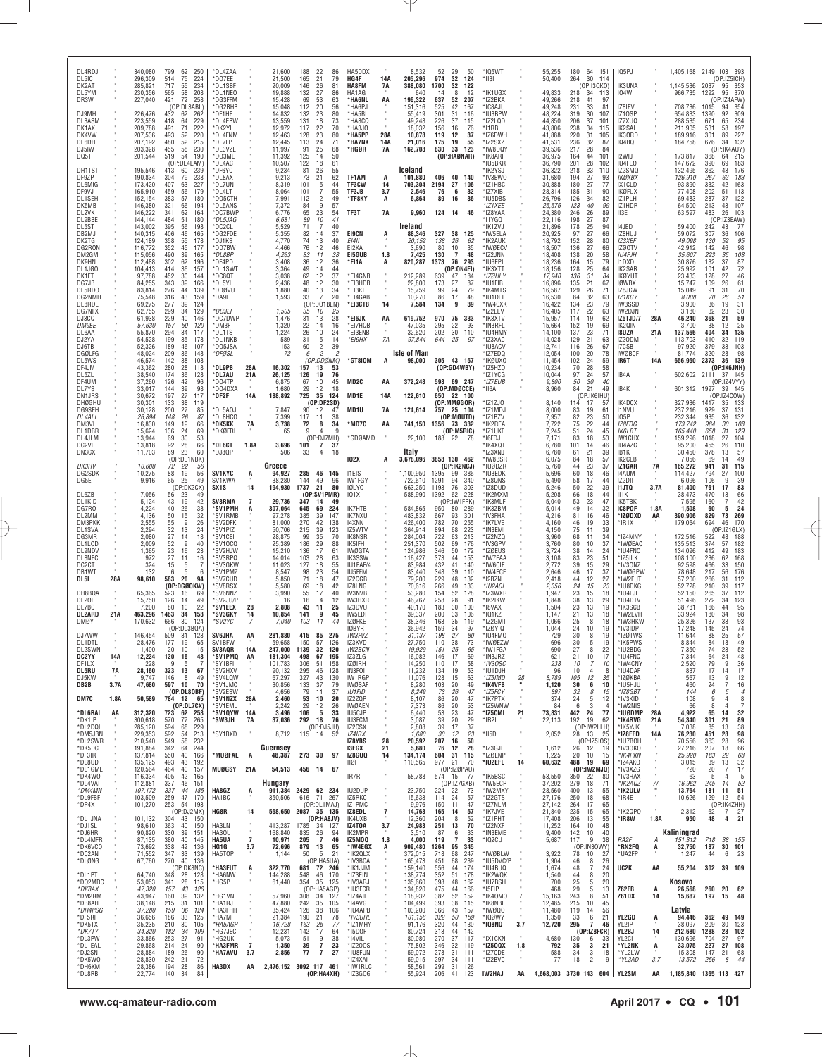| DL4RDJ<br>DL5IC<br>DK2AT<br>DL5YM<br>DR3W                                       |                   | 340,080<br>296,309<br>285,821<br>230,356<br>227,040                                  | 62 250<br>799<br>224<br>514<br>75<br>717<br>55<br>234<br>58<br>565<br>208<br>$\frac{5}{72}$<br>421<br>258<br>(OP:DL3ABL)                                     | *DL4ZAA<br>*DO7EE<br>*DL1SBF<br>*DL1NEO<br>*DG3FFM<br>DG2BHB                       |                                  | 21,600<br>21,500<br>20,009<br>19,888<br>15,428<br>15,048                     | 188<br>$^{22}_{21}$<br>86<br>165<br>79<br>26<br>146<br>81<br>27<br>132<br>86<br>53<br>69<br>63<br>112<br>20<br>56                                          | HA5DDX<br>HG4F<br>HA8FM<br>HA1AG<br>*HA6NL<br>*HA6PJ                                              | 14A<br>7A<br>AA                   | 8,532<br>205,296<br>388,080<br>640<br>196,322<br>151,316                     | 52<br>974<br>1700<br>-14<br>637<br>525               | 29<br>32<br>122<br>32<br>8<br>52<br>207<br>42<br>167                                              | 50<br>124<br>12                                   | *IQ5WT<br>* 1131<br>'IK1UGX<br>*IZ2BKA<br>'IC8AJU                                   |            | 55,255<br>50,400<br>49,833<br>49,266<br>49,248                               | 180 64 151<br>264<br>30<br>114<br>(OP:I3QKO)<br>218<br>34<br>-113<br>218<br>41<br>-97<br>231<br>33<br>81                                                    | IQ5PJ<br><b>IK3UNA</b><br>104W<br>IZ8IEV                                             |                                            | 1,405,168 2149 103 393<br>1,145,536<br>966,735<br>708,736                    | 2037<br>1292<br>1015                                | (OP:IZ5ICH)<br>95 353<br>95 370<br>(OP:IZ4AFW<br>94<br>354                                                                            |
|---------------------------------------------------------------------------------|-------------------|--------------------------------------------------------------------------------------|--------------------------------------------------------------------------------------------------------------------------------------------------------------|------------------------------------------------------------------------------------|----------------------------------|------------------------------------------------------------------------------|------------------------------------------------------------------------------------------------------------------------------------------------------------|---------------------------------------------------------------------------------------------------|-----------------------------------|------------------------------------------------------------------------------|------------------------------------------------------|---------------------------------------------------------------------------------------------------|---------------------------------------------------|-------------------------------------------------------------------------------------|------------|------------------------------------------------------------------------------|-------------------------------------------------------------------------------------------------------------------------------------------------------------|--------------------------------------------------------------------------------------|--------------------------------------------|------------------------------------------------------------------------------|-----------------------------------------------------|---------------------------------------------------------------------------------------------------------------------------------------|
| DJ9MH<br>DL3ASM<br>DK1AX<br>DK4VW<br>DL6DH<br>DJ5IW<br>DQ5T                     |                   | 226,476<br>223,559<br>209,788<br>207,536<br>207,192<br>203,328<br>201,544            | 432<br>62<br>262<br>229<br>64<br>418<br>491<br>71<br>222<br>493<br>52<br>220<br>480<br>52<br>215<br>58<br>230<br>455<br>54<br>519<br>190<br>(OP:DL4LAM)      | *DF1HF<br>*DL4EBW<br>*DK2YL<br>*DL4FNM<br>*DL7FP<br>*DL3VZL<br>*DO3ME<br>*DL4AC    |                                  | 14,832<br>13,559<br>12,972<br>12,463<br>12.445<br>11,997<br>11,392<br>10,507 | 23<br>132<br>80<br>131<br>18<br>73<br>117<br>$\frac{22}{23}$<br>70<br>128<br>80<br>113<br>$\frac{24}{25}$<br>71<br>91<br>68<br>125<br>14<br>50<br>18<br>61 | *HA5BI<br>*HA8CQ<br>HA3J0<br>'HA5PP<br><b>HA7NK</b><br>*HGØR                                      | 28A<br>14A<br>7A                  | 55,419<br>49,248<br>18,032<br>10,878<br>21,016<br>162,708                    | 301<br>226<br>156<br>119<br>175<br>830               | 31<br>37<br>16<br>12<br>19<br>33 123<br>(OP:HAØNAR)                                               | 116<br>115<br>76<br>37<br>55                      | *IU3BPW<br>*IZ2LQD<br>*I1RB<br>'IZ6DWH<br>'IZ2SXZ<br>*IW8DQY<br>'IK8ARF<br>IU5BKR   |            | 48,224<br>44,850<br>43,806<br>41,888<br>41,531<br>39,536<br>36,975<br>36,790 | 319<br>30<br>107<br>206<br>37<br>101<br>238<br>34<br>115<br>220<br>31<br>105<br>236<br>32<br>87<br>217<br>28<br>84<br>164<br>44<br>101<br>201<br>28<br>102  | IZ10SP<br>IZ7XUQ<br>IK2SAI<br>IK30RD<br>IQ4BQ<br>I2WIJ<br>IU4FLO                     |                                            | 654,833<br>288,535<br>211,905<br>189,916<br>184,758<br>173,817<br>147,672    | 1390<br>671<br>531<br>301<br>676<br>368<br>390      | 309<br>92<br>234<br>65<br>197<br>58<br>227<br>89<br>6 34 132<br>(OP:IK4AUY)<br>215<br>64<br>183<br>69                                 |
| DH1TST<br>DF9ZP<br>DL6MIG<br>DF9VJ<br>DL1SEH<br>DK5MB<br>DL2VK                  |                   | 195,546<br>190,834<br>173,420<br>165,910<br>152,154<br>146,380<br>146,222            | 413<br>60<br>239<br>304<br>79<br>238<br>227<br>407<br>63<br>459<br>56<br>179<br>383<br>57<br>180<br>321<br>66<br>194<br>341<br>62<br>164                     | *DF6YC<br>*DL8AX<br>*DL7UN<br>*DL4LT<br>*D05CTH<br>*DL5ANS<br>DC7BWP               |                                  | 9,234<br>9,213<br>8,319<br>8,064<br>7,991<br>7,372<br>6,776                  | $\frac{122}{81}$<br>26<br>55<br>73<br>21<br>62<br>101<br>15<br>44<br>101<br>55<br>17<br>112<br>12<br>49<br>19<br>84<br>57<br>65<br>23<br>54                | TF1AM<br><b>TF3CW</b><br>TF3JB<br>*TF8KY<br>TF3T                                                  | A<br>14<br>3.7<br>Α<br><b>7A</b>  | Iceland<br>101,880<br>703,304<br>2,546<br>6,864<br>9,960                     | 406<br>2194<br>76<br>89                              | 40 140<br>27<br>6<br>16<br>124 14 46                                                              | 106<br>32<br>36                                   | 'IK2YSJ<br>*IV3EWO<br>*IZ1HBC<br>*IZ7XIB<br>'IU5DBS<br>*IZ1XEE<br>*IZ8YAA           |            | 36,322<br>31,680<br>30,888<br>28,314<br>26,796<br>25,576<br>24,380           | 218<br>33<br>110<br>194<br>27<br>93<br>27<br>180<br>77<br>185<br>31<br>90<br>126<br>34<br>82<br>123<br>40<br>99<br>246<br>26<br>89                          | IZ2SMQ<br>IKØXBX<br>IX1CLD<br><b>IKØFUX</b><br>IZ1PLH<br>IZ1HDR<br>II3E              |                                            | 132,495<br>126,910<br>93,890<br>77,408<br>69,483<br>64,500<br>63,597         | 362<br>267<br>332<br>202<br>287<br>213<br>483       | 176<br>43<br>183<br>62<br>163<br>42<br>113<br>51<br>122<br>37<br>107<br>43                                                            |
| DL9BBE<br>DL5ST<br>DB2MJ<br>DK2TG<br>DG2RON<br>DM2GM<br>DK9HN<br>DL1JG0         |                   | 144,144<br>143,002<br>140,315<br>124,189<br>116,772<br>115,056<br>112,488<br>104,413 | 484<br>51<br>180<br>395<br>56<br>198<br>406<br>46<br>165<br>358<br>55<br>178<br>352<br>45<br>177<br>39<br>490<br>165<br>302<br>62<br>196<br>36<br>157<br>414 | *DL5JAG<br>*DC2CL<br>DG2FDE<br>*DJ1KS<br>*DD7BW<br>*DL8BP<br>*DF4PD<br>*DL1SWT     |                                  | 6,681<br>5,529<br>5,355<br>4,770<br>4,466<br>4,263<br>3,408<br>3,364         | 10<br>89<br>41<br>71<br>17<br>40<br>82<br>14<br>37<br>74<br>13<br>40<br>76<br>12<br>46<br>11<br>83<br>38<br>$36\,$<br>12<br>36<br>49<br>44<br>14           | <b>EI9CN</b><br>EI4II<br>EI2KA<br>E15GUB<br>*EI1A                                                 | A<br>1.8                          | Ireland<br>88,346<br>20,152<br>3,690<br>7,425<br>820,287                     | 327<br>138<br>80<br>130<br>1373                      | 38 125<br>26<br>10<br>7<br>76 293<br>(OP:ON4EI)                                                   | 62<br>$\frac{35}{48}$                             | 'I1YGQ<br>IK1ZVJ<br>IW5ELA<br>'IK2AUK<br>*IWØECV<br>*IZ2JNN<br>*IU6EPI<br>IK3XTT    |            | 22,116<br>21,896<br>20,925<br>18,792<br>18,507<br>18,408<br>18,236<br>18,156 | 198<br>27<br>87<br>$\frac{25}{27}$<br>178<br>94<br>97<br>66<br>28<br>152<br>80<br>136<br>27<br>66<br>138<br>20<br>58<br>164<br>15<br>79<br>128<br>64        | I4JED<br>IZ8HUJ<br><b>IZ3XEF</b><br>IZØ0TV<br>IU4FJH<br>I1DXD<br>IK2SAR              |                                            | 59,400<br>59,072<br>49,098<br>42,912<br>35,607<br>30,876<br>25,992           | 242<br>307<br>130<br>142<br>223<br>132<br>101       | 77<br>43<br>$\begin{array}{c} 106 \\ 95 \end{array}$<br>36<br>52<br>$\frac{98}{108}$<br>46<br>35<br>$\frac{87}{72}$<br>46<br>37<br>42 |
| DK1FT<br>DG7JB<br>DL5RDO<br>DG2NMH<br>DL8RDL<br>DG7NFX<br>DJ3CQ                 |                   | 97,788<br>84,255<br>83,814<br>75,548<br>69,275<br>62,755<br>61,938                   | 30<br>452<br>144<br>343<br>39<br>166<br>276<br>44<br>139<br>43<br>316<br>159<br>277<br>39<br>124<br>34<br>299<br>129<br>229<br>40<br>146                     | *DC8QT<br>DL5YL'<br>*DDØVU<br>'DA9L<br>*DO3EF<br>*DC7DWP                           |                                  | 3,038<br>2,436<br>1,880<br>1,593<br>1,505<br>1,476                           | 62<br>12<br>37<br>48<br>12<br>30<br>40<br>13<br>34<br>33<br>7<br>20<br>(OP:DO1BEN)<br>35<br>10<br>-25<br>13<br>28                                          | *EI4GNB<br><b>EI3HDB</b><br>*EI3KI<br>*EI4GAB<br>*EI3CTB<br>*EI6JK                                | 14<br>AA                          | 212,289<br>22,800<br>15,759<br>10,270<br>7,584<br>619,752                    | 639<br>173<br>99<br>86<br>134<br>970                 | 47<br>184<br>27<br>24<br>17<br>9<br>75 333                                                        | 87<br>79<br>48<br>39                              | *IZØHLY<br>IU1FIB<br>'IK4MTS<br>*IU1DEI<br>'IW4CXK<br>'IZ2EEV<br>'IK3XTV            |            | 17,940<br>16,896<br>16,587<br>16,530<br>16,422<br>16,405<br>15,957           | $\frac{25}{31}$<br>136<br>84<br>135<br>21<br>67<br>129<br>26<br>71<br>84<br>32<br>63<br>134<br>$\frac{23}{22}$<br>79<br>117<br>63<br>114<br>19<br>62        | <b>IKØYUT</b><br><b>IØWBX</b><br>IZ8JCW<br>IZ1KGY<br>IW3SSD<br>IW2DJN<br>IZ5TJD/7    | 28A                                        | 23,433<br>15,747<br>15,049<br>8,008<br>3,900<br>3,180<br>46,240              | 128<br>109<br>91<br>70<br>36<br>32<br>368           | 27<br>61<br>26<br>70<br>31<br>$\frac{51}{31}$<br>26<br>19<br>23<br>21                                                                 |
| <i>DM9EE</i><br>DL6AA<br>DJ2YA<br>DJ6TB<br>DGØLFG<br>DL5WS<br>DF4JM             |                   | <i>57,630</i><br>55,870<br>54,528<br>52,326<br>48,024<br>46,574<br>43,362            | 157<br>50<br>120<br>294<br>34<br>117<br>199<br>35<br>178<br>189<br>46<br>107<br>209<br>36<br>148<br>108<br>142<br>38<br>280<br>28<br>118                     | *DM3F<br>*DL1TS<br>*DL1NKB<br>*DO5JSA<br>*DFØSL<br>*DL9PB                          | 28A                              | 1,320<br>1,224<br>589<br>153<br>72<br>16,302                                 | $\frac{31}{22}$<br>14<br>16<br>26<br>$10$<br>24<br>31<br>5<br>14<br>12<br>39<br>60<br>$\overline{c}$<br>6<br>2<br>(OP:DDØNM)<br>13<br>157<br>53            | *EI7HQB<br>*EI3ENB<br>*EI9HX<br>*GT8IOM                                                           | 7A<br>A                           | 47,035<br>32,620<br>97,844<br><b>Isle of Man</b><br>98,000                   | 295<br>202<br>644                                    | 22<br>30 110<br>25<br>305 43 157<br>(OP:GD4WBY)                                                   | 93<br>97                                          | *IN3RFL<br>*IU4HMY<br>IZ3XAC<br>'IU8ACV<br>IZ7EDQ<br>*IKØUXO<br>'IZ5HZ0             |            | 15,664<br>14,100<br>14,028<br>12,741<br>12,054<br>11,454<br>10,234           | 152<br>19<br>69<br>137<br>23<br>71<br>129<br>21<br>63<br>26<br>116<br>67<br>100<br>20<br>78<br>102<br>24<br>59<br>28<br>70<br>58                            | IK20IN<br>18UZA<br>IZ20DM<br>I7CSB<br><b>IWØBCF</b><br>IR6T                          | 21A<br>14A                                 | 3,700<br>137,566<br>113,703<br>97,920<br>81,774<br>656,950                   | 38<br>404<br>410<br>379<br>320<br>2373              | $\frac{59}{25}$<br>12<br>135<br>34<br>119<br>32<br>103<br>33<br>$\frac{98}{139}$<br>28<br>36<br>(OP:IK6JNH)                           |
| DL5ZL<br>DF4UM<br>DL7YS<br>DN1JRS<br>DHØGHU<br><b>DG9SEH</b><br>DL4ALI<br>DM3VL |                   | 38,540<br>37,260<br>33,017<br>30,672<br>30,301<br>30,128<br>26,894<br>16,830         | 174<br>36<br>128<br>126<br>42<br>96<br>144<br>39<br>98<br>197<br>27<br>117<br>133<br>38<br>119<br>200<br>27<br>85<br>26<br>87<br>148<br>149<br>19<br>66      | <b>DL7AU</b><br>*D04TP<br>*DO4DXA<br>*DF2F<br>*DL5A0J<br>*DL8HCO<br>*DK5KK         | 21A<br>14A<br><b>7A</b>          | 26,125<br>6,875<br>1,680<br>188,892<br>7,847<br>7,399<br>3,738               | 76<br>126<br>19<br>67<br>10<br>45<br>29<br>12<br>18<br>725<br>35<br>124<br>(OP:DF2SD)<br>90<br>12<br>47<br>117<br>38<br>11<br>72<br>8<br>34                | MD2C<br>MD1E<br>MD1U<br>MD7C*                                                                     | AA<br>14A<br>7A<br>AA             | 372,248<br>122,610<br>124,614<br>741,150 1356 73 332                         |                                                      | 598 69 247<br>(OP:MDØCCE)<br>650 22 100<br>(OP:MMBGOR)<br>757 25 104<br>(OP:MQUTD)                |                                                   | IZ1YCG<br>*IZ7EUB<br>'II6A<br>*IZ1ZJO<br>'IZ1MDJ<br>*IZ1BZV<br>IK2REA               |            | 10,044<br>9,800<br>8,960<br>8,140<br>8,000<br>7,957<br>7,722                 | 97<br>24<br>57<br>50<br>30<br>40<br>84<br>21<br>49<br>(OP:IK6IHU)<br>17<br>114<br>57<br>83<br>19<br>61<br>82<br>23<br>50<br>75<br>22<br>44                  | IB4A<br>IB4K<br>IK4DCX<br><b>I1NVU</b><br><b>IO5P</b><br>IZ8FDG                      |                                            | 602,602 2111<br>601,312<br>327,936<br>237,216<br>232,344<br>173,742          | 1997<br>1417<br>929<br>935<br>984                   | 37 145<br>(OP:IZ4VYY<br>39 145<br>(OP:1Z4COW<br>35<br>133<br>131<br>37<br>132<br>36<br>30                                             |
| DL1DBR<br>DL4JLM<br>DC2VE<br>DN3CX<br>DK3HV<br>DG2SDK                           |                   | 15,624<br>13,944<br>13,818<br>11,703<br>10,608<br>10,275                             | 69<br>136<br>24<br>30<br>69<br>53<br>92<br>28<br>66<br>89<br>23<br>60<br>(OP:DE1NBK)<br>72<br>22<br>56<br>19<br>88<br>56                                     | *DKØFRI<br><b>'DL6CT</b><br>*DJ8QP<br><b>SV1KYC</b>                                | 1.8A<br>A                        | 65<br>3,696<br>506<br>Greece<br>94,927                                       | 9<br>9<br>4<br>(OP:DJ7MH)<br>101<br>7<br>37<br>33<br>4<br>18<br>285<br>46 145                                                                              | GDØAMD*<br><b>102X</b><br><b>I1EIS</b>                                                            | A                                 | 22,100<br>Italy<br>3,678,096 3858 130 462<br>1,100,950                       | 188 22<br>1395                                       | (OP:MBRIC)<br>- 78<br>(OP:IK2NCJ)<br>99<br>- 386                                                  |                                                   | 'IZ1UKF<br>'I6FDJ<br>IK4XQT<br>MX83'IJ'<br>*IW8BSR<br>*IUØDZR<br>*IU3EDK            |            | 7,245<br>7,171<br>6,780<br>6,780<br>6,075<br>5,760<br>5,696                  | 51<br>24<br>45<br>83<br>18<br>53<br>101<br>46<br>14<br>61<br>21<br>39<br>84<br>18<br>57<br>44<br>23<br>37<br>60<br>18<br>46                                 | IK6LBT<br>IW1CHX<br>IU4AZC<br>IB1K<br>IK2CLB<br>IZ1GAR<br>14AUM                      | 7A                                         | 165,440<br>159,296<br>95,200<br>30,450<br>7,056<br>165,272<br>114,427        | 658<br>1018<br>455<br>378<br>69<br>941<br>794       | 108<br>129<br>31<br>104<br>27<br>110<br>26<br>57<br>13<br>49<br>14<br>115<br>31<br>100<br>27                                          |
| DG5E<br>DL6ZB<br>DL1KID<br>DG7RO<br>DL2MM<br>DM3PKK<br>DL1SVA                   |                   | 9,916<br>7,056<br>5,124<br>4,224<br>4,136<br>2,555<br>2.294                          | 65<br>25<br>49<br>(OP:DK2CX)<br>56<br>23<br>4 <sup>c</sup><br>19<br>42<br>43<br>$40\,$<br>26<br>38<br>50<br>15<br>32<br>55<br>9<br>26<br>13<br>24            | SV1KWA<br>SX1S<br><b>SV8RMA</b><br><b>*SV1PMH</b><br>'SV1RMB<br>`SV2DFK<br>*SV1PIZ | 14<br>7<br>A                     | 38,280<br>194,930<br>29,736<br>307,064<br>97,278<br>81,000<br>50,706         | 144<br>49<br>96<br>1737<br>80<br>21<br>(OP:SV1PMR)<br>347<br>49<br>69<br>224<br>645<br>385<br>39<br>147<br>270<br>42<br>138<br>215<br>39<br>123            | IW1FGY<br><b>IQLYO</b><br><b>IO1X</b><br>IK7HTB<br><b>IK7NXU</b><br>14XNN<br>IZ5WTV               |                                   | 722,610<br>663,250<br>588,990<br>584,865<br>483,832<br>426,400<br>364.914    | 1291<br>1193<br>1392<br>950<br>667<br>782<br>894     | 94<br>340<br>76<br>303<br>62<br>228<br>(OP:IW1FPK)<br>289<br>80<br>93<br>$70$<br>255<br>68<br>223 | 301                                               | 'IZ8QNS<br>*IZ8DUD<br>IK2MXM<br>'IK3MLF<br>'IK3ZBM<br>'IV3FHA<br>'IK7LVE<br>*IN3EMI |            | 5,490<br>5,246<br>5,208<br>5,040<br>5,014<br>4,216<br>4,160<br>4,150         | 58<br>17<br>44<br>22<br>50<br>39<br>66<br>18<br>44<br>53<br>23<br>47<br>49<br>32<br>14<br>81<br>46<br>16<br>33<br>46<br>19<br>75<br>11<br>39                | IZ2DII<br><b>I1JTQ</b><br>II1K<br>IK5TBK<br>IC8POF<br>*IZØDXD<br>*IR1X               | 3.7A<br>1.8A<br>AA                         | 6,096<br>81,400<br>38,473<br>7,595<br>1,508<br>390,906<br>179,064            | 106<br>761<br>470<br>160<br>60<br>829<br>694        | 39<br>9<br>83<br>17<br>$66$<br>$42$<br>13<br>24<br>5<br>269<br>73<br>170<br>46<br>(OP:IZ1GLX                                          |
| DG3MR<br>DL1LOD<br>DL9NDV<br>DL8NEC<br>DC <sub>2</sub> CT<br>DB1WT<br>DL5L      | 28A               | 2,080<br>2,009<br>1,365<br>972<br>324<br>132<br>98,610                               | $\frac{32}{27}$<br>14<br>18<br>52<br>9<br>40<br>$\frac{23}{27}$<br>16<br>23<br>16<br>11<br>15<br>-5<br>6<br>5<br>6<br>583<br>20<br>94<br>(OP:DGØ0KW)         | *SV1CEI<br>'SV10CQ<br>'SV2HJW<br>'SV3RPQ<br>'SV3GKW<br>*SV1PMZ<br>'SV7CUD          |                                  | 28,875<br>25,389<br>15,210<br>14,014<br>11,023<br>8,547<br>5,850             | 99<br>35<br>70<br>29<br>186<br>88<br>136<br>17<br>61<br>103<br>28<br>63<br>127<br>18<br>55<br>98<br>23<br>54<br>71<br>18<br>47                             | IK8NSR<br>IK5IFH<br><b>IWØGTA</b><br>IK3SSW<br>IU1EAF/4<br>IU5FFM<br>IZ2QGB                       |                                   | 284,004<br>251,370<br>124,986<br>116,427<br>83,984<br>83,440<br>79,200       | 722<br>502<br>346<br>373<br>432<br>348<br>229        | 63<br>69<br>176<br>50<br>44<br>41<br>39<br>48                                                     | 213<br>172<br>153<br>140<br>110<br>132            | *IZ2NZQ<br>*IV3GPV<br>*IZØEUS<br>'IW7EAA<br><b>IW6CIE</b><br><b>IW4ECF</b><br>12BZN |            | 3,960<br>3,760<br>3,724<br>3,108<br>2,772<br>2,646<br>2,418                  | 68<br>11<br>34<br>80<br>10<br>37<br>38<br>14<br>24<br>83<br>23<br>51<br>39<br>15<br>29<br>46<br>17<br>37<br>44<br>12<br>27                                  | *IZ4MNY<br>*IWØEAC<br>*IU4FNO<br>*IZ5ILK<br>*IV30NZ<br>*IWØGPW<br>*IW2FUT            |                                            | 172,516<br>135,513<br>134,096<br>108,100<br>92,598<br>78,648<br>57,200       | 522<br>374<br>412<br>236<br>466<br>217<br>266       | 188<br>48<br>182<br>57<br>183<br>49<br>168<br>62<br>150<br>176<br>33<br>56<br>112<br>31                                               |
| DH8BQA<br>DL20E<br>DL7BC<br>DL2ARD<br><b>DMØY</b><br>DJ7WW                      | 21A               | 65,365<br>15,750<br>7,200<br>463,296<br>170,632<br>146,454                           | 16<br>523<br>-69<br>14<br>126<br>49<br>22<br>80<br>10<br>34<br>158<br>1463<br>30<br>666<br>124<br>(OP:DL3BQA)<br>509<br>31<br>123                            | 'SV8RSX<br>'SV6NNZ<br>'SV2JU/P<br>*SV1EEX<br>*SV3GKY<br>*SV2YC<br><b>SV6JHA</b>    | 28<br>14<br>AA                   | 5,580<br>3,990<br>16<br>2,808<br>10,854<br>7.040<br>281.880                  | 69<br>18<br>42<br>17<br>55<br>40<br>16<br>$\overline{4}$<br>12<br>43<br>-11<br>25<br>141<br>45<br>9<br>103<br>11<br>415 85<br>275                          | IZ8LNG<br>IV3NVB<br>IW3HXR<br>IZ3DVU<br>IW5EDI<br>IZØFKE<br>IØBYR<br><b>IW3FVZ</b>                |                                   | 70,616<br>53,280<br>46,767<br>40,170<br>39,337<br>38,346<br>36.942<br>31,137 | 266<br>154<br>258<br>183<br>200<br>163<br>159<br>198 | 49<br>52<br>28<br>30<br>33<br>35<br>34<br>27                                                      | 133<br>128<br>91<br>100<br>106<br>119<br>97<br>80 | *IU2ACI<br>*IZ3WXR<br>'IK2IKW<br>*I8VAX<br>'IQ1KZ<br>IZ2GMT<br>*IZØYIQ<br>*IU4FM0   |            | 2,356<br>1,947<br>1,848<br>1,504<br>1,147<br>1,066<br>1,044<br>729           | 24<br>23<br>15<br>23<br>15<br>18<br>38<br>13<br>29<br>23<br>13<br>19<br>21<br>13<br>18<br>8<br>25<br>18<br>24<br>10<br>19<br>30<br>8<br>19                  | *IU8DKG<br>*IU4FJI<br>*IU4DTV<br>*IK3SCB<br>*IW2EVH<br>*IW3HKW<br>*IV3IDP<br>*IZØTWS |                                            | 52,728<br>52,150<br>51,496<br>38,781<br>33,924<br>25,326<br>17,248<br>11,644 | 210<br>265<br>272<br>166<br>180<br>137<br>145<br>88 | 117<br>39<br>112<br>37<br>123<br>95<br>34<br>44<br>98<br>34<br>33<br>$\frac{93}{74}$<br>24<br>25                                      |
| DL1DTL<br><b>DL2SWN</b><br>DC2YY<br>DF1LX<br>DL5RU<br>DJ5KW<br>DB2B             | 14A<br>7A<br>3.7A | 28,476<br>1.40C<br>12,224<br>228<br>28,160<br>9,747<br>47,680                        | 177<br>19<br>65<br>20<br>10<br>15<br>120<br>16<br>48<br>-9<br>-5<br>-7<br>323<br>13<br>67<br>146<br>8<br>49<br>597<br>10<br>70                               | SV1BFW<br>SV3AQR<br>*SV1PMQ AA<br>'SY1BFI<br>*SV2HXV<br>*SV4LQW<br>*SV1JMC         | 14A                              | 59,658<br>247.000<br>181,304<br>101,783<br>90,132<br>67,297<br>30,856        | 150<br>57<br>126<br>1139<br>32<br>120<br>498<br>67<br>195<br>306<br>51<br>158<br>295<br>46<br>128<br>327<br>43<br>130<br>133<br>-37<br>79                  | IZ3KVD<br><i><b>IW2BCN</b></i><br>IZ3ZLG<br>IZØIRH<br>IN3FOI<br>IW1RGP<br><b>IWØSAF</b>           |                                   | 27,750<br>19.929<br>16,082<br>14,250<br>11,232<br>11,076<br>8,280            | 110<br>151<br>146<br>110<br>134<br>128<br>103        | 38<br>26<br>17<br>17<br>19<br>15<br>20                                                            | 73<br>65<br>69<br>58<br>53<br>63<br>49            | *IWØEZW<br>IW1FGA<br>*IN3JRZ<br>*IV30SC<br>*IU1DJH<br>*IZ5IMD<br>*IK4VFB            | 28         | 696<br>690<br>621<br>238<br>96<br>8,789<br>1,120                             | 30<br>5<br>19<br>27<br>8<br>$\mathbf{z}$<br>17<br>21<br>10<br>$\overline{7}$<br>10<br>-10<br>10<br>$\overline{4}$<br>-8<br>105<br>12<br>35<br>10<br>30<br>6 | *IK5PWS<br>IU2BDG<br>*IU4FNQ<br>*IW4CNY<br>*IU4DAF<br>*IZØKBA<br>*IU5HJU             |                                            | 8,844<br>.350<br>7,344<br>2,520<br>837<br>567<br>460                         | 84<br>74<br>64<br>79<br>17<br>13<br>24              | $\frac{57}{49}$<br>18<br>52<br>48<br>24<br>36<br>9<br>14<br>17<br>12<br>9<br>16<br>7                                                  |
| DM7C<br>*DL6RAI<br>*DK1IP<br>*DL2DQL<br>*DM5JBN<br>*DL2SWR                      | 1.8A<br>AA        | 50,589<br>312,320<br>300,618<br>285,120<br>229,353<br>210,540                        | (OP:DL80BF)<br>784 12 65<br>(OP:DL7CX)<br>723 62 258<br>570<br>265<br>77<br>229<br>594<br>68<br>592<br>54<br>213<br>549<br>58<br>232                         | 'SV2ESW<br>*SV1NZX<br>*SV1EML<br>*SV1QYW 14A<br>*SW3JH<br>*SY1BXD                  | 28A<br>7A                        | 4,656<br>2,460<br>2.242<br>3,496<br>37,036<br>8,712                          | 79<br>37<br>11<br>53<br>10<br>20<br>29<br>12<br>26<br>106<br>5<br>33<br>292 18<br>76<br>(OP:DJ5JH)<br>115 14<br>-52                                        | <b>IU1FID</b><br>IZ2ZQP<br><b>IWØAEN</b><br>IU5CJP<br><b>IU3FCM</b><br>IZ2CSX<br>IZ4IRX<br>IZ8YBS | 28                                | 8,249<br>8,107<br>7,373<br>6,440<br>3,087<br>2,808<br>1,680<br>20,592        | 73<br>86<br>86<br>53<br>39<br>39<br>30<br>207        | 26<br>20<br>20<br>23<br>20<br>17<br>12<br>16                                                      | 47<br>47<br>53<br>47<br>29<br>37<br>23<br>50      | *IZ5FCY<br>*IK7PTX<br>*IZ5WNW<br>*IZ5CMI<br>*IR2L<br>*II5D                          | 21         | 897<br>374<br>-84<br>73,831<br>22,113<br>2,052                               | 32<br>8<br>15<br>5<br>24<br>12<br>- 6<br>$\mathcal{S}$<br>442 24<br>77<br>192<br>19<br>62<br>(OP:IW2LLH)<br>28<br>13 25<br>(OP:IZ5IOS)                      | *IZ8GBT<br>*IV3KID<br>*IW2NIS<br>*IUØDMP<br>*IK4RVG<br>*IK5YJK<br>*IZ8EFD<br>*IU7BOH | 28A<br>21A<br>14A                          | 144<br>108<br>66<br>4,922<br>54,340<br>7,038<br>76,230<br>70,556             | 6<br>9<br>8<br>65<br>301<br>85<br>451<br>363        | 5<br>$\overline{4}$<br>8<br>4<br>$\overline{7}$<br>$\Delta$<br>32<br>14<br>89<br>21<br>38<br>13<br>98<br>28<br>96<br>28               |
| *DK5DC<br>*DF3IR<br>*DL8UD<br>*DL1GME<br>*DK4W0<br>*DL4VAI<br>*DM4MN<br>*DL9FBF |                   | 191,884<br>137,814<br>135,125<br>120,564<br>116,334<br>112,881<br>107,172            | 342<br>64<br>244<br>40<br>550<br>166<br>493<br>43<br>192<br>464<br>40<br>157<br>405<br>42<br>165<br>337<br>46<br>151<br>337<br>44<br>185<br>259<br>47<br>170 | *MUØFAL<br><b>MUØGSY</b><br>HA8GZ                                                  | A<br>21A<br>A                    | Guernsev<br>48,387<br>54,513<br>Hungary<br>911,384                           | 273 30<br>97<br>456 14<br>67<br>2429 62 234<br>71 267                                                                                                      | 13FGX<br>IZ8GUQ<br>11Ø1<br>IR7R<br>IU2DUP                                                         | 21<br>14                          | 5,680<br>134,174<br>110,565<br>58,788<br>23,750                              | 76<br>604<br>977<br>224                              | 12<br>31<br>115<br>21<br>(OP:IZØPAU)<br>574 15 77<br>(OP:IZ7GXB)<br>-22<br>24                     | 28<br>70<br>73<br>57                              | *IZ3GJL<br>*IZØLNP<br>*IU2EFL<br>'IK5BSC<br>*IW5ECP<br>*IW2MXY                      | 14         | 1,612<br>1,225<br>60,632<br>53,550<br>37,202<br>28,560                       | 26 12<br>- 19<br>20 10<br>15<br>19<br>488<br>69<br>(0P:IW2MJQ)<br>350<br>22<br>-80<br>279<br>18<br>71<br>400<br>13<br>55<br>250<br>68                       | *IV30K0<br>*IK4PKN<br>*IZ4AKO<br>*IV3XZG<br>*IV3HAX<br>*IK2AQZ<br>*IK2ULV            | 7A                                         | 27,216<br>25,920<br>3,015<br>720<br>63<br>16,962<br>13,764                   | 207<br>183<br>39<br>20<br>-5<br>245<br>181<br>129   | 18<br>66<br>68<br>22<br>13<br>32<br>17<br>-7<br>-5<br>52<br>14<br>51<br>11<br>54                                                      |
| *DP4X<br>*DL1JNA<br>*DJ1SL<br>*DJ6HR<br>*DL4MFR<br>*DK6VCO                      |                   | 103,509<br>101,270<br>101,132<br>98,610<br>90,820<br>87,135<br>73,692                | 253<br>54 193<br>(OP:DJ2MX)<br>304<br>43 150<br>363<br>40<br>150<br>330<br>39<br>151<br>380<br>40<br>145<br>338<br>42<br>136                                 | HA1BC<br>HG8R<br>HA3LN<br>HA30U<br><b>HA5UA</b><br>HG1G                            | 14<br>٠<br>$\overline{7}$<br>3.7 | 350,506<br>568,650<br>413,287<br>168,840<br>10,971<br>72,696                 | 616<br>(OP:DL1MAJ)<br>2087 35 135<br>(DP:HA8JV)<br>1785<br>- 34<br>- 127<br>835<br>26<br>94<br>205<br>46<br>-7<br>879<br>13<br>65                          | IZ5RKC<br>IZ1PMC<br>IZ8EDL<br>IK4UXB<br>IZ4TOA<br>IK2MPR<br>IZ5MOQ<br>*IW4EGX                     | $\overline{1}$<br>3.7<br>1.8<br>A | 15,633<br>9,976<br>14,768<br>12,360<br>24,983<br>3,510<br>4,000<br>909,480   | 114<br>150<br>165<br>204<br>251<br>87<br>119<br>1264 | 11<br>14<br>8<br>13<br>6<br>$\overline{7}$<br>95                                                  | 47<br>57<br>52<br>70<br>33<br>33<br>345           | *IZ2GTS<br>*IZ7NLM<br>*IK7JVE<br>*IZ1PHT<br>*IZ2NXF<br>'IN3EME<br>*IQ2CU            |            | 27,176<br>27,142<br>21.840<br>17,408<br>11,252<br>9,400<br>5,687             | 18<br>264<br>17<br>65<br>235<br>15<br>65<br>206<br>13<br>55<br>164<br>48<br>10<br>142<br>10<br>40<br>117<br>-9<br>38<br>(OP:IN30WY)                         | *IR4E<br>*IK2QPO<br>*IR8W<br>RA2F<br>*RN2FQ                                          | $\overline{\phantom{a}}$<br>1.8A<br>А<br>Ą | 10,626<br>2,312<br>950<br>Kaliningrad<br>151,312<br>32,750                   | 62<br>48<br>718<br>187                              | 12<br>(OP:IK4ZHH)<br>7<br>27<br>21<br>4<br>38 155<br>30 101                                                                           |
| *DC2AN<br>*DLØNG<br>*DL1PT<br>*D02MRC<br>*DK8AX<br>*DM2RM                       |                   | 71,552<br>67,760<br>64,740<br>53,053<br>47,320<br>43,947                             | 347<br>33<br>139<br>270<br>40 136<br>(OP:DK8NC)<br>348<br>28 128<br>341<br>28<br>115<br>157<br>43<br>126<br>160<br>39<br>132                                 | HA5TOP<br><b>'HA3FUT</b><br>*HA6NW<br>*HG5P<br>'HG1VN                              | A                                | 1,144<br>322,770<br>144,288<br>61,440<br>57,960                              | 50<br>-5<br>21<br>(OP:HA5UA)<br>681 72 246<br>548<br>46 170<br>354<br>35 125<br>(OP:HA5AGP)<br>34<br>308<br>-127                                           | *IK2QLX<br>*IV3BCA<br>*IK1JJM<br>*IZ3EIN<br>*IV3ARJ<br>*IU3FCR<br>*IZ4AIF                         |                                   | 372,015<br>165,473<br>159,140<br>138,774<br>135,660<br>134,820<br>118,932    | 718<br>451<br>556<br>352<br>398<br>475<br>382        | 68<br>247<br>68<br>239<br>44<br>51<br>- 178<br>48<br>162<br>44<br>152<br>52                       | 174<br>166                                        | *IWØBLW<br>*IU5DVC/P<br>*IU4BUQ<br>*IK2WQK<br>*IU7BSH<br>*I5FIP<br>*IK40M0          | 7          | 3,922<br>1,904<br>1,674<br>1,540<br>700<br>468<br>15,163                     | 78<br>10<br>-27<br>46<br>8<br>26<br>48<br>7<br>24<br>8<br>20<br>44<br>25<br>-5<br>20<br>29<br>-5<br>13<br>243<br>8<br>51                                    | *UA2FP<br>UC2K<br>Z62FB<br>Z61DX                                                     | AA<br>A<br>14                              | 1,247<br>55,204<br>Kosovo<br>26,568<br>15,687                                | 44<br>260<br>197                                    | 6<br>-23<br>302 39 109<br>20<br>62<br>48<br>15                                                                                        |
| *DB8AH<br><i>*DH4PSG</i><br>*DF5RF<br>*DK5TX<br>*DK7TY<br>*DL3PW<br>*DL1EAL     |                   | 38,148<br>37,280<br>36,656<br>35,235<br>34,320<br>33,866<br>29,868                   | 215<br>31<br>101<br>36<br>124<br>159<br>186<br>33<br>125<br>210<br>30<br>105<br>182<br>34<br>109<br>253<br>27<br>91<br>214<br>24<br>90<br>189                | 'HA1RJ<br>`HA3FHH<br><b>HA7MF</b><br>*HA5AGP<br>*HG7JEC<br>'HG2UK<br>*HA3FMR       | $\overline{7}$<br>3.7            | 47,880<br>35,424<br>21,384<br>16,728<br>12,231<br>5,073<br>1,350             | 242<br>35<br>105<br>38<br>126<br>106<br>190<br>21<br>78<br>163<br>25<br>77<br>142<br>17<br>64<br>19<br>38<br>51<br>$\overline{7}$<br>23<br>39              | *I4AVG<br>*IU4APB<br>*IV3UHL<br>*IZ1MHY<br>*I5DOF<br>*I4VIL<br>*IZ200S                            |                                   | 104,499<br>103,200<br>101,156<br>91,176<br>80,724<br>80,080<br>75,802        | 393<br>366<br>322<br>320<br>313<br>270<br>346        | 38<br>115<br>43<br>157<br>50<br>44<br>44<br>142<br>37<br>32<br>119<br>31<br>111                   | 159<br>130<br>117                                 | *IK8NBE<br>*IWØQ0<br>*IQØWY<br>*IQ8NQ<br>*IX1CKN<br>*IZ50QX<br>*IZ7CDE              | 3.7<br>1.8 | 12,485<br>11,480<br>1.350<br>12,720<br>4,680<br>792                          | 45<br>215<br>10<br>119<br>56<br>14<br>21<br>33<br>6<br>295<br>$\overline{7}$<br>46<br>(OP:IZ8FCR)<br>130<br>-6<br>33<br>35<br>3<br>21<br>34                 | YL2GD<br>YL2IP<br>YL2BJ<br>YL2CI<br>*YL2NK                                           | Ą<br>14<br>A                               | Latvia<br>94.446<br>38,097<br>212,680<br>130,696<br>33,075                   | 362<br>209<br>1288<br>704<br>227                    | 49 149<br>30<br>123<br>28 102<br>97<br>27<br>27 108                                                                                   |
| *DJ2SN<br>*DK5W0<br>*DH6KM<br>*DL8RB                                            |                   | 28,884<br>28,830<br>28,386<br>22,774                                                 | 26<br>90<br>242<br>21<br>72<br>194<br>28<br>86<br>140<br>34<br>84                                                                                            | *HA7AVU<br>HA3DX                                                                   | AA                               | 2,856                                                                        | 77<br>$\overline{7}$<br>27<br>2,476,152 3092 117 461<br>(OP:HA4XH)                                                                                         | *IU8FUN<br>*IZ4XAI<br>*IW1RLC<br>*IZ3GOG                                                          |                                   | 59,072<br>59,015<br>58,561<br>55,924                                         | 278<br>297<br>299<br>206                             | 34 111<br>31<br>126<br>41 123                                                                     |                                                   | *IZ2BVC<br>IW2HAJ                                                                   | AA         | 588<br>77                                                                    | 3<br>18<br>$\overline{2}$<br>18<br>9<br>4,668,003 3730 143 604                                                                                              | *YL2LW<br>*YL3AD<br>YL2SM                                                            | 3.7                                        | 15,308<br>13,572<br>AA 1,185,840 1365 113 427                                | 147<br>256                                          | 21<br>68<br>44<br>8                                                                                                                   |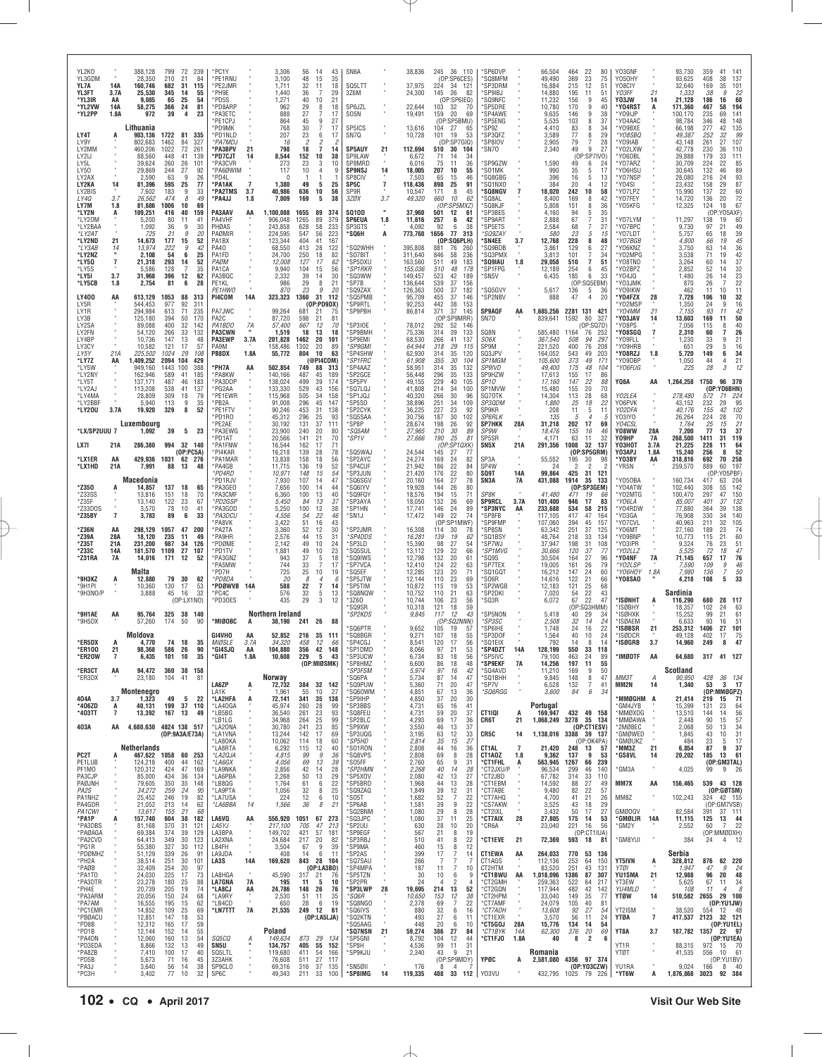| YL2KO<br>YL3GDM<br>YL7A<br>YL3FT<br>*YL3IR<br>*YL2VW<br>*YL2PP                                                                                                                                        | 14A<br>3.7A<br>AA<br>14A<br>1.8A                                       | 388,128<br>28,350<br>160,746<br>25,530<br>9.085<br>58,275<br>972                                                                                                                                                                | 799<br>210<br>682<br>345<br>65<br>366<br>39                                                                                                          | 72<br>21<br>31<br>14<br>25<br>24<br>4                                                                                   | 239<br>84<br>115<br>55<br>54<br>81<br>23                                                                                               | *PC1Y<br>*PE1RNU<br>*PE2JMR<br>*PH9E<br>PD5S*<br>*PD8ARP<br>*PA3ETC                                                                                                                                                                                      |                                                | 3,306<br>3,100<br>1,711<br>1,440<br>1,271<br>962<br>888                                                                                                                                                  | 56<br>48<br>32<br>36<br>40<br>29<br>27                                                                                                              | 14<br>43<br>15<br>35<br>11<br>18<br>-7<br>29<br>10<br>21<br>8<br>18<br>$\overline{7}$<br>17                                                                                                                                                                                       | SN6A<br>SQ5LTT<br>3Z6M<br>SP6JZL<br>SO5N                                                                                                                                                                                      |                             | 38,836<br>37,975<br>24,300<br>22,644<br>19,491                                                                                                                                                                       | 245 36 110<br>(OP:SP6CES)<br>224<br>34 121<br>145<br>26<br>82<br>(OP:SP6IEQ)<br>103<br>32<br>-70<br>159<br>20<br>69                                                                                                                                                                                                                                                                                                                                                        | *SP6DVP<br>'SQ8MFM<br>SP3DRM<br>'SP9IBJ<br>SQ9NFC<br>'SP5DRE<br>'SP4AWE                                                                                                                                                                               |                                | 66,504<br>49,490<br>16,884<br>14,880<br>11,232<br>10,780<br>9,635                                                                                                                                       | 464<br>22<br>80<br>369<br>23<br>75<br>215<br>12<br>51<br>195<br>11<br>51<br>156<br>9<br>45<br>170<br>9<br>40<br>146<br>9<br>38<br>8                                                                                                                                                                                                                                                                                                                                                                | Y03GNF<br>Y050HY<br>Y08CIY<br>Y03FF<br>Y03JW<br>*Y04RST<br>*Y09IJP                                                                                                                                                                                               | 21<br>14<br>A                                 | 93,730<br>93,625<br>32,640<br>1,333<br>21,128<br>171,360<br>100,170                                                                                                                                                            | 359<br>41<br>141<br>408<br>38<br>137<br>169<br>35<br>101<br>22<br>38<br>9<br>60<br>186<br>16<br>467<br>58<br>194<br>141<br>235<br>69                                                                                                                                                                                                                                                                                                                                                                        |
|-------------------------------------------------------------------------------------------------------------------------------------------------------------------------------------------------------|------------------------------------------------------------------------|---------------------------------------------------------------------------------------------------------------------------------------------------------------------------------------------------------------------------------|------------------------------------------------------------------------------------------------------------------------------------------------------|-------------------------------------------------------------------------------------------------------------------------|----------------------------------------------------------------------------------------------------------------------------------------|----------------------------------------------------------------------------------------------------------------------------------------------------------------------------------------------------------------------------------------------------------|------------------------------------------------|----------------------------------------------------------------------------------------------------------------------------------------------------------------------------------------------------------|-----------------------------------------------------------------------------------------------------------------------------------------------------|-----------------------------------------------------------------------------------------------------------------------------------------------------------------------------------------------------------------------------------------------------------------------------------|-------------------------------------------------------------------------------------------------------------------------------------------------------------------------------------------------------------------------------|-----------------------------|----------------------------------------------------------------------------------------------------------------------------------------------------------------------------------------------------------------------|----------------------------------------------------------------------------------------------------------------------------------------------------------------------------------------------------------------------------------------------------------------------------------------------------------------------------------------------------------------------------------------------------------------------------------------------------------------------------|-------------------------------------------------------------------------------------------------------------------------------------------------------------------------------------------------------------------------------------------------------|--------------------------------|---------------------------------------------------------------------------------------------------------------------------------------------------------------------------------------------------------|----------------------------------------------------------------------------------------------------------------------------------------------------------------------------------------------------------------------------------------------------------------------------------------------------------------------------------------------------------------------------------------------------------------------------------------------------------------------------------------------------|------------------------------------------------------------------------------------------------------------------------------------------------------------------------------------------------------------------------------------------------------------------|-----------------------------------------------|--------------------------------------------------------------------------------------------------------------------------------------------------------------------------------------------------------------------------------|-------------------------------------------------------------------------------------------------------------------------------------------------------------------------------------------------------------------------------------------------------------------------------------------------------------------------------------------------------------------------------------------------------------------------------------------------------------------------------------------------------------|
| LY4T<br>LY9Y<br>LY2MM<br>LY2IJ<br>LY5L<br>LY50<br>LY2AX<br>LY2KA<br>LY2BIS<br>LY40<br>LY7M<br>*LY2N<br>*LY20M<br>*LY2BAA<br>*LY2AT<br>*LY2ND<br>*LY3AB<br>*LY2NZ<br>*LY5Q<br>*LY5S<br>*LY5I<br>*LY5CB | A<br>14<br>3.7<br>1.8<br>A<br>21<br>14<br>$\overline{7}$<br>3.7<br>1.8 | Lithuania<br>903,136<br>802,683<br>460,206<br>88,560<br>39,624<br>29,869<br>2,590<br>81,396<br>7,602<br>26,562<br>81.686<br>109,251<br>5,200<br>1,092<br>725<br>14,673<br>13,974<br>2,108<br>21,318<br>5,586<br>31.968<br>2,754 | 1722<br>1462<br>1022<br>448<br>260<br>244<br>63<br>595<br>183<br>474<br>1006<br>416<br>80<br>36<br>21<br>177<br>222<br>54<br>293<br>128<br>396<br>81 | 81<br>84<br>72<br>41<br>26<br>27<br>9<br>25<br>9<br>8<br>10<br>40<br>11<br>9<br>9<br>15<br>9<br>6<br>14<br>7<br>12<br>6 | 335<br>327<br>261<br>139<br>101<br>92<br>26<br>77<br>33<br>49<br>69<br>159<br>41<br>30<br>20<br>52<br>42<br>25<br>52<br>35<br>62<br>28 | *PE1CPJ<br>*PD9MK<br>*PD1NLD<br>*PA7MDJ<br><b>PA3BPV</b><br>*PD7CJT<br>*PA3CVR<br>*PA6ØWIM<br>*PD4L<br>*PA1AK<br>*PA2TMS<br>*PA4JJ<br>PA3AAV<br>PA4VHF<br>PHØAS<br>PAØMIR<br>PA1BX<br>PA40<br>PA1FD<br>PAØM<br>PA1CA<br>PA3BQC<br>PE1KL<br><b>PF1HWC</b> | 21<br>14<br>$\overline{7}$<br>3.7<br>1.8<br>AA | 864<br>768<br>207<br>16<br>798<br>8,544<br>273<br>117<br>1,380<br>40,986<br>7,009<br>1,100,088<br>906,048<br>243,858<br>224,595<br>123.344<br>68,550<br>24,700<br>12,008<br>9,940<br>2.332<br>986<br>870 | 45<br>30<br>23<br>2<br>18<br>152<br>23<br>10<br>49<br>636<br>169<br>1655<br>1265<br>628<br>547<br>404<br>413<br>250<br>127<br>104<br>39<br>29<br>23 | 9<br>27<br>7<br>17<br>6<br>17<br>2<br>$\overline{7}$<br>14<br>38<br>10<br>3<br>10<br>9<br>4<br>5<br>25<br>56<br>10<br>5<br>38<br>89<br>374<br>89<br>379<br>58<br>233<br>56<br>223<br>41<br>167<br>28<br>122<br>18<br>82<br>17<br>62<br>15<br>56<br>14<br>30<br>8<br>21<br>9<br>20 | SP5ICS<br>SN7Q<br><b>SP5AUY</b><br>SP9LAW<br>SP8MRD<br><b>SP9NSJ</b><br>SP8CIV<br>SP5C<br>SP9R<br>3ZØX<br><b>SQ10D</b><br>SP6EUA<br>SP3GTS<br>*SQ6H<br>'SQ2WHH<br>*SO7BIT<br>'SP5DXU<br>*SP1RKR<br>*SQ3WW<br>"SP7B<br>*SQ9ZAX | 21<br>14<br>7<br>3.7<br>1.8 | 13,616<br>10,728<br>112,694<br>6,672<br>6,016<br>18,005<br>7,503<br>118,436<br>10,547<br>49,320<br>37,960<br>11,616<br>4,092<br>773,760<br>395,808<br>311,640<br>163,560<br>155,036<br>149,457<br>136,644<br>126,363 | (OP:SP5BMU)<br>104<br>27<br>65<br>101<br>53<br>19<br>(OP:SP7GIO)<br>30<br>510<br>104<br>71<br>14<br>34<br>75<br>11<br>36<br>207<br>10<br>55<br>65<br>15<br>46<br>25<br>91<br>898<br>171<br>8<br>45<br>660<br>10<br>62<br>(OP:SP5MXZ)<br>501<br>12<br>61<br>257<br>6<br>42<br>92<br>6<br>38<br>1656<br>77<br>313<br>(OP:SQ6PLH)<br>881<br>76<br>260<br>846<br>236<br>58<br>183<br>511<br>49<br>510<br>48<br>178<br>523<br>42<br>189<br>539<br>37<br>156<br>500<br>37<br>182 | 'SP5ENG<br>'SP9Z<br>'SP3QFZ<br>'SP8IOV<br>'SN7O<br>'SP9GZW<br>S01MK<br>'SQ8GBG<br>'SQ1NXO<br><b>'SQ8NGV</b><br>'SQ8AL<br>SQ8KJF<br>'SP3BES<br>'SP9ART<br>'SP5ETS<br>*SQ9ZAY<br>'SN4EE<br>'SQ9BDB<br>'SQ3PMX<br>'SQ9IAU<br>'SP1FPG<br>'SN5V<br>'SQ5GVY | 3.7<br>1.8                     | 5,535<br>4,410<br>3,589<br>2,905<br>2,340<br>1,590<br>990<br>396<br>384<br>18,020<br>8,400<br>5,808<br>4,160<br>2,888<br>2,584<br>580<br>12,768<br>3,861<br>3,813<br>29,058<br>12,189<br>6,435<br>5,617 | 103<br>37<br>83<br>8<br>34<br>77<br>8<br>29<br>7<br>28<br>79<br>9<br>49<br>27<br>(0P:SP7IVO)<br>49<br>6<br>-24<br>35<br>5<br>17<br>16<br>5<br>13<br>20<br>$\overline{4}$<br>12<br>242<br>10<br>58<br>169<br>8<br>42<br>151<br>8<br>36<br>94<br>5<br>35<br>67<br>$\overline{7}$<br>31<br>68<br>7<br>27<br>23<br>5<br>15<br>228<br>8<br>48<br>129<br>6<br>27<br>$\overline{7}$<br>101<br>34<br>$\overline{7}$<br>51<br>510<br>254<br>6<br>45<br>185<br>6<br>33<br>(OP)<br>:SQ5EBM)<br>136<br>5<br>36 | *Y04AAC<br>*Y09BXE<br>*YO8SBQ<br>*Y09IAB<br>*Y02LXW<br>*Y06DBL<br>*Y07ARZ<br>Y06HSU<br>*Y07NSP<br>*Y04SI<br>*Y07LPZ<br>*Y07FEY<br>*Y05KFG<br>*Y07LYM<br>*Y07BPC<br>*Y07LDT<br>*YO7BGB<br>*Y06KNZ<br>*Y02MPG<br>*Y08TND<br>*YO2BPZ<br>Y04JQ<br>*YO3JMK<br>'Y09IKW |                                               | 98,784<br>66,198<br>49,387<br>43,148<br>42,778<br>39,888<br>30,709<br>30,645<br>28,080<br>23,432<br>15,990<br>14,720<br>12,325<br>11,297<br>9,730<br>5,757<br>4,800<br>3,750<br>3,538<br>3,264<br>2,852<br>1,480<br>870<br>462 | 148<br>346<br>48<br>135<br>277<br>42<br>$\frac{99}{107}$<br>252<br>32<br>261<br>27<br>110<br>230<br>36<br>179<br>33<br>111<br>85<br>224<br>22<br>89<br>132<br>46<br>93<br>216<br>24<br>29<br>87<br>158<br>22<br>60<br>137<br>$\frac{72}{67}$<br>136<br>20<br>124<br>18<br>Y05AXF)<br>(OP<br>60<br>138<br>19<br>97<br>49<br>21<br>39<br>65<br>18<br>$\frac{45}{36}$<br>66<br>19<br>63<br>14<br>42<br>71<br>19<br>60<br>37<br>14<br>$32$<br>$23$<br>$22$<br>52<br>14<br>26<br>14<br>26<br>7<br>11<br>10<br>11 |
| LY400<br>LY5R<br>LY1R<br>LY3B<br>LY2SA<br>LY2FN<br>LY4BP<br>LY3CY<br>LY5Y<br>*LY7Z<br>*LY5W<br>*LY2NY<br>*LY5T<br>*LY2AJ<br>*LY4MA<br>*LY2BBF<br>*LY20U                                               | AA<br>21A<br>AA<br>3.7A                                                | 613,129<br>544,453<br>294.984<br>125,180<br>89,088<br>54,120<br>10,736<br>10,582<br>225,502<br>1,409,252<br>949,160<br>162,946<br>137.171<br>113,208<br>28,809<br>5,940<br>19,920                                               | 1053<br>977<br>613<br>394<br>400<br>266<br>147<br>121<br>1024<br>2094 104<br>1443<br>589<br>487<br>538<br>309<br>113<br>329                          | 88<br>92<br>71<br>50<br>32<br>33<br>13<br>17<br>29<br>100<br>41<br>46<br>41<br>18<br>9<br>8                             | 313<br>311<br>235<br>170<br>142<br>132<br>48<br>57<br>108<br>429<br>388<br>185<br>183<br>137<br>79<br>35<br>52                         | PI4COM<br>PA7JWC<br>PA <sub>2</sub> C<br>PA1BDO<br><b>PA3CWN</b><br><b>PA3EWP</b><br>PA9M<br>PB8DX<br>'PH7A<br>*PA8KW<br>*PA3DDP<br>*PG2AA<br>*PE1EWR<br>*PB2A<br>*PE1FTV<br>PD1R0                                                                       | 14A<br>7A<br>3.7A<br>1.8A<br>AA                | 323,323<br>99,264<br>87,720<br>57,400<br>1,519<br>201,828<br>158,486<br>55,772<br>502,854<br>140,166<br>138,024<br>133,330<br>115,968<br>91,008<br>90,246<br>45,312                                      | 1360<br>681<br>598<br>667<br>18<br>1462<br>1302<br>804<br>749<br>487<br>499<br>529<br>505<br>296<br>453<br>296                                      | 31<br>112<br>(OP:PD9DX)<br>21<br>75<br>21<br>81<br>12<br>70<br>13<br>18<br>20<br>101<br>20<br>89<br>10<br>63<br>(@PI4COM)<br>88<br>313<br>45<br>189<br>39<br>174<br>43<br>156<br>34<br>158<br>45<br>147<br>31<br>138<br>25<br>93                                                  | 'SQ5PMB<br>*SP9RTL<br>'SP9PBH<br>*SP3IOE<br>*SP9BMH<br>*SP9EMI<br><i><b>*SP9GMI</b></i><br>*SP4SHW<br>*SP1FRC<br>'SP4AAZ<br>*SP2GCE<br>'SP5PY<br>*SQ7LQJ<br>'SP1JQJ<br>*SP5S0<br>'SP2CYK<br>'SQ5SAA                           |                             | 95,709<br>92,253<br>86,814<br>78,012<br>75,336<br>68,530<br>64.944<br>62,930<br>61,908<br>58,951<br>56,448<br>49,155<br>41,808<br>40,320<br>38,896<br>36,225<br>30,756                                               | 455<br>37<br>146<br>442<br>38<br>153<br>37<br>371<br>145<br>(OP)<br>SP9MRR)<br>292<br>52<br>146<br>314<br>39<br>133<br>266<br>41<br>137<br>318<br>29<br>115<br>314<br>35<br>120<br>355<br>30<br>104<br>314<br>35<br>132<br>296<br>35<br>133<br>229<br>40<br>105<br>214<br>34<br>100<br>30<br>266<br>96<br>251<br>34<br>109<br>227<br>23<br>92<br>30<br>187<br>102                                                                                                          | 'SP2NBV<br><b>SP9AQF</b><br>SN7D<br>SQ8N<br><i>SO6X</i><br>SP9M<br>SQ3JPV<br>SP1MGM<br><b>SP9IVD</b><br>SP9HZW<br>SP <sub>10</sub><br>SP1MVW<br>SQ70TK<br>SP3QDM<br>SP9KR<br><b>SP6RLK</b>                                                            | AA                             | 888<br>1,685,256<br>839,641<br>585,480<br>367,540<br>221,520<br>164,052<br>105,600<br>49,400<br>17,613<br>17,160<br>15,480<br>14,304<br>1,880<br>208<br>135                                             | 47<br>$\overline{4}$<br>20<br>2281 131<br>421<br>1592<br>80<br>327<br>(OP:SQ7D)<br>76<br>1164<br>252<br>508<br>94<br>297<br>400<br>76<br>208<br>543<br>49<br>203<br>373<br>49<br>171<br>175<br>48<br>104<br>155<br>17<br>86<br>147<br>22<br>88<br>20<br>70<br>155<br>113<br>28<br>68<br>25<br>18<br>22<br>11<br>5<br>11<br>5<br>$\overline{4}$<br>-5                                                                                                                                               | *Y04FZX<br>'Y02MSP<br>'Y04MM<br>*YO3JAV<br>*Y08PS<br>*Y08SGQ<br>*Y09FLL<br>'Y09HRB<br>*Y08RZJ<br>'Y09DBP<br>*YO6FUG<br>YQ6A<br>Y02LEA<br>Y06PVK<br>YO2DFA<br>Y03IYO                                                                                              | 28<br>21<br>14<br>$\overline{7}$<br>1.8<br>AA | 7,728<br>1,350<br>7,155<br>13,603<br>7,056<br>2,310<br>1,230<br>651<br>5,720<br>1,050<br>225<br>1,264,258<br>278,480<br>43,152<br>40,176<br>26,264                                                                             | 32<br>106<br>10<br>16<br>24<br>9<br>$\frac{42}{50}$<br>93<br>11<br>169<br>11<br>40<br>115<br>8<br>60<br>26<br>$\overline{7}$<br>21<br>33<br>9<br>29<br>16<br>5<br>34<br>149<br>6<br>44<br>21<br>4<br>28<br>3<br>12<br>1750<br>96 370<br>(OP:YO6BHN)<br>71<br>572<br>224<br>29<br>95<br>232<br>102<br>155<br>42<br>224<br>28<br>70                                                                                                                                                                           |
| *LX/SP2UUU 7<br>LX7I<br>*LX1ER<br>*LX1HD                                                                                                                                                              | 21A<br>AA<br>21A                                                       | Luxembourg<br>1,092<br>286,380<br>429,936<br>7,991                                                                                                                                                                              | 39<br>1031<br>88                                                                                                                                     | 994 32 140<br>(0P:PC5A)<br>62 276<br>13                                                                                 | 5 <sub>23</sub><br>48                                                                                                                  | PE2AE<br>*PA3EWG<br>'PD1AT<br>*PA1FNW<br>PI4KAR<br>*PA1MAR<br>*PA4GB                                                                                                                                                                                     |                                                | 30,192<br>23,900<br>20,566<br>16,544<br>16,218<br>13,838<br>11,715                                                                                                                                       | 131<br>240<br>141<br>162<br>139<br>158<br>136                                                                                                       | 37<br>111<br>20<br>80<br>21<br>70<br>17<br>71<br>28<br>78<br>18<br>56<br>19<br>52                                                                                                                                                                                                 | *SP8P<br>*SQ5AM<br>'SP1V<br>'SQ5WAJ<br>'SP2AYC<br>*SP4CUF                                                                                                                                                                     |                             | 28,674<br>27,965<br>27,666<br>24,544<br>24,274<br>21,942                                                                                                                                                             | 198<br>26<br>92<br>210<br>30<br>89<br>190<br>25<br>81<br>(OP:SP1QXK)<br>145<br>27<br>77<br>169<br>24<br>82<br>186<br>22<br>84                                                                                                                                                                                                                                                                                                                                              | <b>SP7HKK</b><br>SP9W<br>SP5SR<br>SN5X<br>SP3A<br>SP4W                                                                                                                                                                                                | 28A<br>21A                     | 31,218<br>18,476<br>4,171<br>291,356<br>55,552<br>24                                                                                                                                                    | 202<br>17<br>69<br>155<br>16<br>-46<br>63<br>11<br>32<br>1008<br>32<br>137<br>(OP:SP5GRM)<br>195<br>30<br>98<br>2<br>$\overline{\phantom{a}}$                                                                                                                                                                                                                                                                                                                                                      | Y04CSL<br>Y08WW<br>YO9HP<br>үознот<br>Y03APJ<br>*Ү03ВҮ<br>'YR5N                                                                                                                                                                                                  | 28A<br>7A<br>3.7A<br>1.8A<br>AA               | 1,764<br>7,200<br>268,500<br>21,225<br>15,240<br>318,816<br>259,570                                                                                                                                                            | 21<br>25<br>15<br>37<br>77<br>13<br>119<br>1411<br>31<br>228<br>11<br>64<br>52<br>256<br>8<br>70<br>692<br>258<br>60<br>197<br>889                                                                                                                                                                                                                                                                                                                                                                          |
| *Z350<br>*Z33SS<br>*Z35F<br>*Z33DOS<br>*Z35BY                                                                                                                                                         | A<br>$\overline{7}$                                                    | Macedonia<br>14,857<br>13,816<br>13,140<br>3,570<br>3,783                                                                                                                                                                       | 137<br>151<br>122<br>78<br>89                                                                                                                        | 18<br>18<br>23<br>10<br>6                                                                                               | 65<br>70<br>67<br>41<br>33                                                                                                             | *PD4RD<br>'PD1RJV<br>PA3GEO<br>*PA3CMF<br>*PD2GSP<br>'PA3GDD<br>*PA3DCU                                                                                                                                                                                  |                                                | 10,971<br>7,930<br>7,656<br>6,360<br>5,450<br>5,250<br>4,556                                                                                                                                             | 148<br>107<br>100<br>100<br>84<br>100<br>54                                                                                                         | 15<br>54<br>47<br>14<br>44<br>14<br>13<br>40<br>13<br>37<br>12<br>38<br>22<br>46                                                                                                                                                                                                  | *SP3JUN<br>*SQ6SGV<br>'SQ6IYV<br>*SQ9FQY<br>*SP3AYA<br>*SP1HN<br>"SN1J                                                                                                                                                        |                             | 21,420<br>20,160<br>19,928<br>18,576<br>18,050<br>17,741<br>17,472                                                                                                                                                   | 22<br>80<br>176<br>164<br>27<br>78<br>144<br>26<br>80<br>194<br>15<br>71<br>132<br>26<br>69<br>146<br>24<br>89<br>149<br>22<br>74                                                                                                                                                                                                                                                                                                                                          | SQ9T<br>SN3A<br>SP8K<br><b>SP9RCL</b><br>'SP3NYC<br>*SP8FB                                                                                                                                                                                            | 14A<br><b>7A</b><br>3.7A<br>AA | 99,864<br>431,088<br>41,480<br>101,400<br>233,688<br>117,105                                                                                                                                            | 31<br>425<br>121<br>1914<br>35<br>133<br>(OP:SP3GEM)<br>471<br>19<br>66<br>946<br>17<br>83<br>534<br>58<br>215<br>417<br>47<br>164                                                                                                                                                                                                                                                                                                                                                                 | *Y050BA<br>'Y04ATW<br>'YO2MTG<br>*YO6LA<br>*Y04RDW<br>*YO3GA                                                                                                                                                                                                     |                                               | 160,734<br>102,440<br>100,470<br>85,007<br>77,880<br>76,908                                                                                                                                                                    | (OP:YO5PBF)<br>204<br>63<br>417<br>$\frac{142}{150}$<br>55<br>308<br>297<br>47<br>132<br>401<br>37<br>138<br>364<br>39<br>140<br>330<br>34                                                                                                                                                                                                                                                                                                                                                                  |
| *Z36N<br>*Z39A<br>*Z35T<br>*Z33C<br>*Z31RA                                                                                                                                                            | AA<br>28A<br>21A<br>14A<br>7A                                          | 298,129<br>18,120<br>231.200<br>181,570<br>14,016<br>Malta                                                                                                                                                                      | 1057<br>235<br>987<br>1109<br>171                                                                                                                    | 47<br>11<br>34<br>27<br>12                                                                                              | 200<br>49<br>126<br>107<br>52                                                                                                          | <b>PA8VK</b><br>*PA2TA<br>*PA9HR<br>*PDØME<br>*PD1TV<br>*PA3GNZ<br>'PA5MW<br>PD7H                                                                                                                                                                        |                                                | 3,422<br>3,360<br>2,576<br>2,142<br>1,881<br>943<br>744<br>725                                                                                                                                           | 51<br>52<br>44<br>49<br>49<br>37<br>33<br>25                                                                                                        | 16<br>43<br>12<br>30<br>15<br>31<br>10<br>24<br>23<br>10<br>$\frac{5}{7}$<br>18<br>17<br>10<br>19                                                                                                                                                                                 | 'SP2JMR<br>*SP4DDS<br>*SP3LD<br>*SQ5SUL<br><i><b>SQ9IWS</b></i><br>*SP7VCA<br>*SQ5EF                                                                                                                                          |                             | 16,308<br>16,281<br>15,390<br>13,112<br>12.798<br>12,410<br>12,285                                                                                                                                                   | (OP:SP1MWF)<br>114<br>30<br>78<br>139<br>62<br>19<br>98<br>27<br>54<br>22<br>129<br>66<br>20<br>132<br>61<br>22<br>124<br>63<br>123<br>20<br>71                                                                                                                                                                                                                                                                                                                            | 'SP9FMP<br>*SP8SN<br>'SQ1BSY<br>'SP7WJ<br>*SP1MVG<br>'SQ9S<br>'SP7TEX<br>'SQ1GQT                                                                                                                                                                      |                                | 107,060<br>63,342<br>48,764<br>37,947<br>30,666<br>30,504<br>19,005<br>16,212                                                                                                                           | 394<br>45<br>157<br>251<br>37<br>125<br>33<br>218<br>134<br>31<br>198<br>108<br>120<br>37<br>77<br>164<br>27<br>96<br>79<br>161<br>26<br>147<br>24<br>60                                                                                                                                                                                                                                                                                                                                           | 'Y07CVL<br>*Y06MT<br>*Y09BNP<br>*Y03IPR<br>*Y02LLZ<br>'Y04NF<br>*YO2LSP<br>*Y06HOY                                                                                                                                                                               | 7A<br>1.8A                                    | 40,963<br>27,160<br>10,773<br>9,324<br>5,525<br>71,145<br>7,590<br>7,980                                                                                                                                                       | 211<br>32<br>105<br>189<br>23<br>74<br>60<br>21<br>115<br>23<br>51<br>76<br>47<br>72<br>18<br>76<br>657<br>17<br>46<br>109<br>9<br>136<br>$\overline{7}$                                                                                                                                                                                                                                                                                                                                                    |
| *9H3KZ<br>*9H1PI<br>*9H3NO/P<br>*9H1AE                                                                                                                                                                | A<br>AA                                                                | 12,880<br>10,360<br>3,888<br>95,764                                                                                                                                                                                             | 79<br>130<br>45                                                                                                                                      | 30<br>17<br>16<br>(OP: LX1NO)<br>325 38                                                                                 | 62<br>53<br>32<br>140                                                                                                                  | *PD8DA<br>*PDØWVB<br>PC4C<br>*PD30ES                                                                                                                                                                                                                     | 14A                                            | 20<br>588<br>576<br>435<br>Northern Ireland                                                                                                                                                              | 8<br>22<br>$\frac{32}{29}$                                                                                                                          | $\overline{4}$<br>-6<br>$\overline{7}$<br>14<br>5<br>13<br>3<br>12                                                                                                                                                                                                                | 'SP5JTW<br>*SP5TIM<br>'SQ8NQW<br>*3Z60<br>'SQ9SR<br>*SP2KDS                                                                                                                                                                   |                             | 12,144<br>10,872<br>10,752<br>10,744<br>10,318<br>9.845                                                                                                                                                              | 110<br>23<br>69<br>115<br>19<br>53<br>21<br>63<br>110<br>23<br>106<br>56<br>121<br>59<br>18<br>117<br>12<br>43                                                                                                                                                                                                                                                                                                                                                             | 'SO6R<br>'SP2WGB<br>'SP2DKI<br>'SQ3R<br>'SP5NON                                                                                                                                                                                                       |                                | 14,616<br>12,183<br>7,020<br>6,072<br>5,418                                                                                                                                                             | 122<br>21<br>66<br>121<br>25<br>68<br>$\frac{22}{22}$<br>54<br>43<br>67<br>47<br>(OP)<br>:SQ3HMM)<br>29<br>40<br>34                                                                                                                                                                                                                                                                                                                                                                                | *Y08SA0<br>*ISØNHT<br>*ISØBHY<br>*ISØHXK                                                                                                                                                                                                                         | A                                             | 4,218<br>Sardinia<br>116,290<br>18,357<br>15,252                                                                                                                                                                               | $\frac{50}{33}$<br>108<br>5<br>680<br>28<br>117<br>102<br>24<br>63<br>21<br>99<br>61                                                                                                                                                                                                                                                                                                                                                                                                                        |
| *9H5DX<br>*ER5DX<br>*ER100                                                                                                                                                                            | A<br>21                                                                | 57,260<br>Moldova<br>4.770<br>98,368                                                                                                                                                                                            | 174<br>586                                                                                                                                           | 50<br>74 18<br>26                                                                                                       | 90<br>35<br>90                                                                                                                         | *MIØOBC<br>GI4VHO<br>MIØSLE<br>*GI4SJQ                                                                                                                                                                                                                   | AA<br>3.7A<br>AA                               | 38,190<br>52,852<br>34,320<br>104,880                                                                                                                                                                    | 241<br>458                                                                                                                                          | 26<br>88<br>216 35 111<br>12<br>66<br>356 42 148                                                                                                                                                                                                                                  | 'SQ6PTR<br>*SQ8BGR<br>*SP4CGJ<br>*SP1DMD                                                                                                                                                                                      |                             | 9,652<br>9,271<br>8,541<br>8,066                                                                                                                                                                                     | (OP:SQ2NNN)<br>19<br>105<br>-57<br>107<br>18<br>55<br>120<br>56<br>17<br>97<br>21<br>53                                                                                                                                                                                                                                                                                                                                                                                    | *SP3SC<br>SP6IHE<br>*SP3DOF<br>*SQ1EIX<br>*SP4DZT                                                                                                                                                                                                     | 14A                            | 2,508<br>1,748<br>1,564<br>792<br>128,199                                                                                                                                                               | 32<br>14<br>24<br>24<br>16<br>22<br>24<br>40<br>10<br>14<br>14<br>-8<br>550<br>33<br>118                                                                                                                                                                                                                                                                                                                                                                                                           | *ISØAEM<br>*ISØBSR<br>*ISØDCR<br>*ISØGRB                                                                                                                                                                                                                         | 21<br>3.7                                     | 6,633<br>253,312<br>49.128<br>14.960                                                                                                                                                                                           | 93<br>16<br>51<br>1406<br>27<br>101<br>402<br>75<br>17<br>47<br>249<br>8                                                                                                                                                                                                                                                                                                                                                                                                                                    |
| *ER20W<br>*ER3CT<br>*ER3DX                                                                                                                                                                            | 7<br>AA                                                                | 6,435<br>94,472<br>23,180                                                                                                                                                                                                       | 101<br>360<br>104                                                                                                                                    | 10<br>38 158<br>41                                                                                                      | 35<br>81                                                                                                                               | *GI4T                                                                                                                                                                                                                                                    | 1.8A                                           | 10,608<br>Norway                                                                                                                                                                                         | 229                                                                                                                                                 | 5<br>43<br>(OP:MIØSMK)                                                                                                                                                                                                                                                            | *SP3UCW<br><b>SP8HMZ</b><br>*SP3FSM<br>SQ6PA*                                                                                                                                                                                 |                             | 6,734<br>6,600<br>5,974<br>5,734                                                                                                                                                                                     | 83<br>18<br>56<br>48<br>86<br>18<br>97<br>42<br>16<br>87<br>47<br>14                                                                                                                                                                                                                                                                                                                                                                                                       | *SP5IVC<br><b>SP9EKF*</b><br>SQ4AVD*<br>'SQ1BHH                                                                                                                                                                                                       | 7A                             | 79,100<br>14,256<br>11,210<br>9,845                                                                                                                                                                     | 463<br>24<br>89<br>197<br>11<br>55<br>50<br>169<br>9<br>148<br>8<br>47                                                                                                                                                                                                                                                                                                                                                                                                                             | *IMØDTF<br>MM3T                                                                                                                                                                                                                                                  | AA<br>А                                       | 64,680<br>Scotland<br>90,950                                                                                                                                                                                                   | 317<br>41 127<br>428<br>36 134                                                                                                                                                                                                                                                                                                                                                                                                                                                                              |
| 404A<br>*406ZD<br>*403TT<br>403A                                                                                                                                                                      | 3.7<br>А<br>7<br>AA                                                    | Montenegro<br>1.323<br>40,131<br>13,392<br>4,680,630 4824 138 517                                                                                                                                                               | 49<br>199<br>167                                                                                                                                     | 5<br>37<br>13                                                                                                           | -22<br>110<br>-49                                                                                                                      | LA6ZP<br>LA1K<br>*LA2HFA<br>*LA40GA<br>*LB5BG<br>*LB1LG<br>*LA2ONA                                                                                                                                                                                       | A<br>A                                         | 72,732<br>1,961<br>72,141<br>45,974<br>36,540<br>34,968<br>30,780                                                                                                                                        | 55<br>341<br>260<br>261<br>264<br>241                                                                                                               | 384 32 142<br>10<br>27<br>35 138<br>28<br>99<br>23<br>93<br>25<br>99<br>23<br>85                                                                                                                                                                                                  | *SQ9PUW<br>*SQ60WM<br>'SP9IHP<br>"SP3BBS<br>*SQ8FEU<br>*SP2BLC<br>*SP9XW                                                                                                                                                      |                             | 5,360<br>4,851<br>4,850<br>4,731<br>4,731<br>4,293<br>3,550                                                                                                                                                          | 71<br>20<br>47<br>67<br>13<br>36<br>37<br>20<br>30<br>65<br>16<br>41<br>37<br>59<br>20<br>69<br>17<br>36<br>46<br>13<br>37                                                                                                                                                                                                                                                                                                                                                 | *SP7V<br>*SQ6RGG<br>CT1IQI<br>CR6T                                                                                                                                                                                                                    | A<br>21                        | 6,528<br>3,600<br>Portugal<br>169,947<br>1,068,249                                                                                                                                                      | 132<br>7<br>41<br>84<br>6<br>34<br>432 49 158<br>3278 35 134<br>(OP:CT1ESV)                                                                                                                                                                                                                                                                                                                                                                                                                        | MM2N<br>MMØGHM A<br>*GM4JYB<br>*MMØXDG<br>*MMØAWA<br>*2MØBEC                                                                                                                                                                                                     | 14                                            | 1,340<br>21,414<br>15,399<br>13,510<br>2,448<br>2,068                                                                                                                                                                          | 53<br>$3 - 17$<br>(OP:MMØGPZ)<br>15<br>219<br>- 71<br>131<br>23<br>64<br>56<br>144<br>14<br>57<br>90<br>15<br>34<br>50<br>13                                                                                                                                                                                                                                                                                                                                                                                |
| PC2T<br>PE1LUB<br>PF1MO<br>PA3CJP                                                                                                                                                                     | A                                                                      | <b>Netherlands</b><br>467,622 1058<br>124,218<br>120,312<br>85,000                                                                                                                                                              | (0P:9A3A/E73A)<br>400<br>424<br>434                                                                                                                  | 60 253<br>44<br>47<br>36                                                                                                | 162<br>169<br>134                                                                                                                      | *LA1VNA<br>`LA8OKA<br>*LA8RTA<br>*LA2QJA<br>*LA6GX<br>*LA9NKA<br>*LA6PBA                                                                                                                                                                                 |                                                | 13,244<br>10,062<br>6,292<br>4,815<br>4.056<br>2,856<br>2,268                                                                                                                                            | 142<br>114<br>115<br>99<br>69<br>42<br>50                                                                                                           | 17<br>69<br>18<br>60<br>12<br>40<br>9<br>36<br>13<br>39<br>14<br>28<br>13<br>29                                                                                                                                                                                                   | 'SP3UQG<br>*SP5HD<br>'SO1RON<br>*SQ8VPS<br>*SO5FF<br>*SP2HMN<br>*SP5XOV                                                                                                                                                       |                             | 3,195<br>2,814<br>2,808<br>2,808<br>2,760<br>2,268<br>2,080                                                                                                                                                          | 63<br>12<br>33<br>27<br>35<br>15<br>44<br>16<br>36<br>28<br>69<br>8<br>65<br>9<br>31<br>40<br>28<br>14<br>27<br>42<br>13                                                                                                                                                                                                                                                                                                                                                   | CR5C<br>CT1AL<br>CT1A0Z<br>*CT1FHL<br>*CT2JXU/P<br>°CT2JBD                                                                                                                                                                                            | 14<br>7<br>1.8<br>A            | 1,138,016<br>21,420<br>9,362<br>563,945<br>96,534<br>67,782                                                                                                                                             | 3388 39 137<br>(OP:OK4PA)<br>248<br>13<br>57<br>137<br>9<br>53<br>1267<br>66<br>239<br>140<br>299<br>46<br>314<br>33<br>110                                                                                                                                                                                                                                                                                                                                                                        | *GMØWED<br>*GMØUKZ<br>*MM3Z<br>*GS8VL<br>*GM3A                                                                                                                                                                                                                   | 21<br>14<br>$\alpha$                          | 1,845<br>484<br>6,854<br>20,202<br>4,025                                                                                                                                                                                       | 31<br>43<br>10<br>23<br>17<br>5<br>87<br>37<br>9<br>185 13 61<br>(OP:GM3TAL)<br>99<br>9 26                                                                                                                                                                                                                                                                                                                                                                                                                  |
| PAØJNH<br>PA2S<br>PA1NHZ<br>PA4GDR<br>PA1CWI<br>*PA1P<br>*PA3DBS                                                                                                                                      | A                                                                      | 79,605<br>34,272<br>25,452<br>21,052<br>13,617<br>157,740<br>81,168                                                                                                                                                             | 350<br>259<br>246<br>213<br>155<br>604<br>370                                                                                                        | 35<br>24<br>19<br>14<br>21<br>38<br>31                                                                                  | 148<br>95<br>82<br>62<br>68<br>182<br>121                                                                                              | *LB8QG<br>*LA9PTA<br>*LA7USA<br>*LA6BBA<br><b>LA6VQ</b><br>LA5YJ                                                                                                                                                                                         | 14<br>AA                                       | 1,764<br>1,056<br>224<br>1,566<br>556,920<br>217,100                                                                                                                                                     | 61<br>32<br>12<br>36<br>1051<br>705                                                                                                                 | 22<br>6<br>8<br>25<br>6<br>10<br>8<br>21<br>67 273<br>47<br>213                                                                                                                                                                                                                   | *SP5BRD<br>*SQ9ZAQ<br>*SO5T<br><i><b>SP6AB</b></i><br>*SQ2BNM<br>*SQ3JPC<br>*SP2UU                                                                                                                                            |                             | 1,968<br>1,849<br>1,682<br>1,581<br>1,080<br>1,080<br>630                                                                                                                                                            | 44<br>13<br>28<br>39<br>12<br>31<br>52<br>7<br>22<br>39<br>22<br>9<br>29<br>28<br>8<br>37<br>11<br>25<br>10<br>20<br>28                                                                                                                                                                                                                                                                                                                                                    | °CT1EBM<br>*CT7ABE<br>°CT7AHQ<br><b>CS7AKW</b><br>°CT2IXL<br>*CT7AIX<br>*CR6A                                                                                                                                                                         | 28                             | 14,592<br>9,480<br>4,700<br>3,525<br>3,432<br>27,805<br>23,040                                                                                                                                          | 27<br>88<br>49<br>82<br>22<br>57<br>41<br>21<br>26<br>43<br>18<br>29<br>27<br>50<br>17<br>175<br>14<br>53<br>221<br>16<br>56                                                                                                                                                                                                                                                                                                                                                                       | MM7X<br>MM8Z<br><b>GMØOQV</b><br>*GMØLIR<br>*GM2Y                                                                                                                                                                                                                | AA<br>14A                                     | 156,465<br>102,243<br>82,584<br>11,115<br>2,552                                                                                                                                                                                | 539 43 128<br>(OP:GGTSM)<br>324 42 155<br>(OP:GM7VSB)<br>391<br>37 111<br>125 13 44<br>7 22<br>60                                                                                                                                                                                                                                                                                                                                                                                                           |
| *PAØAGA<br>*PA2CVD<br>*PG1R<br>*PDØMHZ<br>*PH2A<br>*PAØB<br>*PA1TO                                                                                                                                    |                                                                        | 69,384<br>64,413<br>55,380<br>51,129<br>38,514<br>32,409<br>24,030                                                                                                                                                              | 374<br>349<br>327<br>339<br>251<br>254<br>225                                                                                                        | 39<br>30<br>30<br>26<br>30<br>20<br>17                                                                                  | 129<br>123<br>112<br>91<br>101<br>97<br>73                                                                                             | LA3BPA<br>LA2XNA<br>LB4FH<br>LA9JDA<br>LA3S<br>LA8HGA                                                                                                                                                                                                    | 14A                                            | 149,702<br>24,684<br>3,504<br>408<br>169,620<br>45,590                                                                                                                                                   | 421<br>217<br>67<br>-14<br>317 21                                                                                                                   | 57 181<br>20<br>82<br>9<br>39<br>6<br>-11<br>843 28 104<br>(OP:LA3BO)<br>- 76                                                                                                                                                                                                     | *SP9EGF<br>'SP3RBJ<br>*SP9MA<br>*SP2AS<br>*SQ7SAU<br>*SP4MPA<br><i><b>SP5TZN</b></i>                                                                                                                                          |                             | 567<br>510<br>460<br>399<br>266<br>187<br>30                                                                                                                                                                         | 21<br>8<br>19<br>41<br>8<br>22<br>12<br>15<br>8<br>7<br>17<br>14<br>$\overline{7}$<br>-7<br>7<br>11<br>7<br>10<br>10<br>9<br>6                                                                                                                                                                                                                                                                                                                                             | <b>°CT1EVE</b><br>CT1EWA<br>CT1AGS<br>CT2HTM<br><b>°CT1BWU</b>                                                                                                                                                                                        | 21<br>AA<br>AA                 | 72,369<br>264,033<br>112,136<br>83,520<br>1,018,096                                                                                                                                                     | (OP:CT1IUA)<br>593 18 81<br>770<br>53<br>136<br>253<br>64<br>150<br>251<br>43<br>131<br>87<br>1386<br>307                                                                                                                                                                                                                                                                                                                                                                                          | *GM8YUI<br><b>YT5IVN</b><br>YTØI<br>YU1SMA                                                                                                                                                                                                                       | ×<br>Ą<br>21                                  | 384<br>Serbia<br>328,812<br>1,947<br>12,988                                                                                                                                                                                    | (OP:MMØDXH)<br>24<br>4 12<br>876 62 220<br>47<br>9<br>24<br>96<br>20<br>48                                                                                                                                                                                                                                                                                                                                                                                                                                  |
| *PA3DTR<br>*PH4E<br>*PA3ARM<br>*PA7AM<br>*PC1EMR<br>*PBØACU                                                                                                                                           |                                                                        | 23,278<br>20,739<br>20,056<br>16,555<br>14,852<br>12,851                                                                                                                                                                        | 180<br>205<br>150<br>195<br>109<br>147                                                                                                               | 25<br>19<br>24<br>15<br>25<br>18                                                                                        | 88<br>74<br>68<br>62<br>69<br>53                                                                                                       | <b>LA7GNA</b><br>*LA8CJ<br>*LA9RY<br>*LB4CD<br>*LN7TTT                                                                                                                                                                                                   | 7A<br>AA<br>٠<br>7A                            | 195<br>24,786<br>2,530<br>650<br>21,535                                                                                                                                                                  | 11<br>148<br>51<br>28<br>249 12                                                                                                                     | 5<br>10<br>26<br>76<br>11<br>35<br>- 6<br>19<br>61<br>(DP:LABLJA)                                                                                                                                                                                                                 | *SP2PR<br>*SP3LWP<br>*SQ6R<br>*SQ8NGO<br>'SQ6IYS<br>*SQ2KTN                                                                                                                                                                   | 28                          | 24<br>19,695<br>10,650<br>2,378<br>880<br>493                                                                                                                                                                        | 2<br>$\mathbf{4}$<br>4<br>13<br>214<br>52<br>153<br>12<br>38<br>69<br>7<br>22<br>$\begin{array}{c} 32 \\ 27 \end{array}$<br>6<br>16<br>6<br>11                                                                                                                                                                                                                                                                                                                             | °CT2GMH<br>°CT2GQN<br>*CT2HPM<br>*CT7AMF<br>*CT7ADH<br>*CT1EXR                                                                                                                                                                                        |                                | 259,363<br>117,944<br>33,040<br>24,079<br>13,608<br>3,570                                                                                                                                               | 522<br>64<br>217<br>42<br>482<br>142<br>149<br>35<br>77<br>105<br>40<br>81<br>92<br>27<br>54<br>24<br>56<br>11                                                                                                                                                                                                                                                                                                                                                                                     | YT3EW<br>YU4MLD<br><b>YTØW</b><br>YT2ISM<br>YTØA                                                                                                                                                                                                                 | 14<br>$\overline{7}$                          | 5,625<br>108<br>510,582<br>38.520                                                                                                                                                                                              | 67<br>11<br>34<br>11<br>8<br>$\overline{A}$<br>2655 29 100<br>(0P:YU1JW)<br>554 12 48<br>417,537 2123 32 121                                                                                                                                                                                                                                                                                                                                                                                                |
| *PD8B<br>*PD1B<br>*PA4DN<br>*PD3EDA<br>*PA8ZB<br>*PD5B                                                                                                                                                |                                                                        | 12,312<br>12,144<br>12,060<br>8,866<br>7,410<br>5,673                                                                                                                                                                           | 165<br>152<br>160<br>132<br>100<br>71                                                                                                                | 17<br>14<br>13<br>13<br>17<br>16                                                                                        | 59<br>55<br>54<br>49<br>40<br>45                                                                                                       | SQ5CQ<br>SN5U<br>SQ5LTL<br>3Z3AHK                                                                                                                                                                                                                        | Ą                                              | Poland<br>149,634<br>134,757<br>119,680<br>76,608                                                                                                                                                        | 873<br>405<br>411<br>511                                                                                                                            | 29<br>- 134<br>55 152<br>54<br>166<br>27<br>117                                                                                                                                                                                                                                   | 'SQ5AAG<br><b>SQ7NSN</b><br>*SP5GNI<br>'SP8H<br>*SP9KJU                                                                                                                                                                       | 21                          | 448<br>59,274<br>8,792<br>4,536<br>2,340                                                                                                                                                                             | 20<br>6<br>10<br>386<br>27<br>84<br>104<br>12<br>44<br>99<br>11<br>31<br>9<br>43<br>21<br>(OP:SP9MDY)                                                                                                                                                                                                                                                                                                                                                                      | °CT5GOJ<br>*CT1BYK<br>*CT1FJ0<br>YPØC                                                                                                                                                                                                                 | 28A<br>14A<br>1.8A<br>A        | 15,776<br>62,300<br>40<br>Romania<br>2,581,080                                                                                                                                                          | 134<br>14<br>54<br>69<br>376<br>20<br>8<br>2<br>- 6<br>4356 97 374                                                                                                                                                                                                                                                                                                                                                                                                                                 | YT8A<br>YT1R<br>YTØT                                                                                                                                                                                                                                             | 3.7                                           | 88.315<br>41,535                                                                                                                                                                                                               | (OP:YU1EL)<br>187,782 1357 22 97<br>(OP:YU1EA)<br>972 15 70<br>556<br>10<br>61<br>(OP:YU1BV)                                                                                                                                                                                                                                                                                                                                                                                                                |
| *PA3J<br>*PC3H                                                                                                                                                                                        |                                                                        | 3,640<br>3,402                                                                                                                                                                                                                  | 56<br>77                                                                                                                                             | 14<br>10                                                                                                                | 38<br>32                                                                                                                               | SP9CLO<br>SP6C                                                                                                                                                                                                                                           |                                                | 69,316<br>49,343                                                                                                                                                                                         | 316<br>211                                                                                                                                          | 37<br>135<br>33 100                                                                                                                                                                                                                                                               | *SN5ØII<br>*SP8IMG                                                                                                                                                                                                            | 14                          | 176<br>119,335                                                                                                                                                                                                       | $\overline{4}$<br>8<br>488 33 112   YO3VU                                                                                                                                                                                                                                                                                                                                                                                                                                  |                                                                                                                                                                                                                                                       |                                | 432,795                                                                                                                                                                                                 | (0P:Y03CZW)<br>1025 79 226                                                                                                                                                                                                                                                                                                                                                                                                                                                                         | YU1RA<br>*YT6W                                                                                                                                                                                                                                                   | А                                             | 9,024                                                                                                                                                                                                                          | 166<br>8 40<br>1,876,868 3023 92 384                                                                                                                                                                                                                                                                                                                                                                                                                                                                        |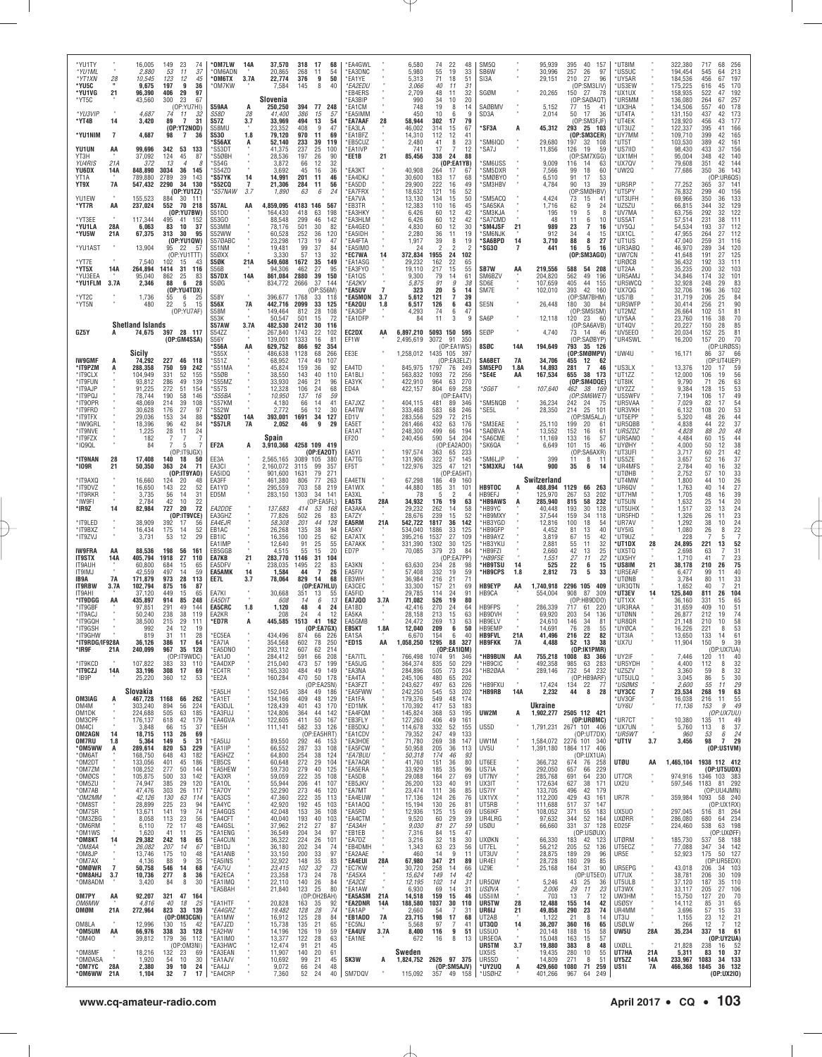| *YU1TY                       |                | 16,005                         | 149              | 23<br>74                                   | *OM7LW                        | 14A                  | 37,570                     | 318<br>17<br>68                                        | *EA4GWL                       |      | 6,580                      | 74                     | 22<br>48                         | SM5Q                     |            | 95,939               | 40 157<br>395                                   | *UT8IM                    |                  | 322,380            | 717<br>68<br>256                                                                     |
|------------------------------|----------------|--------------------------------|------------------|--------------------------------------------|-------------------------------|----------------------|----------------------------|--------------------------------------------------------|-------------------------------|------|----------------------------|------------------------|----------------------------------|--------------------------|------------|----------------------|-------------------------------------------------|---------------------------|------------------|--------------------|--------------------------------------------------------------------------------------|
| *YU1ML<br>*YT1XN             | 28             | 2,880<br>10,545                | 53<br>123        | 11<br>37<br>12<br>45                       | *OM6ADN<br>*OM6TX             | 3.7A                 | 20,865<br>22,774           | 268<br>11<br>54<br>50<br>376<br>9                      | *EA3DNC<br>*EA1YE             |      | 5,980<br>5,313             | 55<br>71               | 19<br>33<br>18<br>51             | SB6W<br>SI3A             |            | 30,996<br>29,151     | 257<br>26<br>97<br>27<br>210<br>96              | *US5UC<br>*UY5AR          |                  | 194,454<br>184,536 | 213<br>545<br>64<br>456<br>67<br>197                                                 |
| *YU5C<br>*YU1VG              | 21             | 9,675<br>96,390                | 197<br>406       | 9<br>36<br>29<br>97                        | 'OM7KW                        |                      | 7,584                      | 8<br>145<br>40                                         | *EA2EDU<br>*EB4ERS            |      | 3,066<br>2,709             | 40<br>48               | 31<br>11<br>11<br>32             | SGØM                     |            | 20,265               | (OP:SM3LIV)<br>27<br>150<br>78                  | *US3EW<br>*UX1UX          |                  | 175,225<br>158,935 | 616<br>170<br>45<br>522<br>192<br>47                                                 |
| *YT5C                        |                | 43,560                         | 300              | 23<br>67<br>(OP:YU7HI)                     | S59AA                         |                      | Slovenia<br>250,250        | 394 77 248                                             | <b>EA3BIP</b><br>*EA1CM       |      | 990<br>748                 | 34<br>19               | 10<br>20<br>8<br>14              | SAØBMV                   |            | 5,152                | (OP:SAØAQT)<br>15<br>77<br>-41                  | *UR5MM<br>*UX3HA          |                  | 136,080<br>134,506 | 264<br>67<br>257<br>178<br>557<br>40                                                 |
| *YU3VIP<br>*YT4B             |                | 4,687<br>3,420                 | 74               | - 11<br>32<br>31<br>$\overline{7}$         | <b>S58D</b><br><b>S57Z</b>    | 28<br>3.7            | 41,400<br>33,969           | 386<br>15<br>57<br>494<br>13<br>54                     | *EA5IMM<br><b>EA7AAF</b>      |      | 450<br>58,944              | 10                     | 6<br>9<br>79                     | SD3A                     |            | 2,014                | 50 17<br>-36                                    | *UT4TA<br>*UT4EK          |                  | 131,150<br>128,920 | 173<br>437<br>42<br>177                                                              |
|                              | 14             |                                | 89               | (OP:YT2NOD)                                | S58MU                         |                      | 23,352                     | 408<br>9<br>47                                         | 'EA3LA                        | 28   | 46,002                     | 302<br>314             | 17<br>15<br>67                   | *SF3A                    |            | 45,312               | (OP:SM3FJF)<br>293 25 103                       | *UT3UZ                    |                  | 122,337            | 456<br>43<br>166<br>395<br>41                                                        |
| *YU1NIM                      | $\overline{7}$ | 4,687                          | 98               | $\overline{7}$<br>36                       | <b>S530</b><br>'S56AX         | 1.8                  | 79,120<br>52,140           | 970<br>11<br>69<br>233<br>39<br>119                    | EA1BFZ<br>*EB5CUZ             |      | 14,310<br>2,480            | 112<br>41              | 12<br>41<br>8<br>23              | 'SM6IQD                  |            | 29,680               | (OP:SM3CER)<br>197<br>32 108                    | 'UY7MM<br>*UT5T           |                  | 109,710<br>103,530 | 165<br>399<br>42<br>389<br>42<br>161                                                 |
| <b>YU1UN</b><br>YT3H         | AA             | 99,696<br>37,092               | 342<br>124       | 53<br>133<br>45<br>87                      | 'S53DT<br>S5ØBH               |                      | 41,375<br>28,536           | 237<br>25<br>100<br>197<br>26<br>90                    | *EA1IVP<br>'EE1B              | 21   | 741<br>85,456              | 17<br>338              | 12<br>7<br>24<br>88              | SA7J                     |            | 11,856               | 19<br>126<br>59<br>(OP:SM7XGG)                  | *US7IID<br>*UX1MH         |                  | 98,430<br>95,004   | 156<br>433<br>37<br>348<br>42<br>140                                                 |
| <b>YU4RIS</b><br>YU6DX       | 21A<br>14A     | 372<br>848,890                 | 13<br>3034       | $\boldsymbol{\varDelta}$<br>8<br>36<br>145 | *S54G<br>*S54Z0               |                      | 3,872<br>3.692             | 12<br>66<br>32<br>45<br>16<br>36                       | <b>EA3KT</b>                  |      | 40.908                     | 264                    | (OP:EA1YB)<br>17<br>67           | <b>SM6USS</b><br>'SM5DXR |            | 9,009<br>7,566       | 116<br>14<br>63<br>99<br>18<br>60               | *UX7QV<br>UW2Q            |                  | 79,608<br>77,686   | 351<br>42<br>144<br>350<br>36<br>143                                                 |
| YT1A<br>YT9X                 | <b>7A</b>      | 789,880<br>547,432             | 2789<br>2290     | 39<br>143<br>130<br>-34                    | *S57YK<br>*S52CQ              | 14<br>$\overline{7}$ | 14,991<br>21,306           | 201<br>11<br>46<br>284<br>11<br>56                     | *EA4DKJ<br>*EA5DD             |      | 30,600<br>29,900           | 183<br>222             | 17<br>68<br>49<br>16             | `SMØBYO<br>'SM3HBV       |            | 6,510<br>4,784       | 91<br>17<br>53<br>90<br>39<br>13                | *UR5RP                    |                  | 77,252             | (OP:UR6QS)<br>141<br>365<br>37                                                       |
| YU1EW                        |                | 155,523                        | 884              | (OP:YU1ZZ)<br>30 111                       | <i><b>*S57NAW</b></i>         | 3.7                  | 1,890                      | 63<br>6<br>24                                          | <b>EA7FRX</b><br>`EA7VA       |      | 18,632<br>13,130           | 121<br>134             | 52<br>16<br>15<br>50             | SM5ACQ                   |            | 4,424                | (OP:SMØHBV)<br>73<br>15<br>-41                  | UT5PY<br>*UT3UFH          |                  | 76,832<br>69,966   | 299<br>156<br>40<br>350<br>133<br>36                                                 |
| *YT7R                        | AA             | 237,024                        | 552              | 70 218<br>(OP:YU7BW)                       | S57AL<br>S51DD                | AA                   | 4,859,095<br>164,430       | 4183 146<br>567<br>418<br>63<br>198                    | <b>EB3TR</b><br>'EA3HKY       |      | 12,383<br>6,426            | 110<br>60              | 45<br>16<br>42<br>12             | SA6SKA<br>`SM3KJA        |            | 1,716<br>195         | 9<br>62<br>24<br>19<br>5<br>8                   | UZ5ZU*<br>`UV7MA          |                  | 66,815<br>63,756   | 129<br>344<br>32<br>122<br>292<br>32                                                 |
| *YT3EE<br>*YU1LA             | 28A            | 117,344<br>6,063               | 495<br>83        | -41<br>152<br>10<br>37                     | S53GO<br>S53MM                |                      | 88,548<br>78,176           | 299<br>46<br>142<br>501<br>30<br>82                    | <b>EA3HLM</b><br>EA4GEO       |      | 6,426<br>4,830             | 60<br>60               | 42<br>12<br>12<br>30             | SA7CMD<br><b>SM4JSF</b>  | 21         | 48<br>989            | 6<br>11<br>10<br>23<br>7<br>16                  | *US5AT<br>UY5QJ           |                  | 57,514<br>54,534   | 111<br>231<br>38<br>193<br>37<br>112                                                 |
| *YU5W                        | 21A            | 67,375                         | 313              | 30<br>95<br>(0P:YU1QW)                     | S52WW<br>S57ØABC              |                      | 60,528<br>23.298           | 252<br>36<br>120<br>173<br>19<br>47                    | *EA5IDH<br><b>EA4FTA</b>      |      | 2,280<br>1,917             | 36<br>$\overline{39}$  | 11<br>19<br>8<br>19              | <b>SM6NJK</b><br>*SA6BPD | 14         | 912<br>3,710         | 34<br>4<br>15<br>88<br>8<br>27                  | *UX1CL<br>*UT1US          |                  | 47,955<br>47,040   | 264<br>27<br>112<br>259<br>31<br>116                                                 |
| *YU1AST                      |                | 13,904                         | 95               | -22<br>57<br>(OP:YU1TTT)                   | S51NM<br>S5ØXX                |                      | 19,481<br>3,330            | 99<br>37<br>84<br>57<br>32<br>13                       | *EA5IMO<br>*EC7WA             | 14   | 24<br>372,834              | $\overline{c}$<br>1955 | 2<br>$\overline{2}$<br>102<br>24 | *SG30                    | 7          | 441                  | 16<br>5<br>16<br>(OP:SM3AGO)                    | *UR3ABQ<br><b>UW7CN</b>   |                  | 46,970<br>41,648   | 289<br>34<br>120<br>125<br>191<br>27                                                 |
| *YT7E<br>*YT5X               | 14A            | 7,540<br>264,894               | 102<br>1414      | 15<br>43<br>116<br>31                      | S5ØK<br>S56B                  | 21A                  | 549,608<br>94,306          | 1672<br>35<br>149<br>462<br>27<br>95                   | 'EA1ASG<br>*EA3FY0            |      | 29,232<br>19,110           | 162<br>217             | 22<br>65<br>55<br>15             | SB7W                     | AA         | 219,556              | 588<br>54 208                                   | URØCB<br>'UT2AA           |                  | 36,432<br>35,235   | 192<br>111<br>33<br>200<br>32<br>103                                                 |
| *YU3EEA<br>*YU1FLM           | 3.7A           | 95,040<br>2,346                | 862<br>88        | 25<br>83<br>6<br>28                        | S57DX<br>S5ØG                 | <b>14A</b>           | 861,084<br>834,772         | 2880<br>39<br>150<br>2666<br>37<br>144                 | EA1QS<br>*EA2KV               |      | 9,300<br>5,875             | 79<br>91               | 14<br>61<br>9<br>38              | SM6BZV<br>SD6E           |            | 204,820<br>107,659   | 562<br>49<br>196<br>44<br>405<br>155            | UR5AMJ<br>*UR5WCQ         |                  | 34,846<br>32,928   | 174<br>32<br>101<br>83<br>248<br>29                                                  |
| *YT2C                        |                | 1,736                          | 55               | (OP:YU4TDX)<br>6<br>25                     | <b>S58Y</b>                   |                      | 396,677                    | (0P:S56M)<br>1768<br>33<br>118                         | <b>EA5UV</b><br><b>EA5MON</b> | 3.7  | 323<br>5,612               | 20<br>121              | 5<br>14<br>$\overline{7}$<br>39  | SM7E                     |            | 102,010              | 42<br>393<br>160<br>(OP:SM7BHM)                 | UX7QG<br>*US7IB           |                  | 32,706<br>31,719   | 102<br>196<br>36<br>206<br>25<br>84                                                  |
| *YT5N                        |                | 480                            | 22               | 5<br>15<br>(OP:YU7AF)                      | S56X<br><b>S58M</b>           | 7A                   | 442,716<br>149,464         | 2099<br>33<br>125<br>812<br>28<br>108                  | 'EA2QU<br>*EA3GP              | 1.8  | 6,517<br>4,293             | 126<br>74              | 43<br>6<br>6<br>47               | SE5N                     |            | 26,448               | 180<br>30<br>84<br>(OP:SM5ISM)                  | *UR5WFP<br>*UT2MZ         |                  | 30,414<br>26,664   | 90<br>256<br>21<br>$\frac{81}{70}$<br>102<br>51                                      |
|                              |                | <b>Shetland Islands</b>        |                  |                                            | S53K<br>S57AW                 | 3.7A                 | 50,547<br>482,530          | 501<br>15<br>72<br>2412<br>30<br>116                   | *EA1DFF                       |      | 84                         | 11                     | 3                                | SA6P                     |            | 12,118               | $120$ 23<br>60<br>(OP:SA6AVB)                   | *UY5AA<br>*UT4QV          |                  | 23,760<br>20,227   | 38<br>116<br>85<br>150<br>28                                                         |
| GZ5Y                         |                |                                |                  | 74,675 397 28 117<br>(OP:GM4SSA)           | S54ZZ<br><b>S56Y</b>          |                      | 267,840<br>139,001         | 1743<br>22<br>102<br>1333<br>16<br>81                  | EC2DX<br>EF1W                 | AA   | 6,897,210<br>2,495,619     | 5093 150<br>3072       | 595<br>91<br>350                 | SEØP                     |            | 4,740                | 73 14<br>46<br>(OP:SAØBYP)                      | *UV5EE0<br>™UR4SWL        |                  | 20,034<br>16,200   | 152<br>25<br>81<br>70<br>157<br>20                                                   |
|                              |                | Sicily                         |                  |                                            | 'S56A<br>'S55X                | AA                   | 629.752<br>486,638         | 866<br>92<br>354<br>1128<br>68<br>266                  | EE3E                          |      | 1,258,012                  | 1435 105               | (OP:EA1WS)<br>397                | 8SØC                     | <b>14A</b> | 194,649              | 793 35 126<br>(OP:SMØMPV)                       | ™4U                       |                  | 16,171             | (OP:URØSS)<br>86<br>66<br>37                                                         |
| <b>IW9GMF</b><br>*IT9PZM     | A              | 74,292<br>288,358              | 227<br>750       | 46 118<br>59<br>242                        | 'S51Z<br>S51MA                |                      | 68,952<br>45,824           | 49<br>174<br>107<br>159<br>36<br>92                    | EA4TD                         |      | 845,975                    | 1797                   | (OP:EA3ELZ)<br>76<br>249         | SA6BET<br>SM5EP0         | 7A<br>1.8A | 34,706<br>14,893     | 455<br>12<br>-62<br>$\overline{7}$<br>46<br>281 | *US3LX                    |                  | 13,376             | (OP:UT4UEP)<br>120<br>17<br>59                                                       |
| *IT9CLX<br>*IT9FUN           |                | 104,949<br>93,812              | 331<br>286       | 52<br>155<br>49<br>139                     | 'S5ØB<br>'S55MZ               |                      | 38,550<br>33,930           | 143<br>40<br>110<br>246<br>21<br>96                    | EA1BLI<br>EA3YK               |      | 563,832<br>422,910         | 1093<br>964            | 72<br>256<br>63<br>270           | *SE4E                    | AA         | 167,534              | 655<br>38<br>173<br>(OP:SM4DQE)                 | *UT1ZZ<br><b>UT8IK</b>    |                  | 12,000<br>9.790    | 56<br>106<br>19<br>63<br>53<br>71<br>26                                              |
| *IT9AJP<br>*IT9PQJ           |                | 91,225<br>78,744               | 272<br>190       | 51<br>154<br>146<br>58                     | 'S57S<br>\$555BA              |                      | 12,328<br>10,950           | 106<br>24<br>68<br>137<br>16<br>59                     | ED4A                          |      | 422,157                    | 804                    | 69<br>258<br>(OP:EA4TV)          | *SG6T                    |            | 107,640              | 462<br>38 169<br>(OP:SM6WET)                    | *UY2ZZ<br><b>US5WFV</b>   |                  | 9,384<br>7,194     | 128<br>15<br>49<br>106<br>17                                                         |
| *IT90PR<br>*IT9FRD           |                | 48,069<br>30,628               | 214<br>176       | 39<br>108<br>27<br>97                      | S57KM<br>'S52W                |                      | 4,180<br>2,772             | 66<br>14<br>41<br>12<br>56<br>30                       | EA7JXZ<br>EA4TW               |      | 404,115<br>333,468         | 481<br>583             | 89<br>346<br>68<br>246           | <b>SM5NQB</b><br>'SE5L   |            | 36,234<br>28,350     | 242<br>24 75<br>214<br>25 101                   | *UR5VAA<br>*UR3VKH        |                  | 7,029<br>6,132     | 54<br>82<br>17<br>53<br>108<br>20                                                    |
| *IT9TFX<br>*IW9GRI           |                | 29,036<br>18,396               | 153<br>96        | 34<br>88<br>42<br>84                       | *S520T<br>*S57LR              | 14A<br>7A            | 393,001<br>2,052           | 1691<br>34<br>127<br>46<br>9<br>29                     | ED1V<br>EA5ET                 |      | 283,556<br>261,466         | 529<br>432             | 72<br>215<br>63<br>176           | SM3EAE                   |            | 25,110               | (OP:SM5ALJ)<br>199<br>20<br>-61                 | UT5EPP<br>™UR5QBB         |                  | 5,320<br>4,838     | $\frac{44}{37}$<br>48<br>26<br>44<br>22                                              |
| *IT9NVE<br>*IT9FZX           |                | 1,225<br>182                   | 28               | 24<br>11                                   |                               |                      | Spain                      |                                                        | EA1AT<br>EF20                 |      | 248,300<br>240,456         | 499<br>590             | 66<br>194<br>54<br>204           | SAØBVA<br>SA6CME         |            | 13,552<br>11,169     | 152<br>16<br>61<br>133<br>16<br>57              | *UR5ZDZ<br>UR5ANO         |                  | 4,828<br>4,484     | 48<br>88<br>20<br>60<br>15<br>44                                                     |
| *1090L                       |                | 84                             | 7                | 5<br>7<br>(OP:IT9JGX)                      | EF2A                          |                      | 3,910,368                  | 4258 109 419<br>(OP:EA2OT)                             | EA5YI                         |      | 197,574                    | 363                    | (OP:EA2A00)<br>65<br>233         | 'SK6QA                   |            | 6,649                | 101<br>15<br>46<br>(OP:SA6AXR)                  | *UYØHY<br>*UT3UFI         |                  | 4,000<br>3.717     | 38<br>50<br>12<br>60<br>21                                                           |
| *IT9NAN<br>*109R             | 28<br>21       | 17,408<br>50,350               | 140<br>363       | 18<br>50<br>24<br>71                       | EE3A<br>EA3CI                 |                      | 2,565,165<br>2,160,072     | 3089 105<br>380<br>3115<br>99<br>357                   | EA7TG<br>EF5T                 |      | 131,906<br>122,976         | 322<br>325             | 57<br>145<br>47<br>121           | *SM6LJP<br>*SM3XRJ       | 14A        | 399<br>900           | 11<br>8<br>-11<br>35<br>6<br>14                 | *US5ZE<br>*UR4MFS         |                  | 3,657<br>2,784     | $\frac{42}{37}$<br>52<br>16<br>40<br>16                                              |
| *IT9AXQ                      |                | 16,660                         | 124              | (0P:IT9YAO)<br>20<br>48                    | EA5ID <sub>Q</sub><br>EA3FF   |                      | 901,600<br>461,380         | 271<br>1631<br>79<br>806<br>77<br>263                  | EA4ETN                        |      | 67,298                     | 186                    | (OP:EA5HT)<br>49<br>160          |                          |            | Switzerland          |                                                 | UTØHB<br>'UT4MW           |                  | 2,752<br>1,800     | $\frac{32}{33}$<br>26<br>57<br>10<br>44<br>10                                        |
| *IT9DVZ<br>*IT9RKR           |                | 16,650<br>3,735                | 143<br>56        | 22<br>52<br>14<br>31                       | EA1YD<br>ED5M                 |                      | 295,559<br>283,150         | 703<br>58<br>219<br>1303<br>34<br>141                  | EA1WX<br>EA3XL                |      | 44,880<br>78               | 185<br>5               | 31<br>101<br>2<br>4              | <b>HB9TOC</b><br>HB9EFJ  | A          | 488,894<br>125,970   | 1129<br>66<br>263<br>267<br>53<br>202           | *UR6QV<br>'UT7HM          |                  | 1,763<br>1,705     | $\frac{27}{39}$<br>40<br>14<br>48<br>16                                              |
| *IW9FI<br>*IR9Z              | 14             | 2,784<br>82,984                | 42<br>727        | 10<br>22<br>20<br>72                       | EA2DDE                        |                      | 137,683                    | (OP:EA5FL)<br>414<br>53<br>168                         | EA5TS<br>EA3AKA               | 28A  | 34,932<br>29,232           | 176<br>262             | 19<br>63<br>58<br>14             | *HB9AWS<br>'HB9YC        | A          | 285,940<br>40,448    | 58<br>232<br>815<br>193<br>30<br>128            | *UT5UN<br>UT5UHX          |                  | 1,632<br>1,517     | $\frac{25}{32}$<br>20<br>14<br>13<br>24                                              |
| *IT9LED                      |                | 38,909                         | 392              | (OP:IT9VCE)<br>17<br>56                    | EA3GHZ<br>EA4EJR              |                      | 77,826<br>58,308           | 502<br>26<br>83<br>201<br>44<br>128                    | EA7ZY<br>EA5RM                | 21A  | 28,676<br>542.722          | 239<br>1817            | 15<br>52<br>36<br>142            | 'HB9MXY<br>HB3YGD        |            | 37,544<br>12,816     | 159<br>34<br>118<br>100<br>18<br>54             | *UR5FHD<br>*UR7AV         |                  | 1,326<br>1.292     | 26<br>23<br>11<br>38<br>10                                                           |
| *IT9BXZ<br>*IT9ZVJ           |                | 16,434<br>3,731                | 175<br>53        | 52<br>14<br>12<br>29                       | EB1AC<br>EB1IC                |                      | 26,268<br>16,356           | 135<br>38<br>94<br>100<br>25<br>62                     | EA5KV<br>EA7ATX               |      | 534,040<br>395,216         | 1886<br>1537           | 33<br>125<br>27<br>109           | 'HB9GFP<br>'HB9AYZ       |            | 4,452<br>3,819       | 40<br>81<br>13<br>67<br>42<br>15                | *UY5IG<br>*UT9UZ          |                  | 1,080<br>228       | $\begin{array}{c}\n 24 \\  22 \\  7\n \end{array}$<br>26<br>8<br>$\overline{7}$<br>5 |
| IW9FRA                       | ΑA             | 88,536                         | 198              | 56<br>161                                  | EA1IMF<br>EB5GGB              |                      | 12,640<br>4,515            | 91<br>25<br>55<br>55<br>15<br>20                       | EA7AKK<br>ED7P                |      | 331,390<br>70,085          | 1302<br>379            | 30<br>125<br>23<br>84            | HB3YKU<br>'HB9FZI        |            | 2,881<br>2,660       | 55<br>11<br>32<br>42<br>13<br>25                | 'UT1DX<br>*UX5TQ          | 28               | 24,895<br>2,698    | 221<br>52<br>13<br>31<br>63                                                          |
| <b>IT9STX</b><br>IT9AUH      | 14A            | 405,794<br>60,800              | 1918<br>684      | 27<br>110<br>15<br>65                      | EA7KB<br>EA5DFV               | 21                   | 283,770<br>238,035         | 1146<br>31<br>104<br>1495<br>22<br>83                  | EA3KN                         |      | 63,630                     | 234                    | (OP:EA7PP)<br>28<br>98           | *HB9FSE<br>'HB9TSU       | 14         | 1,551<br>525         | 27<br>22<br>11<br>22<br>15<br>6                 | *UX5HY<br>'US8IM          | 21               | 1.710<br>38,178    | $\frac{23}{75}$<br>41<br>210<br>26                                                   |
| IT9IMJ<br>IB9A               | <b>7A</b>      | 42,559<br>171,879              | 497<br>973       | 59<br>14<br>28<br>113                      | <b>EA5AMK</b><br>EE7L         | 14<br>3.7            | 1,584<br>78,064            | $\overline{7}$<br>26<br>44<br>829<br>14<br>68          | EA5FIV<br>EB3WH               |      | 57,408<br>36,984           | 332<br>216             | 19<br>59<br>21<br>71             | <b>HB9CPS</b>            | 1.8        | 2,812                | 73<br>33<br>5                                   | *UR5EAF<br>UTØNB          |                  | 6,477<br>3,784     | 40<br>99<br>11<br>80<br>33<br>11                                                     |
| IT9RBW<br>IT9AHI             | 3.7A           | 102,794<br>37,120              | 875<br>449       | 16<br>87<br>65<br>-15                      | EA7KI                         |                      | 30,668                     | (OP:EA7HLU)<br>351<br>13<br>55                         | EA3CEC<br>EA5FID              |      | 33,300<br>29,785           | 157<br>114             | 21<br>69<br>24<br>91             | <b>HB9EYP</b><br>HB9CA   | AA         | 1,740,918<br>554,004 | 2296 105<br>409<br>908<br>87<br>309             | <b>UR3QTN</b><br>*UT3EV   | 14               | 1,652<br>125,840   | 21<br>40<br>7<br>811<br>26<br>104                                                    |
| *IT9DGG<br>*IT9GBF           | AA             | 435,897<br>97,851              | 914<br>291       | 85<br>248<br>49<br>144                     | EA5DIT<br>EA5CRC              | 1.8                  | 608<br>1,120               | 6<br>14<br>13<br>48<br>24<br>4                         | EA7JQ0<br>EA1BD               | 3.7A | 71,082<br>42,416           | 526<br>270             | 19<br>80<br>24<br>64             | <b>HB9FPS</b>            |            | 286,339              | (OP:HB9DD0)<br>61<br>220<br>717                 | *UT1XX<br>*UR3RAA         |                  | 36,160<br>31,659   | 331<br>15<br>65<br>409<br>51<br>10                                                   |
| *IT9ACJ<br>*IT9GQH           |                | 50,240<br>38,500               | 238<br>215       | 119<br>38<br>29<br>111                     | EA2KR<br>*ED7R                | A                    | 208<br>445,585             | 12<br>24<br>$\overline{4}$<br>1513<br>41<br>162        | EA5KA<br>EA5GMB               |      | 28,158<br>24,472           | 213<br>269             | 15<br>63<br>13<br>63             | HB9DVH<br>HB9ELV         |            | 69,920<br>24,610     | 203<br>54<br>136<br>146<br>34<br>81             | 'UTØNN<br>™UR8QR          |                  | 26,877<br>21,148   | 74<br>212<br>19<br>58<br>210<br>10                                                   |
| *IT9GSH<br>*IT9GHW           |                | 992<br>819                     | 24<br>31         | 12<br>19<br>11<br>28                       | *EC5EA                        |                      | 434,496                    | (OP:EA7GX)<br>874<br>-66<br>-226                       | EB5KT<br>EA1SA                | 1.8A | 12,040<br>6.670            | 209<br>154             | 50<br>6<br>6<br>40               | HB9EMP<br><b>HB9FVL</b>  | 21A        | 14,691<br>41,496     | 76<br>28<br>55<br>216<br>22<br>82               | <b>UYØCA</b><br>*UT3IA    |                  | 16.226<br>13.650   | 53<br>221<br>8<br>133<br>61<br>-14                                                   |
| *IT9RDG/IF928A<br>*IR9F      | 21A            | 36,126<br>240,099              | 386 17           | - 6<br>967 35 128                          | EA/IA<br>*EA5DNO              |                      | 354,568<br>293,112         | 602<br>78<br>250<br>607<br>62<br>214                   | 'ED1S                         | АΑ   | 1,058,250                  | 1295 88 32             | (OP:EA1IQM)                      | <b>НВ9FKK</b>            |            |                      | (OP:IK1PMR)                                     | UX7U                      |                  | 11.904             | 150<br>39<br>(OP:UX7UA)                                                              |
| *IT9KCD                      |                | 107,822                        | 383              | (OP:IT9WDC)<br>33 110                      | *EA1JO<br>*EA4DXP             |                      | 284,412<br>215,040         | 591<br>66<br>208<br>473<br>57<br>199                   | *EA7ITL<br>*EA5IJG            |      | 766,498<br>364,374         | 1074<br>835            | 91<br>346<br>50<br>229           | *HB9BUN<br>*HB9CIC       | AA         | 755,218<br>492,358   | 1008<br>83<br>366<br>63<br>283<br>985           | *UY2IF<br>*UR5YDH         |                  | 7,446<br>4,400     | 120<br>11<br>40<br>112<br>8                                                          |
| *IT9CZJ<br>*IB9P             | 14A            | 33,196<br>25,220               | 308 17<br>360    | 69<br>12<br>53                             | *EC4TR<br>*EE2A               |                      | 165,330<br>160,284         | 484<br>49<br>149<br>470<br>50 178                      | *EA3NA<br>*EA4TA              |      | 284,896<br>245,106         | 505<br>480             | 73<br>234<br>202<br>65           | *HB2ØAA                  |            | 289,146              | 732 54 232<br>(OP:HB9ARF)                       | *UZ5ZV<br>*UT5ULQ         |                  | 3,360<br>3,045     | $32$<br>$30$<br>$29$<br>63<br>59<br>8<br>86<br>5                                     |
|                              |                | Slovakia                       |                  |                                            | *EA5LH                        |                      | 152,045                    | (OP:EA2SN)<br>384<br>49 186                            | *EA3FZT<br>*EA5FWW            |      | 243,627<br>242,250         | 497<br>545             | 63<br>226<br>53<br>202           | <b>HB9FXU</b><br>*HB9RB  | 14A        | 17,424<br>2,232      | 134 22 77<br>44<br>8<br>28                      | *USØMS<br>*UY3CC          | $\overline{7}$   | 2,600<br>23,534    | 55<br>11<br>268<br>19                                                                |
| OM3IAG<br>OM4M               | A              | 467,728 1168 66 262<br>303,240 | 894              | 56<br>224                                  | *EA1ET<br>*EA3DJL             |                      | 134,166<br>128,439         | 409<br>48<br>129<br>401<br>43<br>170                   | *EA1FA<br>*ED1MK              |      | 179,376<br>170,392         | 549<br>417             | 48<br>174<br>53<br>183           |                          |            | Ukraine              |                                                 | *UV3QF<br>*UY6U           |                  | 16,038<br>11,136   | $\frac{55}{49}$<br>216<br>11<br>153<br>9                                             |
| OM1DK<br>OM3CPF              |                | 224,688<br>176,137             | 505<br>618       | 63<br>185<br>42<br>179                     | *EA3FUJ<br>*EA4GVA            |                      | 124,806<br>122,605         | 364<br>44<br>142<br>411<br>50<br>167                   | *EA4FQM<br>*EB3FLY            |      | 145,824<br>127,260         | 368<br>406             | 53<br>195<br>49<br>161           | UW2M                     | A          |                      | 1,902,277 2505 112 421<br>(OP:URØMC)            | *UR7CT                    |                  | 10,380             | (OP:UX7UU)<br>135<br>49<br>11                                                        |
| OM4CI<br>OM2AGN              | 14             | 3,848<br>18,715                | 66<br>113        | 15<br>37<br>26<br>69                       | *EE5H                         |                      | 111,141                    | 582<br>33<br>126<br>(OP:EA5HRT)                        | *EB5DXJ<br>*EA1CDV            |      | 114,678<br>79,352          | 332<br>247             | 52<br>155<br>49<br>133           | US5D                     |            | 1,791,231            | 2671 101 406<br>(0P:UT7DX)                      | *UX7UN<br>*UR5WT          | $\overline{a}$   | 5,760<br>960       | 37<br>113<br>8<br>24<br>53<br>6                                                      |
| OM7RU<br>*OM5WW              | 1.8<br>A       | 5,364<br>289,614               | 149<br>820       | 5<br>31<br>229<br>53                       | *EA5UJ<br>*EA1IIP             |                      | 89,550<br>66,552           | 292<br>46 153<br>287<br>33 108                         | *EA3HOE<br>*EA5FCW            |      | 71,780<br>50,958           | 269<br>205             | 38<br>147<br>36<br>113           | UW1M<br>UV5U             |            | 1,391,180            | 1,584,072 2276 101 340<br>1864 117 406          | *UT1V                     | 3.7              | 3,456              | 7 29<br>98<br>(0P:US1VM)                                                             |
| *OM6AT<br>*OM2DT             |                | 168,750<br>133,056             | 648<br>401       | 43<br>182<br>45<br>186                     | *EA5HZZ<br>*EB5CS             |                      | 64,800<br>60,648           | 254<br>38<br>124<br>272<br>29<br>104                   | *EA7BUU<br>*EA7AQR            |      | 50,318<br>41,760           | 174<br>151             | 46<br>93<br>36<br>80             | UT6EE                    |            | 366,732              | (OP:UX1UA)<br>674 76<br>258                     | <b>UTØU</b>               | AA               |                    | 1,465,104 1938 112 412<br>(OP:UT5UDX)                                                |
| *OM7ZM<br>*OMØCS             |                | 108,252<br>105,875             | 277<br>500       | 50<br>144<br>142<br>33                     | *EA5HEW<br>*EA3XR             |                      | 59,730<br>59,059           | 279<br>40<br>125<br>222<br>35<br>108                   | *EA5ERA<br>*EA5DB             |      | 33,929<br>29,088           | 185<br>164             | 35<br>96<br>27<br>69             | US7IA<br>UT7NY           |            | 292,050<br>285,768   | 229<br>657<br>66<br>230<br>691<br>64            | UT7CR                     | ٠<br>٠           | 974,916            | 1346 103 383                                                                         |
| *OM5ZU<br>*OM7AB             |                | 74,947<br>47,476               | 385<br>303       | 120<br>29<br>26<br>117                     | *EA1OL<br>*EA7OY              |                      | 55,944<br>52,290           | 206<br>41<br>107<br>273<br>46<br>120                   | *EB5JKV<br>*EA7MT             |      | 26,200<br>23,474           | 133<br>111             | 40<br>91<br>36<br>85             | UX3IT<br>US7IY           |            | 172,634<br>133,705   | 38<br>627<br>171<br>496<br>42<br>179            | UX2U                      |                  | 597,546            | 1183 81 292<br>(OP:UU4JMN)                                                           |
| *OM2MM<br>*OM8ST             |                | 42,126<br>28,899               | 130<br>225       | 63<br>114<br>23<br>94<br>19<br>74          | *EA3CS<br>*EA4YC              |                      | 47,360<br>42,920           | 222<br>35<br>113<br>192<br>45<br>103                   | *EA4EUW<br>*EA1AOQ            |      | 17,136<br>15,194           | 124<br>130             | 26<br>76<br>26<br>81             | UX1VX<br>UT5RB           |            | 112,200<br>111,688   | 429<br>43<br>161<br>517<br>37<br>147            | UR7R                      |                  | 359,984<br>297,045 | 1093 58 240<br>(OP:UX1RX)                                                            |
| *OM7SR<br>*OM3ZBG            |                | 13,671<br>8,058                | 141<br>113       | 56<br>23                                   | *EA4GQS<br>*EA4CFT            |                      | 42,048<br>40,040           | 153<br>36<br>108<br>193<br>40<br>103                   | *EA5RD<br>*EA4CTM             |      | 12,936<br>9,520            | 125<br>60              | 15<br>69<br>29<br>39             | US6IKF<br>UR4LRG         |            | 108,052<br>97,632    | 371<br>55<br>183<br>52<br>344<br>164            | UX5U0<br><b>UXØRR</b>     | ٠                | 286,080            | 516 81 264<br>680 64 234                                                             |
| *OM6RM<br>*OM1WS<br>*OM8KT   |                | 6,110<br>1,620<br>29,382       | 72<br>41<br>242  | 17<br>48<br>25<br>11<br>18<br>65           | *EA4GSL<br>*EA1ENG<br>*EA4CUN |                      | 37,962<br>36,549<br>36,322 | 212<br>27<br>87<br>204<br>97<br>34<br>224<br>26<br>101 | *EA3AH<br>*EB1EB<br>*EA7DZ    |      | 9,030<br>7,316<br>3,216    | 81<br>84<br>32         | 27<br>59<br>15<br>47<br>18<br>30 | USØU<br><b>UXØKN</b>     |            | 66,660<br>66,330     | 331<br>37<br>128<br>(OP:USGUX)<br>183<br>42 123 | E025F<br><b>UTØRM</b>     |                  | 224,460<br>185,730 | 538 63 198<br>(OP:UXØFF)                                                             |
| *OM8AA<br>*OM8JP             | 14             | 26,082                         | 207              | 14<br>67<br>10                             | *EB1DJ<br>*EA1ANB             |                      | 36,180                     | 202<br>34<br>74<br>200<br>33<br>97                     | *EB4DMH<br>*EA2AAE            |      | 1,343<br>460               | 63                     | 23<br>56<br>9                    | UT7EL<br>UT3UV           |            | 56,212               | 205<br>52<br>136<br>189                         | UT5ECZ<br>UR5E            | ٠                | 77,088<br>52,923   | 537 58 188<br>347 34 142<br>175 50 127                                               |
| *OM7AX                       | $\overline{7}$ | 13,746<br>4,136                | 175<br>88        | 48<br>9<br>35                              | *EA5INS<br>*EA7VJ             |                      | 33,150<br>32,922           | 148<br>35<br>83<br>32                                  | *EA4EUI                       | 28A  | 67,980                     | 14<br>347              | 11<br>21<br>89                   | UR4EI                    |            | 28,875<br>28,728     | 29<br>96<br>180<br>29<br>85<br>31<br>90         |                           |                  | 43,018             | (OP:UR5EDX)                                                                          |
| *OMØWR<br>*OM8AHJ<br>*OM8ADM | 3.7            | 50,758<br>10,736<br>3,420      | 546<br>277<br>84 | 14<br>68<br>36<br>8<br>8<br>30             | *EA2ECA<br>*EA1IMQ            |                      | 23,415<br>23,358<br>22,110 | 102<br>73<br>78<br>173<br>24<br>140<br>26<br>84        | *EC7KW<br>*EA5XA<br>*EA2CE    |      | 30,720<br>15,624<br>12,195 | 258<br>149<br>102      | 14<br>66<br>42<br>14<br>14<br>31 | UZ9E<br>UR5QW            |            | 25,168<br>5,246      | 164<br>(OP:UT5E0)<br>43<br>25<br>36             | UR5EPG<br>UT7UX<br>UT5ULB |                  | 38,781<br>37,120   | 34 103<br>206<br>30 109<br>206<br>187<br>35<br>110                                   |
| OM7PY                        | AA             | 92,207                         |                  | 321 47 164                                 | *EA5BAH                       |                      | 21,840                     | 123<br>25<br>80<br>(OP:OH2BAH)                         | *EA1AW<br>*EA5ASM             | 21A  | 6,930<br>14,518            | 69<br>159              | 31<br>14<br>15<br>46             | <b>USØVA</b><br>US5IIM   |            | 2,006<br>703         | 29<br>11<br>23<br>13<br>7<br>12                 | UT3WX<br>UW3HM            |                  | 33,117<br>15,750   | 27 106<br>205<br>127<br>20<br>70                                                     |
| <i><b>OM6MW</b></i><br>omøm  | 21A            | 4.816<br>272,964               | 40               | 25<br>18<br>823 33 139                     | *EA1HTF<br>*EA4GRZ            |                      | 20,828<br>19,482           | 163<br>35<br>92<br>128<br>28<br>74                     | *EA2DNR<br>*EA1AP             | 14A  | 188,580<br>2,660           | 1037<br>-54            | 30<br>110<br>-7<br>-31           | UR5TW<br>UR6IJ           | 28<br>21   | 12,488<br>49,858     | 155<br>14<br>42<br>290<br>23<br>74              | USØSY<br>UR4MM            |                  | 14,112<br>3,696    | 65<br>85<br>31<br>57<br>15                                                           |
| OM8LA                        |                | 12,996                         | 130              | (OP:OM3CGN)<br>15<br>42                    | *EA1MW<br>*EA7JZD             |                      | 16,912<br>15,738           | 125<br>28<br>84<br>135<br>21<br>65                     | *EB1ADD<br>*EC5NJ             | 7A   | 23,715<br>5,568            | 198<br>97              | 17<br>68<br>41<br>-7             | UT2AB<br>UT3QD           | 14         | 1,122<br>36,207      | 21<br>8<br>14<br>360<br>16<br>65                | UT3IJ<br><b>USØLW</b>     |                  | 1,155<br>266       | $\frac{33}{21}$<br>23<br>12<br>12<br>12<br>-7                                        |
| *OM5UM<br>*0M40              | AA             | 66,976<br>39,812               | 338<br>179       | 33 128<br>36<br>112                        | *EA2HW<br>*EA1IMO             |                      | 14,196<br>13,377           | 126<br>19<br>59<br>122<br>28<br>63                     | *EA4UV<br>*EA1NE              | 3.7A | 8,400<br>672               | 116<br>16              | 9<br>51<br>8<br>13               | US5U0<br>UR5E0A          |            | 20,148<br>15,048     | 188<br>15<br>58<br>57<br>163<br>15              | UW5U                      | 28A              | 35,234             | 337<br>18<br>61<br>(0P:UY2UA)                                                        |
| *OM8MF                       |                | 18,216                         | 132              | (OP:OM3NI)<br>-23<br>69                    | *EA3HWC<br>*EA3EAN            |                      | 12,474<br>11,907           | 91<br>21<br>45<br>140<br>20<br>61                      |                               |      | Sweden                     |                        |                                  | UR5TM<br>UX5IS           | 3.7        | 19,880<br>19,435     | 383<br>8<br>48<br>280<br>10<br>55               | UXØLL<br>UT7HA            | $\bullet$<br>21A | 21,828<br>5,311    | $\begin{array}{r} 52 \\ 52 \\ 37 \end{array}$<br>238<br>16<br>83<br>10               |
| *OMØASA<br>*OM7YC            | 28A            | 1,920<br>2,380                 | 54<br>39         | 10<br>30<br>10<br>24                       | *EA1AJV<br>*EA4JJ             |                      | 10,692<br>9,072            | 99<br>21<br>45<br>66<br>24<br>48                       | SK3W                          | A    | 1,824,752                  |                        | 2626 97 375<br>(OP:SM5AJV)       | UR5SD<br>*UY2UQ          | A          | 14,809<br>429,660    | 271<br>8<br>51<br>1080<br>71<br>259             | UY5ZZ<br>US11             | 14A<br>7A        | 233,967<br>466,368 | 1083<br>34 133<br>1845 36 132                                                        |
| *OM6WW                       | 21A            | 1,104                          | 32               | 7<br>17                                    | *EA4CRP                       |                      | 7,360                      | 52<br>24<br>40                                         | SM7DQV                        |      | 115,092                    |                        | 357 49 158                       | *USØHZ                   |            | 401,266              | 967<br>64<br>249                                |                           |                  |                    | (0P:UX2I0)                                                                           |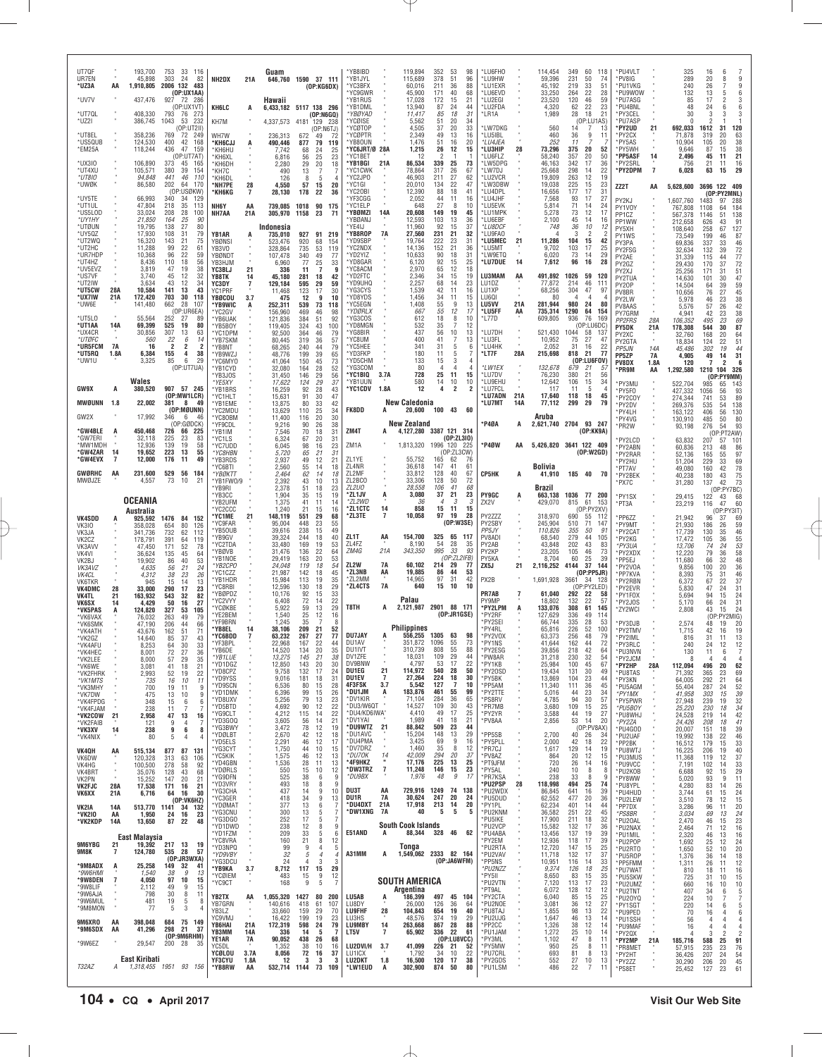| UT7QF<br>UR7EN<br>*UZ3A<br>*UV7V         | AA               | 193,700<br>45,898<br>1,910,805<br>437,476 | 753<br>33 116<br>303<br>24<br>82<br>2006 132 483<br>(OP:UX1AA)<br>927 72 286           | NH2DX                                       | 21A                        | Guam<br>Hawaii                       | 646,760 1590 37 111<br>(OP:KG6DX)                |                        | *YB8IBD<br>*YB1JYL<br>*YC3BFX<br>'YC9GWR<br>*YB1RUS |                 | 119,894<br>115,689<br>60,016<br>45,900<br>17.028      | 352<br>378<br>211<br>171<br>172   | 53<br>51<br>36<br>40<br>15    | 98<br>96<br>88<br>68<br>21 | *LU6FHO<br>*LU9HW<br>*LU1EXR<br>*LU6EVD<br>*I U2FGI |            | 114,454<br>59,396<br>45,192<br>33,250<br>23,520 | 349<br>231<br>219<br>264<br>120 | 60<br>118<br>50<br>74<br>33<br>51<br>22<br>28<br>46<br>59 | *PU4VLT<br>*PV8IG<br>*PU1VKG<br>*PU9WOW<br>*PU7ASG |                      | 325<br>289<br>240<br>132<br>85           | 16<br>6<br>9<br>20<br>8<br>26<br>9<br>13<br>5<br>6<br>$\frac{3}{6}$<br>17<br>$\mathcal{P}$                              |
|------------------------------------------|------------------|-------------------------------------------|----------------------------------------------------------------------------------------|---------------------------------------------|----------------------------|--------------------------------------|--------------------------------------------------|------------------------|-----------------------------------------------------|-----------------|-------------------------------------------------------|-----------------------------------|-------------------------------|----------------------------|-----------------------------------------------------|------------|-------------------------------------------------|---------------------------------|-----------------------------------------------------------|----------------------------------------------------|----------------------|------------------------------------------|-------------------------------------------------------------------------------------------------------------------------|
| *UT7QL<br>*UZ2I                          |                  | 408,330<br>386,745                        | (OP:UX1VT)<br>793<br>-76<br>-273<br>1043<br>53<br>232                                  | KH6LC<br>KH7M                               | A                          | 6,433,182 5117 138 296<br>4,337,573  | 4181 129 238                                     | (OP:NGGQ)              | *YB1DML<br>*YBØYAD<br>YCØISE                        |                 | 13,940<br>11,417<br>5,562                             | 87<br>85<br>51                    | 24<br>18<br>20                | 44<br>31<br>34             | *LU2FDA<br>*LR1A                                    |            | 4,320<br>1,989                                  | 62<br>28                        | 22<br>23<br>18<br>21<br>(OP:LU1AS)                        | *PU4BNL<br>*PY3CEL<br>*PU7ASP                      |                      | 48<br>30<br>$\Omega$                     | 24<br>6<br>3<br>3<br>3                                                                                                  |
| *lit8Fi<br>*US5QUB<br>*EM25A             |                  | 358.236<br>124,530                        | (OP:UT2II<br>769<br>72<br>249<br>400<br>42<br>168<br>47                                | WH7W<br>*КН6СЈЈ                             | A                          | 236,313<br>490,446                   | 672<br>49<br>877<br>79                           | (OP:NGTJ)<br>72<br>119 | 'YCØTOP<br>*YCØPTR<br>*YB80UN<br>*YC6JRT/Ø 28A      |                 | 4,505<br>2,349<br>1,476                               | 37<br>49<br>51                    | 20<br>13<br>16<br>12          | 33<br>16<br>20             | *LW7DKG<br>*LU5IBL<br>*LU4JEA                       |            | 560<br>460<br>252                               | 14<br>36<br>11                  | 7<br>13<br>9<br>11                                        | *PY2UD<br>*PY2CX<br>*PY5AS<br>*PY5WH               | 21                   | 692,033<br>71,878<br>10,904<br>9.646     | 120<br>1612<br>31<br>20<br>319<br>63<br>105<br>20<br>38<br>38<br>87                                                     |
| *UX3IO<br>*UT4XU                         |                  | 118,244<br>106,890<br>105,571             | 436<br>159<br>(OP:UT7AT)<br>373<br>45<br>165<br>380<br>39<br>154                       | *KH6HU<br>'KH6XL<br>KH6DH<br>*KH7C          |                            | 7,742<br>6,816<br>2.280<br>490       | 68<br>24<br>25<br>56<br>29<br>20<br>13<br>7      | 25<br>23<br>18         | 'YC1BET<br>*YB1BGI<br>*YC1CWK                       | 21A             | 1,215<br>12<br>86,534<br>78,864                       | 26<br>$\mathcal{P}$<br>339<br>317 | $\overline{1}$<br>25<br>26    | 15<br>73<br>67             | *LU3HIP<br>*LU6FLZ<br>*LW5DPG<br>*LW7DJ             | 28         | 73,296<br>58,240<br>46,163<br>25,668            | 375<br>357<br>342<br>298        | 20<br>52<br>20<br>50<br>17<br>36<br>22<br>14              | *PP5ASF<br>*PY2SRL<br>*PY2DPM                      | 14<br>$\overline{7}$ | 2,496<br>756<br>6,028                    | 15<br>45<br>21<br>11<br>16<br>21<br>11<br>63<br>29<br>15                                                                |
| *UT8I0<br>*UWØK                          |                  | 94,848<br>86,580                          | 441<br>46<br>110<br>202<br>64<br>170<br>(OP:USØKW)                                     | *KH6DL<br>*NH7PE<br>*КН6КG                  | 28<br>7                    | 126<br>4,550<br>28,130               | 8<br>-5<br>57<br>15<br>178<br>22                 | 20<br>36               | *YC2JPO<br>*YC1GI<br>*YC2OBI                        |                 | 46,903<br>20,010<br>12,390                            | 211<br>134<br>88                  | 27<br>22<br>18                | 62<br>47<br>41             | *LU2VCR<br>*LW3DBW<br>*LU4DPL                       |            | 19,809<br>19,038<br>16,656                      | 263<br>225<br>177               | 12<br>19<br>15<br>23<br>17<br>31                          | ZZ2T                                               | AA                   | 5,628,600                                | 3696 122 409<br>(OP:PY2MNL)                                                                                             |
| *UY5TE<br>*UT1UL<br>*US5LOD              |                  | 66,993<br>47,804<br>33,024                | 340<br>34<br>129<br>218<br>35<br>113<br>208<br>28<br>100                               | NH6Y<br>NH7AA                               | AA<br>21A                  | 739,085<br>305,970                   | 1018<br>90<br>23<br>1158                         | 175<br>-71             | 'YF3CGG<br>*YC1ELP<br>*YBØMZI                       | 14A             | 2,052<br>648<br>20,608                                | 44<br>27<br>149                   | 11<br>8<br>19                 | 16<br>10<br>45             | *LU4JHF<br>*LU5EVK<br>*LU1MPK                       |            | 7,568<br>5,814<br>5,278                         | 93<br>71<br>73                  | 17<br>27<br>14<br>24<br>12<br>17                          | PY2KJ<br>PY1V0Y<br>PP1CZ                           |                      | 1.607.760<br>767,808<br>567,378          | 1483<br>97<br>288<br>184<br>1108<br>64<br>51<br>138<br>1146                                                             |
| *UY1HY<br>*UTØUN<br>*UY5QZ               |                  | 21,850<br>19,795<br>17,930                | 164<br>25<br>.90<br>138<br>27<br>80<br>108<br>31<br>79                                 | YB1AR                                       | A                          | Indonesia<br>735.010                 | 927                                              | 91 219                 | 'YBØANJ<br>'YE4IJ<br>*YB8ROP                        | 7A              | 12,593<br>11,960<br>27,560                            | 103<br>92<br>231                  | 13<br>15<br>21                | 36<br>37<br>32             | *LU6EBF<br><i>*LU8DCF</i><br>*LU9FAO                |            | 2,100<br>748<br>4                               | 45<br>36<br>3                   | 14<br>16<br>12<br>10<br>$\overline{2}$<br>2               | PP1WW<br>PY5XH<br>PY1WS                            |                      | 212,658<br>108,640<br>73,549             | 626<br>43<br>91<br>67<br>127<br>258<br>199<br>46<br>87                                                                  |
| *UT2WQ<br>*UT2HC<br>*UR7HDP              |                  | 16,320<br>11,288<br>10,368                | 143<br>21<br>75<br>99<br>22<br>61<br>96<br>22<br>59                                    | YBØNSI<br>YB3VO<br>YBØNDT                   |                            | 523,476<br>328,864<br>107,478        | 920<br>68<br>735<br>53<br>340<br>49              | 154<br>119<br>77       | 'YD9SBP<br>*YC2NDX<br>'YD2YIZ                       |                 | 19,764<br>14,136<br>10,633                            | 222<br>152<br>90                  | 23<br>21<br>18                | 31<br>36<br>31             | *LU5MEC<br>*LU5MT<br>*LW9ETQ                        | 21         | 11,286<br>9,702<br>6,020                        | 104<br>103<br>73                | 15<br>42<br>17<br>25<br>29<br>14                          | PY3PA<br>PY2FSG<br>PY2AE                           |                      | 69,836<br>32,634<br>31,339               | 337<br>33<br>46<br>72<br>77<br>72<br>132<br>39<br>115<br>44                                                             |
| *UT4HZ<br>*UV5EVZ<br>*US7VF<br>*UT2IW    |                  | 8,436<br>3,819<br>3.740<br>3,634          | 110<br>18<br>56<br>19<br>47<br>38<br>45<br>12<br>32<br>43<br>12<br>34                  | YB3HJM<br>YC3BLJ<br>YB8TK                   | 21<br>14                   | 6.960<br>336<br>45,180               | 25<br>77<br>11<br>$\overline{7}$<br>281<br>18    | 33<br>9<br>42          | 'YD8GAR<br>'YC8ACM<br>*YD2FTC<br>*YD9UHQ            |                 | 6,120<br>2,970<br>2.346<br>2,257                      | 92<br>65<br>34<br>68              | 15<br>12<br>15<br>14          | 25<br>18<br>19<br>23       | *LU7DUE<br>LU3MAM<br>LU1DZ                          | 14<br>AA   | 7,612<br>491,892<br>77,872                      | 96<br>1026<br>214               | 16<br>28<br>59<br>120<br>46<br>111                        | PY2GZ<br>PY2XJ<br>PY2TUA                           |                      | 29,430<br>25,256<br>14,630               | 37<br>170<br>51<br>171<br>31<br>47<br>101<br>30                                                                         |
| *UT5CW<br>*UX7IW<br>*UW6E                | 28A<br>21A       | 10,584<br>172,420<br>141,480              | 43<br>141<br>13<br>703<br>30<br>118<br>662<br>28<br>107                                | <b>YC3DY</b><br>YC1PRF<br>YBØCOU<br>*YB9WIC | $\overline{7}$<br>3.7<br>A | 129,184<br>11,468<br>475<br>252.311  | 595<br>29<br>123<br>17<br>12<br>9<br>539<br>73   | 59<br>30<br>10<br>118  | *YG3CYS<br>'YD8YDS<br>'YC5EGN                       |                 | 1,539<br>1,456<br>1,408                               | 42<br>34<br>55                    | 11<br>11<br>9                 | 16<br>15<br>13             | LU1XP<br>LU601<br><b>LU5VV</b>                      | 21A        | 68,256<br>80<br>281,944                         | 304<br>$\overline{4}$<br>980    | 47<br>-97<br>$\overline{4}$<br>24<br>80                   | PY20P<br>PV8BR<br>PY2LW                            |                      | 14,504<br>10,656<br>5,978                | 64<br>39<br>59<br>45<br>27<br>76<br>23<br>38<br>46                                                                      |
| *UT5L0<br>*UT1AA                         | 14A              | 55,564<br>69,399                          | (OP:UR6EA)<br>252<br>27<br>89<br>525<br>80<br>19                                       | 'YC2GV<br>*YB6UAK<br>*YB5B0Y                |                            | 156,960<br>121,836<br>119,405        | 469<br>46<br>384<br>51<br>324<br>43              | 98<br>92<br>100        | <i><b>YDØRLX</b></i><br>*YG3COS<br>*YD8MGN          |                 | 667<br>612<br>532                                     | 55<br>18<br>35                    | 12<br>8<br>-7                 | -17<br>10<br>12            | *LU5FF<br>*L77D                                     | AA         | 735,314<br>609,805                              | 1290<br>936                     | 64<br>154<br>76<br>169<br>(OP:LU6DC)                      | PV8AAS<br>PY7GRM<br><b>PP2FRS</b><br>PY5DK         | 28A<br>21A           | 5,576<br>4.941<br>106,352<br>178,308     | 42<br>26<br>57<br>23<br>38<br>42<br>495<br>23<br>69<br>87<br>544<br>30                                                  |
| *UX4CR<br>*UTØFC<br>*UR5FCM              | 7A               | 30,856<br>560<br>16                       | 307<br>13<br>63<br>22<br>6<br>14<br>$\overline{2}$<br>$\overline{2}$<br>$\overline{2}$ | *YC1DPM<br>*YB7SKM<br>*YB8NT                |                            | 92,500<br>80,445<br>68,265           | 364<br>46<br>319<br>36<br>240<br>44              | 79<br>57<br>79         | YG8BIR<br>'YC8UM<br>*YC5HEE                         |                 | 437<br>400<br>341                                     | 56<br>41<br>31                    | 10<br>$\overline{7}$<br>5     | 13<br>13<br>6              | *LU7DH<br>*LU3FL<br>*LU4HK                          |            | 521,430<br>10,952<br>2,052                      | 1044<br>75<br>31                | 58<br>137<br>27<br>47<br>16<br>22                         | PY2XC<br>PY2GTA<br><b>PP5JN</b>                    | 14A                  | 32,760<br>18,834<br>45,486               | 168<br>20<br>64<br>51<br>124<br>22<br>44<br>302<br>19                                                                   |
| *UT5RQ<br>*UW1U                          | 1.8A             | 6,384<br>3,325                            | 155<br>4<br>38<br>29<br>85<br>6<br>(OP:UT7UA)                                          | *YB9WZJ<br>*YC6MYO<br>*YB1CYD               |                            | 48,776<br>41,064<br>32,080           | 199<br>39<br>150<br>45<br>28<br>164              | 65<br>73<br>52         | *YD3FKP<br>*YD5CHM<br>'YG3COM                       |                 | 180<br>133<br>80                                      | 11<br>15<br>$\overline{4}$        | 5<br>3<br>$\overline{4}$      | 4<br>4                     | *LT7F<br>*LW1EX                                     | 28A        | 215,698<br>132,678                              | 818<br>-21<br>679               | 77<br>(0P:LU6FOV)<br>21<br>51                             | <b>PP5ZP</b><br><b>PV8DX</b><br>*PR9M              | 7A<br>1.8A<br>AA     | 4,905<br>120<br>1,292,580                | 49<br>31<br>14<br>6<br>7<br>2<br>1210 104<br>326                                                                        |
| GW9X                                     | A                | Wales<br>380,520                          | 907 57 245                                                                             | YB3JOS<br>*YE5XY<br>*YB1BRS                 |                            | 31,450<br>17,622<br>16,259           | 146<br>29<br>29<br>124<br>92<br>28               | 56<br>37<br>43         | *YC1BIQ<br>*YB1UUN<br>*YC1CDV                       | 3.7A<br>1.8A    | 728<br>580<br>12                                      | 25<br>14<br>4                     | 11<br>10<br>2                 | 15<br>10<br>$\overline{2}$ | *LU7DV<br>*LU9EHU<br>*LU7FCL                        |            | 76,230<br>12,642<br>117                         | 380<br>106<br>11                | 21<br>56<br>15<br>34<br>-5<br>$\overline{4}$              | *PY3MU<br>*PY5F0                                   |                      | 522,704<br>427,332                       | (OP:PY9MM)<br>985<br>65<br>143<br>56<br>93<br>1056                                                                      |
| <b>MWØUNN</b><br>GW2X                    | 1.8              | 22,002<br>17,992                          | (OP:MW1LCR)<br>381<br>8<br>-49<br>(OP:MØUNN)<br>346<br>-6<br>46                        | *YC1HLT<br>*YB1EME<br>*YC2MDU<br>*YC80BM    |                            | 15,631<br>13,875<br>13,629<br>11,400 | 91<br>30<br>80<br>33<br>110<br>25<br>116<br>20   | 47<br>42<br>34<br>30   | FK8DD                                               | A               | <b>New Caledonia</b><br>20,600                        | 100 43                            |                               | 60                         | *LU7ADN<br>*LU7MT                                   | 21A<br>14A | 17,640<br>77,112<br>Aruba                       | 118<br>299                      | 45<br>18<br>79<br>29                                      | *PY2COY<br>*PY2DV<br>*PY4LH<br>PY4VG               |                      | 274,344<br>269,376<br>163,122<br>130,910 | 89<br>53<br>741<br>535<br>54<br>138<br>130<br>406<br>56<br>485<br>50<br>80                                              |
| *GW4BLE<br>*GW7ERI                       |                  | 450,468<br>32,118                         | (OP:GØDCK)<br>66 225<br>726<br>225<br>23<br>83                                         | *YF9CDL<br>*YB1IM<br>*YC1LS                 |                            | 9,216<br>7,546<br>6,324              | 90<br>26<br>70<br>18<br>67<br>20                 | 38<br>31<br>31         | ZM4T                                                | A               | <b>New Zealand</b><br>4,127,280 3387 121 314          |                                   | (0P:ZL3I0)                    |                            | *P4ØA                                               | A          | 2,621,740 2704 93 247                           |                                 | (OP:KK9A)                                                 | *PR2W<br>PY2LCD                                    |                      | 93,198<br>63,832                         | 276<br>54<br>93<br>(OP:PT2AW)<br>57<br>207<br>101                                                                       |
| *MW1MDH<br>*GW4ZAR<br>*GW4EVX            | 14               | 12,936<br>19,652<br>12,000                | 139<br>19<br>58<br>223<br>13<br>55<br>49<br>176<br>11                                  | *YC7UDD<br>*YC8HBN<br>*YB3RDS               |                            | 6.045<br>5,720<br>2,937              | 98<br>16<br>65<br>21<br>49<br>12                 | 23<br>31<br>21         | ZM1A<br>ZL1YE                                       |                 | 1,813,320<br>55,752                                   | 1996 120 225<br>165               | (0P:ZL3CW)<br>62              | 76                         | *P4ØW                                               | ΑA         | 5,426,820 3641 122 409                          |                                 | (0P:W2GD)                                                 | *PY2ABN<br>*PY2RAR<br>PY2HU                        |                      | 60,836<br>52,136<br>51,204               | 86<br>213<br>48<br>97<br>165<br>55<br>229<br>33<br>69                                                                   |
| <b>GWØRHC</b><br>MWØJZE                  | AA               | 231,600<br>4,557                          | 529<br>56<br>184<br>73<br>10<br>21                                                     | YC6BTI<br>*ҮВ0КТТ<br>'YB1FW0/9              |                            | 2,560<br>2,464<br>2,392              | 55<br>14<br>62<br>14<br>43<br>10                 | 18<br>18<br>13         | ZL4NR<br>ZL2MF<br>ZL2BCO<br>ZL2U0                   |                 | 36,618<br>33,812<br>33,306<br>28.558                  | 147<br>128<br>128<br>106          | 41<br>40<br>50<br>41          | 61<br>67<br>72<br>68       | CP5HK                                               | A          | Bolivia<br>41,910                               | 185 40                          | - 70                                                      | *PT7AV<br>*PY2BEK<br>*PX7C                         |                      | 49,080<br>40,238<br>31,280               | 78<br>160<br>42<br>$\frac{75}{73}$<br>180<br>43<br>137<br>42                                                            |
|                                          |                  | <b>OCEANIA</b>                            |                                                                                        | 'YB9RI<br>*YB3CC<br>*YB2UFM<br>*YC2CCC      |                            | 2,378<br>1,904<br>1,375<br>1,240     | 51<br>18<br>35<br>15<br>41<br>11<br>21<br>15     | 23<br>19<br>14<br>16   | *ZL1JV<br>*ZL2WD<br>*ZL1CTC                         | 14              | 3,080<br>-36<br>858                                   | 37<br>$\overline{4}$<br>15        | 21<br>3<br>11                 | 23<br>3<br>15              | <b>PY9GC</b><br>ZX2V                                | A          | Brazil<br>663,138<br>429,070                    | 1036 77 200<br>815              | 61<br>153<br>(OP:PY2XV)                                   | *PY1SX<br>*PT3A                                    |                      | 29,415<br>23,219                         | (OP:PY7BC)<br>122<br>43<br>68<br>60<br>116<br>47<br>(OP:PY3IT)                                                          |
| <b>VK4SDD</b><br>VK3I0                   |                  | Australia<br>358,028                      | 925,592 1476 84 152<br>654<br>80<br>126<br>732<br>62<br>112                            | *YC1ME<br>'YC9FAR<br>*YB50UB                | 21                         | 148,119<br>95,004<br>39,616          | 551<br>29<br>448<br>23<br>238<br>15              | 68<br>55<br>49         | *ZL3TE                                              | 7               | 10,058                                                | 97                                | 19<br>(0P:W3SE)               | 28                         | PY2ZZZ<br>PY2SBY<br>PP <sub>5JY</sub>               |            | 318,970<br>245,904<br>110.826                   | 690<br>510<br>355               | 55<br>112<br>71<br>147<br>50<br>91                        | *PP6ZZ<br>*PY9MT<br>PY2CAT                         |                      | 21,942<br>21,930<br>17,739               | 96<br>37<br>69<br>59<br>26<br>186<br>130<br>35<br>46                                                                    |
| VK3JA<br>VK2CZ<br>VK3AVV<br>VK4VI        |                  | 341,736<br>178,791<br>47,450<br>36,624    | 391<br>64<br>119<br>171<br>52<br>78<br>135<br>45<br>64                                 | *YB9GV<br>*YC2TDA<br>'YBØVB                 |                            | 39,324<br>33,480<br>31,476           | 244<br>18<br>169<br>19<br>136<br>22              | 40<br>53<br>64         | ZL1T<br>ZL4FZ<br>ZM4G                               | AA<br>21A       | 154,700<br>8,190<br>343,350                           | 54<br>995                         | 325 65 117<br>28<br>33        | 35<br>93                   | PV8ADI<br>PY2AB<br>PY2KP                            |            | 68,540<br>43,848<br>23,205                      | 279<br>202<br>105               | 44<br>105<br>43<br>83<br>46<br>73                         | *PY2KG<br>*PY3UA<br>*PY2XDX                        |                      | 17,472<br>13,706<br>12,220               | 55<br>36<br>105<br>53<br>74<br>24<br>58<br>79<br>36                                                                     |
| VK2BJ<br>VK3AVZ<br>VK4CL                 |                  | 19,902<br>4,635<br>4,312                  | 53<br>86<br>40<br>24<br>56<br>21<br>38<br>23<br>26                                     | YB1NOE<br>*YB2CPO<br>*YC1CZZ                |                            | 29,419<br>24,048<br>21,987           | 163<br>20<br>119<br>18<br>142<br>18              | 53<br>54<br>45         | ZL2W<br>*ZL3NB                                      | 7A<br>AA        | 60,102<br>19,885                                      | 214<br>86                         | (OP:ZL2IFB)<br>29<br>44       | 77<br>53                   | PY5KA<br>ZX5J                                       | 21         | 8,704<br>2,116,252                              | 60<br>4144                      | 25<br>39<br>37<br>144<br>(OP:PP5JR)                       | PP5EJ<br>*PY2VOA<br>*PP7KVA                        |                      | 11,680<br>9,856<br>8,393                 | 48<br>66<br>32<br>100<br>20<br>36<br>46<br>75<br>31                                                                     |
| VK6TKR<br>VK4DMC<br>VK4TL                | 28<br>21         | 945<br>33,000<br>163,932                  | 15<br>14<br>13<br>290<br>17<br>23<br>82<br>543<br>32                                   | *YB1HDR<br><b>YC8RBI</b><br>'YBØPDZ         |                            | 15,984<br>12,596<br>10,176           | 113<br>19<br>130<br>18<br>92<br>15<br>14         | 35<br>29<br>33         | *ZL2MM<br>*ZL4CTS                                   | 7A              | 14,965<br>640<br>Palau                                | 97<br>15                          | 31<br>10                      | 42<br>10                   | PX2B<br>PR7AB<br>PY9MP                              | 7          | 1,691,928<br>61,040<br>18.802                   | 3661<br>292<br>132              | -34 128<br>(OP:PY2LED)<br>22<br>58<br>22<br>57            | *PY2RBN<br>*PY2EVR<br>*PY1FOX                      |                      | 6,372<br>5,830<br>5,694                  | 22<br>37<br>67<br>31<br>47<br>24<br>94<br>15<br>24                                                                      |
| <b>VK6SX</b><br>*VK5PAS<br>*VK6VAX       | 14<br>A          | 4,429<br>124,820<br>76,032                | 50<br>16<br>27<br>327<br>53<br>105<br>263<br>49<br>79                                  | 'YC2VYY<br>'YCØKBE<br>*YE2BEM<br>'YF9BRN    |                            | 6,408<br>5,922<br>1,540<br>1,245     | 72<br>59<br>13<br>25<br>12<br>35<br>-7           | 22<br>29<br>16<br>8    | T8TH                                                | A               | 2,121,987 2901 88 171                                 |                                   | (DP:JRTGSE)                   |                            | *PY2LPM<br>*PY2RF<br>'PY2SEI                        |            | 133,076<br>127,629<br>66,744                    | 308<br>336<br>335               | 61<br>145<br>49<br>114<br>28<br>53                        | PY2J0S<br>*ZY2WCI                                  |                      | 5,170<br>2,808                           | 66<br>31<br>24<br>24<br>43<br>15<br>(OP:PY2MIG)                                                                         |
| *VK6SMK<br>*VK4ATH<br>*VK2GZ             |                  | 47.190<br>43,676<br>14,640                | 206<br>44<br>66<br>162<br>51<br>71<br>43<br>37<br>85                                   | *YB8EL<br>*YC6BDD<br>*YF3BPI                | 14<br>$\overline{7}$       | 38,106<br>63,232<br>22.968           | 21<br>209<br>267<br>27<br>167<br>22              | 52<br>77<br>44         | <b>DU7JAY</b><br>DU1AV                              |                 | <b>Philippines</b><br>556,255 1305 63<br>351,872 1096 |                                   | 55                            | 98<br>73                   | *PY4RL<br>*PY2VOX<br>*PY1NS                         |            | 65,816<br>63.373<br>41,644                      | 226<br>256<br>162               | 52<br>100<br>48<br>79<br>44<br>72                         | *PY3DJB<br>*PY2TMV<br>*PY2IML<br><b>PV3RIC</b>     |                      | 2,574<br>1,715<br>816<br>240             | 48<br>19<br>20<br>42<br>19<br>16<br>13<br>31<br>11<br>12<br>24                                                          |
| VK4AFU<br>*VK4HEC<br>*VK2LEE<br>*VK6WE   |                  | 8.253<br>8,001<br>8,000<br>3,081          | 33<br>64<br>72<br>30<br>27<br>36<br>57<br>29<br>35<br>18<br>21<br>41                   | *YB6DE<br>*YB1LUE<br>*YD1DGZ                |                            | 14,520<br>13,275<br>12,850           | 134<br>20<br>145<br>21<br>143<br>20              | 35<br>38<br>30         | DU1IVT<br>DV1ZFE<br>DV9BNW                          |                 | 310,739<br>18,031<br>4.797                            | 808<br>109<br>53                  | 55<br>29<br>17                | 88<br>44<br>22             | *PY2ESG<br>*PW8AR<br>*PY1KB                         |            | 39,856<br>31,218<br>25,984                      | 218<br>230<br>100               | 42<br>64<br>32<br>54<br>67<br>45                          | *PU3NVN<br>*PY2JCM<br>*PY2HP                       | 28A                  | 130<br>8<br>112,094                      | 11<br>7<br>6<br>$\overline{4}$<br>$\overline{4}$<br>4<br>496<br>20<br>62                                                |
| *VK2FHRK<br>*VK1MTS<br>*VK3MHY           |                  | 2,993<br>735<br>700                       | 22<br>52<br>19<br>16<br>10<br>11<br>19<br>11<br>9                                      | *YD8CPZ<br>*YD9YSS<br>*YD9SCN               |                            | 9,758<br>9,016<br>6,536              | 132<br>17<br>181<br>18<br>80<br>15               | 24<br>31<br>28         | DU1EG<br>DU1EV<br>4F3FSK                            | 21<br>-7<br>3.7 | 114,972<br>27,264<br>5,542                            | 540<br>224<br>127                 | 28<br>18<br>7                 | 50<br>30<br>10             | *PY20SD<br>*PY5BK<br>*PP5AM                         |            | 19.434<br>13,869<br>11,340                      | 131<br>104<br>111               | 30<br>49<br>23<br>44<br>36<br>45                          | *PU8TAS<br>*PY3KN<br>*PU5AGM                       |                      | 71,392<br>64,005<br>55,404               | 23<br>69<br>365<br>21<br>64<br>292<br>24<br>52<br>287                                                                   |
| *VK7DW<br>*VK4FPDG<br>*VK4FJAM           |                  | 475<br>348<br>238                         | 13<br>10<br>9<br>15<br>6<br>6<br>11<br>7<br>7                                          | *YD1DMK<br>*YD8UXV<br>*YD5BTD               |                            | 6,396<br>5,256<br>4,692              | 99<br>15<br>79<br>13<br>90<br>12                 | 26<br>23<br>22         | *DU1JM<br>*DV1KIR<br>*DU3/W6QT                      | A               | 183,876<br>71,104<br>14,527                           | 461<br>284<br>109                 | 55<br>36<br>30                | 99<br>65<br>43             | *PY2TTE<br>*PS8RV<br>*PR7MB                         |            | 5,016<br>4,785<br>3,680                         | 44<br>94<br>109                 | 23<br>34<br>30<br>57<br>15<br>25                          | *PY1MX<br>*PY5PWR<br>*PU5BOY                       |                      | 41,958<br>27,948<br>25,220               | 39<br>303<br>15<br>32<br>239<br>19<br>230<br>18<br>34                                                                   |
| *VK2COW<br>*VK2FAIB<br>*VK3XV            | 21<br>14         | 2,958<br>121<br>238                       | 47<br>13<br>16<br>9<br>4<br>7<br>9<br>6<br>8                                           | *YG9CLT<br>*YD3GOQ<br>*YG3BWY<br>*YDØLBT    |                            | 4,212<br>3,605<br>3,472<br>2,670     | 115<br>14<br>56<br>14<br>78<br>12<br>42<br>12    | 22<br>21<br>19<br>18   | *DU4/KD6IWA*<br>*DV1YAI<br>*DU9WTZ<br>*DU1AVC       | 21              | 4,410<br>1,989<br>88,842<br>15,204                    | 49<br>41<br>509<br>148            | 17<br>18<br>23<br>13          | 25<br>21<br>44<br>29       | *PY2YR<br>*PV8AA<br>*PP5SB                          |            | 3,588<br>2,856<br>2,700                         | 44<br>53<br>40                  | 19<br>27<br>-14<br>20<br>(OP:PV8AX)<br>26<br>-34          | *PU8WHJ<br>*PY2ZA<br>*PU4GOD                       |                      | 24,528<br>24,426<br>20,007               | 42<br>219<br>14<br>41<br>208<br>18<br>39<br>151<br>18                                                                   |
| *VK4NIX<br>VK40H                         | AA               | 80<br>515,134                             | 5<br>4<br>87<br>131<br>877                                                             | *YD5ELS<br>*YG3CYT<br>*YC5KIK               |                            | 2,291<br>1,750<br>1,575              | 46<br>12<br>44<br>10<br>46<br>12                 | 17<br>15<br>13         | *DU4PMA<br>*DV7DRZ<br>*DU70K                        | 14              | 3,425<br>1,460<br>42,009                              | 69<br>35<br>294                   | 9<br>8<br>20                  | 16<br>12<br>37             | *PY5PLL<br>*PR7CJ<br>*PV8AZ                         |            | 2,000<br>1,617<br>864                           | 42<br>129<br>20                 | 18<br>22<br>14<br>19<br>12<br>15                          | *PU2UAF<br>*PP2BK<br>*PU8WTJ<br>*PU3MUS            |                      | 19,992<br>16,512<br>16,225<br>11,368     | 46<br>138<br>22<br>179<br>15<br>33<br>40<br>206<br>19<br>37<br>119<br>12                                                |
| VK6DW<br>VK4HG<br>VK4BRT<br>VK2PN        | ٠                | 120,328<br>100,500<br>35,076<br>15,252    | 313<br>63<br>106<br>278<br>92<br>58<br>128<br>43<br>68<br>20<br>21<br>147              | *YD4GBN<br>'YDØRLS<br>*YG9DFN               |                            | 1,536<br>550<br>525                  | 28<br>11<br>15<br>10<br>38<br>6                  | 13<br>12<br>-9         | *4F9HKZ<br>*DW3TRZ<br>*DU9BX                        | $\overline{7}$  | 17,176<br>11,248<br>1,976                             | 225<br>146<br>48                  | 13<br>15<br>9                 | 25<br>23<br>17             | *PT9JFM<br>*PY5AL<br>*PR7KSA                        |            | 720<br>240<br>238                               | 26<br>10<br>33                  | 16<br>14<br>8<br>8<br>-8<br>-9                            | *PU9VCC<br>*PU2KOB<br>*PY8WW                       |                      | 7,191<br>6,688<br>5,020                  | 33<br>102<br>14<br>29<br>92<br>15<br>93<br>11<br>9                                                                      |
| <b>VK2FJC</b><br>VK6XX                   | 28A<br>21A       | 17,538<br>6,716                           | 171<br>16<br>21<br>64<br>16<br>30<br>(OP:VK6HZ)                                        | *YD3VRY<br>*YG3CHA<br>*YC3GER               |                            | 493<br>437<br>418                    | 18<br>8<br>9<br>-14<br>34<br>9                   | 9<br>10<br>13          | DU3T<br>DU1R                                        | AA<br>7A        | 729,916<br>30,624                                     | 1249<br>247                       | 74 138<br>20                  | 24                         | *PU2PSP<br>*PU2WDX<br>*PU5DUD                       | 28         | 118,998<br>86,845<br>62,552                     | 494<br>641<br>477               | 25<br>74<br>16<br>39<br>36<br>20                          | *PU8YPL<br>*PU4HUD<br>*PU2LEW                      |                      | 4,280<br>3,744<br>3,510                  | 83<br>26<br>14<br>15<br>24<br>61<br>15<br>78<br>12                                                                      |
| VK2IA<br>*VK210<br>*VK2KDP               | 14A<br>AA<br>14A | 513,770<br>1,950<br>13,650                | 1141<br>34 132<br>23<br>24<br>16<br>87 22<br>48                                        | *YDØMAT<br>*YG3CNU<br>*YG3DG0<br>*YD1DWD    |                            | 377<br>300<br>252<br>238             | 13<br>6<br>13<br>5<br>17<br>5<br>8<br>12         | -9                     | *DU4DXT 21A<br>*DW1XNG                              | 7A              | 17,918<br>40<br>South Cook Islands                    | 213<br>5                          | 14<br>5                       | 20<br>5                    | *PY1PL<br>*PU2KNM<br>*PU5IKE<br>*PU2VCP             |            | 62,234<br>36,582<br>17,900<br>15,582            | 401<br>251<br>211<br>132        | 14<br>44<br>22<br>45<br>18<br>32<br>17<br>36              | *PP7DX<br>*PS8BR<br>*PU20AL                        |                      | 3,286<br>3,034<br>2,470                  | 20<br>96<br>11<br>69<br>24<br>13<br>23<br>15<br>46                                                                      |
| 9M6YBG                                   | 21               | East Malaysia<br>19,392                   | 217 13<br>19                                                                           | *YD1FZM<br>'YC8VRA<br>*YD3NPQ               |                            | 209<br>160<br>99                     | 33<br>5<br>21<br>8<br>9<br>4                     | -6<br>12<br>-5         | E51AND                                              | A               | 88,344<br>Tonga                                       | 328                               | 46                            | 62                         | *PU4ABA<br>*PY2EM<br>*PU2RTA                        |            | 13,456<br>12,936<br>12,720                      | 137<br>118<br>147               | 19<br>39<br>17<br>39<br>15<br>25                          | *PU2NAX<br>*PU1MIL<br>*PU2POP<br>*PU2RT0           |                      | 2,464<br>2,320<br>1,692<br>1,650         | 71<br>16<br>12<br>16<br>46<br>13<br>25<br>12<br>24<br>52<br>10<br>20                                                    |
| 9M8K<br>*9M8ADX                          | 7<br>A           | 124,780<br>25,258                         | 535<br>28<br>57<br>(OP:JR3WXA)<br>149 32<br>41                                         | *YD9VBY<br>*YG3DCU<br>*YB9KA                | 3.7                        | 32<br>24<br>8,712                    | 5<br>4<br>3<br>4<br>117<br>15                    | 4<br>-3<br>29          | A31MM                                               | A               | 1,549,062 2333 82 164                                 |                                   | (OP:JA6WFM)                   |                            | *PU2VAV<br>*PP5NS<br>*PU2NZZ                        |            | 11,718<br>10,951<br>9,374                       | 132<br>116<br>126               | 17<br>37<br>14<br>33<br>25<br>18                          | *PU5R0P<br>*PP5FMM<br>*PU7WAT                      |                      | 1,376<br>1,311<br>810                    | 36<br>18<br>14<br>26<br>12<br>11<br>16<br>18<br>11                                                                      |
| *9W6HMI<br>*9W8DEN<br>*9W8LIF<br>*9W6AJA | 7                | 1,540<br>4,050<br>2,112<br>798            | 9<br>38<br>13<br>97<br>10<br>15<br>49<br>9<br>15<br>30<br>8<br>11                      | *YCØIEM<br>$*$ YC9CT                        |                            | 483<br>168                           | 15<br>9<br>5<br>9                                | 12                     |                                                     |                 | SOUTH AMERICA<br>Argentina                            |                                   |                               |                            | *PY5II<br>*PU2VTN<br>*PT9AL                         |            | 8,650<br>7,120<br>6,072                         | 83<br>113<br>128                | 15<br>35<br>17<br>23<br>12<br>12                          | *PU5SKW<br>*PU2UMZ<br>*PU2TNT                      |                      | 725<br>660<br>407                        | 10<br>15<br>31<br>16<br>10<br>10<br>5<br>34<br>6                                                                        |
| *9W6MUL<br>*9M8MON                       |                  | 481<br>77                                 | 19<br>5<br>8<br>3<br>5<br>4                                                            | YB2TX<br>YB7GRN<br>YB3LZ                    | AA<br>$\blacksquare$       | 1,055,320<br>140,616<br>33,660       | 1427<br>80<br>418<br>61<br>159<br>29             | 200<br>107<br>70       | LU5AB<br>LU8DY<br><b>LU9FHF</b>                     | 28              | 186.399<br>26,000<br>104,843                          | 497<br>126<br>654                 | 45 104<br>36<br>19            | 64<br>40                   | *PY2CTA<br>*PU2NOE<br>*PU8TAJ                       |            | 6,040<br>3,081<br>1,855                         | 85<br>36<br>98                  | 15<br>25<br>12<br>27<br>13<br>22                          | *PU20YQ<br>*PY1SGT<br>*PU9PED                      |                      | 224<br>220<br>70                         | 10<br>14<br>5<br>6<br>6<br>16<br>4                                                                                      |
| 9M6XRO<br>*9M6SDX                        | AA<br>AA         | 398,048<br>41,296                         | 684<br>75<br>149<br>298<br>-21<br>-37<br>(OP:9M6RHM)                                   | YC9VMJ<br>YB6HAI<br><b>YB3MM</b><br>YE1AR   | 21A<br>14A<br>7A           | 16,422<br>172,319<br>336<br>90,052   | 199<br>19<br>598<br>24<br>14<br>- 5<br>438<br>26 | 23<br>79<br>-7<br>68   | LU3HS<br><b>LU9MBY</b><br>LT5V                      | 14<br>7         | 48,576<br>263,668<br>65,902                           | 374<br>867<br>336                 | 19<br>28<br>22<br>(0P:LU8VCC) | 29<br>88<br>61             | *PU2UJG<br>*PP2CC<br>*PU1JAM<br>*PY3ML              |            | 1,647<br>1,326<br>1,272<br>1,102                | 46<br>38<br>25<br>47            | 13<br>14<br>12<br>14<br>10<br>14<br>8<br>11               | *PU1SSH<br>*PU9MAF<br>*PY2QX                       |                      | 56<br>16<br>4                            | $\overline{4}$<br>$\overline{4}$<br>$\overline{4}$<br>$\overline{4}$<br>4<br>4<br>$\overline{2}$<br>$\overline{2}$<br>3 |
| *9W6EZ                                   |                  | 29,547<br>East Kiribati                   | 200 28<br>-35                                                                          | YC5DL<br>YCØLOU<br>YF3CYU                   | 3.7A<br>1.8A               | 1,352<br>8,056<br>12                 | 38<br>10<br>72<br>16<br>3<br>3                   | 16<br>37<br>3          | LU2DVI/H<br><b>LU1ICX</b><br>LU2DKT                 | 3.7<br>1.8      | 41,099<br>1.792<br>16,500                             | 226 21<br>-34<br>120              | 10<br>17                      | 52<br>22<br>38             | *PY5MW<br>*PU7CRL<br>*PY2GDS                        |            | 950<br>693<br>552                               | 25<br>81<br>27                  | 8<br>11<br>8<br>13<br>10<br>13                            | *PY2MP<br>*PR8MET<br>*PY2HT<br>*PY2ZZ              | 21A                  | 185,716<br>57,915<br>36,426<br>30,290    | 91<br>588<br>25<br>23<br>76<br>235<br>24<br>54<br>207<br>45<br>20<br>206                                                |
| <b>T32AZ</b>                             | А                |                                           | 1,318,455 1951 93 156                                                                  | *YB8RW                                      | AA                         |                                      | 532,714 1144 73                                  | 109                    | *LW1EUD                                             | A               | 302,900                                               | 874                               | 50                            | 80                         | *PU1LSM                                             |            | 486                                             | 22                              | 7<br>11                                                   | *PS8ET                                             |                      | 25,452                                   | 23<br>61<br>127                                                                                                         |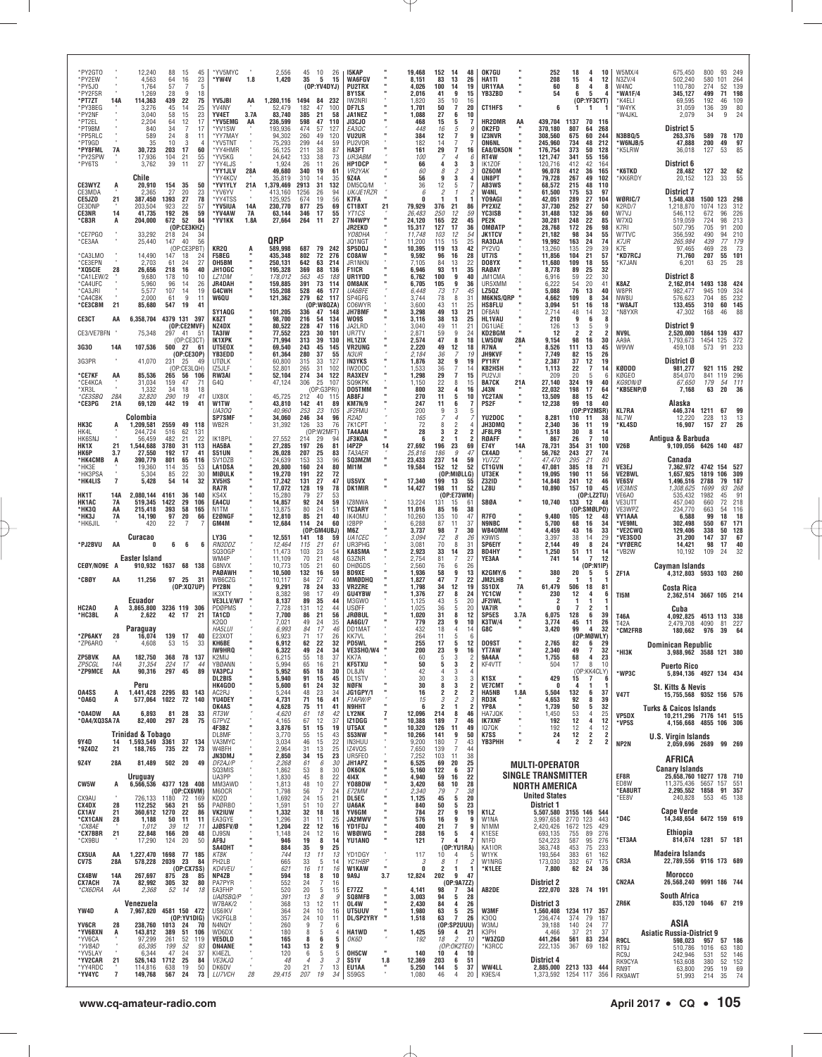| *PY2GT0<br>*PY2EW                |                | 12,240                              | 88                 | 15<br>45                                   | *YV5MYC                                  |            | 2,556                         | 45<br>10<br>26                                                        | 15KAP                                  |                | 19,468                     | 152<br>-14                                               | 48                         | OK7GU                                |            | 252                                         | 18<br>4                                     | 10                                      | W5MX/4                       | 675,450                                                      | 800                    | 93                   | 249                     |
|----------------------------------|----------------|-------------------------------------|--------------------|--------------------------------------------|------------------------------------------|------------|-------------------------------|-----------------------------------------------------------------------|----------------------------------------|----------------|----------------------------|----------------------------------------------------------|----------------------------|--------------------------------------|------------|---------------------------------------------|---------------------------------------------|-----------------------------------------|------------------------------|--------------------------------------------------------------|------------------------|----------------------|-------------------------|
| *PY5J0                           |                | 4,563<br>1,764                      | 64<br>57           | 23<br>16<br>5                              | *YW4V                                    | 1.8        | 1,420                         | 35<br>5<br>15<br>(OP:YY4DYJ)                                          | <b>WA6FGV</b><br><b>PU2TRX</b>         |                | 8,151<br>4,026             | 83<br>13<br>100<br>14                                    | 26<br>19                   | HA1TI<br>UR1YAA                      |            | 208<br>60                                   | 15<br>4<br>8<br>4                           | 12<br>8                                 | N3ZV/4<br><b>W4NC</b>        | 502,240<br>110,780                                           | 580<br>274             | 101<br>52            | 264<br>139              |
| *PY2FSR<br>*PT7ZT                | 14A            | 1,269<br>114,363                    | 28<br>439          | q<br>18<br>22<br>75                        | YV5JBI                                   | AA         | 1,280,116                     | 1494 84 232                                                           | <b>BY1SK</b><br>IW2NRI                 |                | 2,016<br>1,820             | 41<br>9<br>35<br>10                                      | 15<br>16                   | YB3ZBD                               |            | 54                                          | 6<br>-5                                     | (OP:YF3CYT)                             | 'WA1F/4<br>*K4ELI            | 345,127<br>69,595                                            | 499<br>192             | 71<br>46             | 198<br>109              |
| *PY3BEG<br>*PY2NF                |                | 3,276<br>3.040                      | 45<br>58           | 14<br>25<br>23<br>15                       | YV4NY<br>YV4ET                           | 3.7A       | 52,479<br>83.740              | 182<br>47<br>100<br>385<br>21<br>58                                   | DF7LS<br>JA1NEZ                        |                | 1,701<br>1,088             | 50<br>7<br>27<br>6                                       | 20<br>10                   | <b>CT1HFS</b>                        |            | 6                                           | 1<br>1                                      |                                         | *W4YK<br>'W4JKL              | 31,059<br>2,079                                              | 136<br>34              | 39<br>9              | 80<br>24                |
| *PT2EL<br>*PT9BM                 |                | 2,204<br>840                        | 64<br>34           | 12<br>17<br>17<br>-7                       | *YV5EMG<br>*YV1SW                        | AA         | 236,599<br>193,936            | 598<br>47<br>110<br>474<br>57<br>127                                  | JI3CJ0<br><i>EA3OC</i>                 |                | 468<br>448                 | 5<br>15<br>5<br>16                                       | $\overline{7}$<br>9        | <b>HR2DMR</b><br>OK2FD               | AA         | 439,704<br>370,180                          | 1137<br>70<br>807<br>64                     | 116<br>268                              |                              | District 5                                                   |                        |                      |                         |
| *PP5RLC<br>*PT9GD<br>*PY8FML     |                | 589<br>35<br>30.723                 | 24<br>10<br>203    | 8<br>11<br>3<br>$\overline{4}$<br>17<br>60 | *YY7MAY<br>*YV5TNT<br>*YY4HMR            |            | 94,302<br>75,293<br>56,125    | 49<br>260<br>120<br>299<br>44<br>59<br>211<br>38<br>87                | <b>VU2UR</b><br>PU2VOR<br>HA3FT        |                | 384<br>182<br>161          | 7<br>12<br>14<br>7<br>29                                 | 9<br>7                     | IZ3NVR<br><b>ON6NL</b>               |            | 308,560<br>245,960<br>176,754               | 60<br>675<br>734<br>48<br>373<br>50         | 244<br>212<br>128                       | N3BBQ/5<br>W6NJB/5<br>*K5LRW | 263,376<br>47,888<br>36,018                                  | 589<br>200<br>127      | 78 170<br>49<br>53   | 97<br>85                |
| *PY2SPW<br>*PY6TS                | 7A             | 17,936<br>3,762                     | 104<br>39          | 21<br>55<br>27<br>11                       | *YV5KG<br>*YY4LJS                        |            | 24,642<br>1,924               | 133<br>38<br>73<br>26<br>11<br>26                                     | UR3ABM<br>HP1DCP                       |                | 100<br>66                  | 7<br>$\overline{4}$<br>3<br>4                            | 16<br>6<br>3               | EA8/DK50N<br>RT4W<br>IK1Z0F          |            | 121,747<br>120.716                          | 341<br>55<br>42<br>412                      | 156<br>164                              |                              | District 6                                                   |                        |                      |                         |
|                                  |                | Chile                               |                    |                                            | *YY1JLV<br>*YY4KCV                       | 28A        | 49,680<br>35,819              | 340<br>19<br>61<br>310<br>14<br>35                                    | <i>VR2YAK</i><br>9Z4A                  |                | 60<br>56                   | 8<br>2<br>9<br>3                                         | 3<br>4                     | 0Z60M<br>UN8PT                       |            | 96,078<br>79,728                            | 412<br>36<br>267<br>49                      | 165<br>102                              | *K6TKD<br>*KK6RDY            | 28,482<br>20,152                                             | 127<br>123             | 32<br>33             | 62<br>55                |
| CE3WYZ<br>CE3MDA                 | A              | 20,910<br>2,365                     | 154<br>27          | 35<br>50<br>20<br>23                       | *YV1YLY<br>*YV6YV                        | 21A        | 1,379,469<br>413,160          | 2913<br>31<br>132<br>1256<br>26<br>94                                 | DM5CQ/M<br>UK/JE1RZR                   |                | 36<br>6                    | 12<br>5<br>$\overline{\phantom{a}}$                      |                            | AB3WS<br>W4NL                        |            | 68,572<br>61,500                            | 215<br>48<br>175<br>53                      | 110<br>97                               |                              | District 7                                                   |                        |                      |                         |
| CE5JZ0<br>CE3DNP                 | 21             | 387,450<br>203,504                  | 1393<br>923        | 27<br>78<br>22<br>57                       | *YY4TSS<br>*YV5IUA                       | 14A        | 125,925<br>230,770            | 19<br>674<br>56<br>877<br>69<br>25                                    | K7FA<br><b>CT1BXT</b>                  | 21             | n<br>79,929                | 376<br>21                                                | 86                         | Y09AGI<br><b>PY2XIZ</b>              |            | 42,051<br>37,730                            | 27<br>289<br>252<br>27                      | 104<br>50                               | WØRIC/7<br>K2RD/7            | 1,548,438<br>1,218,870                                       | 1500 123<br>1074       | 123                  | 298<br>312              |
| <b>CE3NR</b><br>*CB3R            | 14<br>A        | 41,735<br>204,000                   | 192<br>672         | 26<br>59<br>52<br>84                       | *YV4AW<br>*YV1KK                         | 7A<br>1.8A | 63,144<br>27,664              | 346<br>17<br>55<br>264<br>27<br>11                                    | YT1CS<br>7N4WPY                        |                | 26,483<br>24,120           | 250<br>12<br>165<br>22                                   | 59<br>45                   | YC3ISB<br>PE2K                       |            | 31,488<br>30,281                            | 132<br>36<br>22<br>248                      | 60<br>85                                | W7VJ<br>W7XQ                 | 546,112<br>519,059                                           | 672<br>724             | 96<br>98             | 226<br>213              |
| *CE7PGO                          |                | 33,292                              | 218                | (OP:CE3KHZ)<br>34<br>24                    |                                          |            |                               |                                                                       | <b>JR2EKD</b><br>YO8DHA                |                | 15,317<br>11.748           | 127<br>17<br>103<br>12                                   | 36<br>54                   | OMØATF<br><b>JK1TCV</b>              |            | 28,768<br>21,182                            | 172<br>26<br>34<br>98                       | 98<br>55                                | K7RI<br>W7TVC                | 507,795<br>356,592                                           | 705<br>490             | 91<br>94             | 200<br>210              |
| *CE3AA                           |                | 25,440                              | 147                | 40<br>56<br>(OP:CE3PBT)                    | KR2Q                                     |            | QRP<br>589,998                | 687 79 242                                                            | JQ1NGT<br><b>SP5DDJ</b>                |                | 11,200<br>10,395           | 15<br>115<br>119<br>13                                   | 25<br>42                   | RA3DJA<br>PY2VQ                      |            | 19,992<br>13,260                            | 163<br>24<br>135<br>29                      | 74<br>39                                | K7JR<br>K7E                  | 265,984<br>97,465                                            | 439<br>469             | 77<br>28             | 179<br>73               |
| *CA3LMO<br>*CE3EPN               |                | 14,490<br>2,703                     | 147<br>61          | 24<br>18<br>27<br>24                       | <b>F5BEG</b><br>OH5BM                    |            | 435,348<br>250,131            | 802<br>72<br>276<br>642<br>63<br>214                                  | CO8AW<br>JR1NKN                        |                | 9,592<br>7.105             | 96<br>16<br>84<br>13                                     | 28<br>22                   | UT7IS<br>DO8YX                       |            | 11,856<br>11,680<br>8,778                   | 21<br>104<br>109<br>18                      | 57<br>55                                | *KD7RCJ<br>*K7JAN            | 71,760<br>6,201                                              | 207<br>63              | 55<br>25             | 101<br>28               |
| *XQ5CIE<br>*CA1LEW/2<br>*CA4UFC  | 28             | 26,656<br>9,680<br>5,960            | 218<br>178<br>96   | 16<br>40<br>10<br>10<br>14<br>26           | JH10GC<br>LZ1DM<br><b>JR4DAH</b>         |            | 195,328<br>178,012<br>159,885 | 369<br>88<br>136<br>45<br>563<br>188<br>73 114<br>391                 | <b>F1ICR</b><br>UR1YDD<br>OM8AIK       |                | 6,946<br>6,762<br>6,705    | 93<br>11<br>100<br>9<br>9<br>105                         | 35<br>40<br>36             | RAØAY<br>JM1CMA<br>UR5XMM            |            | 6,916<br>6,222                              | 89<br>25<br>59<br>22<br>20<br>54            | 32<br>30<br>41                          | K8AZ                         | District 8<br>2,162,014                                      | 1493 138 424           |                      |                         |
| *CA3JRI<br>*CA4CBK               |                | 5,577<br>2,000                      | 107<br>61          | 19<br>14<br>9<br>11                        | G4CWH<br><b>W6QU</b>                     |            | 155,208<br>121,362            | 528<br>46 177<br>279<br>62<br>117                                     | <b>UA6BFE</b><br>SP4GFG                |                | 6,448<br>3,744             | 73<br>17<br>8<br>78                                      | 45<br>31                   | LZ5QZ<br><b>M6KNS/QRP</b>            |            | 5,088<br>4,662                              | 76<br>13<br>109<br>8                        | 40<br>34                                | W8PR<br>NW8U                 | 982,477<br>576,623                                           | 945<br>704             | 109<br>85            | 324<br>232              |
| 21<br>*CE3CBM                    |                | 85,680                              | 547                | -19<br>41                                  | SY1AQG                                   |            | 101,205                       | (OP:W8QZA)<br>336<br>47 148                                           | C06WYR<br>JH7BMF                       |                | 3,600<br>3,298             | 43<br>11<br>49<br>13                                     | 25<br>21                   | HS8FLU<br>DF8AN                      |            | 3,094<br>2,714                              | 51<br>16<br>48<br>14                        | 18<br>32                                | 'W8AJT<br>*N8YXR             | 133,455<br>47,302                                            | 310<br>168             | 60<br>46             | 145<br>88               |
| <b>CE3CT</b>                     | AA             | 6,358,704 4379 131 397              |                    | (OP:CE2MVF)                                | K8ZT<br>NZ4DX                            |            | 98,700<br>80,522              | 216<br>54<br>134<br>228<br>47<br>116                                  | WO9S<br>JA2LRD                         |                | 3,116<br>3,040             | 38<br>13<br>49<br>11                                     | 25<br>21                   | <b>HL1VAU</b><br>DG1UAE              |            | 210<br>126                                  | 9<br>6<br>13                                | 8<br>5<br>9                             |                              | District 9                                                   |                        |                      |                         |
| CE3/VE7BFN                       |                | 75,348                              | 297                | 41<br>51<br>(OP:CE3CT)                     | TA3IW<br>IK1XPK                          |            | 77,552<br>71,994              | 223<br>30<br>101<br>313<br>39<br>130                                  | UR7TV<br>HL1ZIX                        |                | 2,871<br>2,574             | 9<br>59<br>47<br>8                                       | 24<br>18                   | KD2BGM<br><b>LW5DW</b>               | 28A        | 12<br>9,154                                 | 2<br>98<br>16                               | 2<br>2<br>30                            | NV9L<br>AA9A                 | 2,520,000<br>1,793,673                                       | 1864 139<br>1454       | 125                  | 437<br>372              |
| <b>3G30</b>                      | 14A            | 107,536                             | 500 27             | 61<br>(OP:CE3OP)<br>49                     | UT5E0X<br><b>YB3EDD</b>                  |            | 69,540<br>61,364              | 243<br>45<br>145<br>280<br>37<br>55<br>315                            | <b>VR2UNG</b><br>N3UR<br><b>IN3YKS</b> |                | 2,220<br>2,184             | 49<br>12<br>36<br>7<br>32<br>9                           | 18<br>19<br>19             | R7NA<br><b>JH9KVF</b><br>PY1RY       |            | 8,526<br>7,749                              | 111<br>13<br>82<br>15<br>37                 | 45<br>26<br>19                          | W9VW                         | 459,108<br>District Ø                                        | 573                    | 91                   | 233                     |
| 3G3PR<br>*CE7KF                  | AA             | 41,070<br>85,536                    | 231 25<br>265      | (OP:CE3LQH)<br>106<br>56                   | <b>UTØLK</b><br>IZ5JLF<br>RW3AI          |            | 60,800<br>52,801<br>52,104    | 33<br>127<br>265<br>31<br>102<br>274<br>34<br>122                     | IW20DC<br><b>RA3XEV</b>                |                | 1,876<br>1,533<br>1,298    | $\overline{7}$<br>36<br>$\overline{7}$<br>29             | 14<br>15                   | <b>KB2HSH</b><br>PU <sub>2V</sub> JI |            | 2,387<br>1,113<br>209                       | 12<br>22<br>20<br>5                         | $\overline{7}$<br>14<br>-6              | KØDDD<br>KØGEO               | 981,277<br>854,070                                           | 921 115 292<br>841 119 |                      | 296                     |
| *CE4KCA<br>*XR3L                 |                | 31,034<br>1,332                     | 159<br>34          | 71<br>47<br>18<br>18                       | G4Q                                      |            | 47,124                        | 25<br>306<br>107<br>(OP:G3PRI)                                        | SQ9KPK<br><b>DO5TMM</b>                |                | 1,150<br>800               | 22<br>8<br>32<br>4                                       | 15<br>16                   | <b>BA7CK</b><br><b>J43N</b>          | 21A        | 27,140<br>22,032                            | 324<br>19<br>198<br>17                      | 40<br>64                                | KG9DN/Ø<br>*KB5ENP/Ø         | 67,650<br>7,168                                              | 179<br>63              | 54 111<br>20         | 36                      |
| *CE3SBQ<br>*CE3PG                | 28A<br>21A     | 32,820<br>69,120                    | 290<br>442         | 19<br>41<br>19<br>41                       | UX8IX<br>W1TW                            |            | 45,725<br>43,810              | 212<br>40 115<br>142<br>41<br>89                                      | AB8FJ<br><b>KM7N/9</b>                 |                | 270<br>247                 | 5<br>11<br>11<br>6                                       | 10<br>7                    | <b>YC2TAN</b><br>PS2F                |            | 13,509<br>12,238                            | 88<br>15<br>99<br>18                        | 42<br>40                                |                              | Alaska                                                       |                        |                      |                         |
|                                  |                | Colombia                            |                    |                                            | <b>UA30Q</b><br><b>SP7SMF</b>            |            | 40,960<br>34,060              | 23<br>253<br>105<br>246<br>34<br>96                                   | JF2FMU<br>R2AD                         |                | 200<br>165                 | 9<br>3<br>$\overline{4}$                                 | b                          | YU2DOC                               |            | 8,281                                       | (OP:PY2MSR)<br>110<br>11                    | 38                                      | KL7RA<br>NL7W                | 446,374<br>12,220                                            | 1211<br>228            | 67<br>13             | 99<br>13                |
| нкзс<br>HK41                     |                | 1,209,581<br>244,724                | 2559<br>516        | 49<br>118<br>62<br>131                     | WB2R                                     |            | 31,392                        | 126<br>33<br>76<br>(OP:W2MFT)                                         | 7K1CPT<br><b>TA4AAN</b>                |                | 72<br>28                   | 2<br>8<br>$\overline{2}$<br>3                            | $\overline{2}$             | JH3DMQ<br>JF8LPB                     |            | 2,340<br>1,518                              | 36<br>11<br>30                              | 19<br>8<br>14                           | *KL4SD                       | 16,907                                                       | 157                    | 27                   | 26                      |
| <b>HK6SNJ</b><br>HK1X<br>21      |                | 56,459<br>1,544,688                 | 482<br>3780<br>192 | 21<br>22<br>31<br>113<br>41                | IK1BPL<br>HA5BA                          |            | 27,552<br>27,285<br>26,028    | 214<br>29<br>94<br>197<br>26<br>81<br>207                             | JF3KQA<br>14PZP<br><b>TA3AER</b>       | 14             | 6<br>27,692                | $\overline{2}$<br>1<br>23<br>196<br>-9                   | $\overline{2}$<br>69<br>47 | RØAFF<br><b>E74Y</b>                 | <b>14A</b> | 867<br>78,731                               | 26<br>7<br>31<br>354<br>243<br>27           | 10<br>100                               | V26B                         | Antigua & Barbuda<br>9,109,056 6426 140 487                  |                        |                      |                         |
| НК6Р<br>*HK4CMB<br>*HK3E         | 3.7<br>A       | 27,550<br>390,779<br>19,360         | 801<br>114         | 17<br>65<br>116<br>35<br>53                | S51UN<br>SV1DZB<br><b>LA1DSA</b>         |            | 24,639<br>20,800              | 25<br>83<br>153<br>33<br>96<br>160<br>24<br>80                        | SQ3MZM<br>MI1M                         |                | 25,816<br>23,433<br>19,584 | 186<br>14<br>237<br>152<br>12                            | 59<br>52                   | CX4AD<br>YU7ZZ<br><b>CT1GVN</b>      |            | 56,762<br>47,470<br>47,081                  | 295<br>21<br>385<br>18                      | 74<br>80<br>71                          | VE3EJ                        | Canada<br>7,362,972 4742 154 527                             |                        |                      |                         |
| *HK3PSA<br>*HK4LIS               | 7              | 5,304<br>5,428                      | 85<br>54           | 22<br>30<br>32<br>14                       | MIØULK<br>XV5HS                          |            | 19,270<br>17,242              | 191<br>22<br>72<br>131<br>27<br>47                                    | US5VX                                  |                | 17,340                     | (OP:MIØLLG)<br>199<br>13                                 | 55                         | UT3EK<br><b>Z32ID</b>                |            | 19,095<br>14,848                            | 190<br>11<br>241<br>12                      | 56<br>46                                | VE2BWL<br>VE6SV              | 1,657,925<br>1,496,516                                       | 1819<br>2788           | 106<br>79            | 309<br>187              |
| HK1T                             | 14A            | 2,080,144                           | 4161               | 36<br>140                                  | RA7R<br>KS4X                             |            | 17,072<br>15,280              | 128<br>19<br>78<br>79<br>27<br>53                                     | DK1MIR                                 |                | 14,427                     | 198<br>11<br>(OP: E73WM)                                 | 52                         | LZ8U                                 |            | 10,890                                      | 157<br>10                                   | 45<br>(0P:LZZTU)                        | <b>VE3MIS</b><br>VE6AO       | 1,308,625<br>535,432                                         | 1699<br>1982           | 93<br>45             | 268<br>91               |
| <b>HK1AC</b><br>*нкза            | 7A<br>AA       | 519,345<br>215,418                  | 1422<br>393        | 29<br>106<br>58<br>165                     | EA4CU<br>N1TM                            |            | 14,857<br>13,875              | 92<br>59<br>24<br>80<br>24<br>51                                      | IZ8NWA<br>YC3ARY                       |                | 13,224<br>11,016           | 131<br>-15<br>85<br>16                                   | -61<br>38                  | SBØA                                 |            | 10,740                                      | 133<br>12<br>(OP:SMØLPO)                    | 48                                      | VE3UTT<br>VE3WPZ             | 457,040<br>234,770                                           | 660<br>663             | 72<br>54             | 218<br>116              |
| *НКЗЈ<br>*HK6JIL                 | 7A             | 14,190<br>420                       | 97<br>22           | 20<br>66<br>7                              | E2ØNGF<br>GM4M                           |            | 12,810<br>12,684              | 40<br>85<br>21<br>24<br>114<br>60                                     | IK40MU<br>I2BPP                        |                | 10,260<br>6,288            | 135<br>10<br>87<br>11                                    | 47<br>37                   | <b>R7F0</b><br><b>N9NBC</b>          |            | 9,480<br>5,700                              | 105<br>12<br>16<br>68                       | 48<br>34                                | VY1AAA<br>*VE9ML             | 6.588<br>302,498                                             | 99<br>550              | 18<br>67             | 18<br>171               |
|                                  |                | Curacao                             |                    |                                            | LY3G                                     |            | 12,551                        | (OP:GM4UBJ)<br>18<br>141<br>59                                        | M6Z<br>UA1CEC                          |                | 3,737<br>3.094             | 98<br>7<br>72<br>8                                       | 30<br>26                   | WB40MM<br>K9WIS                      |            | 4,459<br>3.397                              | 43<br>16<br>38<br>14                        | 33<br>29                                | *VE2CWQ<br>VE3SOO*           | 129,406<br>31.200                                            | 338<br>147             | 50<br>37             | 128<br>67               |
| *PJ2BVU                          | AA             | 0<br>Easter Island                  | 6                  | 6<br>6                                     | RN3DDZ<br>SQ30GP<br>WM4P                 |            | 12,464<br>11,473<br>11,109    | 21<br>115<br>61<br>103<br>23<br>54<br>70<br>21<br>48                  | UR3PHG<br><b>KA8SMA</b><br>G3ZNR       |                | 3,081<br>2,923<br>2,754    | 70<br>8<br>14<br>33<br>81<br>7                           | 31<br>23<br>27             | SP6EIY<br><b>BD4HY</b><br>YE3AA      |            | 2,144<br>1,250<br>741                       | 49<br>8<br>11<br>51<br>$\overline{7}$<br>14 | 24<br>14<br>12                          | <b>'VYØERC</b><br>*VB2W      | 14,421<br>10,192                                             | 98<br>109              | 17<br>-24            | 40<br>32                |
| CEØY/NO9E A                      |                | 910,932 1637 68 138                 |                    |                                            | G8NVX<br>PAØAWH                          |            | 10,773<br>10,500              | 105<br>21<br>60<br>132<br>59<br>16                                    | <b>DHØGDS</b><br><b>BD9XE</b>          |                | 2,560<br>1,936             | 76<br>6<br>58<br>9                                       | 26<br>13                   | K2GMY/6                              |            | 380                                         | 20<br>5                                     | (DP: N1IP)<br>5                         | ZF1A                         | Cayman Islands<br>4,312,803 5933 103 260                     |                        |                      |                         |
| *CBØY                            | AA             | 11,256                              | 97 25              | 31<br>(0P:XQ7UP)                           | WB6CZG<br><b>PY2BN</b>                   |            | 10,117<br>9,291               | 27<br>40<br>84<br>78<br>24<br>33                                      | <b>MMØDHQ</b><br><b>VR2ZRE</b>         |                | 1,827<br>1,798             | 47<br>7<br>12<br>34                                      | 22<br>19                   | JM2LHB<br>S51DX                      | 7A         | 2<br>61,479                                 | 1<br>506<br>18                              | 81                                      |                              | Costa Rica                                                   |                        |                      |                         |
|                                  |                | Ecuador                             |                    |                                            | IK3XTY<br><b>VE3LLV/W7</b>               |            | 8,382<br>8,137                | 17<br>98<br>49<br>89<br>35<br>44                                      | <b>GU4YBW</b><br>M3GW0                 |                | 1,376<br>1,125             | 27<br>8<br>43<br>5                                       | 24<br>20                   | YC1CW<br>JF2IWL                      |            | 230<br>2                                    | 12<br>4                                     | -6                                      | TI5M                         | 2,362,514 3667 105 214                                       |                        |                      |                         |
| HC2A0<br>*HC3BL<br>A             | A              |                                     |                    |                                            | PDØPMS                                   |            | 7,728                         | 12<br>44<br>131                                                       | <b>USØFF</b>                           |                | 1,025<br>1,020             | 36<br>5                                                  | 20<br>12                   | VA7IR<br>SP5ES                       |            | 0                                           | 7                                           |                                         |                              |                                                              |                        |                      | 338                     |
|                                  |                | 3,865,800 3236 119 306<br>2,622     | 42 17              | 21                                         | TA1CD                                    |            | 7,700                         | 21<br>56<br>86                                                        | <b>JRØBUL</b>                          |                |                            | 31<br>8                                                  |                            |                                      | 3.7A       | 6,075                                       | 128                                         | 2<br>-1<br>6<br>39                      | T46A                         | Cuba<br>4,092,825                                            | 4513 113               |                      |                         |
|                                  |                | Paraguay                            |                    |                                            | K2Q0<br>HA5LU                            |            | 7,021<br>6,993                | 49<br>24<br>35<br>84<br>17<br>46                                      | AA6GI/7<br>DD1MAT                      |                | 779<br>432                 | 9<br>23<br>18<br>4                                       | 10<br>14                   | <b>K3TW/4</b><br>G8C                 |            | 3,774<br>3,420                              | 11<br>45<br>99                              | 26<br>32<br>4                           | T42A<br>*CM2FRB              | 2,479,708<br>180,662                                         | 4090<br>976            | 81<br>39             | 227<br>64               |
| *ZP6AKY<br>*ZP6ARO               | 28             | 16,074<br>4.608                     | 139 17<br>53       | 40<br>15<br>33                             | E23X0T<br>KH6BE                          |            | 6,923<br>6,912                | 71<br>17<br>26<br>32<br>62<br>22                                      | <b>KK7VL</b><br><b>PD5WL</b>           |                | 264<br>255                 | 11<br>5<br>5<br>17                                       | - 6<br>12                  | <b>DO9ST</b>                         |            | 2,765                                       | 82                                          | (OP:MØWLY)<br>29<br>$6\overline{6}$     |                              | <b>Dominican Republic</b>                                    |                        |                      |                         |
| ZP5BVK                           | AA             | 182,750                             | 368                | 78<br>137                                  | IW9HRQ<br>K2MIJ                          |            | 6,322<br>6,215                | 49<br>24<br>34<br>18<br>37<br>55                                      | VE3SHO/W4<br>KK7A                      |                | 200<br>60                  | 23<br>9<br>3<br>5                                        | 16<br>2                    | <b>YT7AW</b><br>9A4AA                |            | 2,340<br>1,755                              | 49<br>68                                    | $\overline{7}$<br>32<br>23<br>4         | *НІЗК                        | 3,988,962 3588 121 380                                       |                        |                      |                         |
| ZP5CGL<br>*ZP9MCE                | 14A<br>AA      | 31,354<br>90,316                    | 224<br>297         | 17<br>44<br>89<br>45                       | YBØANN<br>VA3PCJ<br>DL2BIS               |            | 5,994<br>5,952<br>5,940       | 65<br>16<br>21<br>18<br>30<br>65<br>91<br>15<br>45                    | <b>KF5TXU</b><br>DL8JN                 |                | 50<br>42<br>30             | 3<br>5<br>3<br>4<br>3                                    | $\overline{c}$<br>4<br>3   | KF4VTT<br>K <sub>1</sub> SX          |            | 504                                         | 17<br>15<br>$\overline{7}$                  | 8<br>10<br>(OP:KK4CLY)<br>-6            | *WP3C                        | <b>Puerto Rico</b><br>5,894,136 4927 134 434                 |                        |                      |                         |
| 0A4SS                            | A              | Peru<br>1,441,428 2295 83           |                    | 143                                        | <b>HK4G00</b><br>AC2RJ                   |            | 5,600<br>5,244                | 61<br>24<br>32<br>23<br>48<br>34                                      | DL1STV<br>NØFN<br>JG1GPY/1             |                | 30<br>16                   | 3<br>8<br>3<br>2<br>2                                    | $\overline{c}$<br>2        | <b>VE7CMT</b><br><b>HA5NB</b>        | 1.8A       | 429<br>0<br>5,504                           | 132                                         | 1<br>6<br>37                            |                              | St. Kitts & Nevis                                            |                        |                      |                         |
| <b>00A0*</b>                     | A              | 577,064                             | 1022               | 72<br>140                                  | YU4DEY<br>OK4AS                          |            | 4,731<br>4,628                | 71<br>16<br>41<br>75<br>11<br>41                                      | F1AFW/P<br><b>N9HHT</b>                |                | 15<br>6                    | $\overline{c}$<br>3<br>$\overline{2}$<br>1               | 3<br>2                     | RD3K<br>YP8A                         |            | 4,653<br>1,739                              | 92<br>$50\,$                                | 8<br>39<br>32<br>5                      | <b>V47T</b>                  | 15,755,568 9352 156 576<br><b>Turks &amp; Caicos Islands</b> |                        |                      |                         |
| *0A4DW<br>*0A4/X03SA7A           | AA             | 6.893<br>82,400                     | 81 28<br>297       | 33<br>28<br>75                             | RT3W<br>G7PVZ                            |            | 4,620<br>4,165                | 18<br>42<br>61<br>67<br>12<br>37                                      | LY2NK<br>IZ1DGG                        | $\overline{7}$ | 12,096<br>10,388           | 214<br>8<br>189<br>$\overline{7}$                        | 46<br>46                   | HA7JQK<br><b>IK7XNF</b>              |            | 1,450<br>192                                | 53<br>12                                    | 25<br>$\overline{4}$<br>4<br>12         | VP5DX<br>*VP5S               | 10,211,296 7176 141 515<br>4,156,668 4855 106 306            |                        |                      |                         |
|                                  |                | Trinidad & Tobago                   |                    |                                            | 4F3BZ<br>DL8MF                           |            | 3,876<br>3,770                | 15<br>19<br>51<br>15<br>55<br>43                                      | UT5AX<br>S53NW                         |                | 10,320<br>10,266           | 126<br>11<br>9<br>141                                    | 49<br>50                   | 1070K<br><b>K7SS</b>                 |            | 192<br>24                                   | 12<br>12                                    | 12<br>4<br>2<br>$\overline{\mathbf{2}}$ |                              | U.S. Virgin Islands                                          |                        |                      |                         |
| 9Y4D<br>*9Z4DZ                   | 14<br>21       | 1,593,549 3361 37 134<br>188,765    | 735 22             | 73                                         | VA3MYC<br>W4BFH<br><b>JN3DMJ</b>         |            | 3,034<br>2,964<br>2,850       | 15<br>22<br>46<br>13<br>25<br>31<br>34<br>15<br>23                    | IN3HUU<br>IZ4VQS<br>UR5FE0             |                | 9,200<br>7,650<br>7,252    | 180<br>7<br>139<br>7<br>103<br>11                        | 43<br>44<br>38             | <b>ҮВЗРНН</b>                        |            | 4                                           | 2                                           | 2<br>2                                  | NP2N                         | 2,059,696 2689 99 269                                        |                        |                      |                         |
| 9Z4Y                             | 28A            | 81,489                              | 502 20             | 49                                         | DF2AJ/P<br>SQ3MIS                        |            | 2,268<br>1,862                | 30<br>6<br>61<br>53<br>8<br>30                                        | JH1APZ<br><b>OK6OK</b>                 |                | 6,525<br>5,160             | 20<br>69<br>122<br>6                                     | 25<br>37                   |                                      |            | <b>MULTI-OPERATOR</b>                       |                                             |                                         |                              | AFRICA<br><b>Canary Islands</b>                              |                        |                      |                         |
| CW5W                             | А              | Uruguay<br>6,566,536 4377 128 408   |                    |                                            | UA3PP<br>MM3AWD                          |            | 1,830<br>1,813                | 45<br>22<br>8<br>$10$<br>27<br>48                                     | 414X<br>Y08BDW                         |                | 4,940<br>3,420             | 16<br>59<br>68<br>10                                     | 22<br>28                   |                                      |            | <b>SINGLE TRANSMITTER</b><br>NORTH AMERICA  |                                             |                                         | EF8R<br>ED8W                 | 25,658,760 10277 178 710<br>11,375,436 5657 157              |                        |                      | 551                     |
| CX9AU                            |                | 726,133                             | 1180               | (OP:CX6VM)<br>72<br>169                    | M60CR<br>KD2D                            |            | 1,798<br>1,692                | 56<br>7<br>24<br>15<br>21<br>24                                       | E72MM<br><b>DL5EC</b>                  |                | 2,340<br>1,125             | 79<br>45<br>5                                            | 38<br>20                   |                                      |            | <b>United States</b>                        |                                             |                                         | *EA8URT<br>*EE8V             | 2,295,552 1858 91 357<br>240,828                             | 553 45 138             |                      |                         |
| CX4DX<br><b>CX1AV</b><br>*CX1CAN | 28<br>21<br>28 | 112,252<br>360,612 1270             | 563<br>50          | 21<br>55<br>22<br>86<br>11<br>11           | <b>PAØRBO</b><br><b>VK2IUW</b><br>EA3GYE |            | 1,591<br>1,332<br>1,296       | 51<br>10<br>27<br>32<br>18<br>18<br>31<br>11<br>25                    | <b>UA6AK</b><br>YV6GM<br>JA2MWV        |                | 840<br>784<br>576          | 50<br>5<br>9<br>27<br>16<br>9                            | 23<br>19<br>9              | K <sub>1</sub> LZ<br>W1NA            |            | <b>District 1</b><br>5,507,580 3155 146 544 |                                             | 443                                     | *D4C                         | <b>Cape Verde</b><br>14,348,654 6472 159 619                 |                        |                      |                         |
| *CX8AE<br>*CX7BBR                | 21             | 1,188<br>1,012<br>22,848            | 39<br>166          | 12<br>11<br>20<br>48                       | JJØSFV/Ø<br>DJ9SN                        |            | 1,204<br>1,148                | 22<br>12<br>16<br>12<br>24<br>16                                      | YD1FDJ<br><b>WBØIWG</b>                |                | 400<br>288                 | 21<br>7<br>5<br>16                                       | 9<br>4                     | N1MM<br>K1ESE                        |            | 3,997,658 2770 123<br>2,420,426<br>693,135  | 1672 125<br>755<br>89                       | 429<br>276                              |                              | Ethiopia                                                     |                        |                      |                         |
| *CX9BU                           |                | 17,290                              | 124                | 20<br>50                                   | AF9J<br><b>SA4DHT</b>                    |            | 946<br>884                    | 19<br>8<br>14<br>35<br>9<br>25                                        | YU1ANO                                 |                | 121                        | 7<br>4<br>(0P:YU1RA)                                     | 7                          | N <sub>1FD</sub><br>KA1IOR           |            | 524,223<br>363,748                          | 587<br>95<br>453<br>75                      | 276<br>233                              | *ET3AA                       | 814,674 1281 57 181                                          |                        |                      |                         |
| <b>CX5UA</b><br>CV7S             | AA<br>28A      | 1,227,470 1698 77 185<br>578,228    | 2039               | 23<br>84                                   | KT8K<br>PH <sub>2</sub> LB               |            | 744<br>665                    | 13<br>11<br>13<br>33<br>5<br>14                                       | YD1DGY<br>YC1HBP                       | ×              | 117<br>3<br>0              | 10 <sup>10</sup><br>$\frac{4}{3}$<br>8<br>$\overline{2}$ | 5<br>2                     | W1YK<br>W1NRG                        |            | 193,564<br>173,030                          | 383<br>61<br>332<br>67                      | 162<br>175                              | CR3A                         | Madeira Islands<br>22,789,556 9116 173 689                   |                        |                      |                         |
| CX4BW<br><b>CX7ACH</b>           | 14A<br>7A      | 267,697<br>82,992                   | 875 28<br>305 32   | (0P:CX7SS)<br>85<br>80                     | <b>KD4VEU</b><br>NP4ZB<br>PA7PYR         |            | 621<br>594<br>552             | $11$<br>16<br>16<br>18<br>8<br>10<br>24<br>7<br>16                    | <b>W1KAW</b><br>9A9J                   | 3.7            | 12,824                     | 1<br>202<br>9<br>(0P:9A7ZZ)                              | 47                         | *K1LEE                               |            | 7,800<br><b>District 2</b>                  | 62<br>24                                    | 36                                      | CN2AA                        | Morocco<br>26,568,240 9991 186 744                           |                        |                      |                         |
| *CX6DRA                          | AA             | 2,368                               | 52                 | 14<br>18                                   | EA3FHP<br>UAØSBQ/P                       |            | 520<br>391                    | 20<br>5<br>15<br>13<br>8<br>9                                         | <b>E77ZZ</b><br>SQ8MFB                 |                | 4,141<br>3,003             | 98<br>$\overline{7}$<br>94<br>5                          | 34<br>28                   | AB2DE                                |            | 222,070                                     | 328 74 191                                  |                                         |                              | South Africa                                                 |                        |                      |                         |
| YW4D                             | A              | Venezuela<br>7,967,820              |                    | 4581 150 472                               | W7BAK/2<br><b>US6IKV</b>                 |            | 368<br>364                    | 13<br>12<br>11<br>24<br>10<br>16                                      | OL4W<br>UT5UUV                         |                | 2,430<br>1,980             | 84<br>4<br>63<br>5                                       | 26<br>25                   | W3MF                                 |            | <b>District 3</b><br>1,560,408              | 1234 117 357                                |                                         | ZR6K                         | 835,120 1046 67 219                                          |                        |                      |                         |
| YV6CR<br>*YV6BXN                 | 28<br>А        | 238,760<br>143,812                  | 1013 24<br>389     | (OP:YV1DIG)<br>70<br>51<br>106             | VK2FGLB<br>N4NQY<br>WD6DX                |            | 357<br>260<br>180             | 10<br>24<br>11<br>9<br>7<br>6<br>8<br>5<br>4                          | DL/SP2YRY<br><b>HA1WD</b>              |                | 1,518<br>1,425             | 63<br>$\overline{7}$<br>(0P:SP2UUU)<br>59                | 26<br>21                   | K300<br>W3MJ<br>K3PH                 |            | 236,474<br>39,188<br>4,466                  | 374<br>79<br>140<br>24<br>37<br>21          | 187<br>77<br>37                         |                              | ASIA                                                         |                        |                      |                         |
| *YV6CA<br>*YV8AD                 |                | 97,299<br>65,395                    | 261<br>199         | 52<br>119<br>52<br>93                      | <b>VE5DLD</b><br>ON4ANE                  |            | 165<br>143                    | 8<br>6<br>5<br>13<br>$\overline{c}$<br>9                              | ОК6Д                                   |                | 192                        | $\frac{4}{2}$<br>18<br>(OP:OK2TEO)                       | 10                         | *W3ZGD<br>*K3RCC                     |            | 441,264<br>222,135                          | 561<br>83<br>367<br>69                      | 234<br>182                              | R9CL                         | <b>Asiatic Russia-District 9</b><br>598,023                  | 957                    | 57 186               |                         |
| *YV5LAY<br>*YV2CAR<br>*YY4RDC    | 21             | 6,344<br>526,143 1712 25<br>114,816 | 47<br>638          | 37<br>24<br>84<br>19<br>50                 | KI4EZL<br>VE3KJQ<br>DK6DV                |            | 120<br>48<br>20               | 5<br>6<br>5<br>3<br>3<br>$\overline{4}$<br>21<br>$\overline{7}$<br>13 | OH5CW<br><b>S51V</b><br>EU1AA          | 1.8            | 140<br>12,369<br>5,250     | 10<br>4<br>6<br>203<br>144<br>5                          | 10<br>51<br>37             | WW4LL                                |            | District 4<br>2,885,000 2213 133            |                                             | 444                                     | RT9J<br>RC9J<br>RK9CYA       | 510,786<br>242,946<br>163,608                                | 1016<br>531<br>380     | 63<br>52<br>52<br>19 | 180<br>146<br>152<br>69 |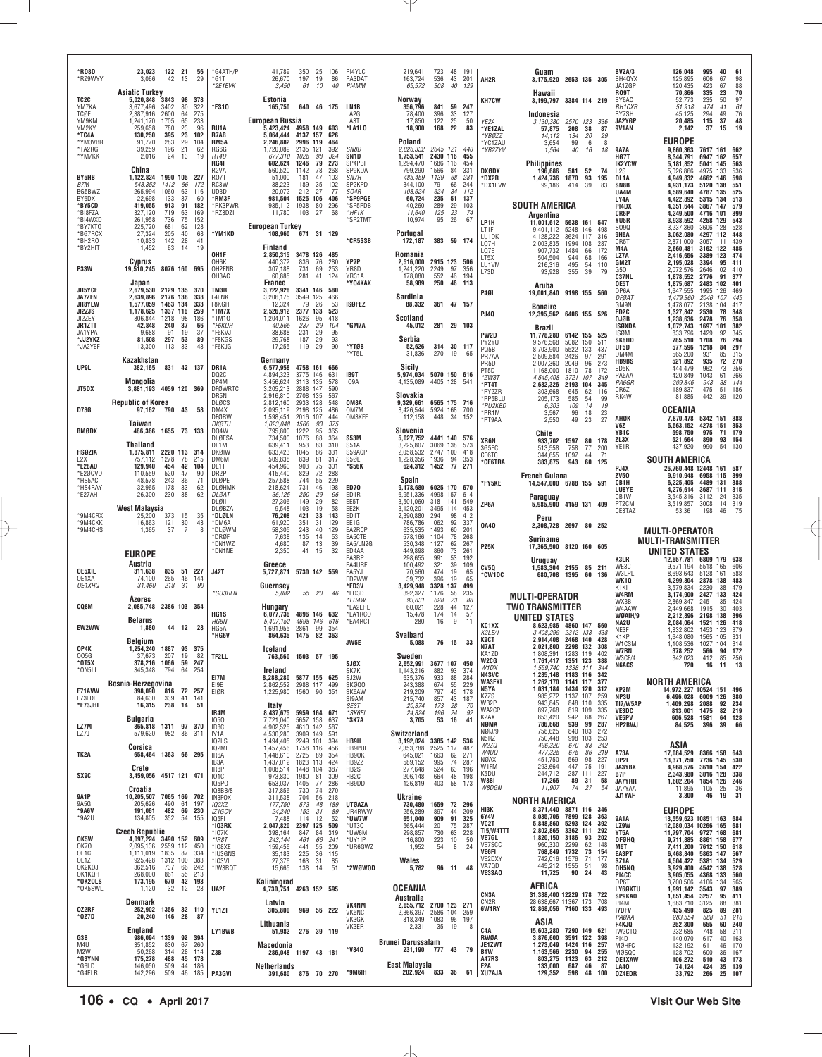| *RD8D                                           |                                                                                  |                         |                                |                                              |                              |                                           |                                     |                                                  |                     |                                     |                                            |                                              |                                      |                                     |                                                     |                                                                      |                                      |                                              |
|-------------------------------------------------|----------------------------------------------------------------------------------|-------------------------|--------------------------------|----------------------------------------------|------------------------------|-------------------------------------------|-------------------------------------|--------------------------------------------------|---------------------|-------------------------------------|--------------------------------------------|----------------------------------------------|--------------------------------------|-------------------------------------|-----------------------------------------------------|----------------------------------------------------------------------|--------------------------------------|----------------------------------------------|
| *RZ9WYY                                         | 23,023<br>122 21<br>42<br>3,066<br>13                                            | 56<br>29                | *G4ATH/P<br>*G1T<br>*2E1EVK    | 41,789<br>26,670<br>3,450                    | 350 25<br>197<br>61          | 106<br>19<br>86<br>10<br>40               | PI4YLC<br>PA3DAT<br>PI4MM           | 219,641<br>163,724<br>65,572                     | 723<br>536<br>308   | 48 191<br>43<br>201<br>40<br>129    | AH2R                                       | Guam<br>3,175,920 2653 135 305               |                                      |                                     | <b>BV2A/3</b><br>BH4QYX<br>JA1ZGP                   | 126.048<br>125,895<br>120,435                                        | 995<br>606<br>423                    | 40<br>61<br>98<br>67<br>88<br>67             |
| TC2C                                            | Asiatic Turkey<br>5,020,848 3843<br>98                                           | 378                     |                                | Estonia                                      |                              |                                           |                                     | Norway                                           |                     |                                     | <b>KH7CW</b>                               | Hawaii<br>3.199.797 3384 114 219             |                                      |                                     | <b>RO9T</b><br>BY6AC                                | 70,866<br>52,773                                                     | 335<br>235                           | 70<br>23<br>97<br>50                         |
| YM7KA<br>TCØF<br>YM9KM                          | 3,677,496<br>3402<br>80<br>2,387,916<br>2600<br>64<br>65<br>1,241,170<br>1705    | 322<br>275<br>233       | *ES10                          | 165,750<br><b>European Russia</b>            |                              | 640 46 175                                | LN <sub>1</sub> B<br>LA2G<br>LA3T   | 356,796<br>78,400<br>17,850                      | 841<br>396<br>122   | 59 247<br>33<br>127<br>25<br>50     |                                            | Indonesia                                    |                                      |                                     | <b>BH1CXR</b><br>BY7SH<br>JA2YGP                    | 51.918<br>45,125<br>20.485                                           | 474<br>294<br>115                    | 61<br>41<br>49<br>76<br>48<br>37             |
| YM2KY<br>*TC4A                                  | 259,658<br>780<br>23<br>130,250<br>23<br>395                                     | 96<br>102               | RU1A<br>R7AB                   | 5,423,424 4958 149<br>5,064,444              | 4137 157                     | 603<br>626                                | *LA1LO                              | 18,900                                           | 168                 | 22<br>83                            | YE2A<br>*YE1ZAL<br>*YBØZZ                  | 3,130,380<br>57,875<br>14.112                | 2570 123 336<br>38<br>208<br>134     | 87<br>20<br>29                      | <b>9V1AN</b>                                        | 2.142                                                                | 37                                   | 19<br>15                                     |
| *YM3VBR<br>*TA2RG                               | 91,770<br>283<br>29<br>39,259<br>196<br>21                                       | 104<br>62               | RM <sub>5</sub> A<br>RG6G      | 2.246.882<br>1,720,089                       | 2996 119<br>2135 121         | 464<br>392                                | SN8D                                | Poland<br>2,026,332                              |                     | 2645 121 440                        | 'YC1ZAU<br>*YB2ZYV                         | 3,654<br>1,564                               | 99<br>40                             | 6<br>8<br>18<br>16                  | <b>9A7A</b>                                         | <b>EUROPE</b><br>9.860.363                                           | 7617 161 662                         |                                              |
| *YM7KK                                          | 2,016<br>24<br>13                                                                | 19                      | RT4D<br><b>RG41</b>            | 677,310<br>602.624                           | 1028<br>1246                 | 98<br>324<br>79<br>273                    | SN <sub>1D</sub><br>SP4PBI          | 1,753,541<br>1.294.470                           | 2430 116<br>1686    | 455<br>116<br>454                   |                                            | <b>Philippines</b>                           |                                      |                                     | HG7T<br><b>IK2YCW</b>                               | 8,344,791<br>5,181,852                                               | 6947 162<br>5041<br>145              | 657<br>563                                   |
| BY5HB<br>B7M                                    | China<br>1,122,824<br>1990 105 227<br>548,352<br>1412<br>66                      | 172                     | R2VA<br><b>R07T</b><br>RC3W    | 560,520<br>51,000<br>38,223                  | 1142<br>181<br>189           | 78<br>268<br>47<br>103<br>102<br>35       | SP9KDA<br>SN7H<br>SP2KPD            | 799,290<br>485,459<br>344,100                    | 1566<br>1139<br>791 | 84<br>331<br>68<br>281<br>66<br>244 | <b>DXØDX</b><br>*DX2R<br>*DX1EVM           | 196,686<br>1,424,736<br>99,186               | 581<br>52<br>1870<br>414<br>39       | 74<br>93<br>195<br>83               | II2S<br>DL1A<br>SN8B                                | 5,026,866<br>4,949,832<br>4,931,173                                  | 4975<br>4662<br>5120<br>138          | 133<br>536<br>598<br>146<br>551              |
| BG5BWZ<br>BY6DX                                 | 63<br>265,994<br>1060<br>22.698<br>133<br>37                                     | 116<br>60               | UD3D<br>*RM3F                  | 20.072<br>981.504                            | 212<br>1525 106              | 27<br>-77<br>406                          | S04R<br>*SP9PGE                     | 108,624<br>60.724                                | 624<br>235          | 112<br>34<br>51<br>137              |                                            |                                              |                                      |                                     | UA4M<br>LY4A                                        | 4,589,640<br>4,422,892                                               | 135<br>4787<br>5315 134              | 525<br>513                                   |
| *BY5CD<br>*BI8FZA                               | 91<br>419,055<br>913<br>719<br>63<br>327.120                                     | 182<br>169              | *RK3PWR<br>*RZ3DZI             | 935,112<br>11,780                            | 1938<br>103                  | 80<br>296<br>27<br>68                     | *SP5PDB<br>*HF1K                    | 40,260<br>11,640                                 | 289<br>125          | 29<br>103<br>23<br>74               |                                            | <b>SOUTH AMERICA</b><br>Argentina            |                                      |                                     | PI4DX<br>CR6P                                       | 4.351.644<br>4,249,500                                               | 3867<br>147<br>4716<br>101           | 579<br>399                                   |
| *BI4WXD<br>*BY7KT0<br>*BG7RCX                   | 261,958<br>75<br>736<br>62<br>225,720<br>681<br>27,324<br>205<br>40              | 152<br>128<br>68        | *YM1KD                         | <b>European Turkey</b><br>108,960            |                              | 671 31 129                                | 'SP2TMT                             | 10,974<br>Portugal                               | 95                  | 26<br>67                            | LP1H<br>LT1F                               | 11,001,612<br>9,401,112                      | 5638 161<br>5248 146                 | 547<br>498                          | YU5R<br>S090<br><b>9H6A</b>                         | 3,938,592<br>3,237,360<br>3,062,080                                  | 4258 129<br>3606<br>128<br>4297 112  | 543<br>528<br>448                            |
| *BH2RO<br>*BY2HIT                               | 10,833<br>142<br>28<br>1,452<br>63<br>14                                         | 41<br>19                |                                | <b>Finland</b>                               |                              |                                           | *CR5SSB                             | 172,187                                          |                     | 383 59 174                          | LU1DK<br>LO7H<br>LQ7E                      | 4,128,222<br>2.003.835<br>907,732            | 3624<br>117<br>1994<br>108<br>1484   | 316<br>287                          | CR5T<br>M4A                                         | 2.871.000<br>2,660,481                                               | 3057<br>3162                         | 111<br>439<br>122<br>485                     |
|                                                 | <b>Cyprus</b>                                                                    |                         | OH1F<br>OH <sub>6</sub> K      | 2,850,315<br>440,372                         | 836                          | 3478 126 485<br>76<br>280                 | YP7P                                | Romania<br>2,516,000                             |                     | 2915 123 506                        | LT5X<br>LU1VM                              | 504,504<br>216,316                           | 66<br>68<br>944<br>495<br>54         | 172<br>166<br>110                   | LZ7A<br>GM2T                                        | 2.416.656<br>2,195,028                                               | 3389<br>123<br>3394                  | 474<br>95<br>411                             |
| <b>P33W</b>                                     | 19,510,245 8076 160 695<br>Japan                                                 |                         | OH2FNR<br>OH3AC                | 307.188<br>60,885<br>France                  | 731<br>281                   | 69<br>253<br>41<br>124                    | YR8D<br>YR31A<br>'Y04KAK            | 1.241.220<br>178,080<br>58,989                   | 2249<br>552<br>250  | 97<br>356<br>46<br>194<br>46 113    | L73D                                       | 93,928                                       | 355<br>39                            | 79                                  | G50<br>C37NL<br>OE5T                                | 2,072,576<br>1,878,552                                               | 2646<br>2776<br>2483<br>102          | 102<br>410<br>91<br>377<br>401               |
| <b>JR5YCE</b><br><b>JA7ZFN</b>                  | 2,679,530<br>2129 135<br>2176 138<br>2,639,896                                   | -370<br>338             | TM3R<br>F4ENK                  | 3,722,928<br>3,206,175                       | 3341 146<br>3549 125         | 580<br>466                                |                                     | Sardinia                                         |                     |                                     | P4ØL                                       | Aruba<br>19,001,840 9198 155 560             |                                      |                                     | DP6A<br><b>DFØAT</b>                                | 1,875,687<br>1,647,555<br>1,479,360                                  | 1995<br>126<br>2046                  | 469<br>107<br>445                            |
| <b>JR8YLW</b><br>JI2ZJS                         | 1,577,059<br>1463 134<br>1,178,625<br>1337 116                                   | 333<br>259              | F8KGH<br>*TM7X                 | 12,324<br>2,526,912                          | 79<br>2377                   | 26<br>53<br>133<br>523                    | ISØFEZ                              | 88,332                                           |                     | 361 47 157                          | PJ40                                       | <b>Bonaire</b><br>12,395,562                 | 6406 155 526                         |                                     | GM9N<br>ED <sub>2C</sub>                            | 1,478,077<br>1,327,842                                               | 2138<br>104<br>2530                  | 417<br>78<br>348                             |
| JI2ZEY<br><b>JR1ZTT</b><br>JA1YPA               | 806.844<br>1218<br>98<br>42,848<br>240<br>37<br>19<br>9,688<br>91                | 186<br>66<br>37         | *TM10<br>*F6KOH<br>*F6KVJ      | 1,204,011<br>40.565<br>38,688                | 1626<br>237<br>231           | 95<br>418<br>29<br>104<br>29<br>95        | *GM7A                               | <b>Scotland</b><br>45,012                        |                     | 281 29 103                          |                                            | Brazil                                       |                                      |                                     | OJØB<br>ISØXDA                                      | 1,238,636<br>1,072,743                                               | 2478<br>1697<br>1429                 | 76<br>358<br>101<br>382                      |
| *JJ2YKZ<br>*JA2YEF                              | 81.508<br>297<br>53<br>13,300<br>113<br>33                                       | 89<br>43                | *F8KGS<br>*F6KJG               | 29.768<br>17,255                             | 187<br>119                   | 93<br>29<br>29<br>90                      | *YTØB                               | Serbia<br>52,626                                 |                     | 314 30 117                          | PW2D<br>PY2YU                              | 11,778,280<br>9,576,568                      | 6142 155<br>5082 150                 | 525<br>511                          | ISØM<br><b>SK6HD</b><br>UF5D                        | 833,796<br>785,510<br>577.596                                        | 1708<br>1218                         | 345<br>92<br>294<br>76<br>84<br>297          |
|                                                 | Kazakhstan                                                                       |                         |                                | Germany                                      |                              |                                           | *YT5L                               | 31,836                                           | 270                 | 19<br>65                            | PQ5B<br>PR7AA<br>PR5D                      | 8,703,900<br>2,509,584<br>2,007,360          | 5522 133<br>2426<br>97<br>96<br>2049 | 437<br>$29 -$<br>273                | DM4M<br><b>HB9BS</b>                                | 565,200<br>521.892                                                   | 931<br>935                           | 85<br>315<br>270<br>72                       |
| UP9L                                            | 831 42 137<br>382,165                                                            |                         | DR1A<br>DQ <sub>2</sub> C      | 6,577,958<br>4.894.323                       | 3775 146                     | 4758 161 666<br>631                       | IB9T                                | Sicily<br>5,974,034                              |                     | 5070 150 616                        | PT5D<br>*ZW8T                              | 1,168,000<br>4,545,408                       | 1810<br>78<br>3721<br>107            | 172<br>349                          | ED5K<br>PA6AA                                       | 444,479<br>420,849                                                   | 962<br>1043                          | 256<br>73<br>266<br>61                       |
| JT5DX                                           | Mongolia<br>4059 120 369<br>3,881,193                                            |                         | DP4M<br><b>DFØWRTC</b><br>DR5N | 3,456,624<br>3,205,213<br>2,916,810          | 3113 135<br>2888 147<br>2708 | 578<br>590<br>135<br>567                  | 109A                                | 4,135,089<br>Slovakia                            | 4405 128            | 541                                 | *PT4T<br>*PY2ZR                            | 2,682,326<br>303,668                         | 2193<br>104<br>62<br>645             | 345<br>116                          | PA6GR<br>CR6Z<br>RK4W                               | 209.846<br>189,837<br>81,885                                         | 943<br>475<br>442                    | 144<br>38<br>51<br>186<br>39<br>120          |
| <b>D73G</b>                                     | <b>Republic of Korea</b><br>97,162 790 43                                        | 58                      | <b>DLØCS</b><br>DM4X           | 2,812,160<br>2,095,119                       | 2933 128<br>2198 125         | 548<br>486                                | OM8A<br>OM7M                        | 9,329,661<br>8,426,544                           | 5924 168            | 6565 175 716<br>700                 | *PP5BLU<br>*PU2KBD<br>*PR1M                | 205,173<br>6,303<br>3,567                    | 54<br>585<br>109<br>96               | 99<br>14<br>19<br>23<br>18          |                                                     | <b>OCEANIA</b>                                                       |                                      |                                              |
|                                                 | Taiwan                                                                           |                         | <b>DFØRW</b><br>DKØTU          | 1,598,451<br>1.023.048                       | 2016<br>1566                 | 107<br>444<br>93<br>375                   | OM3KFF                              | 112,158                                          | 448                 | - 34<br>152                         | *PT9AA                                     | 2,550                                        | 49<br>23                             | 27                                  | AHØK<br>V6Z                                         | 7,870,478<br>5.563.152                                               | 5342 151 388<br>4278<br>151          | 353                                          |
| BMØDX                                           | 1655 73 133<br>486,366<br>Thailand                                               |                         | DQ4W<br>DLØESA<br>DL1M         | 795,800<br>734,500<br>639.411                | 1222<br>1076<br>953          | 95<br>365<br>88<br>364<br>83<br>310       | <b>S53M</b><br><b>S51A</b>          | Slovenia<br>5,027,752<br>3.225.807               | 3069                | 4441 140 576<br>138<br>573          | XR6N                                       | Chile<br>933,702                             | 1597                                 | 80<br>178                           | YB1C<br>ZL3X                                        | 598,750<br>521.664                                                   | 975<br>890                           | 179<br>71<br>93<br>154<br>130                |
| HSØZIA<br>F <sub>2</sub> X                      | 2220 113 314<br>1,875,811<br>78<br>757,112<br>1278                               | 215                     | DKØIW<br>DM6M                  | 633,423<br>509,838                           | 1045<br>839                  | 86<br>331<br>81<br>317                    | S59ACP<br>S5ØL                      | 2,058,532<br>1,228,356                           | 2747<br>1936        | 100<br>418<br>94<br>353             | 3G5EC<br>CE6TC                             | 513,558<br>344,655<br>383,875                | 758<br>1097<br>60                    | 77<br>200<br>44<br>71               | YE1R                                                | 437,920<br>SOUTH AMERICA                                             | 990                                  | 54                                           |
| *E28AD<br>*E2ØQVD                               | 42<br>129,940<br>454<br>110,559<br>520<br>47                                     | 104<br>90               | DL1T<br>DR2P                   | 454,960<br>415,440                           | 903<br>829                   | 75<br>301<br>72<br>288                    | *S56K                               | 624,312                                          | 1452                | 77<br>271                           | °CE6TRA                                    | French Guiana                                | 943                                  | 125                                 | PJ4X<br>ZV50                                        | 26.760.448 12448<br>9,910,948                                        | 6958<br>115                          | 161 587<br>399                               |
| *HS5AC<br>*HS4RAY<br>*E27AH                     | 48,578<br>243<br>36<br>32,965<br>178<br>33<br>26,300<br>230<br>38                | 71<br>62<br>62          | DLØPE<br>DLØHMK<br>DLØAT       | 257,588<br>218,624<br>36.125                 | 744<br>731<br>250            | 55<br>229<br>46<br>198<br>29<br>96        | <b>ED70</b><br>ED <sub>1R</sub>     | Spain<br>9,178,680<br>6,951,336                  | 4998 157            | 6025 170 670<br>614                 | *FY5KE                                     | 14,547,000 6788 155 591                      |                                      |                                     | CB <sub>1</sub> H<br>LU8YE                          | 6,225,405<br>4,276,614                                               | 4489<br>3687 111                     | 131 388<br>315                               |
|                                                 | West Malaysia                                                                    |                         | DLØII<br>DLØBZA                | 27,306<br>9,548                              | 149<br>103                   | 29<br>82<br>19<br>58                      | EE5T<br>EE2K                        | 3,501,060<br>3,120,201                           | 3181 141<br>3495    | 549<br>114<br>453                   | ZP6A                                       | Paraguay<br>5,985,900                        | 4159 131 409                         |                                     | CB1W<br>PT <sub>2</sub> CM<br>CE3TAZ                | 3,545,316<br>3,519,857<br>53,361                                     | 3112 124<br>3008 114<br>198          | 335<br>319                                   |
| *9M4CRX                                         | 25,200<br>373<br>15                                                              |                         |                                |                                              |                              |                                           |                                     |                                                  |                     |                                     |                                            |                                              |                                      |                                     |                                                     |                                                                      |                                      |                                              |
| *9M4CKK                                         | 30<br>16,863<br>121                                                              | 35<br>43                | *DLØLN<br>*DM6A                | 76.208<br>61,920                             | 421<br>351                   | 33<br>143<br>31<br>129                    | ED1T<br>EE1G                        | 2,390,880<br>786,786                             | 2941<br>1062        | 98<br>412<br>92<br>337              |                                            | Peru                                         |                                      |                                     |                                                     |                                                                      |                                      | 46<br>75                                     |
| *9M4CHS                                         | $\overline{7}$<br>1,365<br>37                                                    |                         | *DLØWM<br>*DRØF                | 58,305<br>7,638                              | 243<br>135                   | 40<br>129<br>53<br>14                     | EA2RCP<br>EA5CTE                    | 635,535<br>578,166                               | 1493<br>1104        | 60<br>201<br>268<br>78              | 0A40                                       | 2,308,728 2697 80 252<br>Suriname            |                                      |                                     |                                                     | <b>MULTI-OPERATOR</b>                                                |                                      |                                              |
|                                                 | <b>EUROPE</b>                                                                    |                         | *DN1WZ<br>*DN1NE               | 4,680<br>2,350                               | 87<br>41                     | 39<br>13<br>32<br>15                      | EA5/LN2G<br>ED4AA                   | 530,348<br>449.898                               | 1127<br>860         | 62<br>267<br>73<br>261              | PZ5K                                       | 17,365,500                                   | 8120 160 605                         |                                     |                                                     | <b>MULTI-TRANSMITTER</b><br>UNITED STATES                            |                                      |                                              |
| OE5XIL                                          | Austria<br>835 51 227<br>311,638                                                 |                         | <b>J42T</b>                    | Greece<br>5,727,871                          |                              | 5730 142 559                              | EA3RP<br>EA4URE<br>EA5YJ            | 298,655<br>100,492<br>70,560                     | 991<br>321<br>474   | 53<br>192<br>39<br>109<br>19<br>65  | CV5Q                                       | <b>Uruguay</b><br>1.583.304                  | 2155 85 211                          |                                     | K3LR<br>WE3C<br>W3LPL                               | 12,657,781 6809<br>9.571.194<br>8,693,643                            | 165<br>5518<br>5128<br>161           | 179 638<br>606<br>588                        |
| OE1XA<br>OE1XHQ                                 | 265<br>74,100<br>46<br>218<br>31<br>31,460                                       | 144<br>90               |                                | Guernsev                                     |                              |                                           | ED2WW<br>*ED3V                      | 39,732<br>3.429.948                              | 396<br>3328         | 19<br>65<br>137<br>499              | <b>*CW1DC</b>                              | 680,708                                      | 1395<br>60                           | 136                                 | WK1Q<br>K1KI                                        | 4,299,804<br>3,579,834                                               | 2878 138<br>2230                     | 483<br>479<br>138                            |
| CQ8M                                            | Azores<br>2.085.748                                                              |                         | *GU3HFN                        | 5.082                                        | 55 20                        | 46                                        | *ED3D<br>*ED4W                      | 392,327<br>93,631                                | 1176<br>628         | 58<br>235<br>23<br>86               |                                            | <b>MULTI-OPERATOR</b>                        |                                      |                                     | W4RM<br>WX3B                                        | 3.174.900<br>2.869.347                                               | 2427 133<br>2451                     | 424<br>135<br>424                            |
|                                                 | 2386 103 354<br>Belarus                                                          |                         | HG1S<br><b>HG6N</b>            | Hungary<br>6,077,736<br>5,407,152            | 4698 146                     | 4896 146 632<br>616                       | EA2EHE<br>*EA1RCO<br>*EA4RCT        | 60,021<br>15,478<br>280                          | 228<br>174<br>16    | 127<br>44<br>57<br>-14<br>9<br>11   |                                            | <b>TWO TRANSMITTER</b><br>UNITED STATES      |                                      |                                     | W4AAW<br>WØAIH/9<br>NA2U                            | 2,449,668<br>2,212,896<br>2,084,064                                  | 1915<br>2198<br>138<br>1521          | 130<br>403<br>396<br>126<br>418              |
| EW2WW                                           | 44 12 28<br>1,880                                                                |                         | HG5A<br>*HG6V                  | 1,691,955<br>864,635                         | 2861<br>1475 82              | 99<br>354<br>363                          |                                     | <b>Svalbard</b>                                  |                     |                                     | KC1XX<br>K2LE/1                            | 8,623,986<br>3,408,299                       | 4860 147<br>2312 133                 | 560<br>438                          | NE3F<br>K <sub>1</sub> KP                           | 1,832,802<br>1,648,080                                               | 1453<br>1565                         | 123<br>379<br>105<br>331                     |
| OP4K                                            | Belgium<br>1887 0254,240<br>93                                                   | -375                    |                                | ıceland                                      |                              |                                           | JW5E                                | 5,088                                            | 76 15               | 33                                  | K9CT<br><b>N7AT</b><br>KA1ZD               | 2,914,408 2468 140<br>2 021 800<br>1,808,391 | 2298 132<br>1283 119                 | 428<br>308<br>402                   | W1CSM<br>W7RN                                       | 1,108,536<br>378,252                                                 | 1027<br>104<br>566                   | 314<br>172<br>-94                            |
| 005G<br>*0T5X<br>*ON5LL                         | 207<br>19<br>37,673<br>378,216 1066<br>59<br>345,348<br>794<br>64                | 82<br>247<br>254        | TF2LL                          | Ireland                                      |                              | 763,560 1503 57 195                       | <b>SJØX</b><br>SK7K                 | Sweden<br>2,652,991<br>1,143,216                 | 1882                | 3677 107 450<br>93<br>374           | W2CG<br>W1DX                               | 1,761,417 1351 123<br>1,559,740              | 1338 111                             | 388<br>344                          | W3CF/4<br><b>N6ACS</b>                              | 342,023<br>720                                                       | 412 85<br>16                         | 256<br>13<br>11                              |
|                                                 | Bosnia-Herzegovina                                                               |                         | EI7M<br>E19E                   | 8,288,280 5877 155 625<br>2,862,552          |                              | 2988 117 499                              | SJ2W<br>SKØQ0                       | 635,376<br>243,388                               | 933<br>674          | 88<br>284<br>229<br>55              | <b>N4SVC</b><br><b>WA3EKL</b>              | 1,285,148 1183 116<br>1,262,170 1141 117     |                                      | 342<br>377                          |                                                     | <b>NORTH AMERICA</b>                                                 |                                      |                                              |
| E71AVW<br>E73FDE                                | 398,090<br>816<br>72<br>339<br>84,630<br>41                                      | 257<br>141              | EIØR                           | 1,225,980 1560 90 351                        |                              |                                           | SK6AW<br>SI9AM                      | 219,209<br>215,740                               | 797<br>857          | 45<br>178<br>43<br>187              | N5YA<br>K7ZS<br>WB2P                       | 1,031,184 1434 120<br>985,272<br>943,845     | 1137 107<br>848 110                  | 312<br>259                          | KP2M<br>NP3U<br>TI7/W5AP                            | 14,972,227 10524 151 496<br>6,496,028 6009 126 380<br>1,409,298 2088 |                                      | 92<br>234                                    |
| *E73JHI                                         | 16,315<br>238<br>14<br>Bulgaria                                                  | 51                      | IR4M<br>1050                   | Italy<br>8,437,675 5959 164 671<br>7,721,040 | 5657 158                     | 637                                       | SE3T<br>*SK6EI<br>*SK7A             | 20,874<br>24,824<br>3,705                        | 173<br>196<br>53    | 28<br>70<br>24<br>92<br>41<br>16    | WA2CP<br>K <sub>2</sub> AX                 | 897,768<br>853,420                           | 819 109<br>942<br>88                 | 335<br>335<br>267                   | VE3DC<br>VE5PV                                      | 813,001 1475<br>606,528 1581                                         |                                      | 82<br>219<br>64 128                          |
| LZ7M<br>LZ7J                                    | 865,818 1311 97 370<br>982<br>86<br>579,620                                      | 311                     | IR8C<br>IY1A                   | 4,902,525<br>4,530,280                       | 4610 142<br>3909 149         | 587<br>591                                |                                     | Switzerland                                      |                     |                                     | NØMA<br>NØIJ/9                             | 786,668<br>758,625                           | 939<br>99<br>840 103                 | 287<br>272                          | HP2BWJ                                              | 84,525                                                               | 396                                  | 39<br>66                                     |
|                                                 | Corsica                                                                          |                         | IQ2LS<br><b>IQ2MI</b>          | 1,494,405 2249 101<br>1,457,456              | 1758 116                     | 394<br>456                                | HB9H<br>HB9PUE                      | 3,192,024 3385 142 536<br>2,353,788              | 2525 117            | 487                                 | N5RZ<br>W2ZQ<br>W4UQ                       | 750,448<br>496,320                           | 998<br>103<br>670<br>675             | 253<br>88<br>242<br>86<br>219       | A73A                                                | ASIA<br>17,084,529 8366 158 643                                      |                                      |                                              |
| TK2A                                            | 658,464 1363 66 295<br>Crete                                                     |                         | IR6A<br>IB3A<br>IR8P           | 1,448,610 2725 89<br>1,437,012<br>1,008,514  | 1823 113<br>1448 104         | 354<br>424<br>387                         | HB90K<br>HB9ZZ<br>HB <sub>2</sub> S | 645,021<br>589,152<br>277,648                    | 1663<br>995<br>524  | 62<br>271<br>74<br>287<br>63<br>196 | NØAX<br>W1FM                               | 477,325<br>451,750<br>293,664                | 569<br>447<br>75                     | 227<br>98<br>191                    | UP2L<br>JA3YBK                                      | 13,371,750<br>4,968,576                                              | 7736 145 530<br>3610 154 422         |                                              |
| SX9C                                            | 3,459,056 4517 121 471                                                           |                         | <b>101C</b><br>IQ5PO           | 973,830<br>653,037                           | 1980<br>1405                 | 81<br>309<br>77<br>286                    | HB <sub>2</sub> C<br>HB9DD          | 206,148<br>126,819                               | 664<br>403          | 48<br>198<br>58 173                 | K5DU<br>W8BI                               | 244,712<br>17,266                            | 287 111<br>89<br>31                  | 227<br>58                           | B7P<br><b>JA7YRR</b>                                | 2,343,980<br>1,602,204                                               | 3016 128<br>1854 126 246             | 338                                          |
| <b>9A1P</b>                                     | Croatia<br>10,205,507 7065 169 702                                               |                         | IQ8BB/8<br>IN3FOX              | 317,856                                      | 730<br>704                   | 270<br>74<br>56<br>218                    |                                     | <b>Ukraine</b>                                   |                     |                                     | W8DGN                                      | 11,907<br>NORTH AMERICA                      | 74                                   | 27<br>54                            | JA7YAA<br>JJ1YAF                                    | 11,895<br>3,300                                                      | 105<br>46                            | 25<br>36<br>19<br>31                         |
| 9A5G<br>*9A6V<br>$*9A2U$                        | 205,626<br>490<br>61<br>191,061<br>482 69<br>134,805<br>352<br>54                | 197<br>230<br>155       | 102XZ<br>IZ1GCV<br>IQ5FI       | 311,538<br>177,750<br>24,240<br>7,488        | 573<br>152<br>114            | 48<br>189<br>31<br>89<br>12<br>52         | <b>UTØAZA</b><br>UR4RWW<br>*UW7W    | 730,480<br>256,289<br>651,040                    | 1659<br>897<br>909  | 72 296<br>44<br>209<br>91<br>325    | HI3K<br>6Y4V                               | 8,371,440 8871 116 346<br>8,035,706          | 7899 128                             | 363                                 | 9A1A                                                | <b>EUROPE</b><br>13,559,623 10851 163 684                            |                                      |                                              |
|                                                 |                                                                                  |                         | *IQ3RK<br>*107K                | 2,047,820<br>398,164                         | 2397 125<br>847              | 509<br>84<br>319                          | *UT3C<br>*UW6M                      | 565,444<br>298,857                               | 1201<br>730         | 75<br>287<br>63<br>228              | VC2T<br>TI5/W4TTT                          | 5,848,860<br>2,802,865                       | 5293 124<br>3362 111                 | 392<br>292                          | LZ9W<br>YT5A                                        | 12,080,034 10266 165 681<br>11,797,704 9727 168 681                  |                                      |                                              |
| OK5W<br>0K70                                    | Czech Republic<br>4,097,224 3490 152 609<br>2,095,136 2559 112                   | 450                     | $*$ IR8T<br>*IQ8XE             | 243,144<br>159,456                           | 461<br>441                   | 66<br>241<br>55<br>209                    | *UY1IP<br>*UR6GWZ                   | 16,800<br>1,952                                  | 223<br>54           | 10<br>50<br>8<br>24                 | VE7GL<br>VE7SCC                            | 1,820,150<br>960,330                         | 3186<br>93<br>2299                   | 202<br>62<br>148                    | <b>DFØHQ</b><br>M6T                                 | 9,711,885<br>7,411,200                                               | 8861<br>7612 150 618                 | 158 677                                      |
| OL1C<br>OL1Z<br>OK2KOJ                          | 1,111,019 1835<br>87<br>925,428 1312 100<br>362,516<br>737<br>66                 | 334<br>383<br>242       | *IU3GNS<br>*IQ3VI<br>*IW3RQT   | 35,183<br>27,376<br>15,665                   | 225<br>163<br>138            | 36<br>115<br>85<br>31<br>51<br>14         | *2WØWOD                             | Wales<br>5,782                                   | 96 11               | 48                                  | VE6FI<br>VE2DXY<br>VA7QD                   | 768,849<br>742,016<br>445,212                | 1732<br>1576<br>1555<br>51           | $\frac{73}{71}$<br>154<br>177<br>98 | EA3PT<br>SZ1A<br>OH5NQ                              | 6,468,840<br>4,504,422<br>3,929,400                                  | 5863 147<br>5381 134 529<br>4542 138 | 567<br>528                                   |
| OK1KQH<br>*OK2OLS                               | 55<br>861<br>268,000<br>42<br>173,195<br>670                                     | 213<br>193              |                                | Kaliningrad                                  |                              |                                           |                                     |                                                  |                     |                                     | VE3SAO                                     | 11,725                                       | 90<br>24                             | 43                                  | PI4CC<br>DP6T                                       | 3,905,055<br>3,700,506                                               | 4368<br>4106                         | 133<br>560<br>134<br>565                     |
| *OK5SWL                                         | 12<br>1,120<br>-32                                                               | 23                      | UA2F                           | 4,730,751 4263 152 595                       |                              |                                           |                                     | OCEANIA<br>Australia                             |                     |                                     | CN3A                                       | AFRICA<br>31,388,400 12229 178               |                                      | 722                                 | LY60KTU<br><b>SP9KAO</b>                            | 1,991,142<br>1,851,454                                               | 3543<br>3257                         | 97<br>389<br>95 411                          |
| 0Z2RF<br>*0Z7D                                  | Denmark<br>1356 32 110<br>252,902<br>20,240<br>146<br>28                         | 87                      | YL1ZT                          | Latvia<br>305,800                            |                              | 969 56 222                                | VK4NM<br><b>VK6NC</b>               | 2,855,712 2700 123 271<br>2,366,397 2586 104 259 |                     |                                     | CN2R<br>6W1RY                              | 28,638,667 11367 173<br>12,868,056 7160 133  |                                      | 708<br>493                          | PI4M<br><b>I7DFV</b><br>PAØAA                       | 1,683,710<br>435,490<br>283,554                                      | 3125<br>825<br>888                   | $\frac{381}{281}$<br>88<br>89<br>51 216      |
|                                                 | England                                                                          |                         | LY1BWB                         | Lithuania<br>51,982                          |                              | 276 39 119                                | VK3GK<br>VK3ER                      | 818,349 1083 96 197<br>2,331                     | 35                  | 19<br>18                            | C4A                                        | ASIA<br>15,603,280                           | 7290 149 621                         |                                     | F4KJQ<br>IW2CTQ                                     | 252,300<br>232,685                                                   | 655<br>748                           | 240<br>60<br>211<br>58                       |
| G3B<br>M4U                                      | 986,094 1339<br>92<br>351,852<br>830<br>67                                       | 394<br>260              |                                | Macedonia                                    |                              |                                           | *V840                               | <b>Brunei Darussalam</b><br>231,190 777 43       |                     | - 79                                | <b>RWØA</b><br><b>JE1ZWT</b>               | 3,876,600<br>1,273,049                       | 3591 122<br>1424 116                 | 398<br>257                          | PI4D<br><b>MØHFC</b>                                | 140,070<br>132,192                                                   | 617<br>611                           | 163<br>170<br>40<br>46                       |
| M <sub>2</sub> W<br>*G3YNN<br>$*G6LD$<br>*G4ELR | 50,268<br>314<br>28<br>488<br>175,278<br>146,050<br>509<br>142,296<br>509 46 185 | 114<br>45 178<br>44 186 | Z3B<br>PA3GVI                  | <b>Netherlands</b>                           |                              | 286,048 1197 43 181<br>391,680 876 70 270 | $*9M6IH$                            | East Malaysia<br>$202,924$ 833 36 61             |                     |                                     | B <sub>1</sub> W<br>A47RS<br>E2A<br>XU7AJA | 1,163,566<br>803,275<br>133,000<br>129,352   | 2230<br>94<br>1123<br>687 46         | 255<br>63<br>212<br>87              | MØSQC<br>OE1XAW<br><b>LA40</b><br>598 48 100 0Z4EDR | 128,702<br>106,272<br>74,124<br>33,792                               | 600<br>510                           | 36 167<br>43 173<br>424 35 139<br>266 25 107 |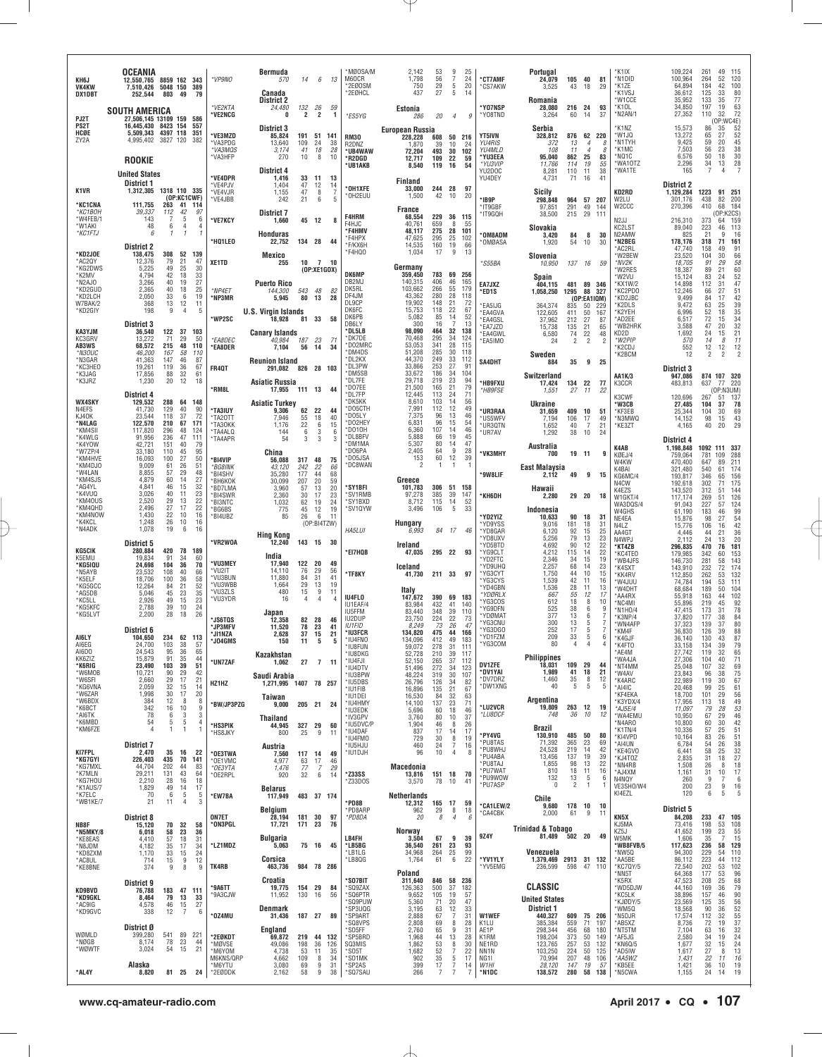| KH6J<br><b>VK4KW</b><br>DX1DBT                         | OCEANIA<br>12,550,765<br>7,510,426<br>252,544                           | 5048 150<br>803                        | 8859 162 343<br>389<br>49<br>-79                                      | *VP9NO                                   | Bermuda<br>570<br>Canada<br>District 2                         | 14                          | 6                                          | 13                       | *MØOSA/M<br>M60CR<br>*2EØOSM<br>*2EØHCL                     | 2,142<br>1,798<br>750<br>437                                     | 53<br>56<br>29<br>27                | 9<br>7<br>5<br>5                       | 25<br>24<br>20<br>14             | *CT7AMF<br>*CS7AKW                                             | Portugal<br>24,079<br>3,525<br>Romania              | 105<br>43                            | 40<br>18                                     | 81<br>29                             | 'K1IX<br>N1DID*<br>*K1ZE<br>*K1VSJ<br>'W1CCE          | 109,224<br>100,964<br>64,894<br>36,612<br>35.952            | 261<br>264<br>184<br>125<br>133        | 49<br>115<br>52<br>120<br>42<br>100<br>33<br>80<br>35                                                                |
|--------------------------------------------------------|-------------------------------------------------------------------------|----------------------------------------|-----------------------------------------------------------------------|------------------------------------------|----------------------------------------------------------------|-----------------------------|--------------------------------------------|--------------------------|-------------------------------------------------------------|------------------------------------------------------------------|-------------------------------------|----------------------------------------|----------------------------------|----------------------------------------------------------------|-----------------------------------------------------|--------------------------------------|----------------------------------------------|--------------------------------------|-------------------------------------------------------|-------------------------------------------------------------|----------------------------------------|----------------------------------------------------------------------------------------------------------------------|
| PJ2T                                                   | <b>SOUTH AMERICA</b><br>27.506.145 13109 159 586                        |                                        |                                                                       | *VE2KTA<br>'VE2NCG                       | 24,480<br>0                                                    | 132<br>$\overline{2}$       | 26<br>$\overline{2}$                       | 59<br>$\mathbf{1}$       | *ES5YG                                                      | Estonia<br>286                                                   | 20                                  | $\overline{4}$                         | 9                                | <b>*YO7NSP</b><br>*Y08TND                                      | 28,080<br>3,264                                     | 216 24<br>60                         | 14                                           | 93<br>37                             | *K10L<br>N2AN/1*                                      | 34,850<br>27,352                                            | 197<br>110                             | $\frac{77}{63}$<br>19<br>72<br>32<br>(OP: WC4E)                                                                      |
| PS2T<br>HCØE<br>ZY2A                                   | 16,445,430 8423 154<br>5,509,343 4397 118<br>4,995,402<br><b>ROOKIE</b> | 3827 120                               | 557<br>351<br>382                                                     | *VE3MZD<br>*VA3PDG<br>*VA3MQS<br>*VA3HFP | District 3<br>85,824<br>13,640<br>3,174<br>270                 | 191<br>109<br>41<br>10      | 51<br>24<br>18<br>8                        | 141<br>38<br>28<br>10    | <b>RM30</b><br>R2DNZ<br>*UB4WAW<br>*R2DGD<br>*UB1AKB        | European Russia<br>228,228<br>1,870<br>72,204<br>12,717<br>8,540 | 608<br>39<br>493<br>109<br>119      | 50 216<br>10<br>30<br>22<br>16         | 24<br>102<br>59<br>54            | <b>YT5IVN</b><br><b>YU4RIS</b><br>YU4MLD<br>*YU3EEA<br>*YU3VIP | Serbia<br>328,812<br>372<br>108<br>95,040<br>11.766 | 876 62 220<br>13<br>11<br>862<br>114 | $\overline{4}$<br>$\overline{4}$<br>25<br>19 | 8<br>8<br>83<br>55                   | *K1NZ<br>'W1JQ<br>'N1TYH<br>*K1MC<br>MQ1C*<br>*WA10TZ | 15,573<br>13.272<br>9,425<br>7,503<br>6,576<br>2,296        | 86<br>65<br>59<br>56<br>50<br>34       | $\frac{52}{52}$<br>45<br>35<br>27<br>20<br>$\begin{array}{c} 38 \\ 30 \end{array}$<br>23<br>18<br>$rac{28}{7}$<br>13 |
| K1VR<br><b>'KC1CNA</b>                                 | <b>United States</b><br>District 1<br>1,312,305<br>111,755              |                                        | 1318 110 335<br>(OP:KC1CWF)<br>263 41 114                             | *VE4DPR<br>*VE4PJV<br>*VE4VJR<br>*VE4JBB | District 4<br>1,416<br>1,404<br>1,155<br>242                   | 33<br>47<br>47<br>21        | 11<br>12<br>8<br>6                         | 13<br>14<br>-7<br>5      | *OH1XFE<br>OH2EUU                                           | Finland<br>33.000<br>1,500<br><b>France</b>                      | 244 28<br>42                        | 10                                     | 97<br>20                         | YU2DOC<br>YU4DEY<br>*IB9P<br>*IT9GBF                           | 8,281<br>4,731<br>Sicily<br>298,848<br>97.851       | 110<br>71<br>964 57 207<br>291       | 11<br>16<br>49                               | 38<br>41<br>144                      | 'WA1TE<br>KD2RD<br>W2LU<br>W <sub>2</sub> CCC         | 165<br><b>District 2</b><br>1,129,284<br>301,176<br>270,396 | 7<br>1223<br>438<br>410                | 4<br>91<br>251<br>82<br>200<br>68<br>184                                                                             |
| *КС1ВОН<br>*W4FEB/1<br>*W1AKI                          | 39,337<br>143<br>48                                                     | 112<br>7<br>6                          | 42<br>97<br>5<br>6<br>4<br>4                                          | *VE7KCY                                  | District 7<br>1,660                                            | 45                          | 12                                         | 8                        | <b>F4HRM</b><br>F4HJC<br>*F4HMV                             | 68,554<br>40.761<br>48.117                                       | 229<br>659<br>275                   | 36 115<br>8<br>28                      | 55<br>101                        | *IT9GQH                                                        | 38,500<br>Slovakia                                  | 215                                  | 29                                           | 111                                  | N2JJ<br>KC2LST                                        | 216,310<br>89,040                                           | 373<br>223                             | (OP:K2CS)<br>64 159<br>113<br>46                                                                                     |
| *KC1FTJ<br>*KD2JOE                                     | 6<br><b>District 2</b><br>138,475                                       | 1<br>308                               | $\mathbf{1}$<br>1<br>52<br>139                                        | *HQ1LEO                                  | <b>Honduras</b><br>22,752                                      | 134 28                      |                                            | 44                       | *F4HPX<br>*F/KX6H<br>*F4HQO                                 | 47,625<br>14.535<br>1,034                                        | 295<br>160<br>17                    | 25<br>19<br>9                          | 102<br>66<br>13                  | *OM8ADM<br>*OMØASA                                             | 3,420<br>1,920                                      | 84<br>54                             | 8<br>10                                      | 30<br>30                             | N2AMW<br>*N2BEG<br>*AC2RL                             | 825<br>178,176<br>47,740                                    | 21<br>318<br>158                       | 16<br>9<br>161<br>71<br>91<br>49                                                                                     |
| *AC2QY<br>*KG2DWS<br>*K2MV                             | 12,376<br>5,225<br>4,794                                                | 79<br>49<br>42                         | 21<br>47<br>25<br>30<br>18<br>33                                      | XE1TD                                    | Mexico<br>255                                                  | 10                          | $\overline{7}$<br>(OP:XE1GOX)              | 10                       | <b>DK6MP</b>                                                | Germany<br>359,450                                               | 783                                 | 69 256                                 |                                  | *S55BA                                                         | Slovenia<br>10,950                                  | 137                                  | 16                                           | 59                                   | *W2BEW<br>*NV2K<br>'W2RES                             | 23,520<br>18,705<br>18,387                                  | 104<br>91<br>89                        | 66<br>30<br>29<br>$\begin{array}{c} 58 \\ 60 \end{array}$<br>21                                                      |
| *N2AJO<br>*KD2GUD<br>*KD2LCH                           | 3,266<br>2,365<br>2,050                                                 | 40<br>40<br>33                         | 27<br>19<br>18<br>25<br>19<br>- 6                                     | *NP4ET<br>*NP3MR                         | <b>Puerto Rico</b><br>144,300<br>5,945                         | 543<br>80                   | 48<br>13                                   | 82<br>28                 | DB2MJ<br>DK5RL<br>DF4JM                                     | 140,315<br>103,662<br>43,362                                     | 406<br>266<br>280                   | 46<br>55<br>28                         | 165<br>179<br>118                | EA7JXZ<br>*ED1S                                                | Spain<br>404,115<br>1,058,250                       | 481 89 346<br>1295                   | 88 327                                       |                                      | 'W2VU<br>KX1W/2<br>'KC2PD0<br>KD2JBC*                 | 15,124<br>14.898<br>12,246<br>9,499                         | 83<br>112<br>66<br>84                  | $\frac{52}{47}$<br>24<br>31<br>27<br>42<br>17                                                                        |
| W7BAK/2<br>*KD2GIY                                     | 368<br>198                                                              | 13<br>9                                | 12<br>11<br>$\overline{4}$<br>5                                       | <b>WP2SC</b>                             | <b>U.S. Virgin Islands</b><br>18,928                           | 81 33                       |                                            | 58                       | DL9CP<br>DK6FC<br>DK6PB                                     | 19.902<br>15,753<br>5,082                                        | 148<br>118<br>85                    | 21<br>22<br>14                         | 72<br>67<br>52                   | *EA5IJG<br>*EA4GVA<br>*EA4GSL                                  | 364,374<br>122.605<br>37,962                        | 835<br>411<br>212                    | (OP:EA1IQM)<br>50<br>50<br>27                | 229<br>167<br>87                     | *K2DLS<br>*K2YEH<br>AD2EE*                            | 9,472<br>6,996<br>6.517                                     | 63<br>$\frac{52}{72}$                  | 39<br>25<br>35<br>18<br>15                                                                                           |
| KA3YJM<br>KC3GRV<br>AB3WS<br>*N3OUC                    | <b>District 3</b><br>36,540<br>13,272<br>68,572<br>46,200               | 122<br>71<br>215<br>167                | 37<br>103<br>29<br>50<br>48<br>110<br>58<br>110                       | *EA8DEC<br>*EA8DER                       | <b>Canary Islands</b><br>40.984<br>7,104                       | 187<br>56                   | 23<br>14                                   | 71<br>34                 | DB6LY<br>*DL5LB<br>*DK7DE<br>*DO2MRC<br>*DM4DS              | 300<br>98,090<br>70.468<br>53,053<br>51,208                      | 16<br>464<br>295<br>341<br>285      | $\overline{7}$<br>32<br>34<br>28<br>30 | 13<br>138<br>124<br>115<br>118   | *EA7JZD<br>*EA4GWL<br>*EA5IMO                                  | 15,738<br>6,580<br>24<br>Sweden                     | 135<br>74<br>2                       | 21<br>22<br>$\overline{2}$                   | 65<br>48<br>$\overline{\phantom{a}}$ | *WB2HRK<br>KD2D<br>*W2PIP<br>'K2CDJ<br>K2BCM*         | 3,588<br>1,692<br>570<br>552<br>12                          | 47<br>24<br>14<br>12<br>$\overline{2}$ | $\frac{34}{32}$<br>20<br>21<br>15<br>11<br>8<br>$\begin{array}{c} 12 \\ 2 \end{array}$<br>12<br>$\overline{2}$       |
| *N3GAR<br>*KC3HEO<br>*K3JAG                            | 41,363<br>19,261<br>17,856                                              | 147<br>119<br>88                       | 46<br>87<br>36<br>67<br>32<br>61                                      | <b>FR40T</b>                             | <b>Reunion Island</b><br>291,082                               | 826 28 103                  |                                            |                          | *DL2KX<br>*DL3PW<br>*DM5SB                                  | 44,370<br>33,866<br>33.672                                       | 249<br>253<br>186                   | 33<br>27<br>34                         | 112<br>91<br>104                 | SA4DHT                                                         | 884<br>Switzerland                                  | 35                                   |                                              | 9 25                                 | AA1K/3                                                | <b>District 3</b><br>947,086                                |                                        | 874 107 320                                                                                                          |
| *K3JRZ                                                 | 1,230<br><b>District 4</b>                                              | 20                                     | 12<br>18                                                              | *RM8L                                    | Asiatic Russia<br>17,955                                       | 111 13                      |                                            | 44                       | *DL7FE<br>*DO7EE<br>*DL7FP                                  | 29,718<br>21,500<br>12,445                                       | 219<br>165<br>113                   | 23<br>21<br>24                         | 94<br>79<br>71                   | *HB9FXU<br>*HB9FSE                                             | 17,424<br>1,551                                     | 134 22<br>27                         | 11                                           | - 77<br>22                           | K3CCR<br>K3CWF                                        | 483,813<br>120.696                                          | 637 77<br>267                          | 220<br>(OP:N3UM)<br>137<br>-51                                                                                       |
| WX4SKY<br>N4EFS<br>KJ40K<br>*N4LAG<br>*KM4SI<br>*K4WLG | 129,532<br>41,730<br>23,544<br>122,570<br>117,820<br>91,956             | 288<br>129<br>118<br>210<br>296<br>236 | 64 148<br>40<br>90<br>37<br>72<br>67<br>171<br>48<br>124<br>47<br>111 | *TA3IUY<br>*TA2OTT<br>*TA30KK<br>'TA4ALQ | <b>Asiatic Turkey</b><br>9,306<br>7,946<br>1,176<br>144<br>-54 | 62<br>55<br>22<br>6<br>3    | 22<br>18<br>$\,6\,$<br>3<br>$\overline{3}$ | 44<br>40<br>15<br>6<br>3 | *DK5KK<br>*D05CTH<br>*D05LY<br>*D02HEY<br>*D010H<br>*DL8BFV | 8,610<br>7.991<br>7,375<br>6,831<br>6,360<br>5,888               | 103<br>112<br>96<br>96<br>107<br>66 | 14<br>12<br>13<br>15<br>14<br>19       | 56<br>49<br>46<br>54<br>46<br>45 | *UR3RAA<br>*US5WFV<br>*UR3QTN<br>*UR7AV                        | Ukraine<br>31,659<br>7.194<br>1,652<br>1.292        | 409<br>106<br>40<br>38               | 10<br>17<br>-7<br>10                         | 51<br>49<br>21<br>24                 | *W3CB<br>*KF3EB<br>*N3MWQ<br>*KE3ZT                   | 27,485<br>25,344<br>14,152<br>4,165                         | 104<br>104<br>98<br>40                 | 78<br>37<br>69<br>30<br>15<br>43<br>29<br>20                                                                         |
| *K4YOW<br>*W7ZP/4<br>*KM4HVE                           | 42,721<br>33,180<br>16,093                                              | 151<br>110<br>100                      | 40<br>79<br>45<br>95<br>27<br>50                                      | 'TA4APR<br>*BI4VIP                       | China<br>56,088                                                | 317 48                      |                                            | 75                       | *DM1MA<br>*DO6PA<br>*DO5JSA                                 | 5.307<br>2,405<br>153                                            | 80<br>64<br>60                      | 14<br>َقِ<br>12                        | 47<br>28<br>39                   | *VK3MHY                                                        | Australia<br>700                                    |                                      | 19 11                                        | 9                                    | K4AB<br>KØEJ/4                                        | District 4<br>1.198.848<br>759,064                          | 781                                    | 1092 111 337<br>109<br>288                                                                                           |
| *KM4DJ0<br>*W4LAN<br>*KM4SJS                           | 9,009<br>8,855<br>4.879                                                 | 61<br>57<br>60                         | 26<br>51<br>29<br>48<br>27<br>14                                      | *BG8INK<br>*BI4SHV<br>*BH6KOK            | 43,120<br>35,280<br>30,099                                     | 242<br>177<br>207           | 22<br>44<br>20                             | 66<br>68<br>59           | *DC8WAN                                                     | 2<br>Greece                                                      | -1                                  | 1                                      |                                  | *9W8LIF                                                        | <b>East Malaysia</b><br>2,112                       | 49                                   | 9                                            | 15                                   | W4KW<br>K4BAI<br>KG6MC/4<br>N4CW                      | 470,400<br>321,480<br>193,817<br>192.618                    | 647<br>540<br>346<br>302               | 211<br>89<br>61<br>174<br>156<br>65<br>175<br>71                                                                     |
| *AG4YL<br>*K4VUQ<br>*KM4OUS                            | 4,841<br>3,026<br>2,520                                                 | 46<br>40<br>29                         | 15<br>32<br>23<br>11<br>13<br>22                                      | *BD7LMA<br>*BI4SWR<br>*BI3NTC            | 3,960<br>2,360<br>1,032                                        | 57<br>30<br>62              | 13<br>17<br>19                             | 20<br>23<br>24           | *SY1BFI<br>*SV1RMB<br>*SY1BXD                               | 101,783<br>97,278<br>8,712                                       | 306<br>385<br>115                   | 51 158<br>39<br>14                     | 147<br>52                        | *КН6DН                                                         | Hawaii<br>2,280                                     |                                      | 29 20                                        | - 18                                 | K4EZS<br>W1GKT/4<br>WA3DQS/4                          | 143,520<br>117,174<br>91,043                                | 312<br>269<br>227                      | 51<br>144<br>126<br>51<br>57<br>124                                                                                  |
| *KM4QHD<br>*KM4NOW<br>*K4KCL                           | 2,496<br>1,430<br>1,248                                                 | 27<br>22<br>26                         | 22<br>17<br>16<br>10<br>10<br>16                                      | *BG6BS<br>*BI4UBZ                        | 775<br>85                                                      | 45<br>26                    | 12<br>6<br>(OP:BI4TZW)                     | 19<br>11                 | *SV1QYW                                                     | 3,496<br>Hungary                                                 | 106                                 | 5                                      | 33                               | *YD2YIZ<br>*YD9YSS                                             | Indonesia<br>10,633<br>9.016                        | 90<br>181                            | 18<br>18                                     | 31<br>31                             | W4GHS<br>NE4EA<br>N4LZ                                | 61,190<br>15,876<br>15,776                                  | 183<br>98<br>106                       | 99<br>46<br>$\frac{54}{42}$<br>27<br>16                                                                              |
| *N4ADK                                                 | 1,078<br>District 5                                                     | 19                                     | 6<br>16                                                               | 'VR2WOA                                  | <b>Hing Kong</b><br>12,240                                     | 143 15                      |                                            | - 30                     | <b>HA5LUI</b>                                               | 6,993<br>Ireland                                                 | 84 17                               |                                        | 46                               | *YD8GAR<br>'YD8UXV<br>*YD5BTD                                  | 6,120<br>5,256<br>4,692                             | 92<br>79<br>90                       | 15<br>13<br>12                               | 25<br>23<br>22                       | AA4GT<br>N4WPJ<br>*KT4ZB                              | 4,446<br>2,112<br>296,835                                   | 44<br>24<br>470                        | 36<br>21<br>13<br>20<br>181<br>76                                                                                    |
| KG5CIK<br>K5EMU<br>*KG5IQU<br>*N5AYB                   | 280,884<br>19,834<br>24,698                                             | 420<br>91<br>104<br>108                | 78<br>189<br>34<br>60<br>36<br>70<br>40<br>66                         | *VU3MEY<br>*VU2IT                        | India<br>17,940<br>14,110                                      | 122 20<br>76                | 29                                         | 49<br>56                 | *EI7HQB                                                     | 47,035<br>Iceland                                                | 295 22 93                           |                                        |                                  | *YG9CLT<br>*YD2FTC<br>*YD9UHQ                                  | 4,212<br>2,346<br>2,257                             | 115<br>34<br>68                      | 14<br>15<br>14                               | 22<br>19<br>23                       | KC4TEO<br>*WB4JFS<br>K4SXT                            | 179,985<br>146,730<br>143,910                               | 342<br>281<br>232                      | 60<br>153<br>143<br>58<br>174<br>72                                                                                  |
| *K5ELF<br>*KG5GCC<br>*AG5DB                            | 23,532<br>18,706<br>12,264<br>5,046                                     | 100<br>84<br>45                        | 36<br>58<br>52<br>21<br>35<br>23                                      | *VU3BUN<br>*VU3WBB<br>*VU3ZLS            | 11,880<br>1,664<br>480                                         | 84<br>29<br>15              | 31<br>13<br>9                              | 41<br>19<br>11           | *TF8KY                                                      | 41,730<br>Italy                                                  | 211 33 97                           |                                        |                                  | *YG3CYT<br>*YG3CYS<br>*YD4GBN                                  | 1,750<br>1,539<br>1,536                             | 44<br>42<br>28                       | 10<br>11<br>11                               | 15<br>16<br>13                       | *KK4RV<br>*W4JUU<br>'W4DHT                            | 112,850<br>74,784<br>68.684                                 | 262<br>194<br>189                      | 53<br>132<br>53<br>111<br>50<br>104                                                                                  |
| *KC5LL<br>*KG5KFC<br>*KG5LVT                           | 2,926<br>2,788<br>2,200                                                 | 49<br>39<br>28                         | 15<br>23<br>24<br>10<br>18<br>26                                      | *VU3YDR                                  | 16<br>Japan                                                    | $\overline{4}$              | $\overline{4}$                             |                          | IU4FLO<br>IU1EAF/4<br><b>IU5FFM</b>                         | 147,672<br>83,984<br>83,440                                      | 390<br>432<br>348                   | 69 183<br>41<br>39                     | 140<br>110                       | *YDØRLX<br>*YG3COS<br>*YG9DFN<br>'YDØMAT                       | 667<br>612<br>525<br>377                            | 55<br>18<br>38<br>13                 | 12<br>8<br>6<br>6                            | 17<br>10<br>9                        | *AA4RX<br>MC4MI <sup>*</sup><br>*N1H0/4               | 55,918<br>55,896<br>47,415                                  | 163<br>219<br>173                      | 102<br>44<br>92<br>45<br>78<br>31                                                                                    |
| AI6LY                                                  | District 6<br>104,650                                                   | 234                                    | 62 113                                                                | <b>JS6TOS</b><br>*JP3MFV<br>*JI1NZA      | 12,358<br>11,520<br>2,628                                      | 82<br>78<br>37              | -28<br>23<br>15                            | 46<br>41<br>21           | IU2DUP<br><b>IU1FID</b><br>*IU3FCR                          | 23,750<br>8,249<br>134,820                                       | 224<br>73<br>475                    | 22<br>26<br>44                         | 73<br>47<br>166                  | 'YG3CNU<br>*YG3DG0<br>*YD1FZM                                  | 300<br>252<br>209                                   | 13<br>17<br>33                       | 5<br>5<br>5                                  | -7<br>-7<br>6                        | K3NP/4<br>'WN4AFP<br>*KM4F                            | 37,820<br>37,323<br>36,830                                  | 177<br>139<br>126                      | 38<br>84<br>80<br>37<br>88<br>39                                                                                     |
| AI6EG<br>AI6DO<br>KK6ZIZ                               | 24,700<br>24,543<br>15,879                                              | 103<br>95<br>91                        | 38<br>57<br>36<br>65<br>35<br>44                                      | *J04GMS                                  | 150<br>Kazakhstan                                              | 11                          | -5                                         | -5                       | *IU4FNO<br>'IU8FUN<br>*IU8DKG                               | 134,096<br>59,072<br>52,728                                      | 412<br>278<br>210                   | 49<br>39                               | 183<br>111<br>117                | *YG3COM                                                        | 80<br><b>Philippines</b>                            | 4                                    | 4                                            | $\Delta$                             | *K4GJF<br>*K4FT0<br>*AE4M<br>'WA4JA                   | 36,140<br>33.158<br>27,742<br>27,306                        | 130<br>134<br>119<br>104               | 43<br>87<br>79<br>39<br>32<br>65<br>40                                                                               |
| *K6RIG<br>*W6MOB<br>*W6SFI                             | 23,490<br>10,721<br>2,660                                               | 103<br>90<br>29                        | 39<br>51<br>29<br>42<br>21<br>17                                      | *UN7ZAF                                  | 1,062<br>Saudi Arabia                                          | 27                          | $\overline{7}$                             | 11                       | *IU4FJI<br>*IU4DTV<br>*IU3BPW<br>*IU5DBS                    | 52,150<br>51,496<br>48,224                                       | 265<br>272<br>319<br>126            | 37<br>34<br>30                         | 112<br>123<br>107                | <b>DV1ZFE</b><br>*DV1YAI<br>*DV7DRZ                            | 18.031<br>1,989<br>1,460                            | 109 29<br>41<br>35                   | 18<br>8                                      | 44<br>21<br>12                       | *NT4MM<br>*W4AV<br>*K4ARC                             | 25,048<br>23,843<br>22,989                                  | 107<br>96<br>119                       | $^{71}_{69}$<br>32<br>$\frac{75}{67}$<br>38<br>30                                                                    |
| *KG6VNA<br>*W6ZAR<br>*W6BDX                            | 2,059<br>1,998<br>384                                                   | 32<br>30<br>12                         | 15<br>14<br>17<br>20<br>8<br>8                                        | HZ1HZ<br>*BW/JP3PZG                      | 1,271,995 1407 78 257<br>Taiwan                                |                             |                                            |                          | *IU1FIB<br>*IU1DEI<br>*IU4HMY                               | 26,796<br>16,896<br>16,530<br>14,100                             | 135<br>84<br>137                    | 34<br>21<br>32<br>23                   | 82<br>67<br>63<br>71             | *DW1XNG                                                        | 40<br>Argentina                                     | 5                                    | 5                                            | 5                                    | *AI4IC<br><b>KF4EKA</b><br>*K3YDX/4                   | 20,468<br>18,700<br>17,956                                  | 99<br>101<br>113                       | 25<br>61<br>$\frac{56}{49}$<br>29<br>18                                                                              |
| *K6BCT<br>*AI6TK<br>*K6MBD                             | 342<br>78<br>54                                                         | 16<br>6<br>5                           | 10<br>9<br>$\mathbf{3}$<br>3<br>5<br>4                                | *HS3PIK                                  | 9,000<br>Thailand<br>44,945                                    | 205 21<br>327 29            |                                            | 24<br>60                 | *IU3EDK<br>*IV3GPV<br>*IU5DVC/P                             | 5,696<br>3,760<br>1,904                                          | 60<br>80<br>46                      | 18<br>10<br>8                          | 46<br>37<br>26                   | *LU2VCR<br>*LU8DCF                                             | 19,809<br>748                                       | 263 12<br>36                         | 10                                           | - 19<br>12                           | *AJ5E/4<br>*WA4EMU<br>N4ARO*                          | 11,097<br>10,950<br>10,800                                  | 79<br>67<br>60                         | $\frac{53}{46}$<br>28<br>29<br>30                                                                                    |
| *KM6FZE                                                | $\overline{4}$<br><b>District 7</b>                                     | 1                                      | -1<br>$\mathbf{1}$                                                    | *HS8JKY                                  | 800<br>Austria                                                 | 25                          | 9                                          | 11                       | *IU4DAF<br>*IU4FMO<br>*IU5HJU                               | 837<br>729<br>460                                                | 17<br>30<br>24                      | 14<br>$\,$ 8<br>7                      | 17<br>19<br>16                   | *PY4VG<br>*PU8TAS                                              | Brazil<br>130,910<br>71,392                         | 485<br>365                           | 50<br>23                                     | -80<br>69                            | K1TN/4<br>*KI4VPD<br>*AI4UN                           | 10,336<br>10,164<br>6,784                                   | 57<br>83<br>54                         | $\frac{42}{51}$<br>$\frac{25}{26}$<br>$\begin{array}{c} 38 \\ 32 \end{array}$<br>26                                  |
| <b>KI7FPL</b><br>*KG7GYI<br>*KG7MXL                    | 2,470<br>226,403<br>44,704                                              | 35<br>435<br>202                       | 16<br>22<br>70<br>141<br>44<br>83                                     | *OE3TWA<br>OE1VMC<br>*OE3YTA             | 7,560<br>4,977<br>1,476                                        | 117 14<br>63<br>77          | 17<br>7                                    | 49<br>46<br>29           | *IU1DJH                                                     | 96<br>Macedonia                                                  | 10                                  | 4                                      | 8                                | *PU8WHJ<br>*PU4ABA<br>*PU8TAJ                                  | 24,528<br>13,456<br>1,855                           | 219<br>137<br>98                     | 14<br>19<br>13                               | 42<br>39<br>22                       | *KE4GVO<br>*KJ4TOZ<br>NN4RB*                          | 6,441<br>2,835<br>1,508                                     | 58<br>31<br>26                         | 25<br>27<br>18<br>$\frac{18}{17}$<br>8                                                                               |
| *K7MLN<br>*KG7HOU<br>*K1AUS/7                          | 29,211<br>2,210<br>1,829                                                | 131<br>28<br>49                        | 43<br>64<br>16<br>18<br>17<br>14                                      | *OE2RPL                                  | 920<br><b>Belarus</b>                                          | 32                          | 6                                          | 14                       | *Z33SS<br>`Z33DOS                                           | 13,816<br>3,570                                                  | 151 18<br>78                        | 10                                     | -70<br>41                        | *PU7WAT<br>*PU9WOW<br>*PU7ASP                                  | 810<br>132<br>$\mathbf 0$                           | 18<br>13<br>$\overline{2}$           | 11<br>-5<br>$\mathbf{1}$                     | 16<br>6<br>-1                        | *AJ4XM<br>N4NQY<br>VE3SHO/W4                          | 1,161<br>260<br>200                                         | 31<br>q<br>23                          | 10<br>6<br>7<br>9<br>${\begin{array}{c} 16 \\ 5 \end{array}}$                                                        |
| *K7ELC<br>*WB1KE/7<br>NB8F                             | 70<br>21<br><b>District 8</b><br>15,120                                 | 6<br>11<br>70                          | -5<br>$\frac{5}{3}$<br>4<br>32<br>58                                  | *EW7BA<br><b>ON7ET</b><br>*ON3PGL        | 117,949<br><b>Belgium</b><br>28,194<br>17,721                  | 483 37 174<br>181<br>171 23 | 30                                         | 97<br>76                 | *PD8B<br>*PD8ARP<br>*PD8DA                                  | Netherlands<br>12,312<br>962<br>20                               | 165<br>29<br>8                      | 17<br>8<br>$\overline{4}$              | 59<br>18<br>$\epsilon$           | *CA1LEW/2<br>*CA4CBK                                           | Chile<br>9.680 178 10 10<br>2,000                   | 61                                   | 9                                            | 11                                   | KI4EZL<br>KN5X<br>KJ5MA                               | 120<br>District 5<br>84,208<br>73,416                       | 6<br>233<br>198                        | -5<br>47<br>105<br>108                                                                                               |
| *N5MKY/8<br>*KE8EAS<br>*N8JDM                          | 6,018<br>4,410<br>4,182                                                 | 58<br>57<br>35                         | 23<br>36<br>18<br>31<br>34<br>17                                      | *LZ1MDZ                                  | Bulgaria<br>5,063                                              | 75 16                       |                                            | 45                       | LB4FH<br>*LB5BG                                             | Norway<br>3,504<br>36,540                                        | 67<br>261                           | 9<br>23                                | 39<br>93                         | 9Z4Y                                                           | <b>Trinidad &amp; Tobago</b><br>81,489              | 502 20                               |                                              | 49                                   | KZ5J<br>W5MK<br>*WB8FVB/5                             | 41,652<br>1,606<br>117,623                                  | 199<br>35<br>236                       | $\frac{53}{23}$<br>$\frac{55}{15}$<br>-7<br>129<br>58                                                                |
| *KD8ZXM<br>*AC8UL<br>*KE8BNE                           | 1,170<br>714<br>374                                                     | 33<br>15<br>9                          | 15<br>24<br>12<br>9<br>8<br>$\boldsymbol{9}$                          | TK4RB                                    | Corsica<br>463,736                                             | 984 78 286                  |                                            |                          | *LB1LG<br>*LB8QG                                            | 34,968<br>1,764                                                  | 264<br>61                           | $\frac{25}{6}$                         | 99<br>22                         | *YV1YLY<br>*YV5EMG                                             | Venezuela<br>1,379,469 2913 31 132<br>236,599       | 598                                  | 47                                           | 110                                  | *NW5Q<br>*AA5BE<br>KC7QY/5                            | 94,300<br>86,112<br>72,540                                  | 229<br>223<br>202                      | 110<br>54<br>112<br>44<br>53                                                                                         |
| <b>KD9BVD</b>                                          | District 9<br>76,788                                                    |                                        | 183 47 111                                                            | *9A6TT                                   | Croatia<br>19,775                                              | 154 29                      |                                            | 84                       | *SO7BIT<br>*SQ9ZAX                                          | Poland<br>311,640<br>126,363                                     | 846 58 236<br>500                   | 37                                     | 182                              |                                                                | CLASSIC                                             |                                      |                                              |                                      | *NN5T<br>*K5RX<br>*WD5DJW                             | 64,368<br>47,523<br>44,160                                  | 177<br>208<br>169                      | 102<br>96<br>53<br>25<br>68<br>79<br>36                                                                              |
| *KD9GKL<br>*AC9IG<br>*KD9GVC                           | 8,464<br>4,578<br>338                                                   | 79<br>46<br>12                         | 13<br>33<br>15<br>27<br>7<br>6                                        | *9A3CJW                                  | 11,952<br>Denmark                                              | 130                         | 16                                         | 56                       | *SQ6PTR<br>'SQ9PUW<br>*SP3UQG                               | 9,652<br>5,360<br>3,195                                          | 105<br>71<br>63                     | 19<br>20<br>12                         | 57<br>47<br>33                   |                                                                | <b>United States</b><br>District 1                  |                                      |                                              |                                      | *KC5LK<br>*KJØDY/5<br>*WM5Q                           | 38,896<br>23,569<br>18,568                                  | 157<br>125<br>90                       | 90<br>56<br>52<br>55<br>55<br>37<br>32<br>46<br>35<br>36                                                             |
| WØMLD                                                  | District Ø                                                              | 541                                    | 89<br>221                                                             | *OZ4MU                                   | 31,436<br>England                                              | 187 27                      |                                            | 89                       | *SP9ART<br>*SQ8VPS<br>*SO5FF                                | 2,888<br>2,808<br>2,760                                          | 67<br>69<br>65                      | $\overline{7}$<br>8<br>9               | 31<br>28<br>31                   | W1WEF<br>K1LU<br>AE1P                                          | 440,327<br>385,384<br>298,344                       | 609<br>559<br>456                    | 75 206<br>71<br>68                           | 197<br>180                           | *N5DJR<br>*AB5XZ<br>*NT5TM                            | 17,574<br>8,736<br>7,104                                    | 112<br>72<br>63                        | 32<br>19<br>16                                                                                                       |
| *NØGB<br>*WØWTF                                        | 399,280<br>8,174<br>3,024                                               | 78<br>54 15                            | 23<br>44<br>21                                                        | *2EØKDT<br>*MØVSE<br>*M6YOM              | 69,872<br>49,086<br>4,738                                      | 219 44 132<br>198<br>53     | 36<br>11                                   | 126<br>35                | *SP5BRD<br>SQ3MIS<br>$*$ SO5T                               | 1,968<br>1,862<br>1,682                                          | 44<br>53<br>52                      | 13<br>8<br>$\overline{7}$              | 28<br>30<br>22                   | K1RM<br>NE1RD<br>NN1N                                          | 198,204<br>123,765<br>103,250                       | 373<br>257<br>224                    | 50<br>53<br>50                               | 149<br>132<br>125                    | *AF5JG<br>*KN6Q/5<br>*AD5IW                           | 2,580<br>1,677<br>1,617                                     | 34<br>32<br>27                         | $\frac{24}{24}$<br>19<br>15<br>13<br>8                                                                               |
| *AL4Y                                                  | Alaska<br>8,820                                                         |                                        | 81 25 24                                                              | M6KNS/QRP<br>*M6YTU<br>*2EØDDK           | 4,662<br>3,080<br>2,162                                        | 109<br>69<br>58             | 8<br>9<br>9                                | 34<br>31<br>38           | *S01MK<br>*SP2AS<br>*SQ7SAU                                 | 902<br>399<br>266                                                | 35<br>17<br>7                       | $\frac{5}{7}$<br>7                     | 17<br>14<br>$\overline{7}$       | NG11<br>W1HI<br>*N1DC                                          | 70,994<br>28,120<br>138,572                         | 207<br>147                           | 48<br>19                                     | 106<br>57<br>280 58 138              | *AA5WZ<br>*KB5EE<br>*N5CWA                            | 1,431<br>1,421<br>1,155                                     | 22<br>36<br>24                         | 11<br>16<br>19<br>10<br>19<br>14                                                                                     |